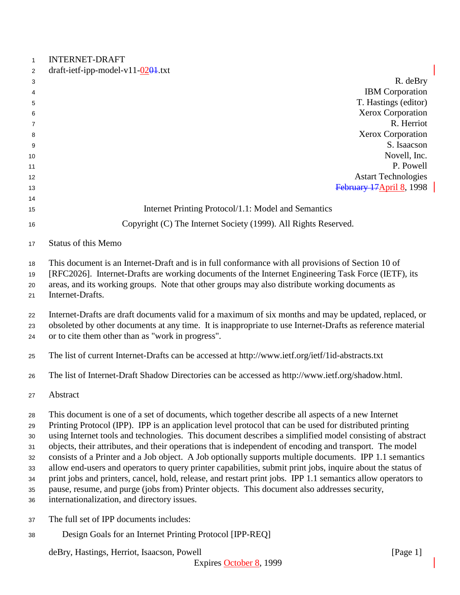| $\mathbf{1}$                                       | <b>INTERNET-DRAFT</b>                                                                                                                                                                                                                                                                                                                                                                                                                                                                                                                                                                                                                                                                                                                                                                                                                                                                                                         |
|----------------------------------------------------|-------------------------------------------------------------------------------------------------------------------------------------------------------------------------------------------------------------------------------------------------------------------------------------------------------------------------------------------------------------------------------------------------------------------------------------------------------------------------------------------------------------------------------------------------------------------------------------------------------------------------------------------------------------------------------------------------------------------------------------------------------------------------------------------------------------------------------------------------------------------------------------------------------------------------------|
| 2                                                  | draft-ietf-ipp-model-v11- $0201$ .txt                                                                                                                                                                                                                                                                                                                                                                                                                                                                                                                                                                                                                                                                                                                                                                                                                                                                                         |
| 3                                                  | R. deBry<br><b>IBM</b> Corporation                                                                                                                                                                                                                                                                                                                                                                                                                                                                                                                                                                                                                                                                                                                                                                                                                                                                                            |
| 4                                                  | T. Hastings (editor)                                                                                                                                                                                                                                                                                                                                                                                                                                                                                                                                                                                                                                                                                                                                                                                                                                                                                                          |
| 5<br>6                                             | Xerox Corporation                                                                                                                                                                                                                                                                                                                                                                                                                                                                                                                                                                                                                                                                                                                                                                                                                                                                                                             |
| 7                                                  | R. Herriot                                                                                                                                                                                                                                                                                                                                                                                                                                                                                                                                                                                                                                                                                                                                                                                                                                                                                                                    |
| 8                                                  | Xerox Corporation                                                                                                                                                                                                                                                                                                                                                                                                                                                                                                                                                                                                                                                                                                                                                                                                                                                                                                             |
| 9                                                  | S. Isaacson                                                                                                                                                                                                                                                                                                                                                                                                                                                                                                                                                                                                                                                                                                                                                                                                                                                                                                                   |
| 10                                                 | Novell, Inc.                                                                                                                                                                                                                                                                                                                                                                                                                                                                                                                                                                                                                                                                                                                                                                                                                                                                                                                  |
| 11                                                 | P. Powell                                                                                                                                                                                                                                                                                                                                                                                                                                                                                                                                                                                                                                                                                                                                                                                                                                                                                                                     |
| 12                                                 | <b>Astart Technologies</b>                                                                                                                                                                                                                                                                                                                                                                                                                                                                                                                                                                                                                                                                                                                                                                                                                                                                                                    |
| 13                                                 | February 17 April 8, 1998                                                                                                                                                                                                                                                                                                                                                                                                                                                                                                                                                                                                                                                                                                                                                                                                                                                                                                     |
| 14                                                 |                                                                                                                                                                                                                                                                                                                                                                                                                                                                                                                                                                                                                                                                                                                                                                                                                                                                                                                               |
| 15                                                 | Internet Printing Protocol/1.1: Model and Semantics                                                                                                                                                                                                                                                                                                                                                                                                                                                                                                                                                                                                                                                                                                                                                                                                                                                                           |
| 16                                                 | Copyright (C) The Internet Society (1999). All Rights Reserved.                                                                                                                                                                                                                                                                                                                                                                                                                                                                                                                                                                                                                                                                                                                                                                                                                                                               |
| 17                                                 | <b>Status of this Memo</b>                                                                                                                                                                                                                                                                                                                                                                                                                                                                                                                                                                                                                                                                                                                                                                                                                                                                                                    |
| 18<br>19<br>20<br>21                               | This document is an Internet-Draft and is in full conformance with all provisions of Section 10 of<br>[RFC2026]. Internet-Drafts are working documents of the Internet Engineering Task Force (IETF), its<br>areas, and its working groups. Note that other groups may also distribute working documents as<br>Internet-Drafts.                                                                                                                                                                                                                                                                                                                                                                                                                                                                                                                                                                                               |
| 22<br>23<br>24                                     | Internet-Drafts are draft documents valid for a maximum of six months and may be updated, replaced, or<br>obsoleted by other documents at any time. It is inappropriate to use Internet-Drafts as reference material<br>or to cite them other than as "work in progress".                                                                                                                                                                                                                                                                                                                                                                                                                                                                                                                                                                                                                                                     |
| 25                                                 | The list of current Internet-Drafts can be accessed at http://www.ietf.org/ietf/1id-abstracts.txt                                                                                                                                                                                                                                                                                                                                                                                                                                                                                                                                                                                                                                                                                                                                                                                                                             |
| 26                                                 | The list of Internet-Draft Shadow Directories can be accessed as http://www.ietf.org/shadow.html.                                                                                                                                                                                                                                                                                                                                                                                                                                                                                                                                                                                                                                                                                                                                                                                                                             |
| 27                                                 | Abstract                                                                                                                                                                                                                                                                                                                                                                                                                                                                                                                                                                                                                                                                                                                                                                                                                                                                                                                      |
| 28<br>29<br>30<br>31<br>32<br>33<br>34<br>35<br>36 | This document is one of a set of documents, which together describe all aspects of a new Internet<br>Printing Protocol (IPP). IPP is an application level protocol that can be used for distributed printing<br>using Internet tools and technologies. This document describes a simplified model consisting of abstract<br>objects, their attributes, and their operations that is independent of encoding and transport. The model<br>consists of a Printer and a Job object. A Job optionally supports multiple documents. IPP 1.1 semantics<br>allow end-users and operators to query printer capabilities, submit print jobs, inquire about the status of<br>print jobs and printers, cancel, hold, release, and restart print jobs. IPP 1.1 semantics allow operators to<br>pause, resume, and purge (jobs from) Printer objects. This document also addresses security,<br>internationalization, and directory issues. |
| 37                                                 | The full set of IPP documents includes:                                                                                                                                                                                                                                                                                                                                                                                                                                                                                                                                                                                                                                                                                                                                                                                                                                                                                       |
| 38                                                 | Design Goals for an Internet Printing Protocol [IPP-REQ]                                                                                                                                                                                                                                                                                                                                                                                                                                                                                                                                                                                                                                                                                                                                                                                                                                                                      |
|                                                    | deBry, Hastings, Herriot, Isaacson, Powell<br>[Page $1$ ]                                                                                                                                                                                                                                                                                                                                                                                                                                                                                                                                                                                                                                                                                                                                                                                                                                                                     |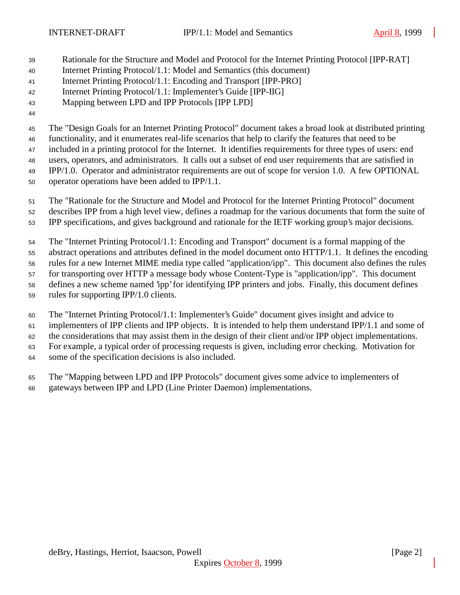- Rationale for the Structure and Model and Protocol for the Internet Printing Protocol [IPP-RAT]
- Internet Printing Protocol/1.1: Model and Semantics (this document)
- Internet Printing Protocol/1.1: Encoding and Transport [IPP-PRO]
- Internet Printing Protocol/1.1: Implementer's Guide [IPP-IIG]
- Mapping between LPD and IPP Protocols [IPP LPD]
- 

The "Design Goals for an Internet Printing Protocol" document takes a broad look at distributed printing

 functionality, and it enumerates real-life scenarios that help to clarify the features that need to be included in a printing protocol for the Internet. It identifies requirements for three types of users: end

users, operators, and administrators. It calls out a subset of end user requirements that are satisfied in

IPP/1.0. Operator and administrator requirements are out of scope for version 1.0. A few OPTIONAL

- operator operations have been added to IPP/1.1.
- The "Rationale for the Structure and Model and Protocol for the Internet Printing Protocol" document
- describes IPP from a high level view, defines a roadmap for the various documents that form the suite of
- IPP specifications, and gives background and rationale for the IETF working group's major decisions.

The "Internet Printing Protocol/1.1: Encoding and Transport" document is a formal mapping of the

abstract operations and attributes defined in the model document onto HTTP/1.1. It defines the encoding

rules for a new Internet MIME media type called "application/ipp". This document also defines the rules

for transporting over HTTP a message body whose Content-Type is "application/ipp". This document

defines a new scheme named 'ipp' for identifying IPP printers and jobs. Finally, this document defines

rules for supporting IPP/1.0 clients.

The "Internet Printing Protocol/1.1: Implementer's Guide" document gives insight and advice to

implementers of IPP clients and IPP objects. It is intended to help them understand IPP/1.1 and some of

the considerations that may assist them in the design of their client and/or IPP object implementations.

For example, a typical order of processing requests is given, including error checking. Motivation for

some of the specification decisions is also included.

 The "Mapping between LPD and IPP Protocols" document gives some advice to implementers of gateways between IPP and LPD (Line Printer Daemon) implementations.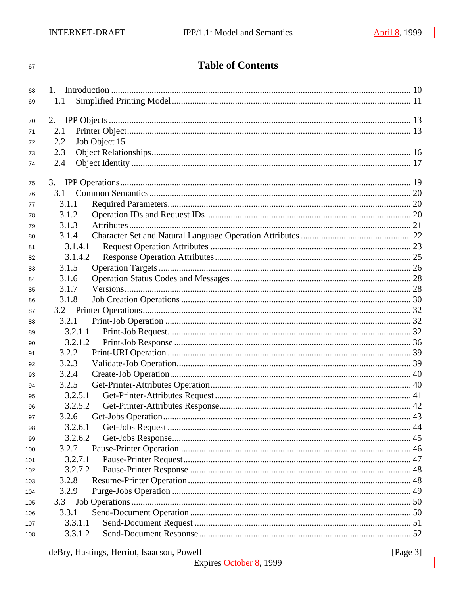#### 67

# **Table of Contents**

| 68  |                      |  |
|-----|----------------------|--|
| 69  | 1.1                  |  |
|     |                      |  |
| 70  | 2.                   |  |
| 71  | 2.1                  |  |
| 72  | Job Object 15<br>2.2 |  |
| 73  | 2.3                  |  |
| 74  | 2.4                  |  |
| 75  |                      |  |
| 76  | 3.1                  |  |
| 77  | 3.1.1                |  |
| 78  | 3.1.2                |  |
| 79  | 3.1.3                |  |
| 80  | 3.1.4                |  |
| 81  | 3.1.4.1              |  |
| 82  | 3.1.4.2              |  |
| 83  | 3.1.5                |  |
| 84  | 3.1.6                |  |
| 85  | 3.1.7                |  |
| 86  | 3.1.8                |  |
| 87  |                      |  |
| 88  | 3.2.1                |  |
| 89  | 3.2.1.1              |  |
| 90  | 3.2.1.2              |  |
| 91  | 3.2.2                |  |
| 92  | 3.2.3                |  |
| 93  | 3.2.4                |  |
| 94  | 3.2.5                |  |
| 95  | 3.2.5.1              |  |
| 96  | 3.2.5.2              |  |
| 97  | 3.2.6                |  |
| 98  | 3.2.6.1              |  |
| 99  | 3.2.6.2              |  |
| 100 | 3.2.7                |  |
| 101 | 3.2.7.1              |  |
| 102 | 3.2.7.2              |  |
| 103 | 3.2.8                |  |
| 104 | 3.2.9                |  |
| 105 | 3.3                  |  |
| 106 | 3.3.1                |  |
| 107 | 3.3.1.1              |  |
| 108 | 3.3.1.2              |  |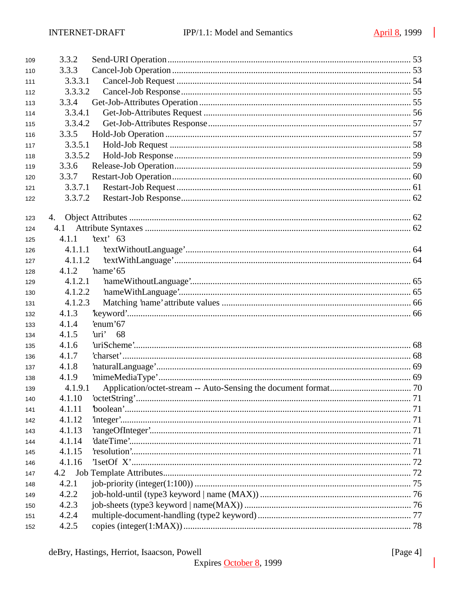| 109 | 3.3.2   |             |  |
|-----|---------|-------------|--|
| 110 | 3.3.3   |             |  |
| 111 | 3.3.3.1 |             |  |
| 112 | 3.3.3.2 |             |  |
| 113 | 3.3.4   |             |  |
| 114 | 3.3.4.1 |             |  |
| 115 | 3.3.4.2 |             |  |
| 116 | 3.3.5   |             |  |
| 117 | 3.3.5.1 |             |  |
| 118 | 3.3.5.2 |             |  |
| 119 | 3.3.6   |             |  |
| 120 | 3.3.7   |             |  |
| 121 | 3.3.7.1 |             |  |
| 122 | 3.3.7.2 |             |  |
| 123 | 4.      |             |  |
| 124 | 4.1     |             |  |
| 125 | 4.1.1   | $'text'$ 63 |  |
| 126 | 4.1.1.1 |             |  |
| 127 | 4.1.1.2 |             |  |
| 128 | 4.1.2   | name'65     |  |
| 129 | 4.1.2.1 |             |  |
| 130 | 4.1.2.2 |             |  |
| 131 | 4.1.2.3 |             |  |
| 132 | 4.1.3   |             |  |
| 133 | 4.1.4   | 'enum'67    |  |
| 134 | 4.1.5   | 'uri'<br>68 |  |
| 135 | 4.1.6   |             |  |
| 136 | 4.1.7   |             |  |
| 137 | 4.1.8   |             |  |
| 138 | 4.1.9   |             |  |
| 139 | 4.1.9.1 |             |  |
| 140 | 4.1.10  |             |  |
| 141 | 4.1.11  |             |  |
| 142 | 4.1.12  |             |  |
| 143 | 4.1.13  |             |  |
| 144 | 4.1.14  |             |  |
| 145 | 4.1.15  |             |  |
| 146 | 4.1.16  |             |  |
| 147 | 4.2     |             |  |
| 148 | 4.2.1   |             |  |
| 149 | 4.2.2   |             |  |
| 150 | 4.2.3   |             |  |
| 151 | 4.2.4   |             |  |
| 152 | 4.2.5   |             |  |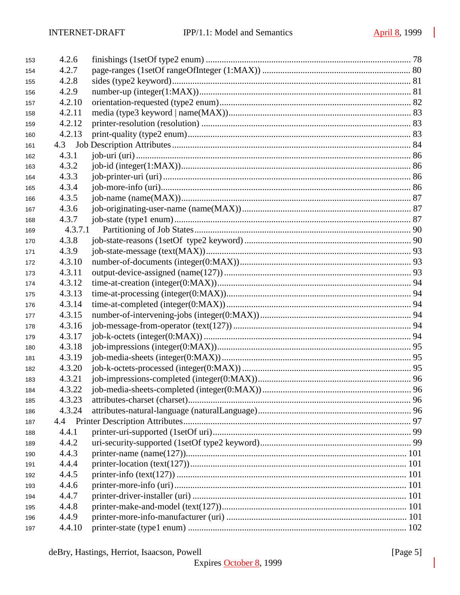| 153 | 4.2.6   |  |
|-----|---------|--|
| 154 | 4.2.7   |  |
| 155 | 4.2.8   |  |
| 156 | 4.2.9   |  |
| 157 | 4.2.10  |  |
| 158 | 4.2.11  |  |
| 159 | 4.2.12  |  |
| 160 | 4.2.13  |  |
| 161 | 4.3     |  |
| 162 | 4.3.1   |  |
| 163 | 4.3.2   |  |
| 164 | 4.3.3   |  |
| 165 | 4.3.4   |  |
| 166 | 4.3.5   |  |
| 167 | 4.3.6   |  |
| 168 | 4.3.7   |  |
| 169 | 4.3.7.1 |  |
| 170 | 4.3.8   |  |
| 171 | 4.3.9   |  |
| 172 | 4.3.10  |  |
| 173 | 4.3.11  |  |
| 174 | 4.3.12  |  |
| 175 | 4.3.13  |  |
| 176 | 4.3.14  |  |
| 177 | 4.3.15  |  |
| 178 | 4.3.16  |  |
| 179 | 4.3.17  |  |
| 180 | 4.3.18  |  |
| 181 | 4.3.19  |  |
| 182 | 4.3.20  |  |
| 183 | 4.3.21  |  |
| 184 | 4.3.22  |  |
| 185 | 4.3.23  |  |
| 186 | 4.3.24  |  |
| 187 |         |  |
| 188 | 4.4.1   |  |
| 189 | 4.4.2   |  |
| 190 | 4.4.3   |  |
| 191 | 4.4.4   |  |
| 192 | 4.4.5   |  |
| 193 | 4.4.6   |  |
| 194 | 4.4.7   |  |
| 195 | 4.4.8   |  |
| 196 | 4.4.9   |  |
| 197 | 4.4.10  |  |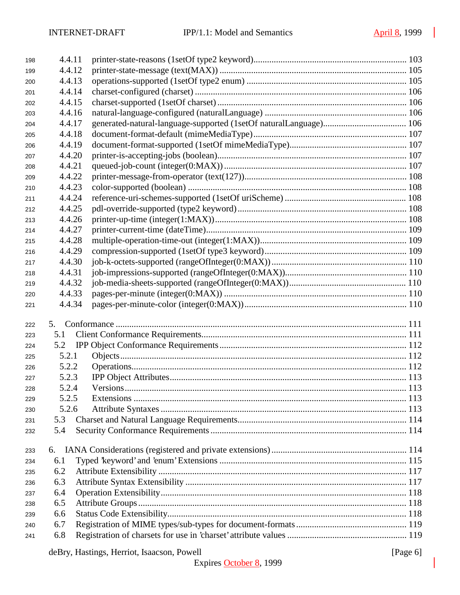| 198 | 4.4.11 |                                            |          |
|-----|--------|--------------------------------------------|----------|
| 199 | 4.4.12 |                                            |          |
| 200 | 4.4.13 |                                            |          |
| 201 | 4.4.14 |                                            |          |
| 202 | 4.4.15 |                                            |          |
| 203 | 4.4.16 |                                            |          |
| 204 | 4.4.17 |                                            |          |
| 205 | 4.4.18 |                                            |          |
| 206 | 4.4.19 |                                            |          |
| 207 | 4.4.20 |                                            |          |
| 208 | 4.4.21 |                                            |          |
| 209 | 4.4.22 |                                            |          |
| 210 | 4.4.23 |                                            |          |
| 211 | 4.4.24 |                                            |          |
| 212 | 4.4.25 |                                            |          |
| 213 | 4.4.26 |                                            |          |
| 214 | 4.4.27 |                                            |          |
| 215 | 4.4.28 |                                            |          |
| 216 | 4.4.29 |                                            |          |
| 217 | 4.4.30 |                                            |          |
| 218 | 4.4.31 |                                            |          |
| 219 | 4.4.32 |                                            |          |
| 220 | 4.4.33 |                                            |          |
| 221 | 4.4.34 |                                            |          |
| 222 | 5.     |                                            |          |
| 223 | 5.1    |                                            |          |
| 224 | 5.2    |                                            |          |
| 225 | 5.2.1  |                                            |          |
| 226 | 5.2.2  |                                            |          |
| 227 | 5.2.3  |                                            |          |
| 228 | 5.2.4  |                                            |          |
| 229 | 5.2.5  |                                            |          |
| 230 | 5.2.6  |                                            |          |
| 231 | 5.3    |                                            |          |
| 232 | 5.4    |                                            |          |
| 233 | 6.     |                                            |          |
| 234 | 6.1    |                                            |          |
| 235 | 6.2    |                                            |          |
| 236 | 6.3    |                                            |          |
| 237 | 6.4    |                                            |          |
| 238 | 6.5    |                                            |          |
| 239 | 6.6    |                                            |          |
| 240 | 6.7    |                                            |          |
| 241 | 6.8    |                                            |          |
|     |        | deBry, Hastings, Herriot, Isaacson, Powell | [Page 6] |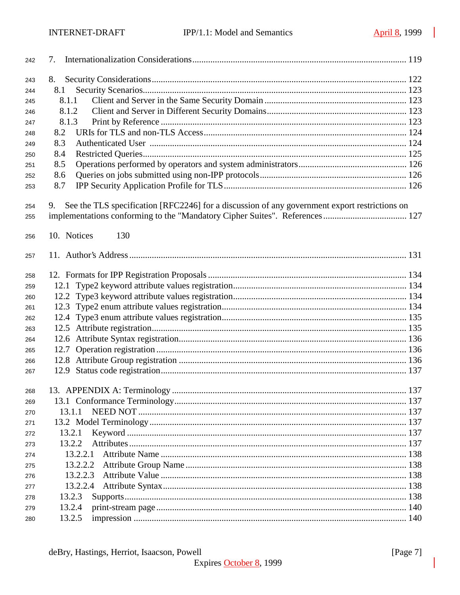| 242 | 7.                                                                                                  |     |
|-----|-----------------------------------------------------------------------------------------------------|-----|
| 243 | 8.                                                                                                  |     |
| 244 | 8.1                                                                                                 |     |
| 245 | 8.1.1                                                                                               |     |
| 246 | 8.1.2                                                                                               |     |
| 247 | 8.1.3                                                                                               |     |
| 248 | 8.2                                                                                                 |     |
| 249 | 8.3                                                                                                 |     |
| 250 | 8.4                                                                                                 |     |
| 251 | 8.5                                                                                                 |     |
| 252 | 8.6                                                                                                 |     |
| 253 | 8.7                                                                                                 |     |
| 254 | See the TLS specification [RFC2246] for a discussion of any government export restrictions on<br>9. |     |
| 255 |                                                                                                     |     |
|     |                                                                                                     |     |
| 256 | 10. Notices<br>130                                                                                  |     |
|     |                                                                                                     |     |
| 257 |                                                                                                     |     |
| 258 |                                                                                                     |     |
| 259 | 12.1                                                                                                |     |
| 260 |                                                                                                     |     |
| 261 |                                                                                                     |     |
| 262 |                                                                                                     |     |
| 263 |                                                                                                     |     |
| 264 |                                                                                                     |     |
| 265 | 12.7                                                                                                |     |
| 266 |                                                                                                     |     |
| 267 |                                                                                                     |     |
|     |                                                                                                     |     |
| 268 |                                                                                                     | 137 |
| 269 |                                                                                                     |     |
| 270 | 13.1.1                                                                                              |     |
| 271 |                                                                                                     |     |
| 272 | 13.2.1                                                                                              |     |
| 273 | 13.2.2                                                                                              |     |
| 274 | 13.2.2.1                                                                                            |     |
| 275 | 13.2.2.2                                                                                            |     |
| 276 | 13.2.2.3                                                                                            |     |
| 277 | 13.2.2.4                                                                                            |     |
| 278 | 13.2.3                                                                                              |     |
| 279 | 13.2.4                                                                                              |     |
| 280 | 13.2.5                                                                                              |     |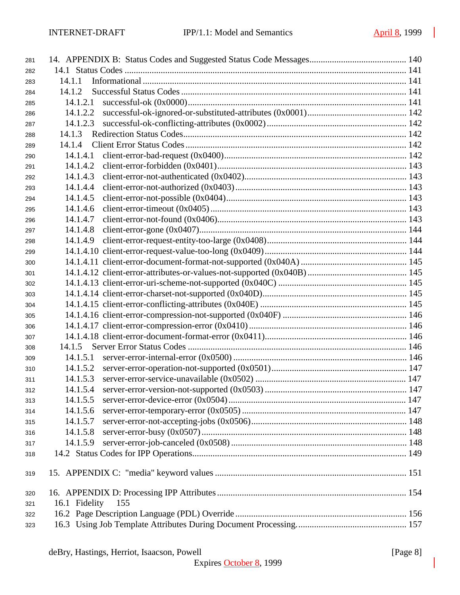| 281 |                      |  |
|-----|----------------------|--|
| 282 |                      |  |
| 283 | 14.1.1               |  |
| 284 | 14.1.2               |  |
| 285 | 14.1.2.1             |  |
| 286 | 14.1.2.2             |  |
| 287 | 14.1.2.3             |  |
| 288 | 14.1.3               |  |
| 289 | 14.1.4               |  |
| 290 | 14.1.4.1             |  |
| 291 | 14.1.4.2             |  |
| 292 | 14.1.4.3             |  |
| 293 | 14.1.4.4             |  |
| 294 | 14.1.4.5             |  |
| 295 | 14.1.4.6             |  |
| 296 | 14.1.4.7             |  |
| 297 | 14.1.4.8             |  |
| 298 | 14.1.4.9             |  |
| 299 |                      |  |
| 300 |                      |  |
| 301 |                      |  |
| 302 |                      |  |
| 303 |                      |  |
| 304 |                      |  |
| 305 |                      |  |
| 306 |                      |  |
| 307 |                      |  |
| 308 | 14.1.5               |  |
| 309 | 14.1.5.1             |  |
| 310 | 14.1.5.2             |  |
| 311 | 14.1.5.3             |  |
| 312 | 14.1.5.4             |  |
| 313 |                      |  |
| 314 | 14.1.5.6             |  |
| 315 | 14.1.5.7             |  |
| 316 | 14.1.5.8             |  |
| 317 | 14.1.5.9             |  |
| 318 |                      |  |
| 319 |                      |  |
| 320 |                      |  |
| 321 | 16.1 Fidelity<br>155 |  |
| 322 |                      |  |
| 323 |                      |  |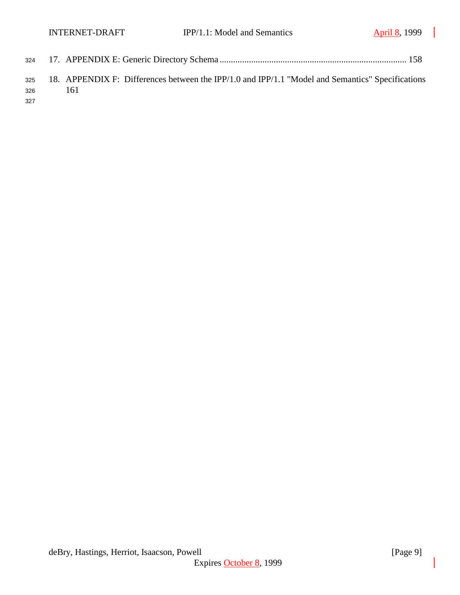| 326 | - 161 | 325 18. APPENDIX F: Differences between the IPP/1.0 and IPP/1.1 "Model and Semantics" Specifications |  |
|-----|-------|------------------------------------------------------------------------------------------------------|--|
| 327 |       |                                                                                                      |  |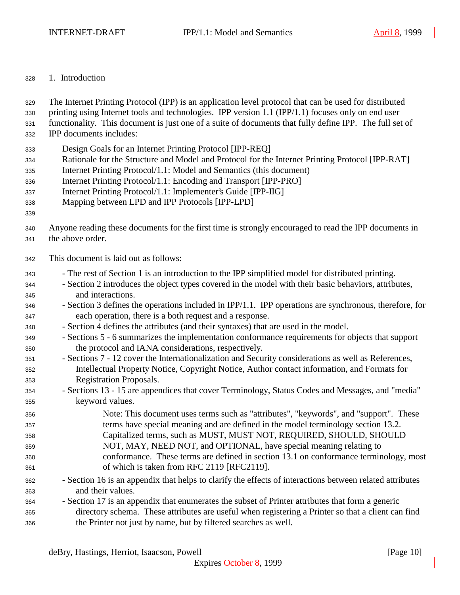#### 1. Introduction

The Internet Printing Protocol (IPP) is an application level protocol that can be used for distributed

printing using Internet tools and technologies. IPP version 1.1 (IPP/1.1) focuses only on end user

functionality. This document is just one of a suite of documents that fully define IPP. The full set of

IPP documents includes:

- Design Goals for an Internet Printing Protocol [IPP-REQ]
- Rationale for the Structure and Model and Protocol for the Internet Printing Protocol [IPP-RAT]
- Internet Printing Protocol/1.1: Model and Semantics (this document)
- Internet Printing Protocol/1.1: Encoding and Transport [IPP-PRO]
- Internet Printing Protocol/1.1: Implementer's Guide [IPP-IIG]
- Mapping between LPD and IPP Protocols [IPP-LPD]
- 
- Anyone reading these documents for the first time is strongly encouraged to read the IPP documents in
- the above order.
- This document is laid out as follows:
- The rest of Section 1 is an introduction to the IPP simplified model for distributed printing.
- Section 2 introduces the object types covered in the model with their basic behaviors, attributes, and interactions.
- Section 3 defines the operations included in IPP/1.1. IPP operations are synchronous, therefore, for each operation, there is a both request and a response.
- Section 4 defines the attributes (and their syntaxes) that are used in the model.

 - Sections 5 - 6 summarizes the implementation conformance requirements for objects that support the protocol and IANA considerations, respectively.

- Sections 7 12 cover the Internationalization and Security considerations as well as References, Intellectual Property Notice, Copyright Notice, Author contact information, and Formats for Registration Proposals.
- Sections 13 15 are appendices that cover Terminology, Status Codes and Messages, and "media" keyword values.
- Note: This document uses terms such as "attributes", "keywords", and "support". These terms have special meaning and are defined in the model terminology section 13.2. Capitalized terms, such as MUST, MUST NOT, REQUIRED, SHOULD, SHOULD NOT, MAY, NEED NOT, and OPTIONAL, have special meaning relating to conformance. These terms are defined in section 13.1 on conformance terminology, most of which is taken from RFC 2119 [RFC2119].
- Section 16 is an appendix that helps to clarify the effects of interactions between related attributes and their values.
- Section 17 is an appendix that enumerates the subset of Printer attributes that form a generic directory schema. These attributes are useful when registering a Printer so that a client can find the Printer not just by name, but by filtered searches as well.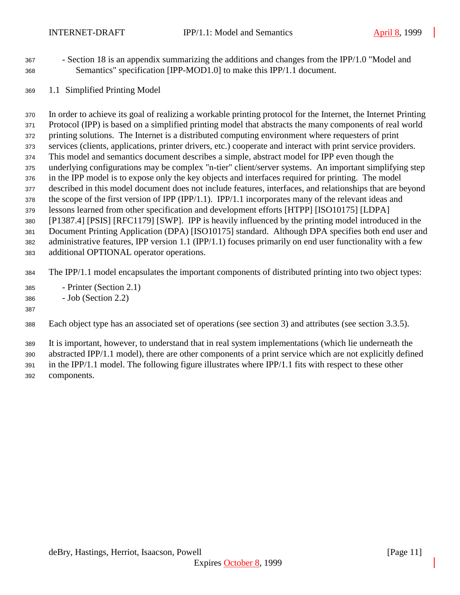- Section 18 is an appendix summarizing the additions and changes from the IPP/1.0 "Model and Semantics" specification [IPP-MOD1.0] to make this IPP/1.1 document.
- 1.1 Simplified Printing Model

 In order to achieve its goal of realizing a workable printing protocol for the Internet, the Internet Printing Protocol (IPP) is based on a simplified printing model that abstracts the many components of real world printing solutions. The Internet is a distributed computing environment where requesters of print services (clients, applications, printer drivers, etc.) cooperate and interact with print service providers. This model and semantics document describes a simple, abstract model for IPP even though the underlying configurations may be complex "n-tier" client/server systems. An important simplifying step in the IPP model is to expose only the key objects and interfaces required for printing. The model described in this model document does not include features, interfaces, and relationships that are beyond the scope of the first version of IPP (IPP/1.1). IPP/1.1 incorporates many of the relevant ideas and lessons learned from other specification and development efforts [HTPP] [ISO10175] [LDPA] [P1387.4] [PSIS] [RFC1179] [SWP]. IPP is heavily influenced by the printing model introduced in the Document Printing Application (DPA) [ISO10175] standard. Although DPA specifies both end user and administrative features, IPP version 1.1 (IPP/1.1) focuses primarily on end user functionality with a few additional OPTIONAL operator operations.

- The IPP/1.1 model encapsulates the important components of distributed printing into two object types:
- Printer (Section 2.1)
- Job (Section 2.2)

#### 

Each object type has an associated set of operations (see section 3) and attributes (see section 3.3.5).

It is important, however, to understand that in real system implementations (which lie underneath the

abstracted IPP/1.1 model), there are other components of a print service which are not explicitly defined

 in the IPP/1.1 model. The following figure illustrates where IPP/1.1 fits with respect to these other components.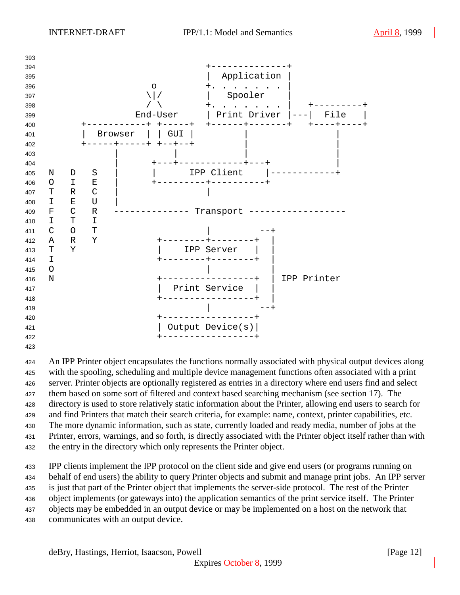

 An IPP Printer object encapsulates the functions normally associated with physical output devices along with the spooling, scheduling and multiple device management functions often associated with a print server. Printer objects are optionally registered as entries in a directory where end users find and select them based on some sort of filtered and context based searching mechanism (see section 17). The directory is used to store relatively static information about the Printer, allowing end users to search for and find Printers that match their search criteria, for example: name, context, printer capabilities, etc. The more dynamic information, such as state, currently loaded and ready media, number of jobs at the Printer, errors, warnings, and so forth, is directly associated with the Printer object itself rather than with the entry in the directory which only represents the Printer object.

 IPP clients implement the IPP protocol on the client side and give end users (or programs running on behalf of end users) the ability to query Printer objects and submit and manage print jobs. An IPP server is just that part of the Printer object that implements the server-side protocol. The rest of the Printer object implements (or gateways into) the application semantics of the print service itself. The Printer objects may be embedded in an output device or may be implemented on a host on the network that communicates with an output device.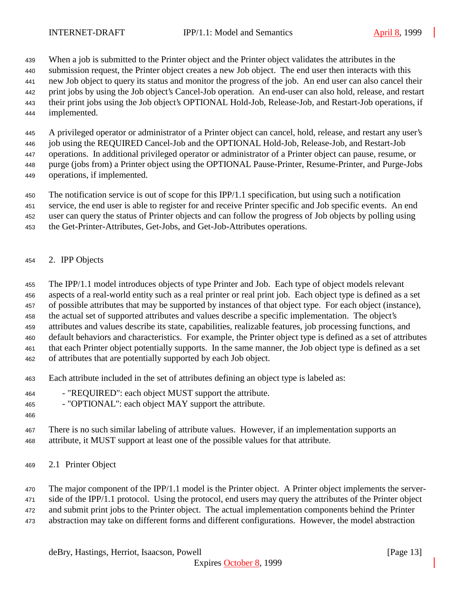When a job is submitted to the Printer object and the Printer object validates the attributes in the

submission request, the Printer object creates a new Job object. The end user then interacts with this

new Job object to query its status and monitor the progress of the job. An end user can also cancel their

- print jobs by using the Job object's Cancel-Job operation. An end-user can also hold, release, and restart
- their print jobs using the Job object's OPTIONAL Hold-Job, Release-Job, and Restart-Job operations, if
- implemented.

A privileged operator or administrator of a Printer object can cancel, hold, release, and restart any user's

job using the REQUIRED Cancel-Job and the OPTIONAL Hold-Job, Release-Job, and Restart-Job

 operations. In additional privileged operator or administrator of a Printer object can pause, resume, or purge (jobs from) a Printer object using the OPTIONAL Pause-Printer, Resume-Printer, and Purge-Jobs

- 
- operations, if implemented.

The notification service is out of scope for this IPP/1.1 specification, but using such a notification

service, the end user is able to register for and receive Printer specific and Job specific events. An end

user can query the status of Printer objects and can follow the progress of Job objects by polling using

- the Get-Printer-Attributes, Get-Jobs, and Get-Job-Attributes operations.
- 2. IPP Objects

The IPP/1.1 model introduces objects of type Printer and Job. Each type of object models relevant

aspects of a real-world entity such as a real printer or real print job. Each object type is defined as a set

of possible attributes that may be supported by instances of that object type. For each object (instance),

the actual set of supported attributes and values describe a specific implementation. The object's

attributes and values describe its state, capabilities, realizable features, job processing functions, and

 default behaviors and characteristics. For example, the Printer object type is defined as a set of attributes that each Printer object potentially supports. In the same manner, the Job object type is defined as a set

of attributes that are potentially supported by each Job object.

- Each attribute included in the set of attributes defining an object type is labeled as:
- "REQUIRED": each object MUST support the attribute.

- "OPTIONAL": each object MAY support the attribute.

 There is no such similar labeling of attribute values. However, if an implementation supports an attribute, it MUST support at least one of the possible values for that attribute.

2.1 Printer Object

The major component of the IPP/1.1 model is the Printer object. A Printer object implements the server-

471 side of the IPP/1.1 protocol. Using the protocol, end users may query the attributes of the Printer object

and submit print jobs to the Printer object. The actual implementation components behind the Printer

abstraction may take on different forms and different configurations. However, the model abstraction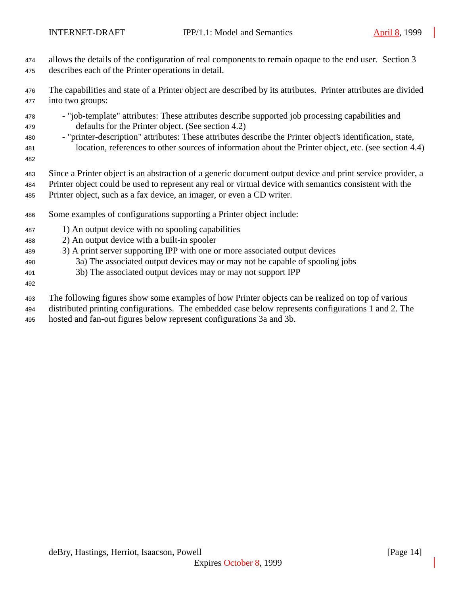- allows the details of the configuration of real components to remain opaque to the end user. Section 3 describes each of the Printer operations in detail.
- The capabilities and state of a Printer object are described by its attributes. Printer attributes are divided into two groups:
- "job-template" attributes: These attributes describe supported job processing capabilities and defaults for the Printer object. (See section 4.2)
- "printer-description" attributes: These attributes describe the Printer object's identification, state, location, references to other sources of information about the Printer object, etc. (see section 4.4)
- 
- Since a Printer object is an abstraction of a generic document output device and print service provider, a
- Printer object could be used to represent any real or virtual device with semantics consistent with the Printer object, such as a fax device, an imager, or even a CD writer.
- Some examples of configurations supporting a Printer object include:
- 1) An output device with no spooling capabilities
- 2) An output device with a built-in spooler
- 3) A print server supporting IPP with one or more associated output devices
- 3a) The associated output devices may or may not be capable of spooling jobs
- 3b) The associated output devices may or may not support IPP
- 
- The following figures show some examples of how Printer objects can be realized on top of various
- distributed printing configurations. The embedded case below represents configurations 1 and 2. The
- hosted and fan-out figures below represent configurations 3a and 3b.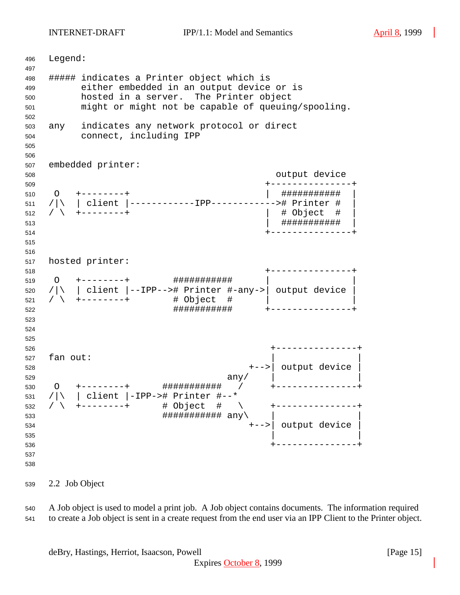INTERNET-DRAFT IPP/1.1: Model and Semantics April 8, 1999

 Legend: ##### indicates a Printer object which is either embedded in an output device or is hosted in a server. The Printer object might or might not be capable of queuing/spooling. any indicates any network protocol or direct connect, including IPP embedded printer: output device +---------------+ O +--------+ | ########### | /|\ | client |------------IPP------------># Printer # | / \ +--------+ | # Object # | | ########### | +---------------+ hosted printer: +---------------+ O +--------+ ########### | | /|\ | client |--IPP--># Printer #-any->| output device | / \ +--------+ # Object # | | ########### +---------------+ +---------------+ fan out: +-->| output device | any/  $\vert$  O +--------+ ########### / +---------------+ /|\ | client |-IPP-># Printer #--\* / \ +--------+ # Object # \ +---------------+  $\#$ ############# any +-->| output device |  $\frac{1}{2}$  535  $\frac{1}{2}$   $\frac{1}{2}$   $\frac{1}{2}$   $\frac{1}{2}$   $\frac{1}{2}$   $\frac{1}{2}$   $\frac{1}{2}$   $\frac{1}{2}$   $\frac{1}{2}$   $\frac{1}{2}$   $\frac{1}{2}$   $\frac{1}{2}$   $\frac{1}{2}$   $\frac{1}{2}$   $\frac{1}{2}$   $\frac{1}{2}$   $\frac{1}{2}$   $\frac{1}{2}$   $\frac{1}{2}$   $\frac{1}{2}$   $\frac{1}{2$  +---------------+ 

2.2 Job Object

 A Job object is used to model a print job. A Job object contains documents. The information required to create a Job object is sent in a create request from the end user via an IPP Client to the Printer object.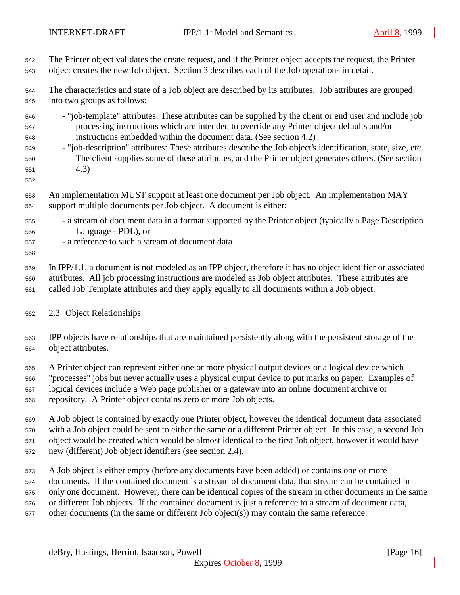| 542                                           | The Printer object validates the create request, and if the Printer object accepts the request, the Printer                                                                                                                                                                                                                                                                                                                                                                                               |
|-----------------------------------------------|-----------------------------------------------------------------------------------------------------------------------------------------------------------------------------------------------------------------------------------------------------------------------------------------------------------------------------------------------------------------------------------------------------------------------------------------------------------------------------------------------------------|
| 543                                           | object creates the new Job object. Section 3 describes each of the Job operations in detail.                                                                                                                                                                                                                                                                                                                                                                                                              |
| 544                                           | The characteristics and state of a Job object are described by its attributes. Job attributes are grouped                                                                                                                                                                                                                                                                                                                                                                                                 |
| 545                                           | into two groups as follows:                                                                                                                                                                                                                                                                                                                                                                                                                                                                               |
| 546<br>547<br>548<br>549<br>550<br>551<br>552 | - "job-template" attributes: These attributes can be supplied by the client or end user and include job<br>processing instructions which are intended to override any Printer object defaults and/or<br>instructions embedded within the document data. (See section 4.2)<br>- "job-description" attributes: These attributes describe the Job object's identification, state, size, etc.<br>The client supplies some of these attributes, and the Printer object generates others. (See section<br>(4.3) |
| 553                                           | An implementation MUST support at least one document per Job object. An implementation MAY                                                                                                                                                                                                                                                                                                                                                                                                                |
| 554                                           | support multiple documents per Job object. A document is either:                                                                                                                                                                                                                                                                                                                                                                                                                                          |
| 555<br>556<br>557<br>558                      | - a stream of document data in a format supported by the Printer object (typically a Page Description<br>Language - PDL), or<br>- a reference to such a stream of document data                                                                                                                                                                                                                                                                                                                           |
| 559                                           | In IPP/1.1, a document is not modeled as an IPP object, therefore it has no object identifier or associated                                                                                                                                                                                                                                                                                                                                                                                               |
| 560                                           | attributes. All job processing instructions are modeled as Job object attributes. These attributes are                                                                                                                                                                                                                                                                                                                                                                                                    |
| 561                                           | called Job Template attributes and they apply equally to all documents within a Job object.                                                                                                                                                                                                                                                                                                                                                                                                               |
| 562                                           | 2.3 Object Relationships                                                                                                                                                                                                                                                                                                                                                                                                                                                                                  |
| 563                                           | IPP objects have relationships that are maintained persistently along with the persistent storage of the                                                                                                                                                                                                                                                                                                                                                                                                  |
| 564                                           | object attributes.                                                                                                                                                                                                                                                                                                                                                                                                                                                                                        |
| 565                                           | A Printer object can represent either one or more physical output devices or a logical device which                                                                                                                                                                                                                                                                                                                                                                                                       |
| 566                                           | "processes" jobs but never actually uses a physical output device to put marks on paper. Examples of                                                                                                                                                                                                                                                                                                                                                                                                      |
| 567                                           | logical devices include a Web page publisher or a gateway into an online document archive or                                                                                                                                                                                                                                                                                                                                                                                                              |
| 568                                           | repository. A Printer object contains zero or more Job objects.                                                                                                                                                                                                                                                                                                                                                                                                                                           |
| 569                                           | A Job object is contained by exactly one Printer object, however the identical document data associated                                                                                                                                                                                                                                                                                                                                                                                                   |
| 570                                           | with a Job object could be sent to either the same or a different Printer object. In this case, a second Job                                                                                                                                                                                                                                                                                                                                                                                              |
| 571                                           | object would be created which would be almost identical to the first Job object, however it would have                                                                                                                                                                                                                                                                                                                                                                                                    |
| 572                                           | new (different) Job object identifiers (see section 2.4).                                                                                                                                                                                                                                                                                                                                                                                                                                                 |
| 573                                           | A Job object is either empty (before any documents have been added) or contains one or more                                                                                                                                                                                                                                                                                                                                                                                                               |
| 574                                           | documents. If the contained document is a stream of document data, that stream can be contained in                                                                                                                                                                                                                                                                                                                                                                                                        |
| 575                                           | only one document. However, there can be identical copies of the stream in other documents in the same                                                                                                                                                                                                                                                                                                                                                                                                    |
| 576                                           | or different Job objects. If the contained document is just a reference to a stream of document data,                                                                                                                                                                                                                                                                                                                                                                                                     |
| 577                                           | other documents (in the same or different Job object(s)) may contain the same reference.                                                                                                                                                                                                                                                                                                                                                                                                                  |
|                                               |                                                                                                                                                                                                                                                                                                                                                                                                                                                                                                           |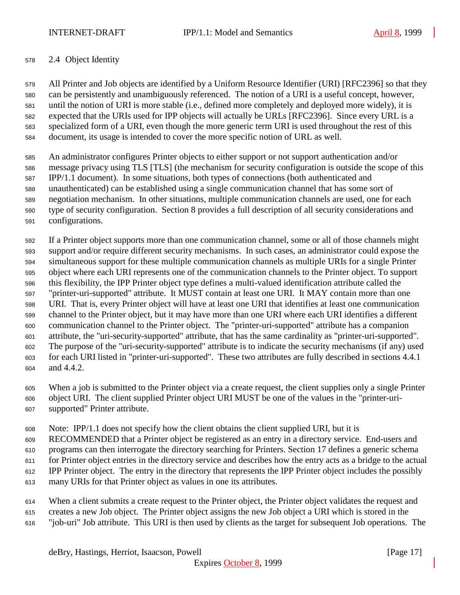### 2.4 Object Identity

 All Printer and Job objects are identified by a Uniform Resource Identifier (URI) [RFC2396] so that they can be persistently and unambiguously referenced. The notion of a URI is a useful concept, however, until the notion of URI is more stable (i.e., defined more completely and deployed more widely), it is expected that the URIs used for IPP objects will actually be URLs [RFC2396]. Since every URL is a specialized form of a URI, even though the more generic term URI is used throughout the rest of this document, its usage is intended to cover the more specific notion of URL as well.

 An administrator configures Printer objects to either support or not support authentication and/or message privacy using TLS [TLS] (the mechanism for security configuration is outside the scope of this IPP/1.1 document). In some situations, both types of connections (both authenticated and unauthenticated) can be established using a single communication channel that has some sort of negotiation mechanism. In other situations, multiple communication channels are used, one for each type of security configuration. Section 8 provides a full description of all security considerations and configurations.

 If a Printer object supports more than one communication channel, some or all of those channels might support and/or require different security mechanisms. In such cases, an administrator could expose the simultaneous support for these multiple communication channels as multiple URIs for a single Printer object where each URI represents one of the communication channels to the Printer object. To support this flexibility, the IPP Printer object type defines a multi-valued identification attribute called the "printer-uri-supported" attribute. It MUST contain at least one URI. It MAY contain more than one URI. That is, every Printer object will have at least one URI that identifies at least one communication channel to the Printer object, but it may have more than one URI where each URI identifies a different communication channel to the Printer object. The "printer-uri-supported" attribute has a companion attribute, the "uri-security-supported" attribute, that has the same cardinality as "printer-uri-supported". The purpose of the "uri-security-supported" attribute is to indicate the security mechanisms (if any) used for each URI listed in "printer-uri-supported". These two attributes are fully described in sections 4.4.1 and 4.4.2.

 When a job is submitted to the Printer object via a create request, the client supplies only a single Printer object URI. The client supplied Printer object URI MUST be one of the values in the "printer-uri-supported" Printer attribute.

Note: IPP/1.1 does not specify how the client obtains the client supplied URI, but it is

RECOMMENDED that a Printer object be registered as an entry in a directory service. End-users and

programs can then interrogate the directory searching for Printers. Section 17 defines a generic schema

for Printer object entries in the directory service and describes how the entry acts as a bridge to the actual

- IPP Printer object. The entry in the directory that represents the IPP Printer object includes the possibly
- many URIs for that Printer object as values in one its attributes.
- When a client submits a create request to the Printer object, the Printer object validates the request and creates a new Job object. The Printer object assigns the new Job object a URI which is stored in the
- "job-uri" Job attribute. This URI is then used by clients as the target for subsequent Job operations. The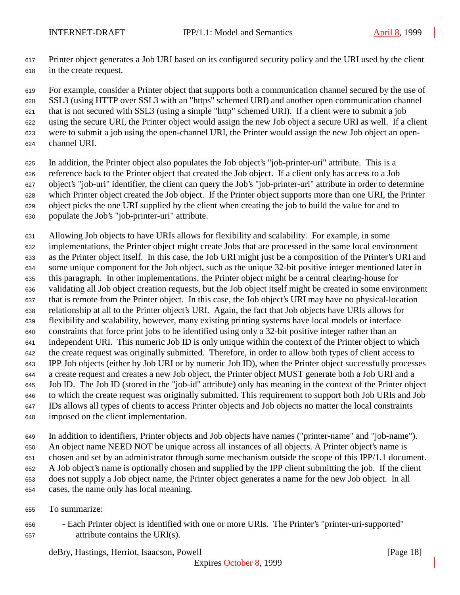Printer object generates a Job URI based on its configured security policy and the URI used by the client in the create request.

 For example, consider a Printer object that supports both a communication channel secured by the use of SSL3 (using HTTP over SSL3 with an "https" schemed URI) and another open communication channel that is not secured with SSL3 (using a simple "http" schemed URI). If a client were to submit a job using the secure URI, the Printer object would assign the new Job object a secure URI as well. If a client were to submit a job using the open-channel URI, the Printer would assign the new Job object an open-

- channel URI.
- In addition, the Printer object also populates the Job object's "job-printer-uri" attribute. This is a reference back to the Printer object that created the Job object. If a client only has access to a Job object's "job-uri" identifier, the client can query the Job's "job-printer-uri" attribute in order to determine which Printer object created the Job object. If the Printer object supports more than one URI, the Printer object picks the one URI supplied by the client when creating the job to build the value for and to populate the Job's "job-printer-uri" attribute.
- Allowing Job objects to have URIs allows for flexibility and scalability. For example, in some implementations, the Printer object might create Jobs that are processed in the same local environment as the Printer object itself. In this case, the Job URI might just be a composition of the Printer's URI and some unique component for the Job object, such as the unique 32-bit positive integer mentioned later in this paragraph. In other implementations, the Printer object might be a central clearing-house for validating all Job object creation requests, but the Job object itself might be created in some environment that is remote from the Printer object. In this case, the Job object's URI may have no physical-location relationship at all to the Printer object's URI. Again, the fact that Job objects have URIs allows for flexibility and scalability, however, many existing printing systems have local models or interface constraints that force print jobs to be identified using only a 32-bit positive integer rather than an independent URI. This numeric Job ID is only unique within the context of the Printer object to which the create request was originally submitted. Therefore, in order to allow both types of client access to IPP Job objects (either by Job URI or by numeric Job ID), when the Printer object successfully processes a create request and creates a new Job object, the Printer object MUST generate both a Job URI and a Job ID. The Job ID (stored in the "job-id" attribute) only has meaning in the context of the Printer object to which the create request was originally submitted. This requirement to support both Job URIs and Job IDs allows all types of clients to access Printer objects and Job objects no matter the local constraints imposed on the client implementation.

 In addition to identifiers, Printer objects and Job objects have names ("printer-name" and "job-name"). An object name NEED NOT be unique across all instances of all objects. A Printer object's name is chosen and set by an administrator through some mechanism outside the scope of this IPP/1.1 document. A Job object's name is optionally chosen and supplied by the IPP client submitting the job. If the client does not supply a Job object name, the Printer object generates a name for the new Job object. In all cases, the name only has local meaning.

- To summarize:
- Each Printer object is identified with one or more URIs. The Printer's "printer-uri-supported" attribute contains the URI(s).

deBry, Hastings, Herriot, Isaacson, Powell [Page 18]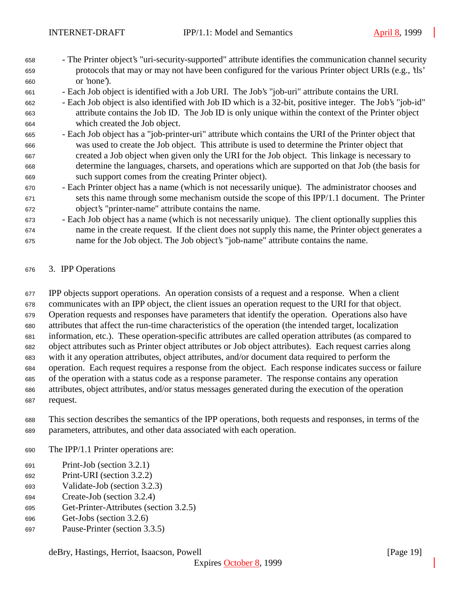- The Printer object's "uri-security-supported" attribute identifies the communication channel security protocols that may or may not have been configured for the various Printer object URIs (e.g., 'tls' or 'none').
- Each Job object is identified with a Job URI. The Job's "job-uri" attribute contains the URI.
- Each Job object is also identified with Job ID which is a 32-bit, positive integer. The Job's "job-id" attribute contains the Job ID. The Job ID is only unique within the context of the Printer object which created the Job object.
- Each Job object has a "job-printer-uri" attribute which contains the URI of the Printer object that was used to create the Job object. This attribute is used to determine the Printer object that created a Job object when given only the URI for the Job object. This linkage is necessary to determine the languages, charsets, and operations which are supported on that Job (the basis for such support comes from the creating Printer object).
- Each Printer object has a name (which is not necessarily unique). The administrator chooses and sets this name through some mechanism outside the scope of this IPP/1.1 document. The Printer object's "printer-name" attribute contains the name.
- Each Job object has a name (which is not necessarily unique). The client optionally supplies this name in the create request. If the client does not supply this name, the Printer object generates a name for the Job object. The Job object's "job-name" attribute contains the name.

#### 3. IPP Operations

 IPP objects support operations. An operation consists of a request and a response. When a client communicates with an IPP object, the client issues an operation request to the URI for that object. Operation requests and responses have parameters that identify the operation. Operations also have attributes that affect the run-time characteristics of the operation (the intended target, localization information, etc.). These operation-specific attributes are called operation attributes (as compared to object attributes such as Printer object attributes or Job object attributes). Each request carries along with it any operation attributes, object attributes, and/or document data required to perform the operation. Each request requires a response from the object. Each response indicates success or failure of the operation with a status code as a response parameter. The response contains any operation attributes, object attributes, and/or status messages generated during the execution of the operation request.

 This section describes the semantics of the IPP operations, both requests and responses, in terms of the parameters, attributes, and other data associated with each operation.

- The IPP/1.1 Printer operations are:
- Print-Job (section 3.2.1)
- Print-URI (section 3.2.2)
- Validate-Job (section 3.2.3)
- Create-Job (section 3.2.4)
- Get-Printer-Attributes (section 3.2.5)
- Get-Jobs (section 3.2.6)
- Pause-Printer (section 3.3.5)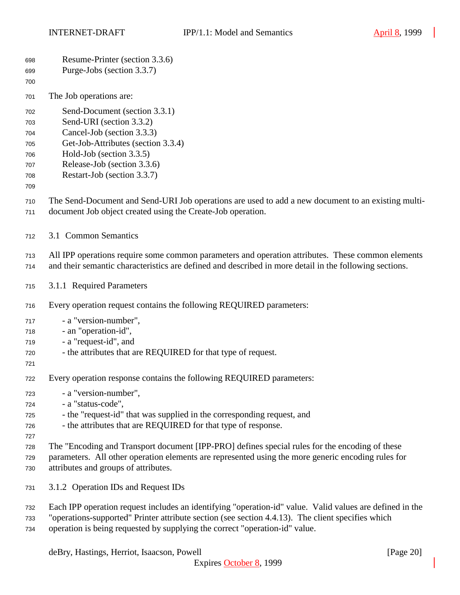| 698<br>699<br>700                                    | Resume-Printer (section 3.3.6)<br>Purge-Jobs (section 3.3.7)                                                                                                                                                                                                                                 |
|------------------------------------------------------|----------------------------------------------------------------------------------------------------------------------------------------------------------------------------------------------------------------------------------------------------------------------------------------------|
| 701                                                  | The Job operations are:                                                                                                                                                                                                                                                                      |
| 702<br>703<br>704<br>705<br>706<br>707<br>708<br>709 | Send-Document (section 3.3.1)<br>Send-URI (section 3.3.2)<br>Cancel-Job (section 3.3.3)<br>Get-Job-Attributes (section 3.3.4)<br>Hold-Job (section 3.3.5)<br>Release-Job (section 3.3.6)<br>Restart-Job (section 3.3.7)                                                                      |
| 710<br>711                                           | The Send-Document and Send-URI Job operations are used to add a new document to an existing multi-<br>document Job object created using the Create-Job operation.                                                                                                                            |
| 712                                                  | 3.1 Common Semantics                                                                                                                                                                                                                                                                         |
| 713<br>714                                           | All IPP operations require some common parameters and operation attributes. These common elements<br>and their semantic characteristics are defined and described in more detail in the following sections.                                                                                  |
| 715                                                  | 3.1.1 Required Parameters                                                                                                                                                                                                                                                                    |
| 716                                                  | Every operation request contains the following REQUIRED parameters:                                                                                                                                                                                                                          |
| 717<br>718<br>719<br>720<br>721                      | - a "version-number",<br>- an "operation-id",<br>- a "request-id", and<br>- the attributes that are REQUIRED for that type of request.                                                                                                                                                       |
| 722                                                  | Every operation response contains the following REQUIRED parameters:                                                                                                                                                                                                                         |
| 723<br>724<br>725<br>726<br>727                      | - a "version-number",<br>- a "status-code",<br>- the "request-id" that was supplied in the corresponding request, and<br>- the attributes that are REQUIRED for that type of response.                                                                                                       |
| 728<br>729<br>730                                    | The "Encoding and Transport document [IPP-PRO] defines special rules for the encoding of these<br>parameters. All other operation elements are represented using the more generic encoding rules for<br>attributes and groups of attributes.                                                 |
| 731                                                  | 3.1.2 Operation IDs and Request IDs                                                                                                                                                                                                                                                          |
| 732<br>733<br>734                                    | Each IPP operation request includes an identifying "operation-id" value. Valid values are defined in the<br>"operations-supported" Printer attribute section (see section 4.4.13). The client specifies which<br>operation is being requested by supplying the correct "operation-id" value. |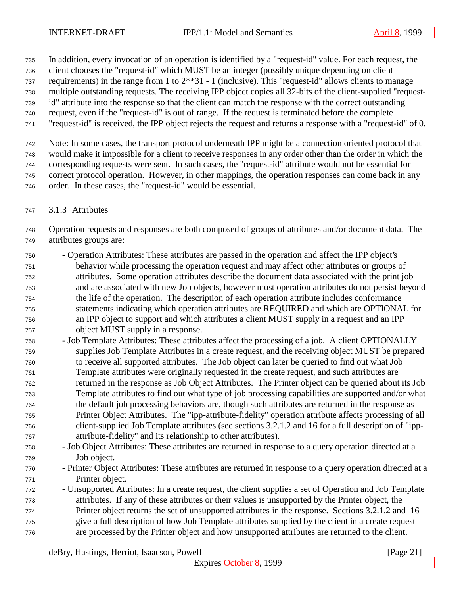In addition, every invocation of an operation is identified by a "request-id" value. For each request, the

client chooses the "request-id" which MUST be an integer (possibly unique depending on client

requirements) in the range from 1 to 2\*\*31 - 1 (inclusive). This "request-id" allows clients to manage

multiple outstanding requests. The receiving IPP object copies all 32-bits of the client-supplied "request-

 id" attribute into the response so that the client can match the response with the correct outstanding request, even if the "request-id" is out of range. If the request is terminated before the complete

"request-id" is received, the IPP object rejects the request and returns a response with a "request-id" of 0.

 Note: In some cases, the transport protocol underneath IPP might be a connection oriented protocol that would make it impossible for a client to receive responses in any order other than the order in which the corresponding requests were sent. In such cases, the "request-id" attribute would not be essential for correct protocol operation. However, in other mappings, the operation responses can come back in any order. In these cases, the "request-id" would be essential.

3.1.3 Attributes

 Operation requests and responses are both composed of groups of attributes and/or document data. The attributes groups are:

- Operation Attributes: These attributes are passed in the operation and affect the IPP object's behavior while processing the operation request and may affect other attributes or groups of attributes. Some operation attributes describe the document data associated with the print job and are associated with new Job objects, however most operation attributes do not persist beyond the life of the operation. The description of each operation attribute includes conformance statements indicating which operation attributes are REQUIRED and which are OPTIONAL for an IPP object to support and which attributes a client MUST supply in a request and an IPP object MUST supply in a response.
- Job Template Attributes: These attributes affect the processing of a job. A client OPTIONALLY supplies Job Template Attributes in a create request, and the receiving object MUST be prepared to receive all supported attributes. The Job object can later be queried to find out what Job Template attributes were originally requested in the create request, and such attributes are returned in the response as Job Object Attributes. The Printer object can be queried about its Job Template attributes to find out what type of job processing capabilities are supported and/or what the default job processing behaviors are, though such attributes are returned in the response as Printer Object Attributes. The "ipp-attribute-fidelity" operation attribute affects processing of all client-supplied Job Template attributes (see sections 3.2.1.2 and 16 for a full description of "ipp-attribute-fidelity" and its relationship to other attributes).
- Job Object Attributes: These attributes are returned in response to a query operation directed at a Job object.
- Printer Object Attributes: These attributes are returned in response to a query operation directed at a Printer object.
- Unsupported Attributes: In a create request, the client supplies a set of Operation and Job Template attributes. If any of these attributes or their values is unsupported by the Printer object, the Printer object returns the set of unsupported attributes in the response. Sections 3.2.1.2 and 16 give a full description of how Job Template attributes supplied by the client in a create request are processed by the Printer object and how unsupported attributes are returned to the client.

deBry, Hastings, Herriot, Isaacson, Powell [Page 21]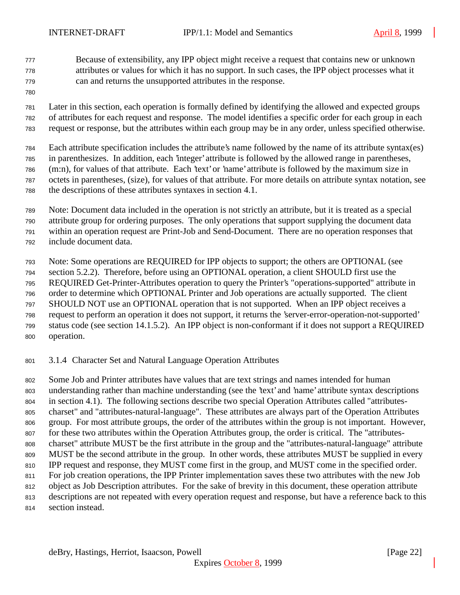Because of extensibility, any IPP object might receive a request that contains new or unknown attributes or values for which it has no support. In such cases, the IPP object processes what it can and returns the unsupported attributes in the response.

 Later in this section, each operation is formally defined by identifying the allowed and expected groups of attributes for each request and response. The model identifies a specific order for each group in each request or response, but the attributes within each group may be in any order, unless specified otherwise.

Each attribute specification includes the attribute's name followed by the name of its attribute syntax(es)

in parenthesizes. In addition, each 'integer' attribute is followed by the allowed range in parentheses,

(m:n), for values of that attribute. Each 'text' or 'name' attribute is followed by the maximum size in

octets in parentheses, (size), for values of that attribute. For more details on attribute syntax notation, see

the descriptions of these attributes syntaxes in section 4.1.

Note: Document data included in the operation is not strictly an attribute, but it is treated as a special

attribute group for ordering purposes. The only operations that support supplying the document data

within an operation request are Print-Job and Send-Document. There are no operation responses that

include document data.

Note: Some operations are REQUIRED for IPP objects to support; the others are OPTIONAL (see

section 5.2.2). Therefore, before using an OPTIONAL operation, a client SHOULD first use the

REQUIRED Get-Printer-Attributes operation to query the Printer's "operations-supported" attribute in

order to determine which OPTIONAL Printer and Job operations are actually supported. The client

SHOULD NOT use an OPTIONAL operation that is not supported. When an IPP object receives a

 request to perform an operation it does not support, it returns the 'server-error-operation-not-supported' status code (see section 14.1.5.2). An IPP object is non-conformant if it does not support a REQUIRED

operation.

3.1.4 Character Set and Natural Language Operation Attributes

 Some Job and Printer attributes have values that are text strings and names intended for human understanding rather than machine understanding (see the 'text' and 'name' attribute syntax descriptions in section 4.1). The following sections describe two special Operation Attributes called "attributes- charset" and "attributes-natural-language". These attributes are always part of the Operation Attributes group. For most attribute groups, the order of the attributes within the group is not important. However, 807 for these two attributes within the Operation Attributes group, the order is critical. The "attributes- charset" attribute MUST be the first attribute in the group and the "attributes-natural-language" attribute MUST be the second attribute in the group. In other words, these attributes MUST be supplied in every IPP request and response, they MUST come first in the group, and MUST come in the specified order. For job creation operations, the IPP Printer implementation saves these two attributes with the new Job object as Job Description attributes. For the sake of brevity in this document, these operation attribute descriptions are not repeated with every operation request and response, but have a reference back to this

section instead.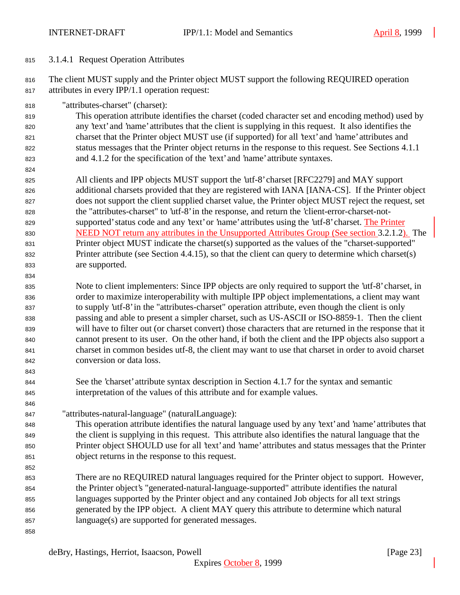## 3.1.4.1 Request Operation Attributes

816 The client MUST supply and the Printer object MUST support the following REQUIRED operation attributes in every IPP/1.1 operation request:

"attributes-charset" (charset):

 This operation attribute identifies the charset (coded character set and encoding method) used by any 'text' and 'name' attributes that the client is supplying in this request. It also identifies the charset that the Printer object MUST use (if supported) for all 'text' and 'name' attributes and status messages that the Printer object returns in the response to this request. See Sections 4.1.1 and 4.1.2 for the specification of the 'text' and 'name' attribute syntaxes.

 All clients and IPP objects MUST support the 'utf-8' charset [RFC2279] and MAY support additional charsets provided that they are registered with IANA [IANA-CS]. If the Printer object does not support the client supplied charset value, the Printer object MUST reject the request, set the "attributes-charset" to 'utf-8' in the response, and return the 'client-error-charset-not- supported' status code and any 'text' or 'name' attributes using the 'utf-8' charset. The Printer NEED NOT return any attributes in the Unsupported Attributes Group (See section 3.2.1.2). The 831 Printer object MUST indicate the charset(s) supported as the values of the "charset-supported" Printer attribute (see Section 4.4.15), so that the client can query to determine which charset(s) are supported.

 Note to client implementers: Since IPP objects are only required to support the 'utf-8' charset, in order to maximize interoperability with multiple IPP object implementations, a client may want to supply 'utf-8' in the "attributes-charset" operation attribute, even though the client is only passing and able to present a simpler charset, such as US-ASCII or ISO-8859-1. Then the client will have to filter out (or charset convert) those characters that are returned in the response that it cannot present to its user. On the other hand, if both the client and the IPP objects also support a charset in common besides utf-8, the client may want to use that charset in order to avoid charset conversion or data loss.

- See the 'charset' attribute syntax description in Section 4.1.7 for the syntax and semantic interpretation of the values of this attribute and for example values.
- "attributes-natural-language" (naturalLanguage):

 This operation attribute identifies the natural language used by any 'text' and 'name' attributes that the client is supplying in this request. This attribute also identifies the natural language that the Printer object SHOULD use for all 'text' and 'name' attributes and status messages that the Printer object returns in the response to this request.

 There are no REQUIRED natural languages required for the Printer object to support. However, the Printer object's "generated-natural-language-supported" attribute identifies the natural languages supported by the Printer object and any contained Job objects for all text strings generated by the IPP object. A client MAY query this attribute to determine which natural language(s) are supported for generated messages.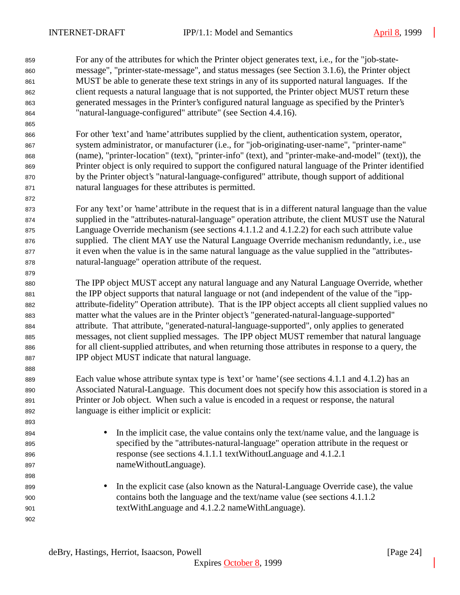For any of the attributes for which the Printer object generates text, i.e., for the "job-state- message", "printer-state-message", and status messages (see Section 3.1.6), the Printer object MUST be able to generate these text strings in any of its supported natural languages. If the client requests a natural language that is not supported, the Printer object MUST return these generated messages in the Printer's configured natural language as specified by the Printer's "natural-language-configured" attribute" (see Section 4.4.16).

- For other 'text' and 'name' attributes supplied by the client, authentication system, operator, system administrator, or manufacturer (i.e., for "job-originating-user-name", "printer-name" (name), "printer-location" (text), "printer-info" (text), and "printer-make-and-model" (text)), the Printer object is only required to support the configured natural language of the Printer identified by the Printer object's "natural-language-configured" attribute, though support of additional natural languages for these attributes is permitted.
- For any 'text' or 'name' attribute in the request that is in a different natural language than the value supplied in the "attributes-natural-language" operation attribute, the client MUST use the Natural Language Override mechanism (see sections 4.1.1.2 and 4.1.2.2) for each such attribute value supplied. The client MAY use the Natural Language Override mechanism redundantly, i.e., use it even when the value is in the same natural language as the value supplied in the "attributes-natural-language" operation attribute of the request.
- The IPP object MUST accept any natural language and any Natural Language Override, whether the IPP object supports that natural language or not (and independent of the value of the "ipp- attribute-fidelity" Operation attribute). That is the IPP object accepts all client supplied values no matter what the values are in the Printer object's "generated-natural-language-supported" attribute. That attribute, "generated-natural-language-supported", only applies to generated messages, not client supplied messages. The IPP object MUST remember that natural language for all client-supplied attributes, and when returning those attributes in response to a query, the IPP object MUST indicate that natural language.
- 889 Each value whose attribute syntax type is 'text' or 'name' (see sections 4.1.1 and 4.1.2) has an Associated Natural-Language. This document does not specify how this association is stored in a Printer or Job object. When such a value is encoded in a request or response, the natural language is either implicit or explicit:
- 894 In the implicit case, the value contains only the text/name value, and the language is specified by the "attributes-natural-language" operation attribute in the request or response (see sections 4.1.1.1 textWithoutLanguage and 4.1.2.1 nameWithoutLanguage).
- 899 In the explicit case (also known as the Natural-Language Override case), the value contains both the language and the text/name value (see sections 4.1.1.2 textWithLanguage and 4.1.2.2 nameWithLanguage).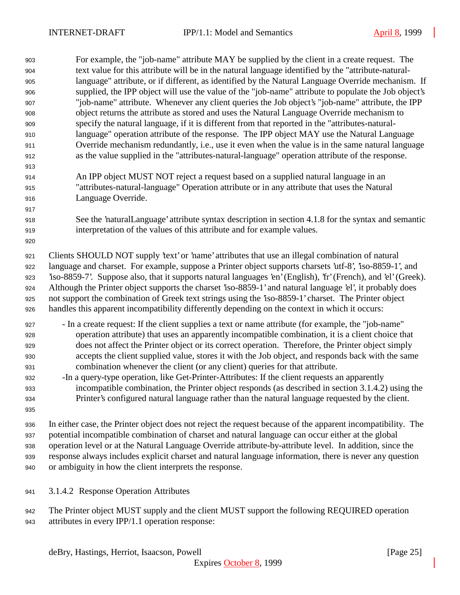| 903 | For example, the "job-name" attribute MAY be supplied by the client in a create request. The                    |
|-----|-----------------------------------------------------------------------------------------------------------------|
| 904 | text value for this attribute will be in the natural language identified by the "attribute-natural-             |
| 905 | language" attribute, or if different, as identified by the Natural Language Override mechanism. If              |
| 906 | supplied, the IPP object will use the value of the "job-name" attribute to populate the Job object's            |
| 907 | "job-name" attribute. Whenever any client queries the Job object's "job-name" attribute, the IPP                |
| 908 | object returns the attribute as stored and uses the Natural Language Override mechanism to                      |
| 909 | specify the natural language, if it is different from that reported in the "attributes-natural-                 |
| 910 | language" operation attribute of the response. The IPP object MAY use the Natural Language                      |
| 911 | Override mechanism redundantly, i.e., use it even when the value is in the same natural language                |
| 912 | as the value supplied in the "attributes-natural-language" operation attribute of the response.                 |
| 913 |                                                                                                                 |
| 914 | An IPP object MUST NOT reject a request based on a supplied natural language in an                              |
| 915 | "attributes-natural-language" Operation attribute or in any attribute that uses the Natural                     |
| 916 | Language Override.                                                                                              |
| 917 |                                                                                                                 |
| 918 | See the 'naturalLanguage' attribute syntax description in section 4.1.8 for the syntax and semantic             |
| 919 | interpretation of the values of this attribute and for example values.                                          |
| 920 |                                                                                                                 |
| 921 | Clients SHOULD NOT supply 'text' or 'name' attributes that use an illegal combination of natural                |
| 922 | language and charset. For example, suppose a Printer object supports charsets 'utf-8', 'iso-8859-1', and        |
| 923 | 'iso-8859-7'. Suppose also, that it supports natural languages 'en' (English), 'fr' (French), and 'el' (Greek). |
| 924 | Although the Printer object supports the charset 'iso-8859-1' and natural language 'el', it probably does       |
| 925 | not support the combination of Greek text strings using the 'iso-8859-1' charset. The Printer object            |
| 926 | handles this apparent incompatibility differently depending on the context in which it occurs:                  |
| 927 | - In a create request: If the client supplies a text or name attribute (for example, the "job-name"             |
| 928 | operation attribute) that uses an apparently incompatible combination, it is a client choice that               |
| 929 | does not affect the Printer object or its correct operation. Therefore, the Printer object simply               |
| 930 | accepts the client supplied value, stores it with the Job object, and responds back with the same               |
| 931 | combination whenever the client (or any client) queries for that attribute.                                     |
| 932 | -In a query-type operation, like Get-Printer-Attributes: If the client requests an apparently                   |
| 933 | incompatible combination, the Printer object responds (as described in section 3.1.4.2) using the               |
| 934 | Printer's configured natural language rather than the natural language requested by the client.                 |
| 935 |                                                                                                                 |
| 936 | In either case, the Printer object does not reject the request because of the apparent incompatibility. The     |
| 937 | potential incompatible combination of charset and natural language can occur either at the global               |
| 938 | operation level or at the Natural Language Override attribute-by-attribute level. In addition, since the        |
| 939 | response always includes explicit charset and natural language information, there is never any question         |

- or ambiguity in how the client interprets the response.
- 3.1.4.2 Response Operation Attributes
- 942 The Printer object MUST supply and the client MUST support the following REQUIRED operation attributes in every IPP/1.1 operation response: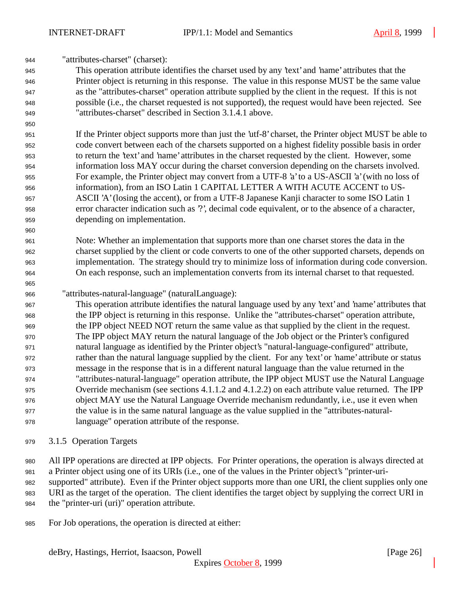"attributes-charset" (charset):

 This operation attribute identifies the charset used by any 'text' and 'name' attributes that the Printer object is returning in this response. The value in this response MUST be the same value as the "attributes-charset" operation attribute supplied by the client in the request. If this is not possible (i.e., the charset requested is not supported), the request would have been rejected. See "attributes-charset" described in Section 3.1.4.1 above.

 If the Printer object supports more than just the 'utf-8' charset, the Printer object MUST be able to code convert between each of the charsets supported on a highest fidelity possible basis in order to return the 'text' and 'name' attributes in the charset requested by the client. However, some information loss MAY occur during the charset conversion depending on the charsets involved. For example, the Printer object may convert from a UTF-8 'a' to a US-ASCII 'a' (with no loss of information), from an ISO Latin 1 CAPITAL LETTER A WITH ACUTE ACCENT to US- ASCII 'A' (losing the accent), or from a UTF-8 Japanese Kanji character to some ISO Latin 1 error character indication such as '?', decimal code equivalent, or to the absence of a character, depending on implementation.

- Note: Whether an implementation that supports more than one charset stores the data in the charset supplied by the client or code converts to one of the other supported charsets, depends on implementation. The strategy should try to minimize loss of information during code conversion. On each response, such an implementation converts from its internal charset to that requested.
- "attributes-natural-language" (naturalLanguage):

 This operation attribute identifies the natural language used by any 'text' and 'name' attributes that the IPP object is returning in this response. Unlike the "attributes-charset" operation attribute, the IPP object NEED NOT return the same value as that supplied by the client in the request. The IPP object MAY return the natural language of the Job object or the Printer's configured natural language as identified by the Printer object's "natural-language-configured" attribute, rather than the natural language supplied by the client. For any 'text' or 'name' attribute or status message in the response that is in a different natural language than the value returned in the "attributes-natural-language" operation attribute, the IPP object MUST use the Natural Language Override mechanism (see sections 4.1.1.2 and 4.1.2.2) on each attribute value returned. The IPP object MAY use the Natural Language Override mechanism redundantly, i.e., use it even when the value is in the same natural language as the value supplied in the "attributes-natural-language" operation attribute of the response.

- 3.1.5 Operation Targets
- All IPP operations are directed at IPP objects. For Printer operations, the operation is always directed at
- a Printer object using one of its URIs (i.e., one of the values in the Printer object's "printer-uri-
- supported" attribute). Even if the Printer object supports more than one URI, the client supplies only one
- URI as the target of the operation. The client identifies the target object by supplying the correct URI in the "printer-uri (uri)" operation attribute.
- For Job operations, the operation is directed at either: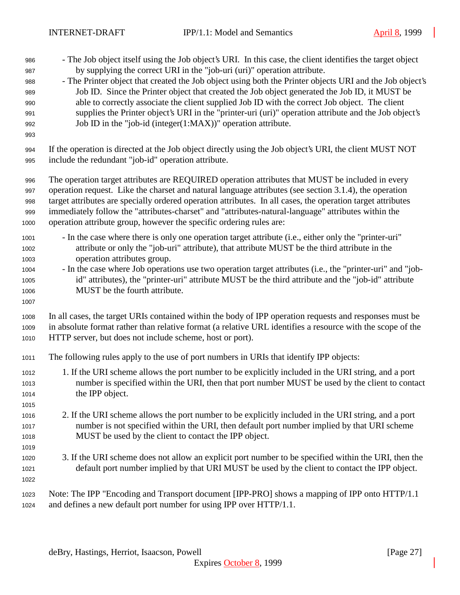- INTERNET-DRAFT IPP/1.1: Model and Semantics April 8, 1999 - The Job object itself using the Job object's URI. In this case, the client identifies the target object by supplying the correct URI in the "job-uri (uri)" operation attribute. - The Printer object that created the Job object using both the Printer objects URI and the Job object's Job ID. Since the Printer object that created the Job object generated the Job ID, it MUST be able to correctly associate the client supplied Job ID with the correct Job object. The client supplies the Printer object's URI in the "printer-uri (uri)" operation attribute and the Job object's Job ID in the "job-id (integer(1:MAX))" operation attribute. If the operation is directed at the Job object directly using the Job object's URI, the client MUST NOT include the redundant "job-id" operation attribute. The operation target attributes are REQUIRED operation attributes that MUST be included in every operation request. Like the charset and natural language attributes (see section 3.1.4), the operation target attributes are specially ordered operation attributes. In all cases, the operation target attributes immediately follow the "attributes-charset" and "attributes-natural-language" attributes within the operation attribute group, however the specific ordering rules are: - In the case where there is only one operation target attribute (i.e., either only the "printer-uri" attribute or only the "job-uri" attribute), that attribute MUST be the third attribute in the operation attributes group. - In the case where Job operations use two operation target attributes (i.e., the "printer-uri" and "job- id" attributes), the "printer-uri" attribute MUST be the third attribute and the "job-id" attribute MUST be the fourth attribute. In all cases, the target URIs contained within the body of IPP operation requests and responses must be in absolute format rather than relative format (a relative URL identifies a resource with the scope of the HTTP server, but does not include scheme, host or port). The following rules apply to the use of port numbers in URIs that identify IPP objects: 1. If the URI scheme allows the port number to be explicitly included in the URI string, and a port number is specified within the URI, then that port number MUST be used by the client to contact the IPP object. 2. If the URI scheme allows the port number to be explicitly included in the URI string, and a port number is not specified within the URI, then default port number implied by that URI scheme MUST be used by the client to contact the IPP object. 3. If the URI scheme does not allow an explicit port number to be specified within the URI, then the default port number implied by that URI MUST be used by the client to contact the IPP object.
- 

 Note: The IPP "Encoding and Transport document [IPP-PRO] shows a mapping of IPP onto HTTP/1.1 and defines a new default port number for using IPP over HTTP/1.1.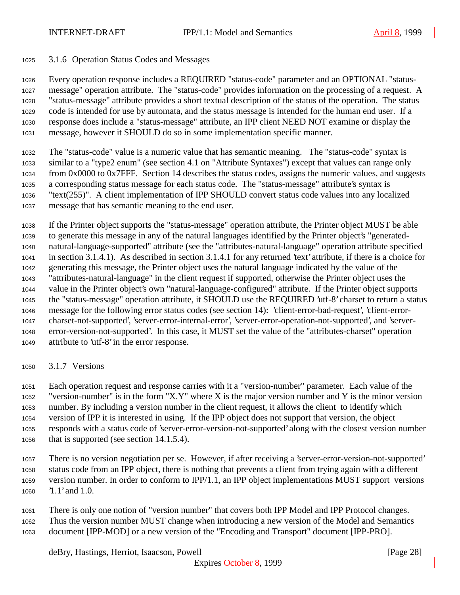#### 3.1.6 Operation Status Codes and Messages

 Every operation response includes a REQUIRED "status-code" parameter and an OPTIONAL "status- message" operation attribute. The "status-code" provides information on the processing of a request. A "status-message" attribute provides a short textual description of the status of the operation. The status code is intended for use by automata, and the status message is intended for the human end user. If a response does include a "status-message" attribute, an IPP client NEED NOT examine or display the message, however it SHOULD do so in some implementation specific manner.

 The "status-code" value is a numeric value that has semantic meaning. The "status-code" syntax is similar to a "type2 enum" (see section 4.1 on "Attribute Syntaxes") except that values can range only from 0x0000 to 0x7FFF. Section 14 describes the status codes, assigns the numeric values, and suggests a corresponding status message for each status code. The "status-message" attribute's syntax is "text(255)". A client implementation of IPP SHOULD convert status code values into any localized message that has semantic meaning to the end user.

 If the Printer object supports the "status-message" operation attribute, the Printer object MUST be able to generate this message in any of the natural languages identified by the Printer object's "generated- natural-language-supported" attribute (see the "attributes-natural-language" operation attribute specified in section 3.1.4.1). As described in section 3.1.4.1 for any returned 'text' attribute, if there is a choice for generating this message, the Printer object uses the natural language indicated by the value of the "attributes-natural-language" in the client request if supported, otherwise the Printer object uses the value in the Printer object's own "natural-language-configured" attribute. If the Printer object supports the "status-message" operation attribute, it SHOULD use the REQUIRED 'utf-8' charset to return a status message for the following error status codes (see section 14): 'client-error-bad-request', 'client-error- charset-not-supported', 'server-error-internal-error', 'server-error-operation-not-supported', and 'server- error-version-not-supported'. In this case, it MUST set the value of the "attributes-charset" operation attribute to 'utf-8' in the error response.

3.1.7 Versions

 Each operation request and response carries with it a "version-number" parameter. Each value of the 1052 "version-number" is in the form "X.Y" where X is the major version number and Y is the minor version number. By including a version number in the client request, it allows the client to identify which version of IPP it is interested in using. If the IPP object does not support that version, the object responds with a status code of 'server-error-version-not-supported' along with the closest version number that is supported (see section 14.1.5.4).

- There is no version negotiation per se. However, if after receiving a 'server-error-version-not-supported' status code from an IPP object, there is nothing that prevents a client from trying again with a different version number. In order to conform to IPP/1.1, an IPP object implementations MUST support versions '1.1' and 1.0.
- There is only one notion of "version number" that covers both IPP Model and IPP Protocol changes. Thus the version number MUST change when introducing a new version of the Model and Semantics document [IPP-MOD] or a new version of the "Encoding and Transport" document [IPP-PRO].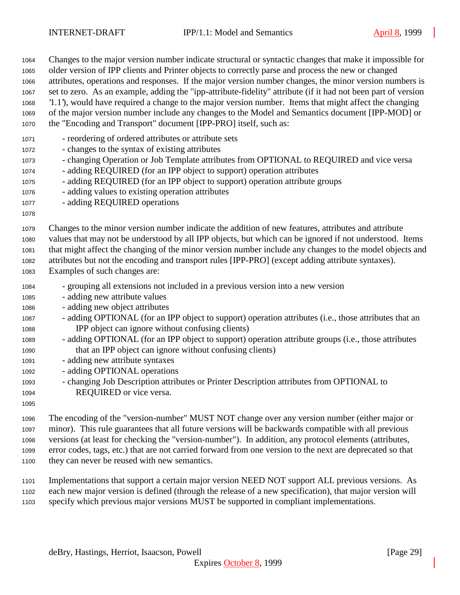| 1064                                                                                         | Changes to the major version number indicate structural or syntactic changes that make it impossible for                                                                                                                                                                                                                                                                                                                                                                                                                                                                                                                                                                     |
|----------------------------------------------------------------------------------------------|------------------------------------------------------------------------------------------------------------------------------------------------------------------------------------------------------------------------------------------------------------------------------------------------------------------------------------------------------------------------------------------------------------------------------------------------------------------------------------------------------------------------------------------------------------------------------------------------------------------------------------------------------------------------------|
| 1065                                                                                         | older version of IPP clients and Printer objects to correctly parse and process the new or changed                                                                                                                                                                                                                                                                                                                                                                                                                                                                                                                                                                           |
| 1066                                                                                         | attributes, operations and responses. If the major version number changes, the minor version numbers is                                                                                                                                                                                                                                                                                                                                                                                                                                                                                                                                                                      |
| 1067                                                                                         | set to zero. As an example, adding the "ipp-attribute-fidelity" attribute (if it had not been part of version                                                                                                                                                                                                                                                                                                                                                                                                                                                                                                                                                                |
| 1068                                                                                         | '1.1'), would have required a change to the major version number. Items that might affect the changing                                                                                                                                                                                                                                                                                                                                                                                                                                                                                                                                                                       |
| 1069                                                                                         | of the major version number include any changes to the Model and Semantics document [IPP-MOD] or                                                                                                                                                                                                                                                                                                                                                                                                                                                                                                                                                                             |
| 1070                                                                                         | the "Encoding and Transport" document [IPP-PRO] itself, such as:                                                                                                                                                                                                                                                                                                                                                                                                                                                                                                                                                                                                             |
| 1071<br>1072<br>1073<br>1074<br>1075<br>1076<br>1077<br>1078                                 | - reordering of ordered attributes or attribute sets<br>- changes to the syntax of existing attributes<br>- changing Operation or Job Template attributes from OPTIONAL to REQUIRED and vice versa<br>- adding REQUIRED (for an IPP object to support) operation attributes<br>- adding REQUIRED (for an IPP object to support) operation attribute groups<br>- adding values to existing operation attributes<br>- adding REQUIRED operations                                                                                                                                                                                                                               |
| 1079                                                                                         | Changes to the minor version number indicate the addition of new features, attributes and attribute                                                                                                                                                                                                                                                                                                                                                                                                                                                                                                                                                                          |
| 1080                                                                                         | values that may not be understood by all IPP objects, but which can be ignored if not understood. Items                                                                                                                                                                                                                                                                                                                                                                                                                                                                                                                                                                      |
| 1081                                                                                         | that might affect the changing of the minor version number include any changes to the model objects and                                                                                                                                                                                                                                                                                                                                                                                                                                                                                                                                                                      |
| 1082                                                                                         | attributes but not the encoding and transport rules [IPP-PRO] (except adding attribute syntaxes).                                                                                                                                                                                                                                                                                                                                                                                                                                                                                                                                                                            |
| 1083                                                                                         | Examples of such changes are:                                                                                                                                                                                                                                                                                                                                                                                                                                                                                                                                                                                                                                                |
| 1084<br>1085<br>1086<br>1087<br>1088<br>1089<br>1090<br>1091<br>1092<br>1093<br>1094<br>1095 | - grouping all extensions not included in a previous version into a new version<br>- adding new attribute values<br>- adding new object attributes<br>- adding OPTIONAL (for an IPP object to support) operation attributes (i.e., those attributes that an<br>IPP object can ignore without confusing clients)<br>- adding OPTIONAL (for an IPP object to support) operation attribute groups (i.e., those attributes<br>that an IPP object can ignore without confusing clients)<br>- adding new attribute syntaxes<br>- adding OPTIONAL operations<br>- changing Job Description attributes or Printer Description attributes from OPTIONAL to<br>REQUIRED or vice versa. |
| 1096                                                                                         | The encoding of the "version-number" MUST NOT change over any version number (either major or                                                                                                                                                                                                                                                                                                                                                                                                                                                                                                                                                                                |
| 1097                                                                                         | minor). This rule guarantees that all future versions will be backwards compatible with all previous                                                                                                                                                                                                                                                                                                                                                                                                                                                                                                                                                                         |
| 1098                                                                                         | versions (at least for checking the "version-number"). In addition, any protocol elements (attributes,                                                                                                                                                                                                                                                                                                                                                                                                                                                                                                                                                                       |

- error codes, tags, etc.) that are not carried forward from one version to the next are deprecated so that they can never be reused with new semantics.
- Implementations that support a certain major version NEED NOT support ALL previous versions. As each new major version is defined (through the release of a new specification), that major version will specify which previous major versions MUST be supported in compliant implementations.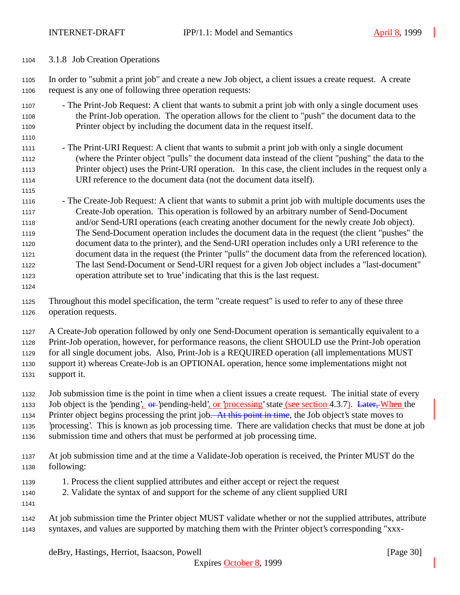3.1.8 Job Creation Operations

 In order to "submit a print job" and create a new Job object, a client issues a create request. A create request is any one of following three operation requests:

- The Print-Job Request: A client that wants to submit a print job with only a single document uses the Print-Job operation. The operation allows for the client to "push" the document data to the Printer object by including the document data in the request itself.
- 1111 The Print-URI Request: A client that wants to submit a print job with only a single document (where the Printer object "pulls" the document data instead of the client "pushing" the data to the Printer object) uses the Print-URI operation. In this case, the client includes in the request only a URI reference to the document data (not the document data itself).
- The Create-Job Request: A client that wants to submit a print job with multiple documents uses the Create-Job operation. This operation is followed by an arbitrary number of Send-Document and/or Send-URI operations (each creating another document for the newly create Job object). The Send-Document operation includes the document data in the request (the client "pushes" the document data to the printer), and the Send-URI operation includes only a URI reference to the document data in the request (the Printer "pulls" the document data from the referenced location). The last Send-Document or Send-URI request for a given Job object includes a "last-document" operation attribute set to 'true' indicating that this is the last request.
- 

 Throughout this model specification, the term "create request" is used to refer to any of these three operation requests.

A Create-Job operation followed by only one Send-Document operation is semantically equivalent to a

Print-Job operation, however, for performance reasons, the client SHOULD use the Print-Job operation

 for all single document jobs. Also, Print-Job is a REQUIRED operation (all implementations MUST support it) whereas Create-Job is an OPTIONAL operation, hence some implementations might not support it.

Job submission time is the point in time when a client issues a create request. The initial state of every

1133 Job object is the 'pending',  $\theta$  - 'pending-held', or 'processing' state (see section 4.3.7). Later, When the

1134 Printer object begins processing the print job. At this point in time, the Job object's state moves to

- 'processing'. This is known as job processing time. There are validation checks that must be done at job
- submission time and others that must be performed at job processing time.
- At job submission time and at the time a Validate-Job operation is received, the Printer MUST do the following:
- 1. Process the client supplied attributes and either accept or reject the request
- 2. Validate the syntax of and support for the scheme of any client supplied URI
- 
- At job submission time the Printer object MUST validate whether or not the supplied attributes, attribute syntaxes, and values are supported by matching them with the Printer object's corresponding "xxx-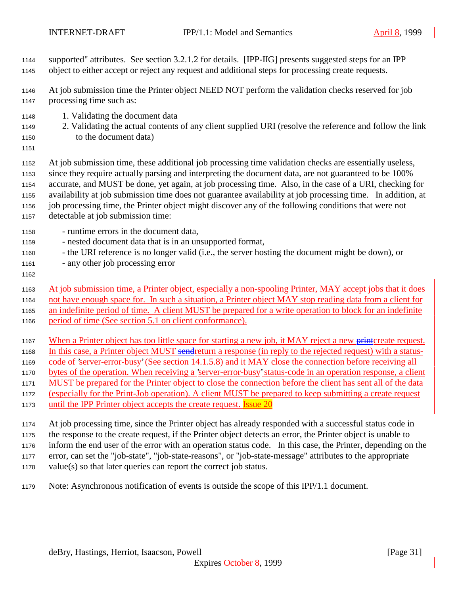- supported" attributes. See section 3.2.1.2 for details. [IPP-IIG] presents suggested steps for an IPP object to either accept or reject any request and additional steps for processing create requests.
- At job submission time the Printer object NEED NOT perform the validation checks reserved for job
- processing time such as:
- 1. Validating the document data
- 2. Validating the actual contents of any client supplied URI (resolve the reference and follow the link to the document data)
- 

 At job submission time, these additional job processing time validation checks are essentially useless, since they require actually parsing and interpreting the document data, are not guaranteed to be 100% accurate, and MUST be done, yet again, at job processing time. Also, in the case of a URI, checking for availability at job submission time does not guarantee availability at job processing time. In addition, at job processing time, the Printer object might discover any of the following conditions that were not

- detectable at job submission time:
- runtime errors in the document data,
- nested document data that is in an unsupported format,
- the URI reference is no longer valid (i.e., the server hosting the document might be down), or
- any other job processing error
- 

 At job submission time, a Printer object, especially a non-spooling Printer, MAY accept jobs that it does not have enough space for. In such a situation, a Printer object MAY stop reading data from a client for an indefinite period of time. A client MUST be prepared for a write operation to block for an indefinite

- period of time (See section 5.1 on client conformance).
- 1167 When a Printer object has too little space for starting a new job, it MAY reject a new printcreate request.
- 1168 In this case, a Printer object MUST sendreturn a response (in reply to the rejected request) with a status-
- code of 'server-error-busy' (See section 14.1.5.8) and it MAY close the connection before receiving all
- bytes of the operation. When receiving a 'server-error-busy' status-code in an operation response, a client
- MUST be prepared for the Printer object to close the connection before the client has sent all of the data
- (especially for the Print-Job operation). A client MUST be prepared to keep submitting a create request
- 1173 until the IPP Printer object accepts the create request. **Issue 20**
- At job processing time, since the Printer object has already responded with a successful status code in

the response to the create request, if the Printer object detects an error, the Printer object is unable to

- inform the end user of the error with an operation status code. In this case, the Printer, depending on the
- error, can set the "job-state", "job-state-reasons", or "job-state-message" attributes to the appropriate
- value(s) so that later queries can report the correct job status.
- Note: Asynchronous notification of events is outside the scope of this IPP/1.1 document.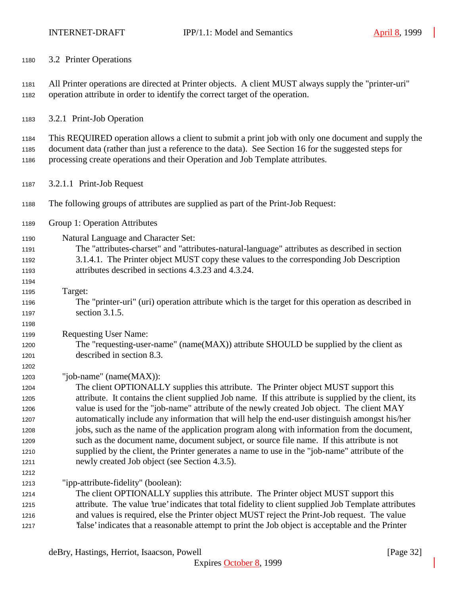3.2 Printer Operations All Printer operations are directed at Printer objects. A client MUST always supply the "printer-uri" operation attribute in order to identify the correct target of the operation. 3.2.1 Print-Job Operation This REQUIRED operation allows a client to submit a print job with only one document and supply the document data (rather than just a reference to the data). See Section 16 for the suggested steps for processing create operations and their Operation and Job Template attributes. 3.2.1.1 Print-Job Request The following groups of attributes are supplied as part of the Print-Job Request: Group 1: Operation Attributes Natural Language and Character Set: The "attributes-charset" and "attributes-natural-language" attributes as described in section 3.1.4.1. The Printer object MUST copy these values to the corresponding Job Description attributes described in sections 4.3.23 and 4.3.24. Target: The "printer-uri" (uri) operation attribute which is the target for this operation as described in section 3.1.5. Requesting User Name: The "requesting-user-name" (name(MAX)) attribute SHOULD be supplied by the client as described in section 8.3. "job-name" (name(MAX)): The client OPTIONALLY supplies this attribute. The Printer object MUST support this attribute. It contains the client supplied Job name. If this attribute is supplied by the client, its value is used for the "job-name" attribute of the newly created Job object. The client MAY automatically include any information that will help the end-user distinguish amongst his/her jobs, such as the name of the application program along with information from the document, such as the document name, document subject, or source file name. If this attribute is not supplied by the client, the Printer generates a name to use in the "job-name" attribute of the newly created Job object (see Section 4.3.5). "ipp-attribute-fidelity" (boolean): The client OPTIONALLY supplies this attribute. The Printer object MUST support this attribute. The value 'true' indicates that total fidelity to client supplied Job Template attributes and values is required, else the Printer object MUST reject the Print-Job request. The value 'false' indicates that a reasonable attempt to print the Job object is acceptable and the Printer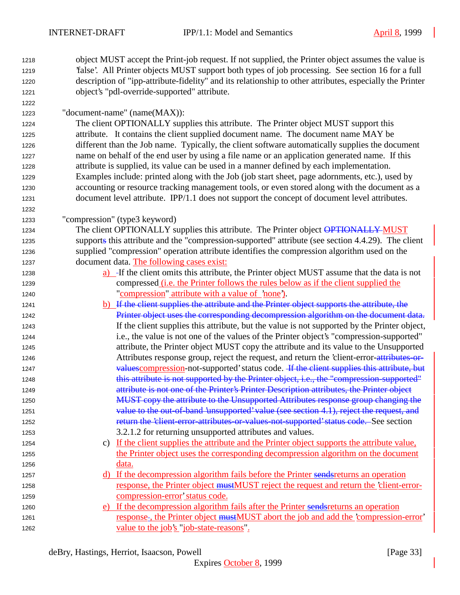object MUST accept the Print-job request. If not supplied, the Printer object assumes the value is

 'false'. All Printer objects MUST support both types of job processing. See section 16 for a full description of "ipp-attribute-fidelity" and its relationship to other attributes, especially the Printer object's "pdl-override-supported" attribute. "document-name" (name(MAX)): The client OPTIONALLY supplies this attribute. The Printer object MUST support this attribute. It contains the client supplied document name. The document name MAY be different than the Job name. Typically, the client software automatically supplies the document name on behalf of the end user by using a file name or an application generated name. If this attribute is supplied, its value can be used in a manner defined by each implementation. Examples include: printed along with the Job (job start sheet, page adornments, etc.), used by accounting or resource tracking management tools, or even stored along with the document as a document level attribute. IPP/1.1 does not support the concept of document level attributes. "compression" (type3 keyword) 1234 The client OPTIONALLY supplies this attribute. The Printer object **OPTIONALLY MUST**  supports this attribute and the "compression-supported" attribute (see section 4.4.29). The client supplied "compression" operation attribute identifies the compression algorithm used on the document data. The following cases exist: a) If the client omits this attribute, the Printer object MUST assume that the data is not compressed (i.e. the Printer follows the rules below as if the client supplied the "compression" attribute with a value of 'none'). 1241 b) If the client supplies the attribute and the Printer object supports the attribute, the Printer object uses the corresponding decompression algorithm on the document data. If the client supplies this attribute, but the value is not supported by the Printer object, i.e., the value is not one of the values of the Printer object's "compression-supported" attribute, the Printer object MUST copy the attribute and its value to the Unsupported **Attributes response group, reject the request, and return the 'client-error-attributes-or-**1247 values compression-not-supported' status code. If the client supplies this attribute, but 1248 this attribute is not supported by the Printer object, i.e., the "compression-supported" attribute is not one of the Printer's Printer Description attributes, the Printer object 1250 MUST copy the attribute to the Unsupported Attributes response group changing the 1251 value to the out-of-band 'unsupported' value (see section 4.1), reject the request, and 1252 return the 'client-error-attributes-or-values-not-supported' status code. See section 3.2.1.2 for returning unsupported attributes and values. c) If the client supplies the attribute and the Printer object supports the attribute value, the Printer object uses the corresponding decompression algorithm on the document **data**. 1257 d) If the decompression algorithm fails before the Printer sendsreturns an operation 1258 response, the Printer object must MUST reject the request and return the 'client-error- compression-error' status code. 1260 e) If the decompression algorithm fails after the Printer sends returns an operation 1261 response , the Printer object must MUST abort the job and add the 'compression-error' 1262 value to the job's "job-state-reasons".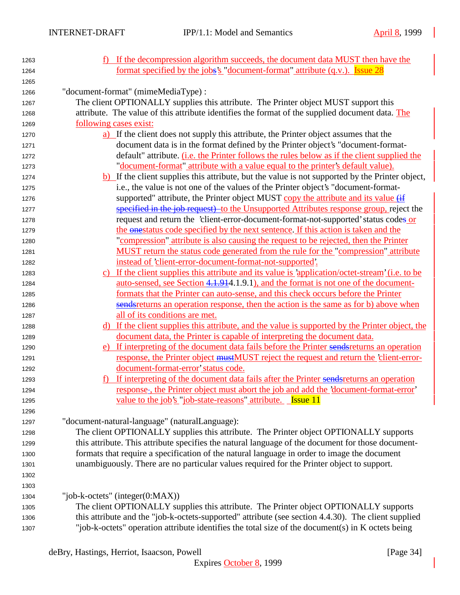| 1263 | f) If the decompression algorithm succeeds, the document data MUST then have the                    |
|------|-----------------------------------------------------------------------------------------------------|
| 1264 | <u>format specified by the jobs's "document-format" attribute (q.v.). Issue 28</u>                  |
| 1265 |                                                                                                     |
| 1266 | "document-format" (mimeMediaType) :                                                                 |
| 1267 | The client OPTIONALLY supplies this attribute. The Printer object MUST support this                 |
| 1268 | attribute. The value of this attribute identifies the format of the supplied document data. The     |
| 1269 | following cases exist:                                                                              |
| 1270 | a) If the client does not supply this attribute, the Printer object assumes that the                |
| 1271 | document data is in the format defined by the Printer object's "document-format-                    |
| 1272 | default" attribute. ( <i>i.e.</i> the Printer follows the rules below as if the client supplied the |
| 1273 | "document-format" attribute with a value equal to the printer's default value).                     |
| 1274 | b) If the client supplies this attribute, but the value is not supported by the Printer object,     |
| 1275 | i.e., the value is not one of the values of the Printer object's "document-format-                  |
| 1276 | supported" attribute, the Printer object MUST copy the attribute and its value (if                  |
| 1277 | specified in the job request) to the Unsupported Attributes response group, reject the              |
| 1278 | request and return the 'client-error-document-format-not-supported' status codes or                 |
| 1279 | the onestatus code specified by the next sentence. If this action is taken and the                  |
| 1280 | "compression" attribute is also causing the request to be rejected, then the Printer                |
| 1281 | MUST return the status code generated from the rule for the "compression" attribute                 |
| 1282 | instead of 'client-error-document-format-not-supported'.                                            |
| 1283 | c) If the client supplies this attribute and its value is 'application/octet-stream' (i.e. to be    |
| 1284 | <u>auto-sensed, see Section 4.1.914</u> .1.9.1), and the format is not one of the document-         |
| 1285 | formats that the Printer can auto-sense, and this check occurs before the Printer                   |
| 1286 | sendereturns an operation response, then the action is the same as for b) above when                |
| 1287 | all of its conditions are met.                                                                      |
| 1288 | d) If the client supplies this attribute, and the value is supported by the Printer object, the     |
| 1289 | document data, the Printer is capable of interpreting the document data.                            |
| 1290 | e) If interpreting of the document data fails before the Printer sends returns an operation         |
| 1291 | response, the Printer object mustMUST reject the request and return the 'client-error-              |
| 1292 | document-format-error' status code.                                                                 |
| 1293 | If interpreting of the document data fails after the Printer sends returns an operation             |
| 1294 | response-, the Printer object must abort the job and add the 'document-format-error'                |
| 1295 | <u>value to the job's "job-state-reasons" attribute. Issue 11</u>                                   |
| 1296 |                                                                                                     |
| 1297 | "document-natural-language" (naturalLanguage):                                                      |
| 1298 | The client OPTIONALLY supplies this attribute. The Printer object OPTIONALLY supports               |
| 1299 | this attribute. This attribute specifies the natural language of the document for those document-   |
| 1300 | formats that require a specification of the natural language in order to image the document         |
| 1301 | unambiguously. There are no particular values required for the Printer object to support.           |
| 1302 |                                                                                                     |
| 1303 |                                                                                                     |
| 1304 | "job-k-octets" (integer $(0:MAX)$ )                                                                 |
| 1305 | The client OPTIONALLY supplies this attribute. The Printer object OPTIONALLY supports               |
| 1306 | this attribute and the "job-k-octets-supported" attribute (see section 4.4.30). The client supplied |
| 1307 | "job-k-octets" operation attribute identifies the total size of the document(s) in K octets being   |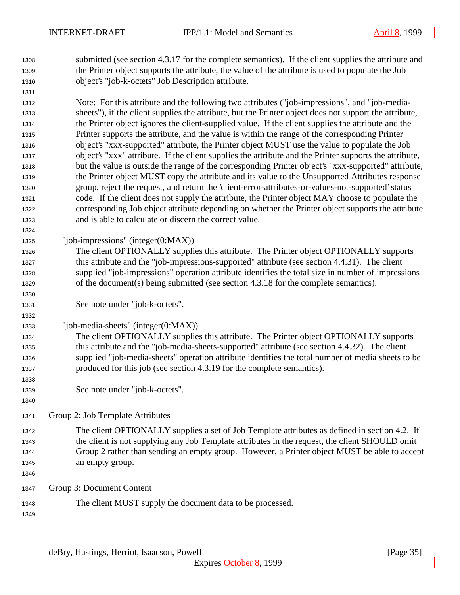submitted (see section 4.3.17 for the complete semantics). If the client supplies the attribute and the Printer object supports the attribute, the value of the attribute is used to populate the Job object's "job-k-octets" Job Description attribute.

 Note: For this attribute and the following two attributes ("job-impressions", and "job-media- sheets"), if the client supplies the attribute, but the Printer object does not support the attribute, the Printer object ignores the client-supplied value. If the client supplies the attribute and the Printer supports the attribute, and the value is within the range of the corresponding Printer object's "xxx-supported" attribute, the Printer object MUST use the value to populate the Job object's "xxx" attribute. If the client supplies the attribute and the Printer supports the attribute, but the value is outside the range of the corresponding Printer object's "xxx-supported" attribute, the Printer object MUST copy the attribute and its value to the Unsupported Attributes response group, reject the request, and return the 'client-error-attributes-or-values-not-supported' status code. If the client does not supply the attribute, the Printer object MAY choose to populate the corresponding Job object attribute depending on whether the Printer object supports the attribute and is able to calculate or discern the correct value.

- "job-impressions" (integer(0:MAX))
- The client OPTIONALLY supplies this attribute. The Printer object OPTIONALLY supports this attribute and the "job-impressions-supported" attribute (see section 4.4.31). The client supplied "job-impressions" operation attribute identifies the total size in number of impressions of the document(s) being submitted (see section 4.3.18 for the complete semantics).
- See note under "job-k-octets".
- "job-media-sheets" (integer(0:MAX))

 The client OPTIONALLY supplies this attribute. The Printer object OPTIONALLY supports this attribute and the "job-media-sheets-supported" attribute (see section 4.4.32). The client supplied "job-media-sheets" operation attribute identifies the total number of media sheets to be produced for this job (see section 4.3.19 for the complete semantics).

- See note under "job-k-octets".
- Group 2: Job Template Attributes
- The client OPTIONALLY supplies a set of Job Template attributes as defined in section 4.2. If the client is not supplying any Job Template attributes in the request, the client SHOULD omit Group 2 rather than sending an empty group. However, a Printer object MUST be able to accept an empty group.
- Group 3: Document Content
- The client MUST supply the document data to be processed.
-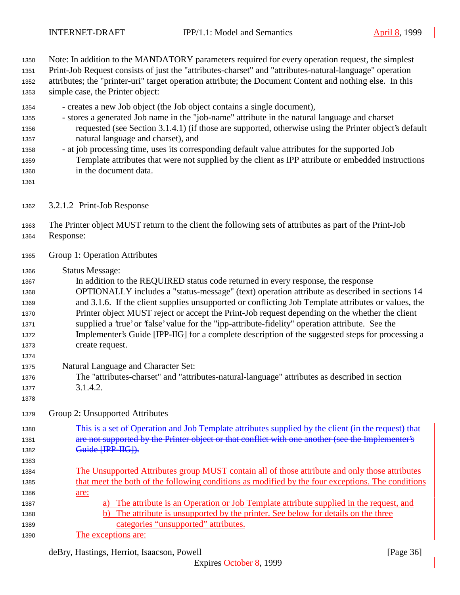Note: In addition to the MANDATORY parameters required for every operation request, the simplest

 Print-Job Request consists of just the "attributes-charset" and "attributes-natural-language" operation attributes; the "printer-uri" target operation attribute; the Document Content and nothing else. In this simple case, the Printer object:

- creates a new Job object (the Job object contains a single document),

- stores a generated Job name in the "job-name" attribute in the natural language and charset requested (see Section 3.1.4.1) (if those are supported, otherwise using the Printer object's default natural language and charset), and
- at job processing time, uses its corresponding default value attributes for the supported Job Template attributes that were not supplied by the client as IPP attribute or embedded instructions in the document data.
- 
- 3.2.1.2 Print-Job Response

 The Printer object MUST return to the client the following sets of attributes as part of the Print-Job Response:

- Group 1: Operation Attributes
- Status Message:

 In addition to the REQUIRED status code returned in every response, the response OPTIONALLY includes a "status-message" (text) operation attribute as described in sections 14 and 3.1.6. If the client supplies unsupported or conflicting Job Template attributes or values, the Printer object MUST reject or accept the Print-Job request depending on the whether the client supplied a 'true' or 'false' value for the "ipp-attribute-fidelity" operation attribute. See the Implementer's Guide [IPP-IIG] for a complete description of the suggested steps for processing a create request.

- Natural Language and Character Set:
- The "attributes-charset" and "attributes-natural-language" attributes as described in section 3.1.4.2.
- 

Group 2: Unsupported Attributes

1380 This is a set of Operation and Job Template attributes supplied by the client (in the request) that **are not supported by the Printer object or that conflict with one another (see the Implementer's Guide [IPP-IIG]).** 

- The Unsupported Attributes group MUST contain all of those attribute and only those attributes that meet the both of the following conditions as modified by the four exceptions. The conditions are:
- a) The attribute is an Operation or Job Template attribute supplied in the request, and b) The attribute is unsupported by the printer. See below for details on the three categories "unsupported" attributes.
- The exceptions are: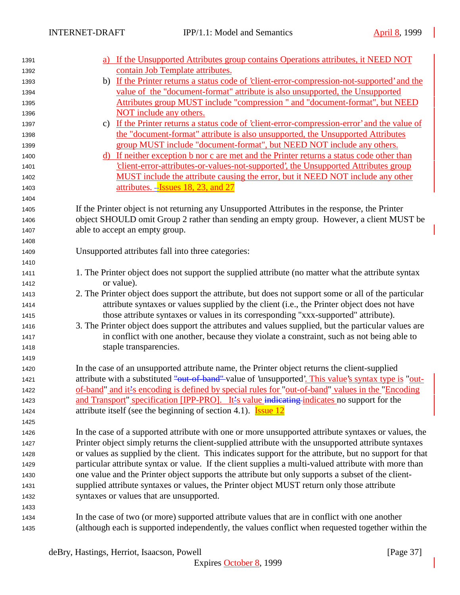| 1391 | a) If the Unsupported Attributes group contains Operations attributes, it NEED NOT                     |  |  |  |  |
|------|--------------------------------------------------------------------------------------------------------|--|--|--|--|
| 1392 | contain Job Template attributes.                                                                       |  |  |  |  |
| 1393 | b) If the Printer returns a status code of 'client-error-compression-not-supported' and the            |  |  |  |  |
| 1394 | value of the "document-format" attribute is also unsupported, the Unsupported                          |  |  |  |  |
| 1395 | Attributes group MUST include "compression" and "document-format", but NEED                            |  |  |  |  |
| 1396 | NOT include any others.                                                                                |  |  |  |  |
| 1397 | c) If the Printer returns a status code of 'client-error-compression-error' and the value of           |  |  |  |  |
| 1398 | the "document-format" attribute is also unsupported, the Unsupported Attributes                        |  |  |  |  |
| 1399 | group MUST include "document-format", but NEED NOT include any others.                                 |  |  |  |  |
| 1400 | d) If neither exception b nor c are met and the Printer returns a status code other than               |  |  |  |  |
| 1401 | client-error-attributes-or-values-not-supported', the Unsupported Attributes group                     |  |  |  |  |
| 1402 | MUST include the attribute causing the error, but it NEED NOT include any other                        |  |  |  |  |
| 1403 | attributes. -Issues 18, 23, and 27                                                                     |  |  |  |  |
| 1404 |                                                                                                        |  |  |  |  |
| 1405 | If the Printer object is not returning any Unsupported Attributes in the response, the Printer         |  |  |  |  |
| 1406 | object SHOULD omit Group 2 rather than sending an empty group. However, a client MUST be               |  |  |  |  |
| 1407 | able to accept an empty group.                                                                         |  |  |  |  |
| 1408 |                                                                                                        |  |  |  |  |
| 1409 | Unsupported attributes fall into three categories:                                                     |  |  |  |  |
| 1410 |                                                                                                        |  |  |  |  |
| 1411 | 1. The Printer object does not support the supplied attribute (no matter what the attribute syntax     |  |  |  |  |
| 1412 | or value).                                                                                             |  |  |  |  |
| 1413 | 2. The Printer object does support the attribute, but does not support some or all of the particular   |  |  |  |  |
| 1414 | attribute syntaxes or values supplied by the client (i.e., the Printer object does not have            |  |  |  |  |
| 1415 | those attribute syntaxes or values in its corresponding "xxx-supported" attribute).                    |  |  |  |  |
| 1416 | 3. The Printer object does support the attributes and values supplied, but the particular values are   |  |  |  |  |
| 1417 | in conflict with one another, because they violate a constraint, such as not being able to             |  |  |  |  |
| 1418 | staple transparencies.                                                                                 |  |  |  |  |
| 1419 |                                                                                                        |  |  |  |  |
| 1420 | In the case of an unsupported attribute name, the Printer object returns the client-supplied           |  |  |  |  |
| 1421 | attribute with a substituted "out-of-band" value of 'unsupported'. This value's syntax type is "out-   |  |  |  |  |
| 1422 | of-band" and it's encoding is defined by special rules for "out-of-band" values in the "Encoding"      |  |  |  |  |
| 1423 | and Transport" specification [IPP-PRO]. It's value indicating indicates no support for the             |  |  |  |  |
| 1424 | attribute itself (see the beginning of section 4.1). <b>Issue 12</b>                                   |  |  |  |  |
| 1425 |                                                                                                        |  |  |  |  |
| 1426 | In the case of a supported attribute with one or more unsupported attribute syntaxes or values, the    |  |  |  |  |
| 1427 | Printer object simply returns the client-supplied attribute with the unsupported attribute syntaxes    |  |  |  |  |
| 1428 | or values as supplied by the client. This indicates support for the attribute, but no support for that |  |  |  |  |
| 1429 | particular attribute syntax or value. If the client supplies a multi-valued attribute with more than   |  |  |  |  |
| 1430 | one value and the Printer object supports the attribute but only supports a subset of the client-      |  |  |  |  |
| 1431 | supplied attribute syntaxes or values, the Printer object MUST return only those attribute             |  |  |  |  |
| 1432 | syntaxes or values that are unsupported.                                                               |  |  |  |  |
| 1433 |                                                                                                        |  |  |  |  |
| 1434 | In the case of two (or more) supported attribute values that are in conflict with one another          |  |  |  |  |
| 1435 | (although each is supported independently, the values conflict when requested together within the      |  |  |  |  |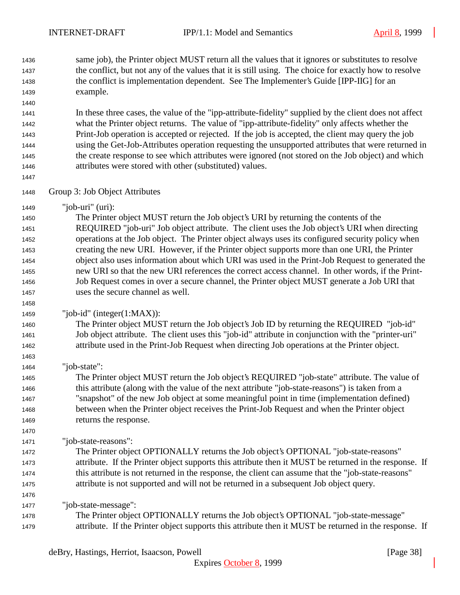same job), the Printer object MUST return all the values that it ignores or substitutes to resolve the conflict, but not any of the values that it is still using. The choice for exactly how to resolve the conflict is implementation dependent. See The Implementer's Guide [IPP-IIG] for an example.

 In these three cases, the value of the "ipp-attribute-fidelity" supplied by the client does not affect what the Printer object returns. The value of "ipp-attribute-fidelity" only affects whether the Print-Job operation is accepted or rejected. If the job is accepted, the client may query the job using the Get-Job-Attributes operation requesting the unsupported attributes that were returned in the create response to see which attributes were ignored (not stored on the Job object) and which attributes were stored with other (substituted) values.

- Group 3: Job Object Attributes
- "job-uri" (uri):

 The Printer object MUST return the Job object's URI by returning the contents of the REQUIRED "job-uri" Job object attribute. The client uses the Job object's URI when directing operations at the Job object. The Printer object always uses its configured security policy when creating the new URI. However, if the Printer object supports more than one URI, the Printer object also uses information about which URI was used in the Print-Job Request to generated the new URI so that the new URI references the correct access channel. In other words, if the Print- Job Request comes in over a secure channel, the Printer object MUST generate a Job URI that uses the secure channel as well.

"job-id" (integer(1:MAX)):

 The Printer object MUST return the Job object's Job ID by returning the REQUIRED "job-id" Job object attribute. The client uses this "job-id" attribute in conjunction with the "printer-uri" attribute used in the Print-Job Request when directing Job operations at the Printer object.

"job-state":

 The Printer object MUST return the Job object's REQUIRED "job-state" attribute. The value of this attribute (along with the value of the next attribute "job-state-reasons") is taken from a "snapshot" of the new Job object at some meaningful point in time (implementation defined) between when the Printer object receives the Print-Job Request and when the Printer object returns the response.

"job-state-reasons":

 The Printer object OPTIONALLY returns the Job object's OPTIONAL "job-state-reasons" attribute. If the Printer object supports this attribute then it MUST be returned in the response. If this attribute is not returned in the response, the client can assume that the "job-state-reasons" attribute is not supported and will not be returned in a subsequent Job object query.

"job-state-message":

 The Printer object OPTIONALLY returns the Job object's OPTIONAL "job-state-message" attribute. If the Printer object supports this attribute then it MUST be returned in the response. If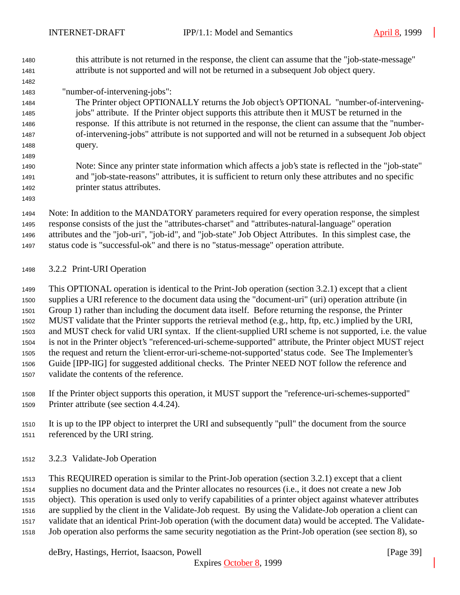this attribute is not returned in the response, the client can assume that the "job-state-message" attribute is not supported and will not be returned in a subsequent Job object query.

# "number-of-intervening-jobs":

- The Printer object OPTIONALLY returns the Job object's OPTIONAL "number-of-intervening- jobs" attribute. If the Printer object supports this attribute then it MUST be returned in the response. If this attribute is not returned in the response, the client can assume that the "number- of-intervening-jobs" attribute is not supported and will not be returned in a subsequent Job object query.
- Note: Since any printer state information which affects a job's state is reflected in the "job-state" and "job-state-reasons" attributes, it is sufficient to return only these attributes and no specific printer status attributes.
- Note: In addition to the MANDATORY parameters required for every operation response, the simplest response consists of the just the "attributes-charset" and "attributes-natural-language" operation attributes and the "job-uri", "job-id", and "job-state" Job Object Attributes. In this simplest case, the status code is "successful-ok" and there is no "status-message" operation attribute.

### 3.2.2 Print-URI Operation

 This OPTIONAL operation is identical to the Print-Job operation (section 3.2.1) except that a client supplies a URI reference to the document data using the "document-uri" (uri) operation attribute (in Group 1) rather than including the document data itself. Before returning the response, the Printer MUST validate that the Printer supports the retrieval method (e.g., http, ftp, etc.) implied by the URI, and MUST check for valid URI syntax. If the client-supplied URI scheme is not supported, i.e. the value is not in the Printer object's "referenced-uri-scheme-supported" attribute, the Printer object MUST reject the request and return the 'client-error-uri-scheme-not-supported' status code. See The Implementer's Guide [IPP-IIG] for suggested additional checks. The Printer NEED NOT follow the reference and validate the contents of the reference.

- If the Printer object supports this operation, it MUST support the "reference-uri-schemes-supported" Printer attribute (see section 4.4.24).
- It is up to the IPP object to interpret the URI and subsequently "pull" the document from the source referenced by the URI string.
- 3.2.3 Validate-Job Operation

 This REQUIRED operation is similar to the Print-Job operation (section 3.2.1) except that a client supplies no document data and the Printer allocates no resources (i.e., it does not create a new Job object). This operation is used only to verify capabilities of a printer object against whatever attributes are supplied by the client in the Validate-Job request. By using the Validate-Job operation a client can validate that an identical Print-Job operation (with the document data) would be accepted. The Validate-Job operation also performs the same security negotiation as the Print-Job operation (see section 8), so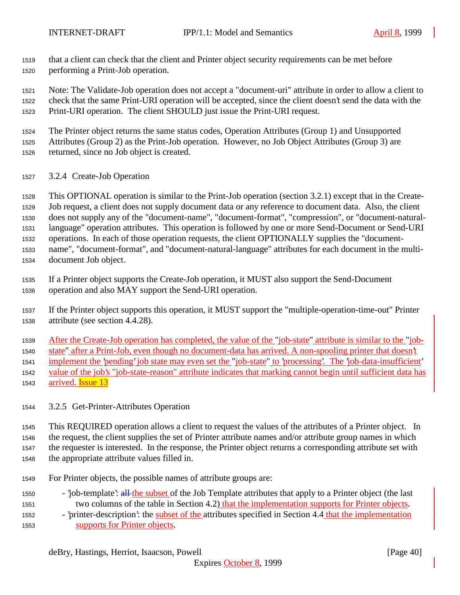that a client can check that the client and Printer object security requirements can be met before performing a Print-Job operation.

 Note: The Validate-Job operation does not accept a "document-uri" attribute in order to allow a client to check that the same Print-URI operation will be accepted, since the client doesn't send the data with the Print-URI operation. The client SHOULD just issue the Print-URI request.

 The Printer object returns the same status codes, Operation Attributes (Group 1) and Unsupported Attributes (Group 2) as the Print-Job operation. However, no Job Object Attributes (Group 3) are

- returned, since no Job object is created.
- 3.2.4 Create-Job Operation

 This OPTIONAL operation is similar to the Print-Job operation (section 3.2.1) except that in the Create- Job request, a client does not supply document data or any reference to document data. Also, the client does not supply any of the "document-name", "document-format", "compression", or "document-natural- language" operation attributes. This operation is followed by one or more Send-Document or Send-URI operations. In each of those operation requests, the client OPTIONALLY supplies the "document- name", "document-format", and "document-natural-language" attributes for each document in the multi-document Job object.

- If a Printer object supports the Create-Job operation, it MUST also support the Send-Document operation and also MAY support the Send-URI operation.
- If the Printer object supports this operation, it MUST support the "multiple-operation-time-out" Printer attribute (see section 4.4.28).

After the Create-Job operation has completed, the value of the "job-state" attribute is similar to the "job-

state" after a Print-Job, even though no document-data has arrived. A non-spooling printer that doesn't

implement the 'pending' job state may even set the "job-state" to 'processing'. The 'job-data-insufficient'

- value of the job's "job-state-reason" attribute indicates that marking cannot begin until sufficient data has
- 1543 arrived. **Issue 13**
- 3.2.5 Get-Printer-Attributes Operation

 This REQUIRED operation allows a client to request the values of the attributes of a Printer object. In the request, the client supplies the set of Printer attribute names and/or attribute group names in which the requester is interested. In the response, the Printer object returns a corresponding attribute set with the appropriate attribute values filled in.

- For Printer objects, the possible names of attribute groups are:
- 1550 'job-template': all the subset of the Job Template attributes that apply to a Printer object (the last two columns of the table in Section 4.2) that the implementation supports for Printer objects.
- 'printer-description': the subset of the attributes specified in Section 4.4 that the implementation supports for Printer objects.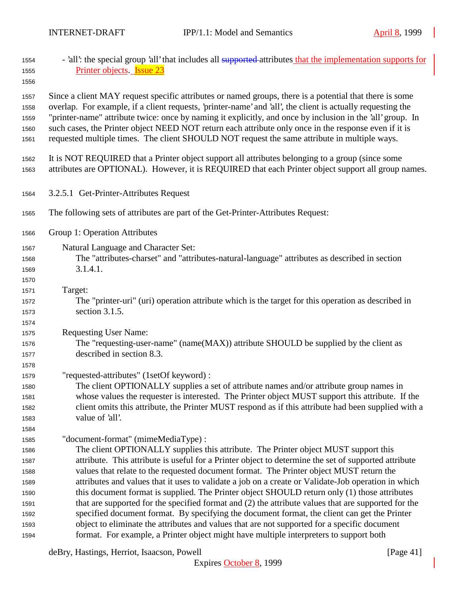| 1554<br>1555<br>1556                                 | - 'all': the special group 'all' that includes all supported-attributes that the implementation supports for<br>Printer objects <b>Issue 23</b>                                                                                                                                                                                                                                                                                                                                                                                               |
|------------------------------------------------------|-----------------------------------------------------------------------------------------------------------------------------------------------------------------------------------------------------------------------------------------------------------------------------------------------------------------------------------------------------------------------------------------------------------------------------------------------------------------------------------------------------------------------------------------------|
| 1557<br>1558<br>1559<br>1560<br>1561                 | Since a client MAY request specific attributes or named groups, there is a potential that there is some<br>overlap. For example, if a client requests, 'printer-name' and 'all', the client is actually requesting the<br>"printer-name" attribute twice: once by naming it explicitly, and once by inclusion in the 'all' group. In<br>such cases, the Printer object NEED NOT return each attribute only once in the response even if it is<br>requested multiple times. The client SHOULD NOT request the same attribute in multiple ways. |
| 1562<br>1563                                         | It is NOT REQUIRED that a Printer object support all attributes belonging to a group (since some<br>attributes are OPTIONAL). However, it is REQUIRED that each Printer object support all group names.                                                                                                                                                                                                                                                                                                                                       |
| 1564                                                 | 3.2.5.1 Get-Printer-Attributes Request                                                                                                                                                                                                                                                                                                                                                                                                                                                                                                        |
| 1565                                                 | The following sets of attributes are part of the Get-Printer-Attributes Request:                                                                                                                                                                                                                                                                                                                                                                                                                                                              |
| 1566                                                 | Group 1: Operation Attributes                                                                                                                                                                                                                                                                                                                                                                                                                                                                                                                 |
| 1567<br>1568<br>1569<br>1570                         | Natural Language and Character Set:<br>The "attributes-charset" and "attributes-natural-language" attributes as described in section<br>3.1.4.1.                                                                                                                                                                                                                                                                                                                                                                                              |
| 1571<br>1572<br>1573<br>1574                         | Target:<br>The "printer-uri" (uri) operation attribute which is the target for this operation as described in<br>section 3.1.5.                                                                                                                                                                                                                                                                                                                                                                                                               |
| 1575<br>1576<br>1577                                 | <b>Requesting User Name:</b><br>The "requesting-user-name" (name(MAX)) attribute SHOULD be supplied by the client as<br>described in section 8.3.                                                                                                                                                                                                                                                                                                                                                                                             |
| 1578<br>1579<br>1580<br>1581<br>1582<br>1583<br>1584 | "requested-attributes" (1setOf keyword) :<br>The client OPTIONALLY supplies a set of attribute names and/or attribute group names in<br>whose values the requester is interested. The Printer object MUST support this attribute. If the<br>client omits this attribute, the Printer MUST respond as if this attribute had been supplied with a<br>value of 'all'.                                                                                                                                                                            |
| 1585<br>1586<br>1587                                 | "document-format" (mimeMediaType) :<br>The client OPTIONALLY supplies this attribute. The Printer object MUST support this<br>attribute. This attribute is useful for a Printer object to determine the set of supported attribute                                                                                                                                                                                                                                                                                                            |
| 1588<br>1589<br>1590<br>1591                         | values that relate to the requested document format. The Printer object MUST return the<br>attributes and values that it uses to validate a job on a create or Validate-Job operation in which<br>this document format is supplied. The Printer object SHOULD return only (1) those attributes<br>that are supported for the specified format and (2) the attribute values that are supported for the                                                                                                                                         |
| 1592                                                 | specified document format. By specifying the document format, the client can get the Printer<br>object to eliminate the attributes and values that are not supported for a specific document                                                                                                                                                                                                                                                                                                                                                  |
| 1593<br>1594                                         | format. For example, a Printer object might have multiple interpreters to support both                                                                                                                                                                                                                                                                                                                                                                                                                                                        |

deBry, Hastings, Herriot, Isaacson, Powell [Page 41]

Expires October 8, 1999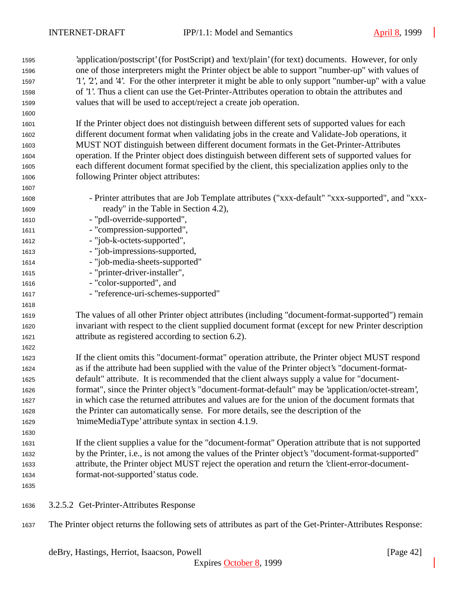'application/postscript' (for PostScript) and 'text/plain' (for text) documents. However, for only one of those interpreters might the Printer object be able to support "number-up" with values of '1', '2', and '4'. For the other interpreter it might be able to only support "number-up" with a value of '1'. Thus a client can use the Get-Printer-Attributes operation to obtain the attributes and values that will be used to accept/reject a create job operation.

 If the Printer object does not distinguish between different sets of supported values for each different document format when validating jobs in the create and Validate-Job operations, it MUST NOT distinguish between different document formats in the Get-Printer-Attributes operation. If the Printer object does distinguish between different sets of supported values for each different document format specified by the client, this specialization applies only to the following Printer object attributes:

- - Printer attributes that are Job Template attributes ("xxx-default" "xxx-supported", and "xxx-ready" in the Table in Section 4.2),
- "pdl-override-supported",
- 1611 "compression-supported",
- "job-k-octets-supported",
- "job-impressions-supported,
- "job-media-sheets-supported"
- "printer-driver-installer",
- "color-supported", and
- "reference-uri-schemes-supported"

 The values of all other Printer object attributes (including "document-format-supported") remain invariant with respect to the client supplied document format (except for new Printer description attribute as registered according to section 6.2).

 If the client omits this "document-format" operation attribute, the Printer object MUST respond as if the attribute had been supplied with the value of the Printer object's "document-format- default" attribute. It is recommended that the client always supply a value for "document- format", since the Printer object's "document-format-default" may be 'application/octet-stream', in which case the returned attributes and values are for the union of the document formats that the Printer can automatically sense. For more details, see the description of the 'mimeMediaType' attribute syntax in section 4.1.9.

- If the client supplies a value for the "document-format" Operation attribute that is not supported by the Printer, i.e., is not among the values of the Printer object's "document-format-supported" attribute, the Printer object MUST reject the operation and return the 'client-error-document-format-not-supported' status code.
- 

- 3.2.5.2 Get-Printer-Attributes Response
- The Printer object returns the following sets of attributes as part of the Get-Printer-Attributes Response: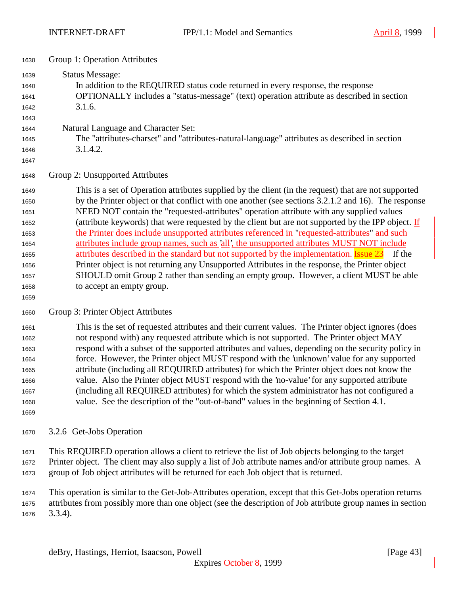| 1638 | Group 1: Operation Attributes                                                                                                                                                                                  |
|------|----------------------------------------------------------------------------------------------------------------------------------------------------------------------------------------------------------------|
| 1639 | <b>Status Message:</b>                                                                                                                                                                                         |
| 1640 | In addition to the REQUIRED status code returned in every response, the response                                                                                                                               |
| 1641 | <b>OPTIONALLY</b> includes a "status-message" (text) operation attribute as described in section                                                                                                               |
| 1642 | 3.1.6.                                                                                                                                                                                                         |
| 1643 |                                                                                                                                                                                                                |
| 1644 | Natural Language and Character Set:                                                                                                                                                                            |
| 1645 | The "attributes-charset" and "attributes-natural-language" attributes as described in section                                                                                                                  |
| 1646 | 3.1.4.2.                                                                                                                                                                                                       |
| 1647 |                                                                                                                                                                                                                |
| 1648 | Group 2: Unsupported Attributes                                                                                                                                                                                |
| 1649 | This is a set of Operation attributes supplied by the client (in the request) that are not supported<br>$\mathbf{A}$ . The state of the state $\mathbf{A}$ is the state of the state of the state $\mathbf{A}$ |

 by the Printer object or that conflict with one another (see sections 3.2.1.2 and 16). The response NEED NOT contain the "requested-attributes" operation attribute with any supplied values (attribute keywords) that were requested by the client but are not supported by the IPP object. If the Printer does include unsupported attributes referenced in "requested-attributes" and such attributes include group names, such as 'all', the unsupported attributes MUST NOT include 1655 attributes described in the standard but not supported by the implementation. **Issue 23** If the Printer object is not returning any Unsupported Attributes in the response, the Printer object SHOULD omit Group 2 rather than sending an empty group. However, a client MUST be able to accept an empty group.

#### Group 3: Printer Object Attributes

 This is the set of requested attributes and their current values. The Printer object ignores (does not respond with) any requested attribute which is not supported. The Printer object MAY respond with a subset of the supported attributes and values, depending on the security policy in force. However, the Printer object MUST respond with the 'unknown' value for any supported attribute (including all REQUIRED attributes) for which the Printer object does not know the value. Also the Printer object MUST respond with the 'no-value' for any supported attribute (including all REQUIRED attributes) for which the system administrator has not configured a value. See the description of the "out-of-band" values in the beginning of Section 4.1.

3.2.6 Get-Jobs Operation

 This REQUIRED operation allows a client to retrieve the list of Job objects belonging to the target Printer object. The client may also supply a list of Job attribute names and/or attribute group names. A group of Job object attributes will be returned for each Job object that is returned.

 This operation is similar to the Get-Job-Attributes operation, except that this Get-Jobs operation returns attributes from possibly more than one object (see the description of Job attribute group names in section 3.3.4).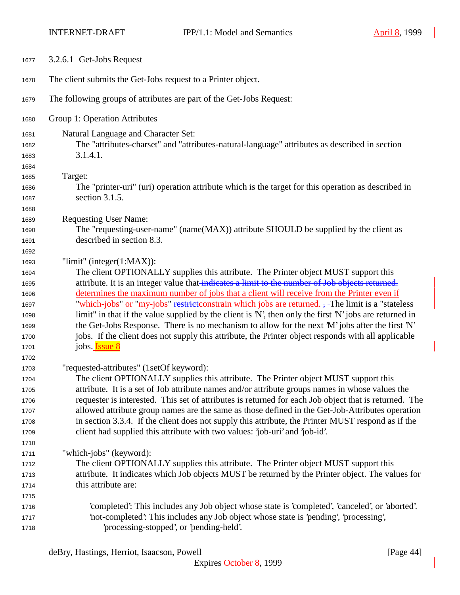| 1677                         | 3.2.6.1 Get-Jobs Request                                                                                                                         |
|------------------------------|--------------------------------------------------------------------------------------------------------------------------------------------------|
| 1678                         | The client submits the Get-Jobs request to a Printer object.                                                                                     |
| 1679                         | The following groups of attributes are part of the Get-Jobs Request:                                                                             |
| 1680                         | Group 1: Operation Attributes                                                                                                                    |
| 1681<br>1682<br>1683<br>1684 | Natural Language and Character Set:<br>The "attributes-charset" and "attributes-natural-language" attributes as described in section<br>3.1.4.1. |
| 1685                         | Target:                                                                                                                                          |
| 1686                         | The "printer-uri" (uri) operation attribute which is the target for this operation as described in                                               |
| 1687                         | section 3.1.5.                                                                                                                                   |
| 1688                         |                                                                                                                                                  |
| 1689                         | <b>Requesting User Name:</b>                                                                                                                     |
| 1690                         | The "requesting-user-name" (name(MAX)) attribute SHOULD be supplied by the client as                                                             |
| 1691                         | described in section 8.3.                                                                                                                        |
| 1692                         |                                                                                                                                                  |
| 1693                         | "limit" (integer $(1:MAX)$ ):                                                                                                                    |
| 1694                         | The client OPTIONALLY supplies this attribute. The Printer object MUST support this                                                              |
| 1695                         | attribute. It is an integer value that indicates a limit to the number of Job objects returned.                                                  |
| 1696                         | determines the maximum number of jobs that a client will receive from the Printer even if                                                        |
| 1697                         | "which-jobs" or "my-jobs" restrictionstrain which jobs are returned. - The limit is a "stateless"                                                |
| 1698                         | limit" in that if the value supplied by the client is 'N', then only the first 'N' jobs are returned in                                          |
| 1699                         | the Get-Jobs Response. There is no mechanism to allow for the next 'M' jobs after the first 'N'                                                  |
| 1700                         | jobs. If the client does not supply this attribute, the Printer object responds with all applicable                                              |
| 1701                         | jobs. <b>Issue 8</b>                                                                                                                             |
| 1702                         |                                                                                                                                                  |
| 1703                         | "requested-attributes" (1setOf keyword):                                                                                                         |
| 1704                         | The client OPTIONALLY supplies this attribute. The Printer object MUST support this                                                              |
| 1705                         | attribute. It is a set of Job attribute names and/or attribute groups names in whose values the                                                  |
| 1706                         | requester is interested. This set of attributes is returned for each Job object that is returned. The                                            |
| 1707                         | allowed attribute group names are the same as those defined in the Get-Job-Attributes operation                                                  |
| 1708                         | in section 3.3.4. If the client does not supply this attribute, the Printer MUST respond as if the                                               |
| 1709                         | client had supplied this attribute with two values: 'job-uri' and 'job-id'.                                                                      |
| 1710                         |                                                                                                                                                  |
| 1711                         | "which-jobs" (keyword):                                                                                                                          |
| 1712                         | The client OPTIONALLY supplies this attribute. The Printer object MUST support this                                                              |
| 1713                         | attribute. It indicates which Job objects MUST be returned by the Printer object. The values for                                                 |
| 1714                         | this attribute are:                                                                                                                              |
| 1715                         |                                                                                                                                                  |
| 1716                         | 'completed': This includes any Job object whose state is 'completed', 'canceled', or 'aborted'.                                                  |
| 1717                         | 'not-completed': This includes any Job object whose state is 'pending', 'processing',                                                            |
| 1718                         | 'processing-stopped', or 'pending-held'.                                                                                                         |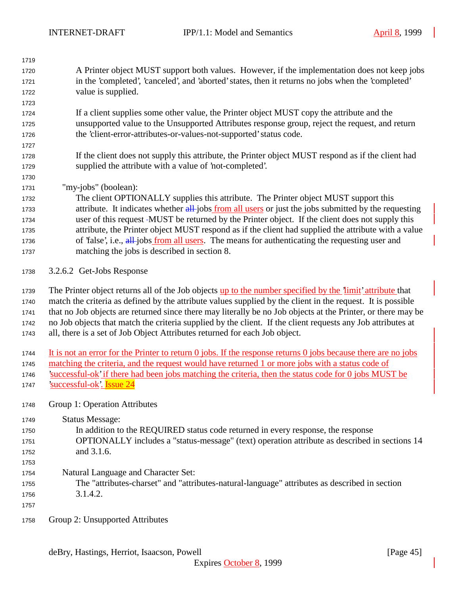| 1719 |                                                                                                                             |
|------|-----------------------------------------------------------------------------------------------------------------------------|
| 1720 | A Printer object MUST support both values. However, if the implementation does not keep jobs                                |
| 1721 | in the 'completed', 'canceled', and 'aborted' states, then it returns no jobs when the 'completed'                          |
| 1722 | value is supplied.                                                                                                          |
| 1723 |                                                                                                                             |
| 1724 | If a client supplies some other value, the Printer object MUST copy the attribute and the                                   |
| 1725 | unsupported value to the Unsupported Attributes response group, reject the request, and return                              |
| 1726 | the 'client-error-attributes-or-values-not-supported' status code.                                                          |
| 1727 |                                                                                                                             |
| 1728 | If the client does not supply this attribute, the Printer object MUST respond as if the client had                          |
| 1729 | supplied the attribute with a value of 'not-completed'.                                                                     |
| 1730 |                                                                                                                             |
| 1731 | "my-jobs" (boolean):                                                                                                        |
| 1732 | The client OPTIONALLY supplies this attribute. The Printer object MUST support this                                         |
| 1733 | attribute. It indicates whether all-jobs from all users or just the jobs submitted by the requesting                        |
| 1734 | user of this request -MUST be returned by the Printer object. If the client does not supply this                            |
| 1735 | attribute, the Printer object MUST respond as if the client had supplied the attribute with a value                         |
| 1736 | of 'false', i.e., all-jobs from all users. The means for authenticating the requesting user and                             |
| 1737 | matching the jobs is described in section 8.                                                                                |
|      |                                                                                                                             |
| 1738 | 3.2.6.2 Get-Jobs Response                                                                                                   |
|      |                                                                                                                             |
| 1739 | The Printer object returns all of the Job objects up to the number specified by the limit' attribute that                   |
| 1740 | match the criteria as defined by the attribute values supplied by the client in the request. It is possible                 |
| 1741 | that no Job objects are returned since there may literally be no Job objects at the Printer, or there may be                |
| 1742 | no Job objects that match the criteria supplied by the client. If the client requests any Job attributes at                 |
| 1743 | all, there is a set of Job Object Attributes returned for each Job object.                                                  |
| 1744 | It is not an error for the Printer to return $\theta$ jobs. If the response returns $\theta$ jobs because there are no jobs |
| 1745 | matching the criteria, and the request would have returned 1 or more jobs with a status code of                             |
| 1746 | successful-ok' if there had been jobs matching the criteria, then the status code for 0 jobs MUST be                        |
| 1747 | 'successful-ok'. Issue 24                                                                                                   |
|      |                                                                                                                             |
| 1748 | Group 1: Operation Attributes                                                                                               |
| 1749 | <b>Status Message:</b>                                                                                                      |
| 1750 | In addition to the REQUIRED status code returned in every response, the response                                            |
| 1751 | OPTIONALLY includes a "status-message" (text) operation attribute as described in sections 14                               |
| 1752 | and 3.1.6.                                                                                                                  |
| 1753 |                                                                                                                             |
| 1754 | Natural Language and Character Set:                                                                                         |
| 1755 | The "attributes-charset" and "attributes-natural-language" attributes as described in section                               |
| 1756 | 3.1.4.2.                                                                                                                    |
| 1757 |                                                                                                                             |
|      |                                                                                                                             |
| 1758 | Group 2: Unsupported Attributes                                                                                             |
|      |                                                                                                                             |
|      | deBry, Hastings, Herriot, Isaacson, Powell<br>[Page $45$ ]                                                                  |
|      | Expires October 8, 1999                                                                                                     |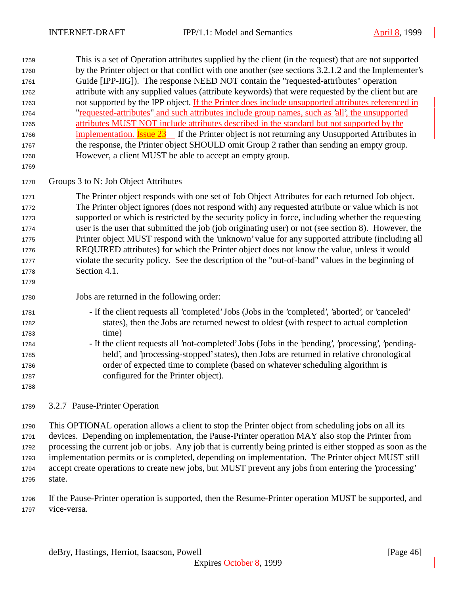This is a set of Operation attributes supplied by the client (in the request) that are not supported by the Printer object or that conflict with one another (see sections 3.2.1.2 and the Implementer's Guide [IPP-IIG]). The response NEED NOT contain the "requested-attributes" operation attribute with any supplied values (attribute keywords) that were requested by the client but are not supported by the IPP object. If the Printer does include unsupported attributes referenced in "requested-attributes" and such attributes include group names, such as 'all', the unsupported attributes MUST NOT include attributes described in the standard but not supported by the 1766 implementation. Issue 23 If the Printer object is not returning any Unsupported Attributes in 1767 the response, the Printer object SHOULD omit Group 2 rather than sending an empty group. However, a client MUST be able to accept an empty group.

Groups 3 to N: Job Object Attributes

 The Printer object responds with one set of Job Object Attributes for each returned Job object. The Printer object ignores (does not respond with) any requested attribute or value which is not supported or which is restricted by the security policy in force, including whether the requesting user is the user that submitted the job (job originating user) or not (see section 8). However, the Printer object MUST respond with the 'unknown' value for any supported attribute (including all REQUIRED attributes) for which the Printer object does not know the value, unless it would violate the security policy. See the description of the "out-of-band" values in the beginning of Section 4.1.

## Jobs are returned in the following order:

- If the client requests all 'completed' Jobs (Jobs in the 'completed', 'aborted', or 'canceled' states), then the Jobs are returned newest to oldest (with respect to actual completion time)
- If the client requests all 'not-completed' Jobs (Jobs in the 'pending', 'processing', 'pending- held', and 'processing-stopped' states), then Jobs are returned in relative chronological order of expected time to complete (based on whatever scheduling algorithm is configured for the Printer object).
- 

3.2.7 Pause-Printer Operation

 This OPTIONAL operation allows a client to stop the Printer object from scheduling jobs on all its devices. Depending on implementation, the Pause-Printer operation MAY also stop the Printer from processing the current job or jobs. Any job that is currently being printed is either stopped as soon as the implementation permits or is completed, depending on implementation. The Printer object MUST still accept create operations to create new jobs, but MUST prevent any jobs from entering the 'processing' state.

 If the Pause-Printer operation is supported, then the Resume-Printer operation MUST be supported, and vice-versa.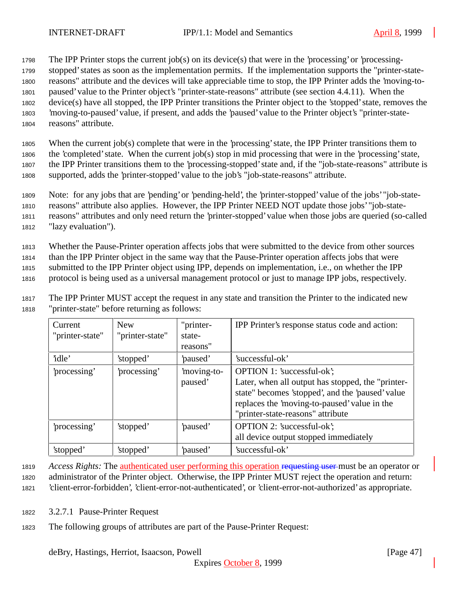The IPP Printer stops the current job(s) on its device(s) that were in the 'processing' or 'processing- stopped' states as soon as the implementation permits. If the implementation supports the "printer-state- reasons" attribute and the devices will take appreciable time to stop, the IPP Printer adds the 'moving-to- paused' value to the Printer object's "printer-state-reasons" attribute (see section 4.4.11). When the device(s) have all stopped, the IPP Printer transitions the Printer object to the 'stopped' state, removes the 'moving-to-paused' value, if present, and adds the 'paused' value to the Printer object's "printer-state-reasons" attribute.

 When the current job(s) complete that were in the 'processing' state, the IPP Printer transitions them to the 'completed' state. When the current job(s) stop in mid processing that were in the 'processing' state, the IPP Printer transitions them to the 'processing-stopped' state and, if the "job-state-reasons" attribute is supported, adds the 'printer-stopped' value to the job's "job-state-reasons" attribute.

<sup>1809</sup> Note: for any jobs that are 'pending' or 'pending-held', the 'printer-stopped' value of the jobs' "job-state-

<sup>1810</sup> reasons" attribute also applies. However, the IPP Printer NEED NOT update those jobs' "job-state-

<sup>1811</sup> reasons" attributes and only need return the 'printer-stopped' value when those jobs are queried (so-called <sup>1812</sup> "lazy evaluation").

<sup>1813</sup> Whether the Pause-Printer operation affects jobs that were submitted to the device from other sources

<sup>1814</sup> than the IPP Printer object in the same way that the Pause-Printer operation affects jobs that were

<sup>1815</sup> submitted to the IPP Printer object using IPP, depends on implementation, i.e., on whether the IPP

<sup>1816</sup> protocol is being used as a universal management protocol or just to manage IPP jobs, respectively.

<sup>1817</sup> The IPP Printer MUST accept the request in any state and transition the Printer to the indicated new <sup>1818</sup> "printer-state" before returning as follows:

| Current<br>"printer-state" | <b>New</b><br>"printer-state" | "printer-<br>state-<br>reasons" | IPP Printer's response status code and action:                                                                                                                                                                           |
|----------------------------|-------------------------------|---------------------------------|--------------------------------------------------------------------------------------------------------------------------------------------------------------------------------------------------------------------------|
| 'idle'                     | 'stopped'                     | 'paused'                        | 'successful-ok'                                                                                                                                                                                                          |
| processing'                | 'processing'                  | moving-to-<br>paused'           | OPTION 1: 'successful-ok';<br>Later, when all output has stopped, the "printer-<br>state" becomes 'stopped', and the 'paused' value<br>replaces the 'moving-to-paused' value in the<br>"printer-state-reasons" attribute |
| processing'                | 'stopped'                     | 'paused'                        | OPTION 2: 'successful-ok';<br>all device output stopped immediately                                                                                                                                                      |
| 'stopped'                  | 'stopped'                     | 'paused'                        | 'successful-ok'                                                                                                                                                                                                          |

<sup>1819</sup> *Access Rights:* The authenticated user performing this operation requesting user must be an operator or

<sup>1820</sup> administrator of the Printer object. Otherwise, the IPP Printer MUST reject the operation and return:

<sup>1821</sup> 'client-error-forbidden', 'client-error-not-authenticated', or 'client-error-not-authorized' as appropriate.

- <sup>1822</sup> 3.2.7.1 Pause-Printer Request
- <sup>1823</sup> The following groups of attributes are part of the Pause-Printer Request: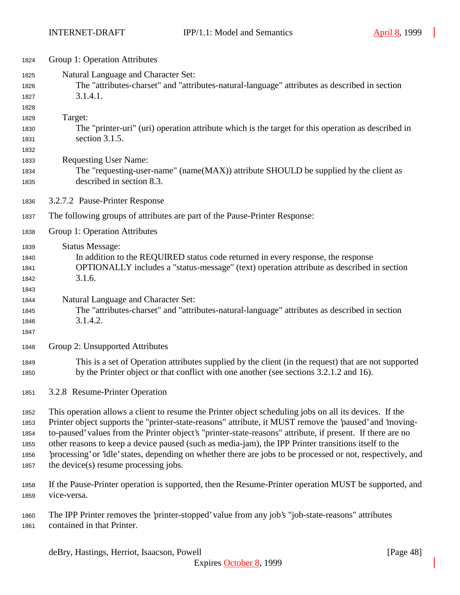| 1824                                         | Group 1: Operation Attributes                                                                                                                                                                                                                                                                                                                                                                                                                                                                                                                                                                    |
|----------------------------------------------|--------------------------------------------------------------------------------------------------------------------------------------------------------------------------------------------------------------------------------------------------------------------------------------------------------------------------------------------------------------------------------------------------------------------------------------------------------------------------------------------------------------------------------------------------------------------------------------------------|
| 1825<br>1826<br>1827                         | Natural Language and Character Set:<br>The "attributes-charset" and "attributes-natural-language" attributes as described in section<br>3.1.4.1.                                                                                                                                                                                                                                                                                                                                                                                                                                                 |
| 1828<br>1829<br>1830<br>1831                 | Target:<br>The "printer-uri" (uri) operation attribute which is the target for this operation as described in<br>section $3.1.5$ .                                                                                                                                                                                                                                                                                                                                                                                                                                                               |
| 1832<br>1833<br>1834<br>1835                 | <b>Requesting User Name:</b><br>The "requesting-user-name" (name(MAX)) attribute SHOULD be supplied by the client as<br>described in section 8.3.                                                                                                                                                                                                                                                                                                                                                                                                                                                |
| 1836                                         | 3.2.7.2 Pause-Printer Response                                                                                                                                                                                                                                                                                                                                                                                                                                                                                                                                                                   |
| 1837                                         | The following groups of attributes are part of the Pause-Printer Response:                                                                                                                                                                                                                                                                                                                                                                                                                                                                                                                       |
| 1838                                         | Group 1: Operation Attributes                                                                                                                                                                                                                                                                                                                                                                                                                                                                                                                                                                    |
| 1839<br>1840<br>1841<br>1842<br>1843         | <b>Status Message:</b><br>In addition to the REQUIRED status code returned in every response, the response<br>OPTIONALLY includes a "status-message" (text) operation attribute as described in section<br>3.1.6.                                                                                                                                                                                                                                                                                                                                                                                |
| 1844<br>1845<br>1846<br>1847                 | Natural Language and Character Set:<br>The "attributes-charset" and "attributes-natural-language" attributes as described in section<br>3.1.4.2.                                                                                                                                                                                                                                                                                                                                                                                                                                                 |
| 1848                                         | Group 2: Unsupported Attributes                                                                                                                                                                                                                                                                                                                                                                                                                                                                                                                                                                  |
| 1849<br>1850                                 | This is a set of Operation attributes supplied by the client (in the request) that are not supported<br>by the Printer object or that conflict with one another (see sections 3.2.1.2 and 16).                                                                                                                                                                                                                                                                                                                                                                                                   |
| 1851                                         | 3.2.8 Resume-Printer Operation                                                                                                                                                                                                                                                                                                                                                                                                                                                                                                                                                                   |
| 1852<br>1853<br>1854<br>1855<br>1856<br>1857 | This operation allows a client to resume the Printer object scheduling jobs on all its devices. If the<br>Printer object supports the "printer-state-reasons" attribute, it MUST remove the 'paused' and 'moving-<br>to-paused' values from the Printer object's "printer-state-reasons" attribute, if present. If there are no<br>other reasons to keep a device paused (such as media-jam), the IPP Printer transitions itself to the<br>'processing' or 'idle' states, depending on whether there are jobs to be processed or not, respectively, and<br>the device(s) resume processing jobs. |
| 1858<br>1859                                 | If the Pause-Printer operation is supported, then the Resume-Printer operation MUST be supported, and<br>vice-versa.                                                                                                                                                                                                                                                                                                                                                                                                                                                                             |
| 1860<br>1861                                 | The IPP Printer removes the 'printer-stopped' value from any job's "job-state-reasons" attributes<br>contained in that Printer.                                                                                                                                                                                                                                                                                                                                                                                                                                                                  |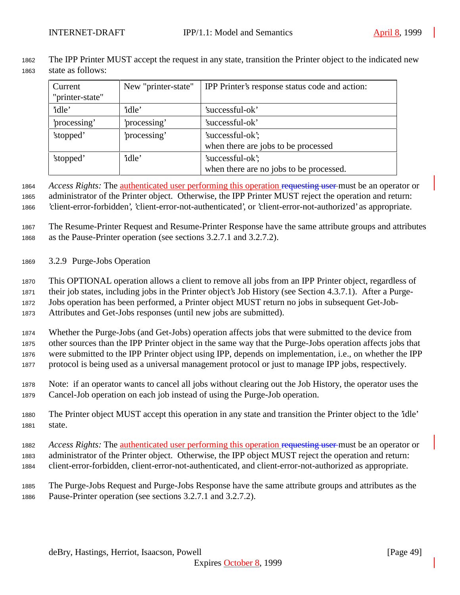The IPP Printer MUST accept the request in any state, transition the Printer object to the indicated new state as follows:

| Current         | New "printer-state" | IPP Printer's response status code and action: |
|-----------------|---------------------|------------------------------------------------|
| "printer-state" |                     |                                                |
| 'idle'          | 'idle'              | 'successful-ok'                                |
| 'processing'    | 'processing'        | 'successful-ok'                                |
| 'stopped'       | processing'         | 'successful-ok';                               |
|                 |                     | when there are jobs to be processed            |
| 'stopped'       | 'idle'              | 'successful-ok';                               |
|                 |                     | when there are no jobs to be processed.        |

 *Access Rights:* The authenticated user performing this operation requesting user must be an operator or administrator of the Printer object. Otherwise, the IPP Printer MUST reject the operation and return: 'client-error-forbidden', 'client-error-not-authenticated', or 'client-error-not-authorized' as appropriate.

 The Resume-Printer Request and Resume-Printer Response have the same attribute groups and attributes as the Pause-Printer operation (see sections 3.2.7.1 and 3.2.7.2).

3.2.9 Purge-Jobs Operation

 This OPTIONAL operation allows a client to remove all jobs from an IPP Printer object, regardless of their job states, including jobs in the Printer object's Job History (see Section 4.3.7.1). After a Purge- Jobs operation has been performed, a Printer object MUST return no jobs in subsequent Get-Job-Attributes and Get-Jobs responses (until new jobs are submitted).

 Whether the Purge-Jobs (and Get-Jobs) operation affects jobs that were submitted to the device from other sources than the IPP Printer object in the same way that the Purge-Jobs operation affects jobs that were submitted to the IPP Printer object using IPP, depends on implementation, i.e., on whether the IPP protocol is being used as a universal management protocol or just to manage IPP jobs, respectively.

- Note: if an operator wants to cancel all jobs without clearing out the Job History, the operator uses the Cancel-Job operation on each job instead of using the Purge-Job operation.
- The Printer object MUST accept this operation in any state and transition the Printer object to the 'idle' state.
- *Access Rights:* The authenticated user performing this operation requesting user must be an operator or
- administrator of the Printer object. Otherwise, the IPP object MUST reject the operation and return: client-error-forbidden, client-error-not-authenticated, and client-error-not-authorized as appropriate.
- The Purge-Jobs Request and Purge-Jobs Response have the same attribute groups and attributes as the Pause-Printer operation (see sections 3.2.7.1 and 3.2.7.2).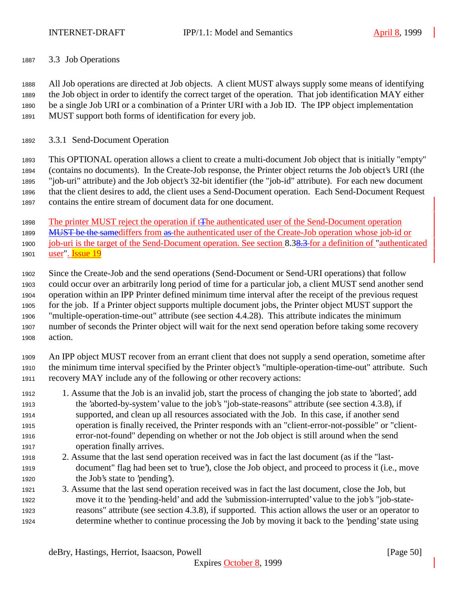3.3 Job Operations

 All Job operations are directed at Job objects. A client MUST always supply some means of identifying the Job object in order to identify the correct target of the operation. That job identification MAY either be a single Job URI or a combination of a Printer URI with a Job ID. The IPP object implementation MUST support both forms of identification for every job.

3.3.1 Send-Document Operation

 This OPTIONAL operation allows a client to create a multi-document Job object that is initially "empty" (contains no documents). In the Create-Job response, the Printer object returns the Job object's URI (the "job-uri" attribute) and the Job object's 32-bit identifier (the "job-id" attribute). For each new document that the client desires to add, the client uses a Send-Document operation. Each Send-Document Request contains the entire stream of document data for one document.

The printer MUST reject the operation if tThe authenticated user of the Send-Document operation

MUST be the samediffers from as the authenticated user of the Create-Job operation whose job-id or

1900 job-uri is the target of the Send-Document operation. See section 8.38.3 for a definition of "authenticated 1901 user". Issue 19

 Since the Create-Job and the send operations (Send-Document or Send-URI operations) that follow could occur over an arbitrarily long period of time for a particular job, a client MUST send another send operation within an IPP Printer defined minimum time interval after the receipt of the previous request for the job. If a Printer object supports multiple document jobs, the Printer object MUST support the "multiple-operation-time-out" attribute (see section 4.4.28). This attribute indicates the minimum number of seconds the Printer object will wait for the next send operation before taking some recovery action.

 An IPP object MUST recover from an errant client that does not supply a send operation, sometime after the minimum time interval specified by the Printer object's "multiple-operation-time-out" attribute. Such recovery MAY include any of the following or other recovery actions:

- 1. Assume that the Job is an invalid job, start the process of changing the job state to 'aborted', add the 'aborted-by-system' value to the job's "job-state-reasons" attribute (see section 4.3.8), if supported, and clean up all resources associated with the Job. In this case, if another send operation is finally received, the Printer responds with an "client-error-not-possible" or "client- error-not-found" depending on whether or not the Job object is still around when the send operation finally arrives.
- 2. Assume that the last send operation received was in fact the last document (as if the "last- document" flag had been set to 'true'), close the Job object, and proceed to process it (i.e., move 1920 the Job's state to 'pending').
- 3. Assume that the last send operation received was in fact the last document, close the Job, but move it to the 'pending-held' and add the 'submission-interrupted' value to the job's "job-state- reasons" attribute (see section 4.3.8), if supported. This action allows the user or an operator to determine whether to continue processing the Job by moving it back to the 'pending' state using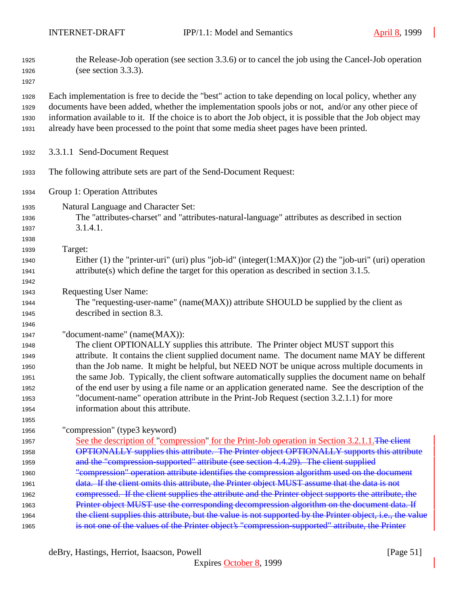the Release-Job operation (see section 3.3.6) or to cancel the job using the Cancel-Job operation (see section 3.3.3). Each implementation is free to decide the "best" action to take depending on local policy, whether any documents have been added, whether the implementation spools jobs or not, and/or any other piece of information available to it. If the choice is to abort the Job object, it is possible that the Job object may already have been processed to the point that some media sheet pages have been printed. 3.3.1.1 Send-Document Request The following attribute sets are part of the Send-Document Request: Group 1: Operation Attributes Natural Language and Character Set: The "attributes-charset" and "attributes-natural-language" attributes as described in section 3.1.4.1. Target: Either (1) the "printer-uri" (uri) plus "job-id" (integer(1:MAX))or (2) the "job-uri" (uri) operation attribute(s) which define the target for this operation as described in section 3.1.5. Requesting User Name: The "requesting-user-name" (name(MAX)) attribute SHOULD be supplied by the client as described in section 8.3. "document-name" (name(MAX)): The client OPTIONALLY supplies this attribute. The Printer object MUST support this attribute. It contains the client supplied document name. The document name MAY be different than the Job name. It might be helpful, but NEED NOT be unique across multiple documents in the same Job. Typically, the client software automatically supplies the document name on behalf of the end user by using a file name or an application generated name. See the description of the "document-name" operation attribute in the Print-Job Request (section 3.2.1.1) for more information about this attribute. "compression" (type3 keyword) 1957 See the description of "compression" for the Print-Job operation in Section 3.2.1.1. The client OPTIONALLY supplies this attribute. The Printer object OPTIONALLY supports this attribute **and the "compression-supported" attribute (see section 4.4.29). The client supplied**  "compression" operation attribute identifies the compression algorithm used on the document 1961 data. If the client omits this attribute, the Printer object MUST assume that the data is not compressed. If the client supplies the attribute and the Printer object supports the attribute, the **Printer object MUST use the corresponding decompression algorithm on the document data. If** 1964 the client supplies this attribute, but the value is not supported by the Printer object, i.e., the value is not one of the values of the Printer object's "compression-supported" attribute, the Printer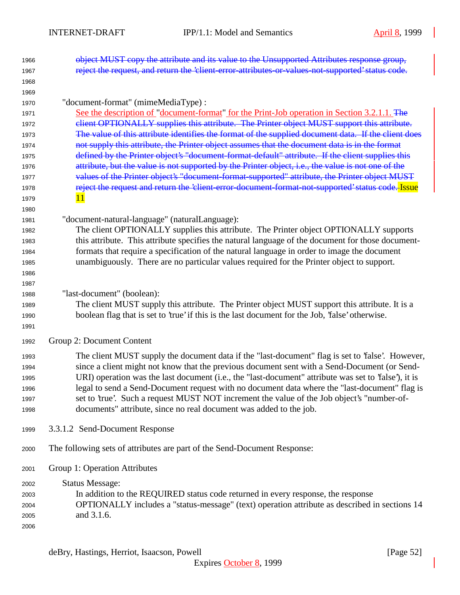| 1966 | object MUST copy the attribute and its value to the Unsupported Attributes response group,           |
|------|------------------------------------------------------------------------------------------------------|
| 1967 | reject the request, and return the 'client-error-attributes-or-values-not-supported' status code.    |
| 1968 |                                                                                                      |
| 1969 |                                                                                                      |
| 1970 | "document-format" (mimeMediaType) :                                                                  |
| 1971 | See the description of "document-format" for the Print-Job operation in Section 3.2.1.1. The         |
| 1972 | elient OPTIONALLY supplies this attribute. The Printer object MUST support this attribute.           |
| 1973 | The value of this attribute identifies the format of the supplied document data. If the client does  |
| 1974 | not supply this attribute, the Printer object assumes that the document data is in the format        |
| 1975 | defined by the Printer object's "document-format-default" attribute. If the client supplies this     |
| 1976 | attribute, but the value is not supported by the Printer object, i.e., the value is not one of the   |
| 1977 | values of the Printer object's "document-format-supported" attribute, the Printer object MUST        |
| 1978 | reject the request and return the 'client error document format not supported' status code. Issue    |
| 1979 | 11                                                                                                   |
| 1980 |                                                                                                      |
| 1981 | "document-natural-language" (naturalLanguage):                                                       |
| 1982 | The client OPTIONALLY supplies this attribute. The Printer object OPTIONALLY supports                |
| 1983 | this attribute. This attribute specifies the natural language of the document for those document-    |
| 1984 | formats that require a specification of the natural language in order to image the document          |
| 1985 | unambiguously. There are no particular values required for the Printer object to support.            |
| 1986 |                                                                                                      |
| 1987 |                                                                                                      |
| 1988 | "last-document" (boolean):                                                                           |
| 1989 | The client MUST supply this attribute. The Printer object MUST support this attribute. It is a       |
| 1990 | boolean flag that is set to 'true' if this is the last document for the Job, 'false' otherwise.      |
| 1991 |                                                                                                      |
| 1992 | Group 2: Document Content                                                                            |
| 1993 | The client MUST supply the document data if the "last-document" flag is set to 'false'. However,     |
| 1994 | since a client might not know that the previous document sent with a Send-Document (or Send-         |
| 1995 | URI) operation was the last document (i.e., the "last-document" attribute was set to 'false'), it is |
| 1996 | legal to send a Send-Document request with no document data where the "last-document" flag is        |
| 1997 | set to 'true'. Such a request MUST NOT increment the value of the Job object's "number-of-           |
| 1998 | documents" attribute, since no real document was added to the job.                                   |
| 1999 | 3.3.1.2 Send-Document Response                                                                       |
| 2000 | The following sets of attributes are part of the Send-Document Response:                             |
| 2001 | Group 1: Operation Attributes                                                                        |
| 2002 | <b>Status Message:</b>                                                                               |
| 2003 | In addition to the REQUIRED status code returned in every response, the response                     |
| 2004 | OPTIONALLY includes a "status-message" (text) operation attribute as described in sections 14        |
| 2005 | and 3.1.6.                                                                                           |
| 2006 |                                                                                                      |
|      |                                                                                                      |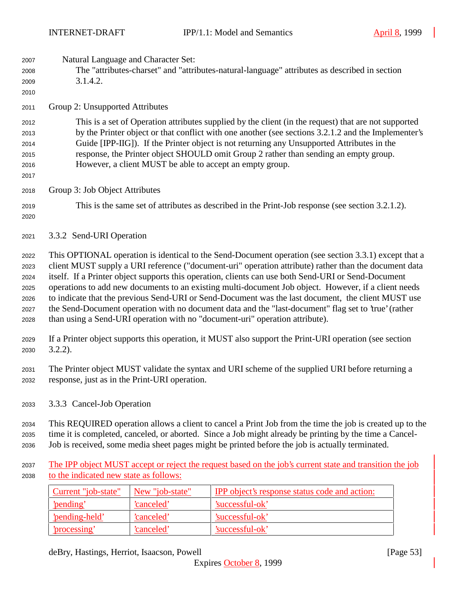| 2007<br>2008<br>2009<br>2010                         | Natural Language and Character Set:<br>The "attributes-charset" and "attributes-natural-language" attributes as described in section<br>3.1.4.2.                                                                                                                                                                                                                                                                                                                                                                                                                                                                                                                                                                            |
|------------------------------------------------------|-----------------------------------------------------------------------------------------------------------------------------------------------------------------------------------------------------------------------------------------------------------------------------------------------------------------------------------------------------------------------------------------------------------------------------------------------------------------------------------------------------------------------------------------------------------------------------------------------------------------------------------------------------------------------------------------------------------------------------|
| 2011                                                 | Group 2: Unsupported Attributes                                                                                                                                                                                                                                                                                                                                                                                                                                                                                                                                                                                                                                                                                             |
| 2012<br>2013<br>2014<br>2015<br>2016<br>2017         | This is a set of Operation attributes supplied by the client (in the request) that are not supported<br>by the Printer object or that conflict with one another (see sections 3.2.1.2 and the Implementer's<br>Guide [IPP-IIG]). If the Printer object is not returning any Unsupported Attributes in the<br>response, the Printer object SHOULD omit Group 2 rather than sending an empty group.<br>However, a client MUST be able to accept an empty group.                                                                                                                                                                                                                                                               |
| 2018                                                 | Group 3: Job Object Attributes                                                                                                                                                                                                                                                                                                                                                                                                                                                                                                                                                                                                                                                                                              |
| 2019<br>2020                                         | This is the same set of attributes as described in the Print-Job response (see section 3.2.1.2).                                                                                                                                                                                                                                                                                                                                                                                                                                                                                                                                                                                                                            |
| 2021                                                 | 3.3.2 Send-URI Operation                                                                                                                                                                                                                                                                                                                                                                                                                                                                                                                                                                                                                                                                                                    |
| 2022<br>2023<br>2024<br>2025<br>2026<br>2027<br>2028 | This OPTIONAL operation is identical to the Send-Document operation (see section 3.3.1) except that a<br>client MUST supply a URI reference ("document-uri" operation attribute) rather than the document data<br>itself. If a Printer object supports this operation, clients can use both Send-URI or Send-Document<br>operations to add new documents to an existing multi-document Job object. However, if a client needs<br>to indicate that the previous Send-URI or Send-Document was the last document, the client MUST use<br>the Send-Document operation with no document data and the "last-document" flag set to 'true' (rather<br>than using a Send-URI operation with no "document-uri" operation attribute). |
| 2029<br>2030                                         | If a Printer object supports this operation, it MUST also support the Print-URI operation (see section<br>$3.2.2$ ).                                                                                                                                                                                                                                                                                                                                                                                                                                                                                                                                                                                                        |
| 2031<br>2032                                         | The Printer object MUST validate the syntax and URI scheme of the supplied URI before returning a<br>response, just as in the Print-URI operation.                                                                                                                                                                                                                                                                                                                                                                                                                                                                                                                                                                          |
| 2033                                                 | 3.3.3 Cancel-Job Operation                                                                                                                                                                                                                                                                                                                                                                                                                                                                                                                                                                                                                                                                                                  |
| 2034<br>2035                                         | This REQUIRED operation allows a client to cancel a Print Job from the time the job is created up to the<br>time it is completed, canceled, or aborted. Since a Job might already be printing by the time a Cancel-                                                                                                                                                                                                                                                                                                                                                                                                                                                                                                         |

Job is received, some media sheet pages might be printed before the job is actually terminated.

2037 The IPP object MUST accept or reject the request based on the job's current state and transition the job to the indicated new state as follows:

| Current "job-state" | New "job-state" | <b>IPP</b> object's response status code and action: |
|---------------------|-----------------|------------------------------------------------------|
| <u>'pending'</u>    | 'canceled'      | 'successful-ok'                                      |
| 'pending-held'      | 'canceled'      | 'successful-ok'                                      |
| 'processing'        | 'canceled'      | 'successful-ok'                                      |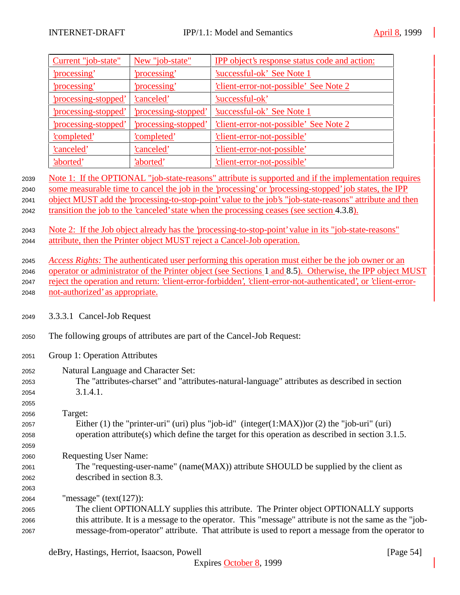|      | Current "job-state"                                                                               | New "job-state"      | IPP object's response status code and action:                                                                                                                                   |  |
|------|---------------------------------------------------------------------------------------------------|----------------------|---------------------------------------------------------------------------------------------------------------------------------------------------------------------------------|--|
|      | 'processing'                                                                                      | 'processing'         | 'successful-ok' See Note 1                                                                                                                                                      |  |
|      | 'processing'                                                                                      | 'processing'         | client-error-not-possible' See Note 2                                                                                                                                           |  |
|      | 'processing-stopped'                                                                              | 'canceled'           | 'successful-ok'                                                                                                                                                                 |  |
|      | 'processing-stopped'                                                                              | 'processing-stopped' | <u>'successful-ok' See Note 1</u>                                                                                                                                               |  |
|      | 'processing-stopped'                                                                              | 'processing-stopped' | client-error-not-possible' See Note 2                                                                                                                                           |  |
|      | 'completed'                                                                                       | 'completed'          | 'client-error-not-possible'                                                                                                                                                     |  |
|      | 'canceled'                                                                                        | 'canceled'           | 'client-error-not-possible'                                                                                                                                                     |  |
|      | 'aborted'                                                                                         | 'aborted'            | 'client-error-not-possible'                                                                                                                                                     |  |
| 2039 |                                                                                                   |                      | Note 1: If the OPTIONAL "job-state-reasons" attribute is supported and if the implementation requires                                                                           |  |
| 2040 |                                                                                                   |                      | some measurable time to cancel the job in the 'processing' or 'processing-stopped' job states, the IPP                                                                          |  |
| 2041 |                                                                                                   |                      | object MUST add the 'processing-to-stop-point' value to the job's "job-state-reasons" attribute and then                                                                        |  |
| 2042 |                                                                                                   |                      | transition the job to the 'canceled' state when the processing ceases (see section 4.3.8).                                                                                      |  |
|      |                                                                                                   |                      |                                                                                                                                                                                 |  |
| 2043 |                                                                                                   |                      | Note 2: If the Job object already has the 'processing-to-stop-point' value in its "job-state-reasons"<br>attribute, then the Printer object MUST reject a Cancel-Job operation. |  |
| 2044 |                                                                                                   |                      |                                                                                                                                                                                 |  |
| 2045 |                                                                                                   |                      | Access Rights: The authenticated user performing this operation must either be the job owner or an                                                                              |  |
| 2046 |                                                                                                   |                      | operator or administrator of the Printer object (see Sections 1 and 8.5). Otherwise, the IPP object MUST                                                                        |  |
| 2047 |                                                                                                   |                      | reject the operation and return: 'client-error-forbidden', 'client-error-not-authenticated', or 'client-error-                                                                  |  |
| 2048 | not-authorized' as appropriate.                                                                   |                      |                                                                                                                                                                                 |  |
|      |                                                                                                   |                      |                                                                                                                                                                                 |  |
| 2049 | 3.3.3.1 Cancel-Job Request                                                                        |                      |                                                                                                                                                                                 |  |
| 2050 | The following groups of attributes are part of the Cancel-Job Request:                            |                      |                                                                                                                                                                                 |  |
| 2051 | Group 1: Operation Attributes                                                                     |                      |                                                                                                                                                                                 |  |
| 2052 | Natural Language and Character Set:                                                               |                      |                                                                                                                                                                                 |  |
| 2053 | The "attributes-charset" and "attributes-natural-language" attributes as described in section     |                      |                                                                                                                                                                                 |  |
| 2054 | 3.1.4.1.                                                                                          |                      |                                                                                                                                                                                 |  |
| 2055 |                                                                                                   |                      |                                                                                                                                                                                 |  |
| 2056 | Target:                                                                                           |                      |                                                                                                                                                                                 |  |
| 2057 |                                                                                                   |                      | Either (1) the "printer-uri" (uri) plus "job-id" (integer(1:MAX)) or (2) the "job-uri" (uri)                                                                                    |  |
| 2058 | operation attribute(s) which define the target for this operation as described in section 3.1.5.  |                      |                                                                                                                                                                                 |  |
| 2059 |                                                                                                   |                      |                                                                                                                                                                                 |  |
| 2060 | <b>Requesting User Name:</b>                                                                      |                      |                                                                                                                                                                                 |  |
| 2061 | The "requesting-user-name" (name(MAX)) attribute SHOULD be supplied by the client as              |                      |                                                                                                                                                                                 |  |
| 2062 | described in section 8.3.                                                                         |                      |                                                                                                                                                                                 |  |
| 2063 |                                                                                                   |                      |                                                                                                                                                                                 |  |
| 2064 | "message" (text $(127)$ ):                                                                        |                      |                                                                                                                                                                                 |  |
| 2065 | The client OPTIONALLY supplies this attribute. The Printer object OPTIONALLY supports             |                      |                                                                                                                                                                                 |  |
| 2066 |                                                                                                   |                      | this attribute. It is a message to the operator. This "message" attribute is not the same as the "job-                                                                          |  |
| 2067 | message-from-operator" attribute. That attribute is used to report a message from the operator to |                      |                                                                                                                                                                                 |  |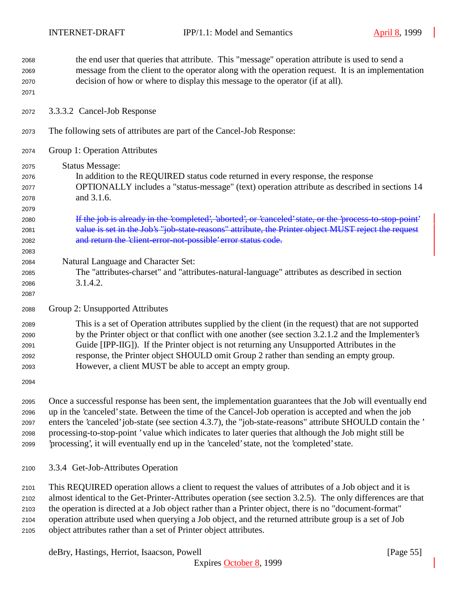| 2068<br>2069<br>2070<br>2071                 | the end user that queries that attribute. This "message" operation attribute is used to send a<br>message from the client to the operator along with the operation request. It is an implementation<br>decision of how or where to display this message to the operator (if at all).                                                                                                                                                                                                                                                     |
|----------------------------------------------|------------------------------------------------------------------------------------------------------------------------------------------------------------------------------------------------------------------------------------------------------------------------------------------------------------------------------------------------------------------------------------------------------------------------------------------------------------------------------------------------------------------------------------------|
| 2072                                         | 3.3.3.2 Cancel-Job Response                                                                                                                                                                                                                                                                                                                                                                                                                                                                                                              |
| 2073                                         | The following sets of attributes are part of the Cancel-Job Response:                                                                                                                                                                                                                                                                                                                                                                                                                                                                    |
| 2074                                         | Group 1: Operation Attributes                                                                                                                                                                                                                                                                                                                                                                                                                                                                                                            |
| 2075<br>2076<br>2077<br>2078<br>2079         | <b>Status Message:</b><br>In addition to the REQUIRED status code returned in every response, the response<br>OPTIONALLY includes a "status-message" (text) operation attribute as described in sections 14<br>and 3.1.6.                                                                                                                                                                                                                                                                                                                |
| 2080<br>2081<br>2082<br>2083                 | If the job is already in the 'completed', 'aborted', or 'canceled' state, or the 'process to stop point'<br>value is set in the Job's "job-state-reasons" attribute, the Printer object MUST reject the request<br>and return the 'client-error-not-possible' error status code.                                                                                                                                                                                                                                                         |
| 2084<br>2085<br>2086<br>2087                 | Natural Language and Character Set:<br>The "attributes-charset" and "attributes-natural-language" attributes as described in section<br>3.1.4.2.                                                                                                                                                                                                                                                                                                                                                                                         |
| 2088                                         | Group 2: Unsupported Attributes                                                                                                                                                                                                                                                                                                                                                                                                                                                                                                          |
| 2089<br>2090<br>2091<br>2092<br>2093<br>2094 | This is a set of Operation attributes supplied by the client (in the request) that are not supported<br>by the Printer object or that conflict with one another (see section 3.2.1.2 and the Implementer's<br>Guide [IPP-IIG]). If the Printer object is not returning any Unsupported Attributes in the<br>response, the Printer object SHOULD omit Group 2 rather than sending an empty group.<br>However, a client MUST be able to accept an empty group.                                                                             |
| 2095<br>2096<br>2097<br>2098<br>2099         | Once a successful response has been sent, the implementation guarantees that the Job will eventually end<br>up in the 'canceled' state. Between the time of the Cancel-Job operation is accepted and when the job<br>enters the 'canceled' job-state (see section 4.3.7), the "job-state-reasons" attribute SHOULD contain the '<br>processing-to-stop-point 'value which indicates to later queries that although the Job might still be<br>'processing', it will eventually end up in the 'canceled' state, not the 'completed' state. |
| 2100                                         | 3.3.4 Get-Job-Attributes Operation                                                                                                                                                                                                                                                                                                                                                                                                                                                                                                       |
| 2101<br>2102<br>2103<br>2104<br>2105         | This REQUIRED operation allows a client to request the values of attributes of a Job object and it is<br>almost identical to the Get-Printer-Attributes operation (see section 3.2.5). The only differences are that<br>the operation is directed at a Job object rather than a Printer object, there is no "document-format"<br>operation attribute used when querying a Job object, and the returned attribute group is a set of Job<br>object attributes rather than a set of Printer object attributes.                              |

deBry, Hastings, Herriot, Isaacson, Powell [Page 55]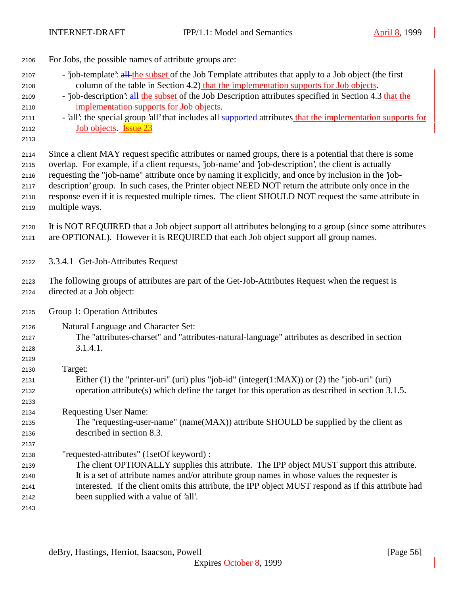| 2106                                                 | For Jobs, the possible names of attribute groups are:                                                                                                                                                                                                                                                                                                                                                                                                                                                                                                   |
|------------------------------------------------------|---------------------------------------------------------------------------------------------------------------------------------------------------------------------------------------------------------------------------------------------------------------------------------------------------------------------------------------------------------------------------------------------------------------------------------------------------------------------------------------------------------------------------------------------------------|
| 2107<br>2108<br>2109<br>2110<br>2111<br>2112<br>2113 | - job-template': all the subset of the Job Template attributes that apply to a Job object (the first<br>column of the table in Section 4.2) that the implementation supports for Job objects.<br>- job-description: all the subset of the Job Description attributes specified in Section 4.3 that the<br>implementation supports for Job objects.<br>- 'all': the special group 'all' that includes all supported-attributes that the implementation supports for<br>Job objects. <b>Issue 23</b>                                                      |
| 2114<br>2115<br>2116<br>2117<br>2118<br>2119         | Since a client MAY request specific attributes or named groups, there is a potential that there is some<br>overlap. For example, if a client requests, job-name' and job-description', the client is actually<br>requesting the "job-name" attribute once by naming it explicitly, and once by inclusion in the 'job-<br>description' group. In such cases, the Printer object NEED NOT return the attribute only once in the<br>response even if it is requested multiple times. The client SHOULD NOT request the same attribute in<br>multiple ways. |
| 2120<br>2121                                         | It is NOT REQUIRED that a Job object support all attributes belonging to a group (since some attributes<br>are OPTIONAL). However it is REQUIRED that each Job object support all group names.                                                                                                                                                                                                                                                                                                                                                          |
| 2122                                                 | 3.3.4.1 Get-Job-Attributes Request                                                                                                                                                                                                                                                                                                                                                                                                                                                                                                                      |
| 2123<br>2124                                         | The following groups of attributes are part of the Get-Job-Attributes Request when the request is<br>directed at a Job object:                                                                                                                                                                                                                                                                                                                                                                                                                          |
| 2125                                                 | Group 1: Operation Attributes                                                                                                                                                                                                                                                                                                                                                                                                                                                                                                                           |
| 2126<br>2127<br>2128<br>2129                         | Natural Language and Character Set:<br>The "attributes-charset" and "attributes-natural-language" attributes as described in section<br>3.1.4.1.                                                                                                                                                                                                                                                                                                                                                                                                        |
| 2130<br>2131<br>2132<br>2133                         | Target:<br>Either (1) the "printer-uri" (uri) plus "job-id" (integer(1:MAX)) or (2) the "job-uri" (uri)<br>operation attribute(s) which define the target for this operation as described in section 3.1.5.                                                                                                                                                                                                                                                                                                                                             |
| 2134<br>2135<br>2136                                 | <b>Requesting User Name:</b><br>The "requesting-user-name" (name(MAX)) attribute SHOULD be supplied by the client as<br>described in section 8.3.                                                                                                                                                                                                                                                                                                                                                                                                       |
| 2137<br>2138<br>2139<br>2140<br>2141<br>2142<br>2143 | "requested-attributes" (1setOf keyword):<br>The client OPTIONALLY supplies this attribute. The IPP object MUST support this attribute.<br>It is a set of attribute names and/or attribute group names in whose values the requester is<br>interested. If the client omits this attribute, the IPP object MUST respond as if this attribute had<br>been supplied with a value of 'all'.                                                                                                                                                                  |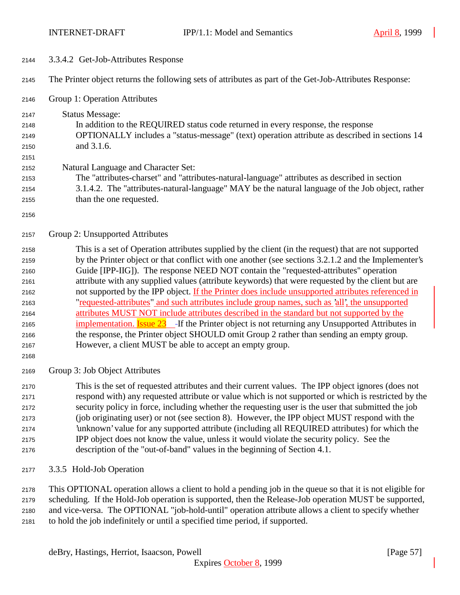- 3.3.4.2 Get-Job-Attributes Response The Printer object returns the following sets of attributes as part of the Get-Job-Attributes Response: Group 1: Operation Attributes Status Message: In addition to the REQUIRED status code returned in every response, the response OPTIONALLY includes a "status-message" (text) operation attribute as described in sections 14 and 3.1.6. Natural Language and Character Set: The "attributes-charset" and "attributes-natural-language" attributes as described in section 3.1.4.2. The "attributes-natural-language" MAY be the natural language of the Job object, rather than the one requested. Group 2: Unsupported Attributes This is a set of Operation attributes supplied by the client (in the request) that are not supported by the Printer object or that conflict with one another (see sections 3.2.1.2 and the Implementer's Guide [IPP-IIG]). The response NEED NOT contain the "requested-attributes" operation attribute with any supplied values (attribute keywords) that were requested by the client but are 2162 not supported by the IPP object. If the Printer does include unsupported attributes referenced in "requested-attributes" and such attributes include group names, such as 'all', the unsupported attributes MUST NOT include attributes described in the standard but not supported by the 2165 implementation. **Issue 23** If the Printer object is not returning any Unsupported Attributes in the response, the Printer object SHOULD omit Group 2 rather than sending an empty group. However, a client MUST be able to accept an empty group. Group 3: Job Object Attributes This is the set of requested attributes and their current values. The IPP object ignores (does not
	- respond with) any requested attribute or value which is not supported or which is restricted by the security policy in force, including whether the requesting user is the user that submitted the job (job originating user) or not (see section 8). However, the IPP object MUST respond with the 'unknown' value for any supported attribute (including all REQUIRED attributes) for which the IPP object does not know the value, unless it would violate the security policy. See the description of the "out-of-band" values in the beginning of Section 4.1.
	- 3.3.5 Hold-Job Operation

 This OPTIONAL operation allows a client to hold a pending job in the queue so that it is not eligible for scheduling. If the Hold-Job operation is supported, then the Release-Job operation MUST be supported, and vice-versa. The OPTIONAL "job-hold-until" operation attribute allows a client to specify whether to hold the job indefinitely or until a specified time period, if supported.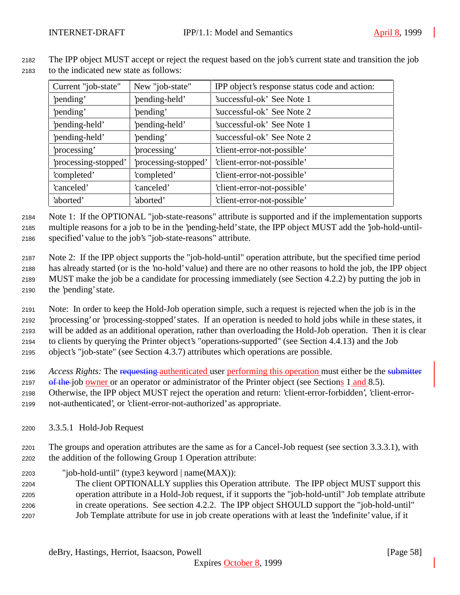| Current "job-state"  | New "job-state"      | IPP object's response status code and action: |
|----------------------|----------------------|-----------------------------------------------|
| 'pending'            | 'pending-held'       | 'successful-ok' See Note 1                    |
| 'pending'            | 'pending'            | 'successful-ok' See Note 2                    |
| 'pending-held'       | 'pending-held'       | 'successful-ok' See Note 1                    |
| 'pending-held'       | 'pending'            | 'successful-ok' See Note 2                    |
| 'processing'         | processing'          | 'client-error-not-possible'                   |
| 'processing-stopped' | 'processing-stopped' | 'client-error-not-possible'                   |
| 'completed'          | 'completed'          | 'client-error-not-possible'                   |
| 'canceled'           | 'canceled'           | 'client-error-not-possible'                   |
| 'aborted'            | 'aborted'            | 'client-error-not-possible'                   |

 The IPP object MUST accept or reject the request based on the job's current state and transition the job to the indicated new state as follows:

 Note 1: If the OPTIONAL "job-state-reasons" attribute is supported and if the implementation supports multiple reasons for a job to be in the 'pending-held' state, the IPP object MUST add the 'job-hold-until-specified' value to the job's "job-state-reasons" attribute.

 Note 2: If the IPP object supports the "job-hold-until" operation attribute, but the specified time period has already started (or is the 'no-hold' value) and there are no other reasons to hold the job, the IPP object MUST make the job be a candidate for processing immediately (see Section 4.2.2) by putting the job in the 'pending' state.

 Note: In order to keep the Hold-Job operation simple, such a request is rejected when the job is in the 'processing' or 'processing-stopped' states. If an operation is needed to hold jobs while in these states, it will be added as an additional operation, rather than overloading the Hold-Job operation. Then it is clear to clients by querying the Printer object's "operations-supported" (see Section 4.4.13) and the Job object's "job-state" (see Section 4.3.7) attributes which operations are possible.

*Access Rights:* The requesting authenticated user performing this operation must either be the submitter

2197 of the job owner or an operator or administrator of the Printer object (see Sections 1 and 8.5).

Otherwise, the IPP object MUST reject the operation and return: 'client-error-forbidden', 'client-error-

not-authenticated', or 'client-error-not-authorized' as appropriate.

3.3.5.1 Hold-Job Request

 The groups and operation attributes are the same as for a Cancel-Job request (see section 3.3.3.1), with the addition of the following Group 1 Operation attribute:

"job-hold-until" (type3 keyword | name(MAX)):

 The client OPTIONALLY supplies this Operation attribute. The IPP object MUST support this operation attribute in a Hold-Job request, if it supports the "job-hold-until" Job template attribute in create operations. See section 4.2.2. The IPP object SHOULD support the "job-hold-until" Job Template attribute for use in job create operations with at least the 'indefinite' value, if it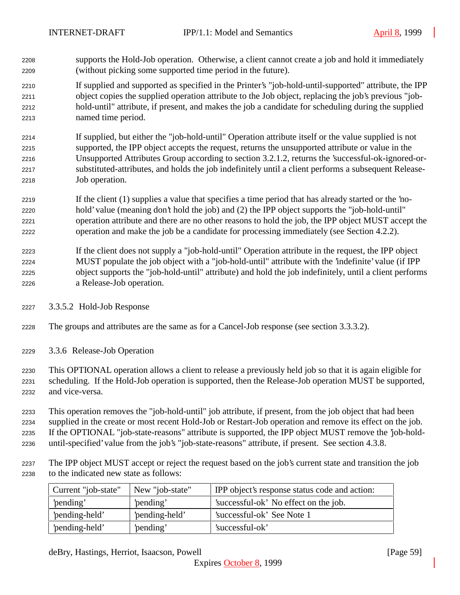- supports the Hold-Job operation. Otherwise, a client cannot create a job and hold it immediately (without picking some supported time period in the future).
- If supplied and supported as specified in the Printer's "job-hold-until-supported" attribute, the IPP object copies the supplied operation attribute to the Job object, replacing the job's previous "job- hold-until" attribute, if present, and makes the job a candidate for scheduling during the supplied named time period.
- If supplied, but either the "job-hold-until" Operation attribute itself or the value supplied is not supported, the IPP object accepts the request, returns the unsupported attribute or value in the Unsupported Attributes Group according to section 3.2.1.2, returns the 'successful-ok-ignored-or- substituted-attributes, and holds the job indefinitely until a client performs a subsequent Release-Job operation.
- If the client (1) supplies a value that specifies a time period that has already started or the 'no- hold' value (meaning don't hold the job) and (2) the IPP object supports the "job-hold-until" operation attribute and there are no other reasons to hold the job, the IPP object MUST accept the operation and make the job be a candidate for processing immediately (see Section 4.2.2).
- If the client does not supply a "job-hold-until" Operation attribute in the request, the IPP object MUST populate the job object with a "job-hold-until" attribute with the 'indefinite' value (if IPP object supports the "job-hold-until" attribute) and hold the job indefinitely, until a client performs a Release-Job operation.
- 3.3.5.2 Hold-Job Response
- The groups and attributes are the same as for a Cancel-Job response (see section 3.3.3.2).
- 3.3.6 Release-Job Operation
- This OPTIONAL operation allows a client to release a previously held job so that it is again eligible for scheduling. If the Hold-Job operation is supported, then the Release-Job operation MUST be supported, and vice-versa.
- This operation removes the "job-hold-until" job attribute, if present, from the job object that had been supplied in the create or most recent Hold-Job or Restart-Job operation and remove its effect on the job. If the OPTIONAL "job-state-reasons" attribute is supported, the IPP object MUST remove the 'job-hold-until-specified' value from the job's "job-state-reasons" attribute, if present. See section 4.3.8.
- The IPP object MUST accept or reject the request based on the job's current state and transition the job to the indicated new state as follows:

| Current "job-state" | New "job-state" | IPP object's response status code and action: |
|---------------------|-----------------|-----------------------------------------------|
| 'pending'           | 'pending'       | 'successful-ok' No effect on the job.         |
| 'pending-held'      | 'pending-held'  | 'successful-ok' See Note 1                    |
| 'pending-held'      | 'pending'       | 'successful-ok'                               |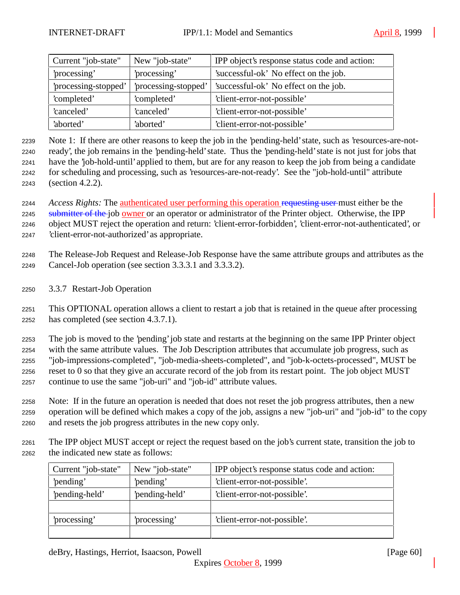| Current "job-state"  | New "job-state"      | IPP object's response status code and action: |
|----------------------|----------------------|-----------------------------------------------|
| processing'          | 'processing'         | 'successful-ok' No effect on the job.         |
| 'processing-stopped' | 'processing-stopped' | 'successful-ok' No effect on the job.         |
| 'completed'          | 'completed'          | 'client-error-not-possible'                   |
| 'canceled'           | 'canceled'           | 'client-error-not-possible'                   |
| 'aborted'            | 'aborted'            | 'client-error-not-possible'                   |

 Note 1: If there are other reasons to keep the job in the 'pending-held' state, such as 'resources-are-not- ready', the job remains in the 'pending-held' state. Thus the 'pending-held' state is not just for jobs that have the 'job-hold-until' applied to them, but are for any reason to keep the job from being a candidate for scheduling and processing, such as 'resources-are-not-ready'. See the "job-hold-until" attribute

(section 4.2.2).

 *Access Rights:* The authenticated user performing this operation requesting user must either be the 2245 submitter of the job owner or an operator or administrator of the Printer object. Otherwise, the IPP object MUST reject the operation and return: 'client-error-forbidden', 'client-error-not-authenticated', or 'client-error-not-authorized' as appropriate.

- The Release-Job Request and Release-Job Response have the same attribute groups and attributes as the Cancel-Job operation (see section 3.3.3.1 and 3.3.3.2).
- 3.3.7 Restart-Job Operation

 This OPTIONAL operation allows a client to restart a job that is retained in the queue after processing has completed (see section 4.3.7.1).

 The job is moved to the 'pending' job state and restarts at the beginning on the same IPP Printer object with the same attribute values. The Job Description attributes that accumulate job progress, such as "job-impressions-completed", "job-media-sheets-completed", and "job-k-octets-processed", MUST be reset to 0 so that they give an accurate record of the job from its restart point. The job object MUST continue to use the same "job-uri" and "job-id" attribute values.

 Note: If in the future an operation is needed that does not reset the job progress attributes, then a new operation will be defined which makes a copy of the job, assigns a new "job-uri" and "job-id" to the copy and resets the job progress attributes in the new copy only.

 The IPP object MUST accept or reject the request based on the job's current state, transition the job to the indicated new state as follows:

| Current "job-state" | New "job-state" | IPP object's response status code and action: |
|---------------------|-----------------|-----------------------------------------------|
| 'pending'           | 'pending'       | 'client-error-not-possible'.                  |
| 'pending-held'      | 'pending-held'  | 'client-error-not-possible'.                  |
|                     |                 |                                               |
| processing'         | processing'     | 'client-error-not-possible'.                  |
|                     |                 |                                               |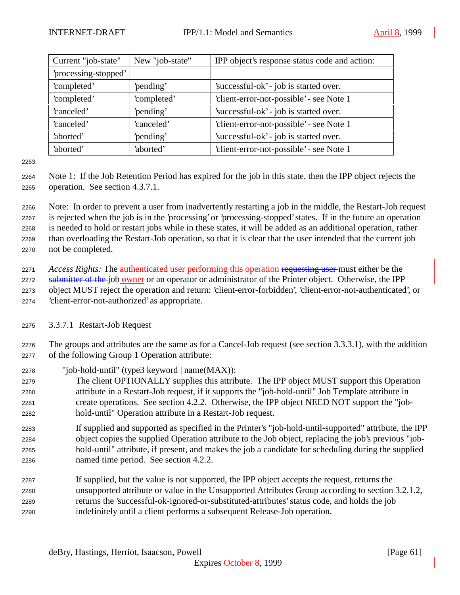| Current "job-state"  | New "job-state" | IPP object's response status code and action: |
|----------------------|-----------------|-----------------------------------------------|
| 'processing-stopped' |                 |                                               |
| 'completed'          | 'pending'       | 'successful-ok' - job is started over.        |
| 'completed'          | 'completed'     | 'client-error-not-possible' - see Note 1      |
| 'canceled'           | 'pending'       | 'successful-ok' - job is started over.        |
| 'canceled'           | 'canceled'      | 'client-error-not-possible' - see Note 1      |
| 'aborted'            | 'pending'       | 'successful-ok' - job is started over.        |
| 'aborted'            | 'aborted'       | 'client-error-not-possible' - see Note 1      |

 Note 1: If the Job Retention Period has expired for the job in this state, then the IPP object rejects the operation. See section 4.3.7.1.

 Note: In order to prevent a user from inadvertently restarting a job in the middle, the Restart-Job request is rejected when the job is in the 'processing' or 'processing-stopped' states. If in the future an operation is needed to hold or restart jobs while in these states, it will be added as an additional operation, rather than overloading the Restart-Job operation, so that it is clear that the user intended that the current job not be completed.

 *Access Rights:* The authenticated user performing this operation requesting user must either be the 2272 submitter of the job owner or an operator or administrator of the Printer object. Otherwise, the IPP object MUST reject the operation and return: 'client-error-forbidden', 'client-error-not-authenticated', or 'client-error-not-authorized' as appropriate.

3.3.7.1 Restart-Job Request

 The groups and attributes are the same as for a Cancel-Job request (see section 3.3.3.1), with the addition of the following Group 1 Operation attribute:

"job-hold-until" (type3 keyword | name(MAX)):

 The client OPTIONALLY supplies this attribute. The IPP object MUST support this Operation attribute in a Restart-Job request, if it supports the "job-hold-until" Job Template attribute in create operations. See section 4.2.2. Otherwise, the IPP object NEED NOT support the "job-hold-until" Operation attribute in a Restart-Job request.

 If supplied and supported as specified in the Printer's "job-hold-until-supported" attribute, the IPP object copies the supplied Operation attribute to the Job object, replacing the job's previous "job- hold-until" attribute, if present, and makes the job a candidate for scheduling during the supplied named time period. See section 4.2.2.

 If supplied, but the value is not supported, the IPP object accepts the request, returns the unsupported attribute or value in the Unsupported Attributes Group according to section 3.2.1.2, returns the 'successful-ok-ignored-or-substituted-attributes' status code, and holds the job indefinitely until a client performs a subsequent Release-Job operation.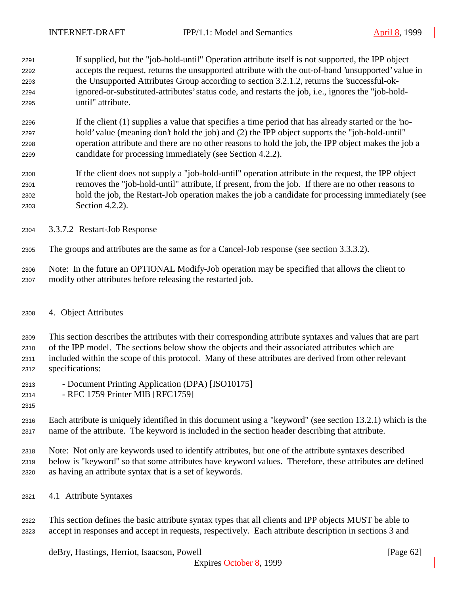- If supplied, but the "job-hold-until" Operation attribute itself is not supported, the IPP object accepts the request, returns the unsupported attribute with the out-of-band 'unsupported' value in the Unsupported Attributes Group according to section 3.2.1.2, returns the 'successful-ok- ignored-or-substituted-attributes' status code, and restarts the job, i.e., ignores the "job-hold-until" attribute.
- If the client (1) supplies a value that specifies a time period that has already started or the 'no- hold' value (meaning don't hold the job) and (2) the IPP object supports the "job-hold-until" operation attribute and there are no other reasons to hold the job, the IPP object makes the job a candidate for processing immediately (see Section 4.2.2).
- If the client does not supply a "job-hold-until" operation attribute in the request, the IPP object removes the "job-hold-until" attribute, if present, from the job. If there are no other reasons to hold the job, the Restart-Job operation makes the job a candidate for processing immediately (see Section 4.2.2).
- 3.3.7.2 Restart-Job Response
- The groups and attributes are the same as for a Cancel-Job response (see section 3.3.3.2).
- Note: In the future an OPTIONAL Modify-Job operation may be specified that allows the client to modify other attributes before releasing the restarted job.
- 4. Object Attributes

 This section describes the attributes with their corresponding attribute syntaxes and values that are part of the IPP model. The sections below show the objects and their associated attributes which are included within the scope of this protocol. Many of these attributes are derived from other relevant specifications:

- Document Printing Application (DPA) [ISO10175]
- RFC 1759 Printer MIB [RFC1759]
- 

 Each attribute is uniquely identified in this document using a "keyword" (see section 13.2.1) which is the name of the attribute. The keyword is included in the section header describing that attribute.

 Note: Not only are keywords used to identify attributes, but one of the attribute syntaxes described below is "keyword" so that some attributes have keyword values. Therefore, these attributes are defined as having an attribute syntax that is a set of keywords.

4.1 Attribute Syntaxes

 This section defines the basic attribute syntax types that all clients and IPP objects MUST be able to accept in responses and accept in requests, respectively. Each attribute description in sections 3 and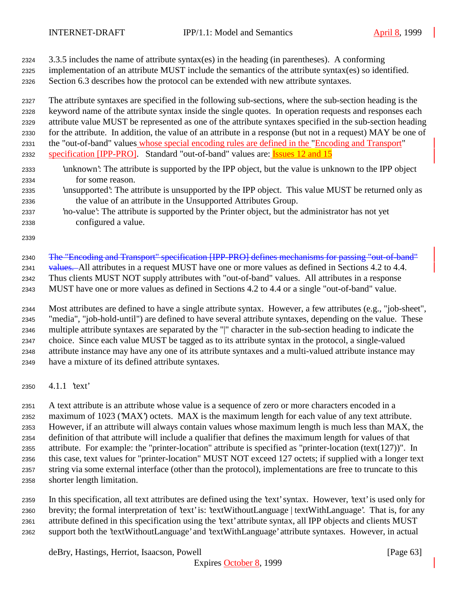- 3.3.5 includes the name of attribute syntax(es) in the heading (in parentheses). A conforming
- implementation of an attribute MUST include the semantics of the attribute syntax(es) so identified.
- Section 6.3 describes how the protocol can be extended with new attribute syntaxes.

 The attribute syntaxes are specified in the following sub-sections, where the sub-section heading is the keyword name of the attribute syntax inside the single quotes. In operation requests and responses each attribute value MUST be represented as one of the attribute syntaxes specified in the sub-section heading for the attribute. In addition, the value of an attribute in a response (but not in a request) MAY be one of the "out-of-band" values whose special encoding rules are defined in the "Encoding and Transport"

- specification [IPP-PRO]. Standard "out-of-band" values are: Issues 12 and 15
- 'unknown': The attribute is supported by the IPP object, but the value is unknown to the IPP object for some reason.
- 'unsupported': The attribute is unsupported by the IPP object. This value MUST be returned only as the value of an attribute in the Unsupported Attributes Group.
- 'no-value': The attribute is supported by the Printer object, but the administrator has not yet configured a value.
- 

2340 The "Encoding and Transport" specification [IPP-PRO] defines mechanisms for passing "out-of-band" 2341 values. All attributes in a request MUST have one or more values as defined in Sections 4.2 to 4.4. Thus clients MUST NOT supply attributes with "out-of-band" values. All attributes in a response MUST have one or more values as defined in Sections 4.2 to 4.4 or a single "out-of-band" value.

 Most attributes are defined to have a single attribute syntax. However, a few attributes (e.g., "job-sheet", "media", "job-hold-until") are defined to have several attribute syntaxes, depending on the value. These multiple attribute syntaxes are separated by the "|" character in the sub-section heading to indicate the choice. Since each value MUST be tagged as to its attribute syntax in the protocol, a single-valued attribute instance may have any one of its attribute syntaxes and a multi-valued attribute instance may have a mixture of its defined attribute syntaxes.

4.1.1 'text'

 A text attribute is an attribute whose value is a sequence of zero or more characters encoded in a maximum of 1023 ('MAX') octets. MAX is the maximum length for each value of any text attribute. However, if an attribute will always contain values whose maximum length is much less than MAX, the definition of that attribute will include a qualifier that defines the maximum length for values of that attribute. For example: the "printer-location" attribute is specified as "printer-location (text(127))". In this case, text values for "printer-location" MUST NOT exceed 127 octets; if supplied with a longer text string via some external interface (other than the protocol), implementations are free to truncate to this shorter length limitation.

 In this specification, all text attributes are defined using the 'text' syntax. However, 'text' is used only for brevity; the formal interpretation of 'text' is: 'textWithoutLanguage | textWithLanguage'. That is, for any attribute defined in this specification using the 'text' attribute syntax, all IPP objects and clients MUST support both the 'textWithoutLanguage' and 'textWithLanguage' attribute syntaxes. However, in actual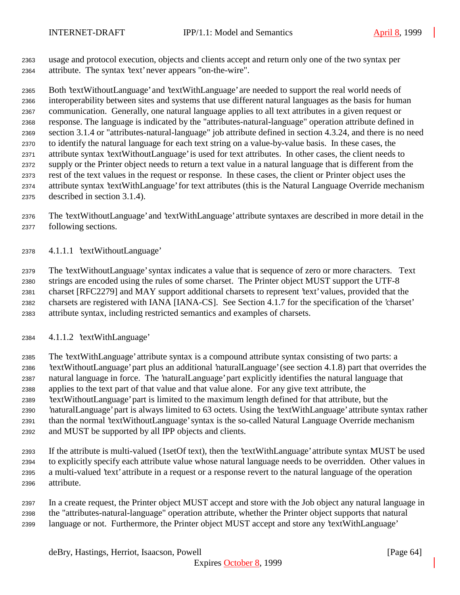usage and protocol execution, objects and clients accept and return only one of the two syntax per attribute. The syntax 'text' never appears "on-the-wire".

 Both 'textWithoutLanguage' and 'textWithLanguage' are needed to support the real world needs of interoperability between sites and systems that use different natural languages as the basis for human communication. Generally, one natural language applies to all text attributes in a given request or response. The language is indicated by the "attributes-natural-language" operation attribute defined in section 3.1.4 or "attributes-natural-language" job attribute defined in section 4.3.24, and there is no need to identify the natural language for each text string on a value-by-value basis. In these cases, the attribute syntax 'textWithoutLanguage' is used for text attributes. In other cases, the client needs to supply or the Printer object needs to return a text value in a natural language that is different from the rest of the text values in the request or response. In these cases, the client or Printer object uses the attribute syntax 'textWithLanguage' for text attributes (this is the Natural Language Override mechanism described in section 3.1.4).

 The 'textWithoutLanguage' and 'textWithLanguage' attribute syntaxes are described in more detail in the following sections.

4.1.1.1 'textWithoutLanguage'

 The 'textWithoutLanguage' syntax indicates a value that is sequence of zero or more characters. Text strings are encoded using the rules of some charset. The Printer object MUST support the UTF-8 charset [RFC2279] and MAY support additional charsets to represent 'text' values, provided that the charsets are registered with IANA [IANA-CS]. See Section 4.1.7 for the specification of the 'charset' attribute syntax, including restricted semantics and examples of charsets.

4.1.1.2 'textWithLanguage'

 The 'textWithLanguage' attribute syntax is a compound attribute syntax consisting of two parts: a 'textWithoutLanguage' part plus an additional 'naturalLanguage' (see section 4.1.8) part that overrides the natural language in force. The 'naturalLanguage' part explicitly identifies the natural language that applies to the text part of that value and that value alone. For any give text attribute, the 'textWithoutLanguage' part is limited to the maximum length defined for that attribute, but the 'naturalLanguage' part is always limited to 63 octets. Using the 'textWithLanguage' attribute syntax rather than the normal 'textWithoutLanguage' syntax is the so-called Natural Language Override mechanism and MUST be supported by all IPP objects and clients.

 If the attribute is multi-valued (1setOf text), then the 'textWithLanguage' attribute syntax MUST be used to explicitly specify each attribute value whose natural language needs to be overridden. Other values in a multi-valued 'text' attribute in a request or a response revert to the natural language of the operation attribute.

 In a create request, the Printer object MUST accept and store with the Job object any natural language in the "attributes-natural-language" operation attribute, whether the Printer object supports that natural language or not. Furthermore, the Printer object MUST accept and store any 'textWithLanguage'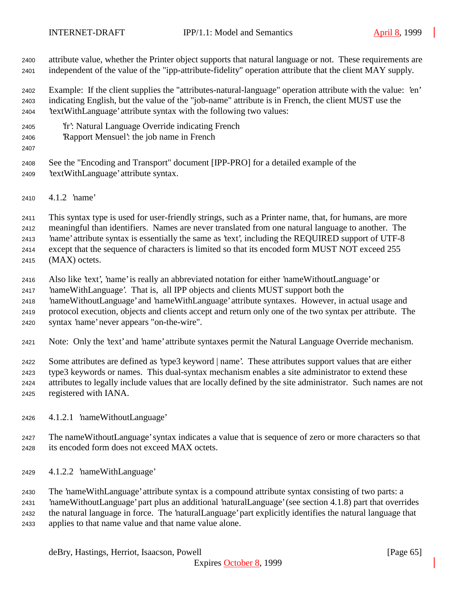attribute value, whether the Printer object supports that natural language or not. These requirements are independent of the value of the "ipp-attribute-fidelity" operation attribute that the client MAY supply.

 Example: If the client supplies the "attributes-natural-language" operation attribute with the value: 'en' indicating English, but the value of the "job-name" attribute is in French, the client MUST use the 'textWithLanguage' attribute syntax with the following two values:

- 'fr': Natural Language Override indicating French
- 'Rapport Mensuel': the job name in French
- 

 See the "Encoding and Transport" document [IPP-PRO] for a detailed example of the 'textWithLanguage' attribute syntax.

4.1.2 'name'

This syntax type is used for user-friendly strings, such as a Printer name, that, for humans, are more

meaningful than identifiers. Names are never translated from one natural language to another. The

'name' attribute syntax is essentially the same as 'text', including the REQUIRED support of UTF-8

except that the sequence of characters is limited so that its encoded form MUST NOT exceed 255

- (MAX) octets.
- Also like 'text', 'name' is really an abbreviated notation for either 'nameWithoutLanguage' or
- 'nameWithLanguage'. That is, all IPP objects and clients MUST support both the

'nameWithoutLanguage' and 'nameWithLanguage' attribute syntaxes. However, in actual usage and

 protocol execution, objects and clients accept and return only one of the two syntax per attribute. The syntax 'name' never appears "on-the-wire".

Note: Only the 'text' and 'name' attribute syntaxes permit the Natural Language Override mechanism.

 Some attributes are defined as 'type3 keyword | name'. These attributes support values that are either type3 keywords or names. This dual-syntax mechanism enables a site administrator to extend these attributes to legally include values that are locally defined by the site administrator. Such names are not registered with IANA.

- 4.1.2.1 'nameWithoutLanguage'
- The nameWithoutLanguage' syntax indicates a value that is sequence of zero or more characters so that its encoded form does not exceed MAX octets.
- 4.1.2.2 'nameWithLanguage'

 The 'nameWithLanguage' attribute syntax is a compound attribute syntax consisting of two parts: a 'nameWithoutLanguage' part plus an additional 'naturalLanguage' (see section 4.1.8) part that overrides the natural language in force. The 'naturalLanguage' part explicitly identifies the natural language that applies to that name value and that name value alone.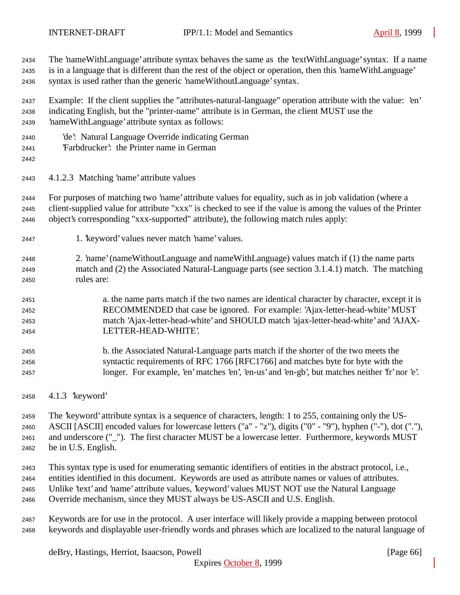The 'nameWithLanguage' attribute syntax behaves the same as the 'textWithLanguage' syntax. If a name is in a language that is different than the rest of the object or operation, then this 'nameWithLanguage' syntax is used rather than the generic 'nameWithoutLanguage' syntax. Example: If the client supplies the "attributes-natural-language" operation attribute with the value: 'en' indicating English, but the "printer-name" attribute is in German, the client MUST use the 'nameWithLanguage' attribute syntax as follows: 'de': Natural Language Override indicating German 'Farbdrucker': the Printer name in German 4.1.2.3 Matching 'name' attribute values For purposes of matching two 'name' attribute values for equality, such as in job validation (where a client-supplied value for attribute "xxx" is checked to see if the value is among the values of the Printer object's corresponding "xxx-supported" attribute), the following match rules apply: 1. 'keyword' values never match 'name' values. 2. 'name' (nameWithoutLanguage and nameWithLanguage) values match if (1) the name parts match and (2) the Associated Natural-Language parts (see section 3.1.4.1) match. The matching rules are: a. the name parts match if the two names are identical character by character, except it is RECOMMENDED that case be ignored. For example: 'Ajax-letter-head-white' MUST match 'Ajax-letter-head-white' and SHOULD match 'ajax-letter-head-white' and 'AJAX- LETTER-HEAD-WHITE'. b. the Associated Natural-Language parts match if the shorter of the two meets the syntactic requirements of RFC 1766 [RFC1766] and matches byte for byte with the longer. For example, 'en' matches 'en', 'en-us' and 'en-gb', but matches neither 'fr' nor 'e'. 4.1.3 'keyword' The 'keyword' attribute syntax is a sequence of characters, length: 1 to 255, containing only the US- ASCII [ASCII] encoded values for lowercase letters ("a" - "z"), digits ("0" - "9"), hyphen ("-"), dot ("."), and underscore ("\_"). The first character MUST be a lowercase letter. Furthermore, keywords MUST

be in U.S. English.

 This syntax type is used for enumerating semantic identifiers of entities in the abstract protocol, i.e., entities identified in this document. Keywords are used as attribute names or values of attributes. Unlike 'text' and 'name' attribute values, 'keyword' values MUST NOT use the Natural Language

Override mechanism, since they MUST always be US-ASCII and U.S. English.

 Keywords are for use in the protocol. A user interface will likely provide a mapping between protocol keywords and displayable user-friendly words and phrases which are localized to the natural language of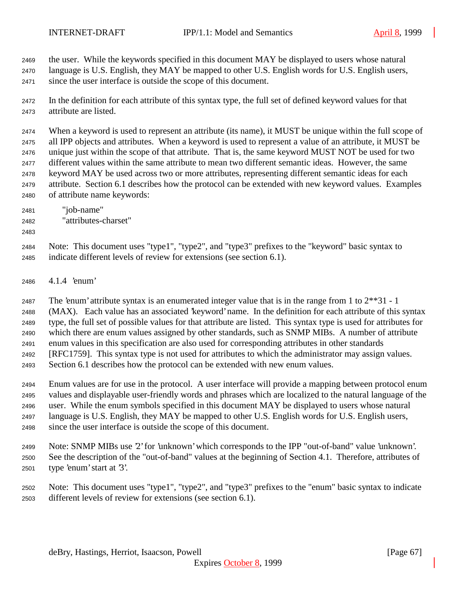the user. While the keywords specified in this document MAY be displayed to users whose natural

- language is U.S. English, they MAY be mapped to other U.S. English words for U.S. English users, since the user interface is outside the scope of this document.
- In the definition for each attribute of this syntax type, the full set of defined keyword values for that attribute are listed.

 When a keyword is used to represent an attribute (its name), it MUST be unique within the full scope of all IPP objects and attributes. When a keyword is used to represent a value of an attribute, it MUST be unique just within the scope of that attribute. That is, the same keyword MUST NOT be used for two different values within the same attribute to mean two different semantic ideas. However, the same keyword MAY be used across two or more attributes, representing different semantic ideas for each attribute. Section 6.1 describes how the protocol can be extended with new keyword values. Examples of attribute name keywords:

- "job-name"
- "attributes-charset"
- 
- Note: This document uses "type1", "type2", and "type3" prefixes to the "keyword" basic syntax to indicate different levels of review for extensions (see section 6.1).
- 4.1.4 'enum'

The 'enum' attribute syntax is an enumerated integer value that is in the range from 1 to 2\*\*31 - 1

(MAX). Each value has an associated 'keyword' name. In the definition for each attribute of this syntax

 type, the full set of possible values for that attribute are listed. This syntax type is used for attributes for which there are enum values assigned by other standards, such as SNMP MIBs. A number of attribute

enum values in this specification are also used for corresponding attributes in other standards

[RFC1759]. This syntax type is not used for attributes to which the administrator may assign values.

Section 6.1 describes how the protocol can be extended with new enum values.

 Enum values are for use in the protocol. A user interface will provide a mapping between protocol enum values and displayable user-friendly words and phrases which are localized to the natural language of the user. While the enum symbols specified in this document MAY be displayed to users whose natural language is U.S. English, they MAY be mapped to other U.S. English words for U.S. English users, since the user interface is outside the scope of this document.

- Note: SNMP MIBs use '2' for 'unknown' which corresponds to the IPP "out-of-band" value 'unknown'. See the description of the "out-of-band" values at the beginning of Section 4.1. Therefore, attributes of type 'enum' start at '3'.
- Note: This document uses "type1", "type2", and "type3" prefixes to the "enum" basic syntax to indicate different levels of review for extensions (see section 6.1).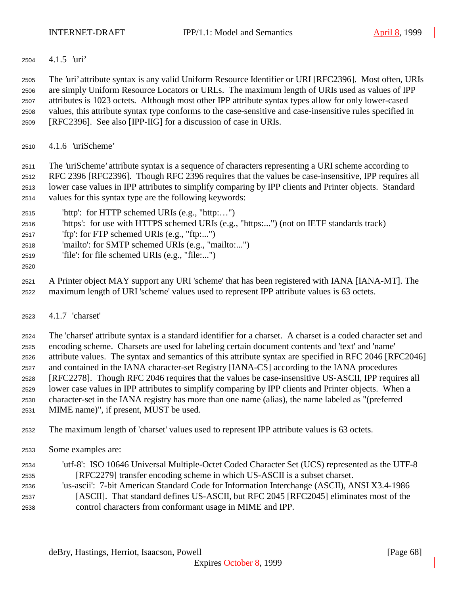4.1.5 'uri'

 The 'uri' attribute syntax is any valid Uniform Resource Identifier or URI [RFC2396]. Most often, URIs are simply Uniform Resource Locators or URLs. The maximum length of URIs used as values of IPP attributes is 1023 octets. Although most other IPP attribute syntax types allow for only lower-cased values, this attribute syntax type conforms to the case-sensitive and case-insensitive rules specified in [RFC2396]. See also [IPP-IIG] for a discussion of case in URIs.

4.1.6 'uriScheme'

 The 'uriScheme' attribute syntax is a sequence of characters representing a URI scheme according to RFC 2396 [RFC2396]. Though RFC 2396 requires that the values be case-insensitive, IPP requires all lower case values in IPP attributes to simplify comparing by IPP clients and Printer objects. Standard values for this syntax type are the following keywords:

- 'http': for HTTP schemed URIs (e.g., "http:…")
- 'https': for use with HTTPS schemed URIs (e.g., "https:...") (not on IETF standards track)
- 'ftp': for FTP schemed URIs (e.g., "ftp:...")
- 'mailto': for SMTP schemed URIs (e.g., "mailto:...")
- 'file': for file schemed URIs (e.g., "file:...")
- 

 A Printer object MAY support any URI 'scheme' that has been registered with IANA [IANA-MT]. The maximum length of URI 'scheme' values used to represent IPP attribute values is 63 octets.

4.1.7 'charset'

 The 'charset' attribute syntax is a standard identifier for a charset. A charset is a coded character set and encoding scheme. Charsets are used for labeling certain document contents and 'text' and 'name' attribute values. The syntax and semantics of this attribute syntax are specified in RFC 2046 [RFC2046] and contained in the IANA character-set Registry [IANA-CS] according to the IANA procedures [RFC2278]. Though RFC 2046 requires that the values be case-insensitive US-ASCII, IPP requires all lower case values in IPP attributes to simplify comparing by IPP clients and Printer objects. When a character-set in the IANA registry has more than one name (alias), the name labeled as "(preferred MIME name)", if present, MUST be used.

- The maximum length of 'charset' values used to represent IPP attribute values is 63 octets.
- Some examples are:
- 'utf-8': ISO 10646 Universal Multiple-Octet Coded Character Set (UCS) represented as the UTF-8 [RFC2279] transfer encoding scheme in which US-ASCII is a subset charset. 'us-ascii': 7-bit American Standard Code for Information Interchange (ASCII), ANSI X3.4-1986
- [ASCII]. That standard defines US-ASCII, but RFC 2045 [RFC2045] eliminates most of the control characters from conformant usage in MIME and IPP.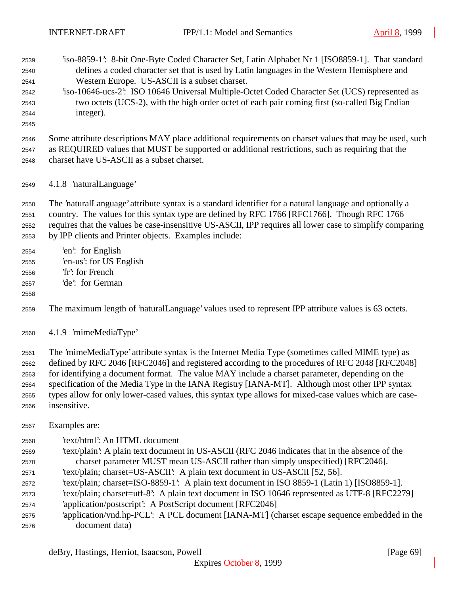| 2539<br>2540<br>2541<br>2542<br>2543<br>2544<br>2545 | iso-8859-1: 8-bit One-Byte Coded Character Set, Latin Alphabet Nr 1 [ISO8859-1]. That standard<br>defines a coded character set that is used by Latin languages in the Western Hemisphere and<br>Western Europe. US-ASCII is a subset charset.<br>iso-10646-ucs-2: ISO 10646 Universal Multiple-Octet Coded Character Set (UCS) represented as<br>two octets (UCS-2), with the high order octet of each pair coming first (so-called Big Endian<br>integer). |
|------------------------------------------------------|--------------------------------------------------------------------------------------------------------------------------------------------------------------------------------------------------------------------------------------------------------------------------------------------------------------------------------------------------------------------------------------------------------------------------------------------------------------|
| 2546<br>2547<br>2548                                 | Some attribute descriptions MAY place additional requirements on charset values that may be used, such<br>as REQUIRED values that MUST be supported or additional restrictions, such as requiring that the<br>charset have US-ASCII as a subset charset.                                                                                                                                                                                                     |
| 2549                                                 | 4.1.8 'naturalLanguage'                                                                                                                                                                                                                                                                                                                                                                                                                                      |
| 2550<br>2551<br>2552<br>2553                         | The 'naturalLanguage' attribute syntax is a standard identifier for a natural language and optionally a<br>country. The values for this syntax type are defined by RFC 1766 [RFC1766]. Though RFC 1766<br>requires that the values be case-insensitive US-ASCII, IPP requires all lower case to simplify comparing<br>by IPP clients and Printer objects. Examples include:                                                                                  |
| 2554<br>2555<br>2556<br>2557<br>2558                 | 'en': for English<br>'en-us': for US English<br>'fr': for French<br>'de': for German                                                                                                                                                                                                                                                                                                                                                                         |
| 2559                                                 | The maximum length of 'naturalLanguage' values used to represent IPP attribute values is 63 octets.                                                                                                                                                                                                                                                                                                                                                          |
| 2560                                                 | 4.1.9 'mimeMediaType'                                                                                                                                                                                                                                                                                                                                                                                                                                        |
| 2561<br>2562<br>2563<br>2564                         | The 'mimeMediaType' attribute syntax is the Internet Media Type (sometimes called MIME type) as<br>defined by RFC 2046 [RFC2046] and registered according to the procedures of RFC 2048 [RFC2048]<br>for identifying a document format. The value MAY include a charset parameter, depending on the<br>specification of the Media Type in the IANA Registry [IANA-MT]. Although most other IPP syntax                                                        |

Examples are:

insensitive.

- 'text/html': An HTML document
- 'text/plain': A plain text document in US-ASCII (RFC 2046 indicates that in the absence of the charset parameter MUST mean US-ASCII rather than simply unspecified) [RFC2046].

types allow for only lower-cased values, this syntax type allows for mixed-case values which are case-

- 'text/plain; charset=US-ASCII': A plain text document in US-ASCII [52, 56].
- 'text/plain; charset=ISO-8859-1': A plain text document in ISO 8859-1 (Latin 1) [ISO8859-1].
- 'text/plain; charset=utf-8': A plain text document in ISO 10646 represented as UTF-8 [RFC2279]
- 'application/postscript': A PostScript document [RFC2046]
- 'application/vnd.hp-PCL': A PCL document [IANA-MT] (charset escape sequence embedded in the document data)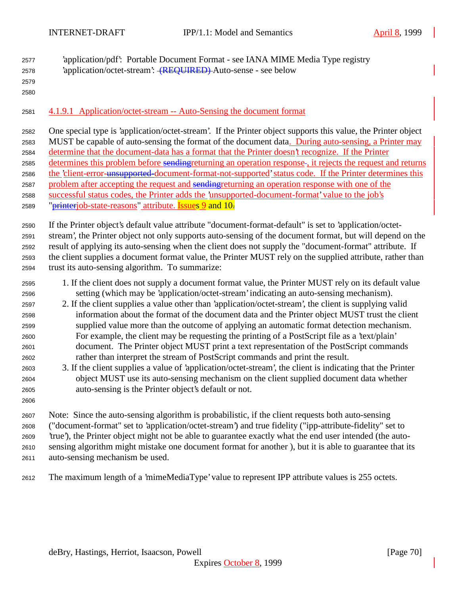- 'application/pdf': Portable Document Format see IANA MIME Media Type registry 'application/octet-stream': (REQUIRED) Auto-sense - see below
- 

### 4.1.9.1 Application/octet-stream -- Auto-Sensing the document format

 One special type is 'application/octet-stream'. If the Printer object supports this value, the Printer object MUST be capable of auto-sensing the format of the document data. During auto-sensing, a Printer may determine that the document-data has a format that the Printer doesn't recognize. If the Printer 2585 determines this problem before sendingreturning an operation response-, it rejects the request and returns 2586 the 'client-error-unsupported-document-format-not-supported' status code. If the Printer determines this 2587 problem after accepting the request and sendingreturning an operation response with one of the successful status codes, the Printer adds the 'unsupported-document-format' value to the job's 2589 "*printerjob-state-reasons*" attribute. **Issues 9 and 10.** 

 If the Printer object's default value attribute "document-format-default" is set to 'application/octet- stream', the Printer object not only supports auto-sensing of the document format, but will depend on the result of applying its auto-sensing when the client does not supply the "document-format" attribute. If the client supplies a document format value, the Printer MUST rely on the supplied attribute, rather than trust its auto-sensing algorithm. To summarize:

- 1. If the client does not supply a document format value, the Printer MUST rely on its default value setting (which may be 'application/octet-stream' indicating an auto-sensing mechanism).
- 2. If the client supplies a value other than 'application/octet-stream', the client is supplying valid information about the format of the document data and the Printer object MUST trust the client supplied value more than the outcome of applying an automatic format detection mechanism. For example, the client may be requesting the printing of a PostScript file as a 'text/plain' document. The Printer object MUST print a text representation of the PostScript commands rather than interpret the stream of PostScript commands and print the result.
- 3. If the client supplies a value of 'application/octet-stream', the client is indicating that the Printer object MUST use its auto-sensing mechanism on the client supplied document data whether auto-sensing is the Printer object's default or not.
- 

 Note: Since the auto-sensing algorithm is probabilistic, if the client requests both auto-sensing ("document-format" set to 'application/octet-stream') and true fidelity ("ipp-attribute-fidelity" set to 'true'), the Printer object might not be able to guarantee exactly what the end user intended (the auto- sensing algorithm might mistake one document format for another ), but it is able to guarantee that its auto-sensing mechanism be used.

The maximum length of a 'mimeMediaType' value to represent IPP attribute values is 255 octets.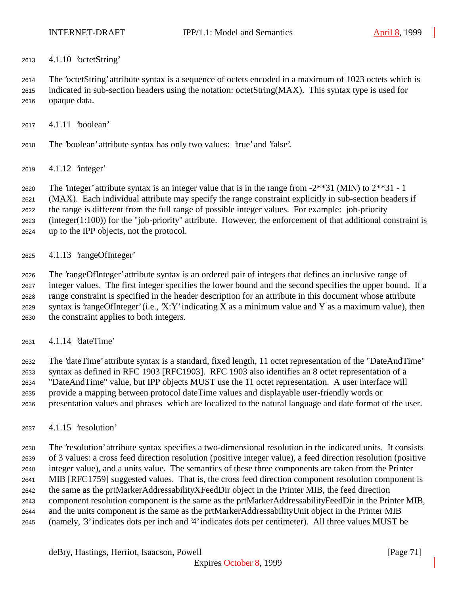4.1.10 'octetString'

 The 'octetString' attribute syntax is a sequence of octets encoded in a maximum of 1023 octets which is indicated in sub-section headers using the notation: octetString(MAX). This syntax type is used for opaque data.

- 4.1.11 'boolean'
- The 'boolean' attribute syntax has only two values: 'true' and 'false'.
- 4.1.12 'integer'

The 'integer' attribute syntax is an integer value that is in the range from -2\*\*31 (MIN) to 2\*\*31 - 1

(MAX). Each individual attribute may specify the range constraint explicitly in sub-section headers if

the range is different from the full range of possible integer values. For example: job-priority

(integer(1:100)) for the "job-priority" attribute. However, the enforcement of that additional constraint is

- up to the IPP objects, not the protocol.
- 4.1.13 'rangeOfInteger'

 The 'rangeOfInteger' attribute syntax is an ordered pair of integers that defines an inclusive range of integer values. The first integer specifies the lower bound and the second specifies the upper bound. If a range constraint is specified in the header description for an attribute in this document whose attribute syntax is 'rangeOfInteger' (i.e., 'X:Y' indicating X as a minimum value and Y as a maximum value), then the constraint applies to both integers.

4.1.14 'dateTime'

 The 'dateTime' attribute syntax is a standard, fixed length, 11 octet representation of the "DateAndTime" syntax as defined in RFC 1903 [RFC1903]. RFC 1903 also identifies an 8 octet representation of a "DateAndTime" value, but IPP objects MUST use the 11 octet representation. A user interface will provide a mapping between protocol dateTime values and displayable user-friendly words or presentation values and phrases which are localized to the natural language and date format of the user.

4.1.15 'resolution'

 The 'resolution' attribute syntax specifies a two-dimensional resolution in the indicated units. It consists of 3 values: a cross feed direction resolution (positive integer value), a feed direction resolution (positive integer value), and a units value. The semantics of these three components are taken from the Printer MIB [RFC1759] suggested values. That is, the cross feed direction component resolution component is the same as the prtMarkerAddressabilityXFeedDir object in the Printer MIB, the feed direction component resolution component is the same as the prtMarkerAddressabilityFeedDir in the Printer MIB, and the units component is the same as the prtMarkerAddressabilityUnit object in the Printer MIB (namely, '3' indicates dots per inch and '4' indicates dots per centimeter). All three values MUST be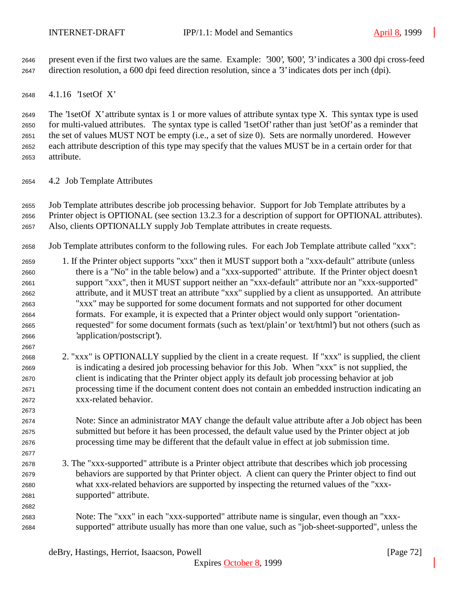present even if the first two values are the same. Example: '300', '600', '3' indicates a 300 dpi cross-feed direction resolution, a 600 dpi feed direction resolution, since a '3' indicates dots per inch (dpi).

4.1.16 '1setOf X'

 The '1setOf X' attribute syntax is 1 or more values of attribute syntax type X. This syntax type is used for multi-valued attributes. The syntax type is called '1setOf' rather than just 'setOf' as a reminder that the set of values MUST NOT be empty (i.e., a set of size 0). Sets are normally unordered. However each attribute description of this type may specify that the values MUST be in a certain order for that attribute.

4.2 Job Template Attributes

 Job Template attributes describe job processing behavior. Support for Job Template attributes by a Printer object is OPTIONAL (see section 13.2.3 for a description of support for OPTIONAL attributes).

Also, clients OPTIONALLY supply Job Template attributes in create requests.

- Job Template attributes conform to the following rules. For each Job Template attribute called "xxx":
- 1. If the Printer object supports "xxx" then it MUST support both a "xxx-default" attribute (unless there is a "No" in the table below) and a "xxx-supported" attribute. If the Printer object doesn't support "xxx", then it MUST support neither an "xxx-default" attribute nor an "xxx-supported" attribute, and it MUST treat an attribute "xxx" supplied by a client as unsupported. An attribute "xxx" may be supported for some document formats and not supported for other document formats. For example, it is expected that a Printer object would only support "orientation- requested" for some document formats (such as 'text/plain' or 'text/html') but not others (such as 'application/postscript').
- 2. "xxx" is OPTIONALLY supplied by the client in a create request. If "xxx" is supplied, the client is indicating a desired job processing behavior for this Job. When "xxx" is not supplied, the client is indicating that the Printer object apply its default job processing behavior at job processing time if the document content does not contain an embedded instruction indicating an xxx-related behavior.
- Note: Since an administrator MAY change the default value attribute after a Job object has been submitted but before it has been processed, the default value used by the Printer object at job processing time may be different that the default value in effect at job submission time.
- 3. The "xxx-supported" attribute is a Printer object attribute that describes which job processing behaviors are supported by that Printer object. A client can query the Printer object to find out what xxx-related behaviors are supported by inspecting the returned values of the "xxx-supported" attribute.
- Note: The "xxx" in each "xxx-supported" attribute name is singular, even though an "xxx-supported" attribute usually has more than one value, such as "job-sheet-supported", unless the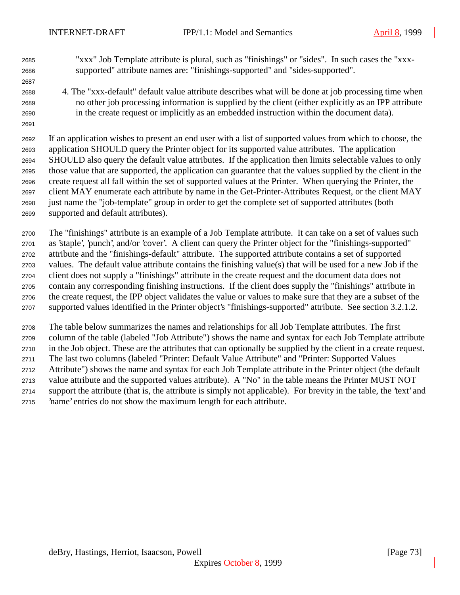"xxx" Job Template attribute is plural, such as "finishings" or "sides". In such cases the "xxx-supported" attribute names are: "finishings-supported" and "sides-supported".

 4. The "xxx-default" default value attribute describes what will be done at job processing time when no other job processing information is supplied by the client (either explicitly as an IPP attribute in the create request or implicitly as an embedded instruction within the document data).

 If an application wishes to present an end user with a list of supported values from which to choose, the application SHOULD query the Printer object for its supported value attributes. The application SHOULD also query the default value attributes. If the application then limits selectable values to only those value that are supported, the application can guarantee that the values supplied by the client in the create request all fall within the set of supported values at the Printer. When querying the Printer, the client MAY enumerate each attribute by name in the Get-Printer-Attributes Request, or the client MAY just name the "job-template" group in order to get the complete set of supported attributes (both supported and default attributes).

 The "finishings" attribute is an example of a Job Template attribute. It can take on a set of values such as 'staple', 'punch', and/or 'cover'. A client can query the Printer object for the "finishings-supported" attribute and the "finishings-default" attribute. The supported attribute contains a set of supported values. The default value attribute contains the finishing value(s) that will be used for a new Job if the client does not supply a "finishings" attribute in the create request and the document data does not contain any corresponding finishing instructions. If the client does supply the "finishings" attribute in the create request, the IPP object validates the value or values to make sure that they are a subset of the supported values identified in the Printer object's "finishings-supported" attribute. See section 3.2.1.2.

 The table below summarizes the names and relationships for all Job Template attributes. The first column of the table (labeled "Job Attribute") shows the name and syntax for each Job Template attribute in the Job object. These are the attributes that can optionally be supplied by the client in a create request. The last two columns (labeled "Printer: Default Value Attribute" and "Printer: Supported Values Attribute") shows the name and syntax for each Job Template attribute in the Printer object (the default value attribute and the supported values attribute). A "No" in the table means the Printer MUST NOT support the attribute (that is, the attribute is simply not applicable). For brevity in the table, the 'text' and 'name' entries do not show the maximum length for each attribute.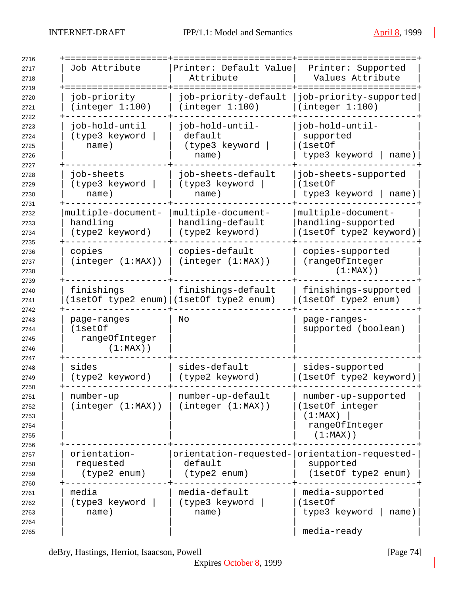| Job Attribute                                           | Printer: Default Value<br>Attribute                       | Printer: Supported<br>Values Attribute                                             |
|---------------------------------------------------------|-----------------------------------------------------------|------------------------------------------------------------------------------------|
| job-priority<br>(integer 1:100)                         | job-priority-default<br>(integer 1:100)                   | job-priority-supported<br>(integer 1:100)                                          |
| job-hold-until<br>(type3 keyword<br>name)               | job-hold-until-<br>default<br>(type3 keyword<br>name)     | job-hold-until-<br>supported<br>(1setOf<br>type3 keyword<br>name)                  |
| job-sheets<br>(type3 keyword<br>name)                   | job-sheets-default<br>(type3 keyword<br>name)             | job-sheets-supported<br>(1setOf<br>type3 keyword  <br>name)                        |
| multiple-document-<br>handling<br>(type2 keyword)       | multiple-document-<br>handling-default<br>(type2 keyword) | multiple-document-<br>handling-supported<br>(1setOf type2 keyword)                 |
| copies<br>(integer (1:MAX))                             | copies-default<br>(integer (1:MAX))                       | copies-supported<br>(rangeOfInteger<br>$(1:MAX)$ )                                 |
| finishings<br>(lsetOf type2 enum) (lsetOf type2 enum)   | finishings-default                                        | finishings-supported<br>(1setOf type2 enum)                                        |
| page-ranges<br>(1setOf<br>rangeOfInteger<br>$(1:MAX)$ ) | No                                                        | page-ranges-<br>supported (boolean)                                                |
| sides<br>(type2 keyword)                                | sides-default<br>(type2 keyword)                          | sides-supported<br>(1setOf type2 keyword)                                          |
| number-up<br>(integer (1:MAX))                          | number-up-default<br>(integer (1:MAX))                    | number-up-supported<br>(1setOf integer<br>(1:MAX)<br>rangeOfInteger<br>$(1:MAX)$ ) |
| orientation-<br>requested<br>(type2 enum)               | orientation-requested-<br>default<br>(type2 enum)         | orientation-requested-<br>supported<br>(1setOf type2 enum)                         |
| media<br>(type3 keyword<br>name)                        | media-default<br>(type3 keyword<br>name)                  | media-supported<br>(1setOf<br>type3 keyword<br>name)<br>media-ready                |

deBry, Hastings, Herriot, Isaacson, Powell [Page 74]

Expires October 8, 1999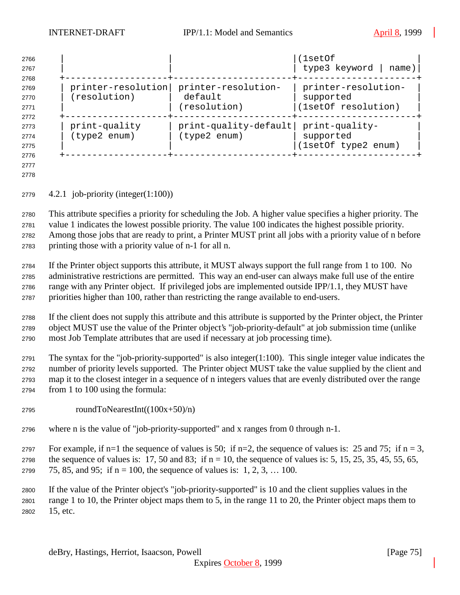| 2766<br>2767<br>2768 |                    |                       | (1setOf<br>type3 keyword<br>name) |
|----------------------|--------------------|-----------------------|-----------------------------------|
| 2769                 | printer-resolution | printer-resolution-   | printer-resolution-               |
| 2770                 | (resolution)       | default               | supported                         |
| 2771                 |                    | (resolution)          | (1setOf resolution)               |
| 2772                 |                    |                       |                                   |
| 2773                 | print-quality      | print-quality-default | print-quality-                    |
| 2774                 | (type2 enum)       | (type2 enum)          | supported                         |
| 2775                 |                    |                       | (1setOf type2 enum)               |
| 2776                 |                    |                       |                                   |

 

4.2.1 job-priority (integer(1:100))

 This attribute specifies a priority for scheduling the Job. A higher value specifies a higher priority. The value 1 indicates the lowest possible priority. The value 100 indicates the highest possible priority. Among those jobs that are ready to print, a Printer MUST print all jobs with a priority value of n before printing those with a priority value of n-1 for all n.

 If the Printer object supports this attribute, it MUST always support the full range from 1 to 100. No administrative restrictions are permitted. This way an end-user can always make full use of the entire range with any Printer object. If privileged jobs are implemented outside IPP/1.1, they MUST have priorities higher than 100, rather than restricting the range available to end-users.

 If the client does not supply this attribute and this attribute is supported by the Printer object, the Printer object MUST use the value of the Printer object's "job-priority-default" at job submission time (unlike most Job Template attributes that are used if necessary at job processing time).

 The syntax for the "job-priority-supported" is also integer(1:100). This single integer value indicates the number of priority levels supported. The Printer object MUST take the value supplied by the client and map it to the closest integer in a sequence of n integers values that are evenly distributed over the range from 1 to 100 using the formula:

- roundToNearestInt( $(100x+50)/n$ )
- where n is the value of "job-priority-supported" and x ranges from 0 through n-1.

2797 For example, if n=1 the sequence of values is 50; if n=2, the sequence of values is: 25 and 75; if n = 3, 2798 the sequence of values is: 17, 50 and 83; if  $n = 10$ , the sequence of values is: 5, 15, 25, 35, 45, 55, 65,

2799 75, 85, and 95; if  $n = 100$ , the sequence of values is: 1, 2, 3, ... 100.

 If the value of the Printer object's "job-priority-supported" is 10 and the client supplies values in the range 1 to 10, the Printer object maps them to 5, in the range 11 to 20, the Printer object maps them to 15, etc.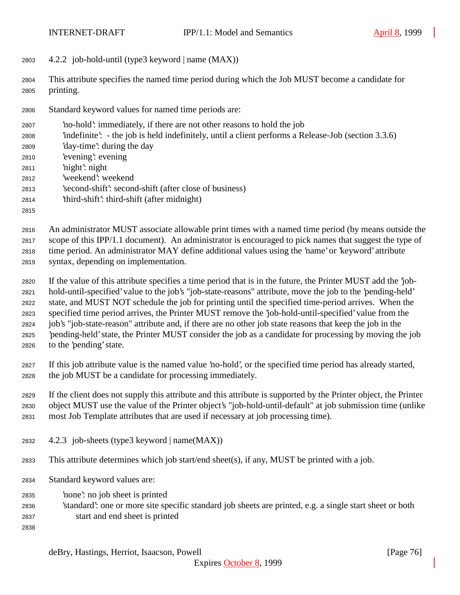4.2.2 job-hold-until (type3 keyword | name (MAX))

 This attribute specifies the named time period during which the Job MUST become a candidate for printing.

- Standard keyword values for named time periods are:
- 'no-hold': immediately, if there are not other reasons to hold the job
- 'indefinite': the job is held indefinitely, until a client performs a Release-Job (section 3.3.6)
- 'day-time': during the day
- 'evening': evening
- 'night': night
- 'weekend': weekend
- 'second-shift': second-shift (after close of business)
- 'third-shift': third-shift (after midnight)
- 

 An administrator MUST associate allowable print times with a named time period (by means outside the scope of this IPP/1.1 document). An administrator is encouraged to pick names that suggest the type of time period. An administrator MAY define additional values using the 'name' or 'keyword' attribute syntax, depending on implementation.

- If the value of this attribute specifies a time period that is in the future, the Printer MUST add the 'job- hold-until-specified' value to the job's "job-state-reasons" attribute, move the job to the 'pending-held' state, and MUST NOT schedule the job for printing until the specified time-period arrives. When the specified time period arrives, the Printer MUST remove the 'job-hold-until-specified' value from the job's "job-state-reason" attribute and, if there are no other job state reasons that keep the job in the 'pending-held' state, the Printer MUST consider the job as a candidate for processing by moving the job to the 'pending' state.
- If this job attribute value is the named value 'no-hold', or the specified time period has already started, the job MUST be a candidate for processing immediately.

If the client does not supply this attribute and this attribute is supported by the Printer object, the Printer

object MUST use the value of the Printer object's "job-hold-until-default" at job submission time (unlike

- most Job Template attributes that are used if necessary at job processing time).
- 4.2.3 job-sheets (type3 keyword | name(MAX))
- This attribute determines which job start/end sheet(s), if any, MUST be printed with a job.
- Standard keyword values are:
- 'none': no job sheet is printed
- 'standard': one or more site specific standard job sheets are printed, e.g. a single start sheet or both start and end sheet is printed
-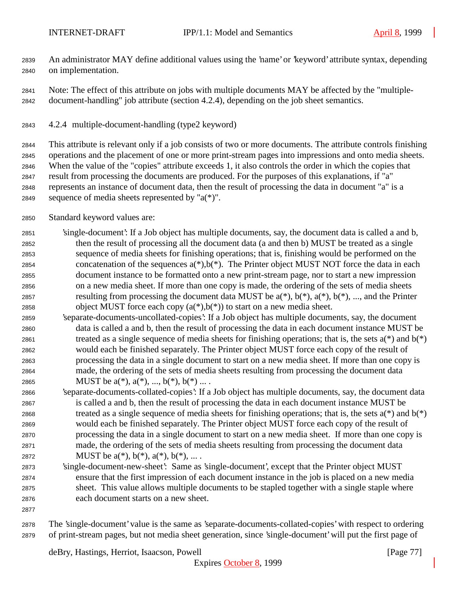An administrator MAY define additional values using the 'name' or 'keyword' attribute syntax, depending on implementation.

 Note: The effect of this attribute on jobs with multiple documents MAY be affected by the "multiple-document-handling" job attribute (section 4.2.4), depending on the job sheet semantics.

4.2.4 multiple-document-handling (type2 keyword)

 This attribute is relevant only if a job consists of two or more documents. The attribute controls finishing operations and the placement of one or more print-stream pages into impressions and onto media sheets. When the value of the "copies" attribute exceeds 1, it also controls the order in which the copies that result from processing the documents are produced. For the purposes of this explanations, if "a" represents an instance of document data, then the result of processing the data in document "a" is a 2849 sequence of media sheets represented by " $a(*)$ ".

- Standard keyword values are:
- 'single-document': If a Job object has multiple documents, say, the document data is called a and b, then the result of processing all the document data (a and then b) MUST be treated as a single sequence of media sheets for finishing operations; that is, finishing would be performed on the 2854 concatenation of the sequences  $a(*)$ ,  $b(*)$ . The Printer object MUST NOT force the data in each document instance to be formatted onto a new print-stream page, nor to start a new impression on a new media sheet. If more than one copy is made, the ordering of the sets of media sheets 2857 resulting from processing the document data MUST be  $a(*)$ ,  $b(*)$ ,  $a(*)$ ,  $b(*)$ , ..., and the Printer 2858 object MUST force each copy  $(a(*),b(*))$  to start on a new media sheet.
- 'separate-documents-uncollated-copies': If a Job object has multiple documents, say, the document data is called a and b, then the result of processing the data in each document instance MUST be 2861 treated as a single sequence of media sheets for finishing operations; that is, the sets  $a(*)$  and  $b(*)$  would each be finished separately. The Printer object MUST force each copy of the result of processing the data in a single document to start on a new media sheet. If more than one copy is made, the ordering of the sets of media sheets resulting from processing the document data 2865 MUST be  $a(*), a(*), ..., b(*), b(*)...$ .
- 'separate-documents-collated-copies': If a Job object has multiple documents, say, the document data is called a and b, then the result of processing the data in each document instance MUST be 2868 treated as a single sequence of media sheets for finishing operations; that is, the sets  $a(*)$  and  $b(*)$  would each be finished separately. The Printer object MUST force each copy of the result of processing the data in a single document to start on a new media sheet. If more than one copy is made, the ordering of the sets of media sheets resulting from processing the document data 2872 MUST be  $a(*), b(*), a(*), b(*), ...$ .
- 'single-document-new-sheet': Same as 'single-document', except that the Printer object MUST ensure that the first impression of each document instance in the job is placed on a new media sheet. This value allows multiple documents to be stapled together with a single staple where each document starts on a new sheet.
- 

 The 'single-document' value is the same as 'separate-documents-collated-copies' with respect to ordering of print-stream pages, but not media sheet generation, since 'single-document' will put the first page of

deBry, Hastings, Herriot, Isaacson, Powell [Page 77]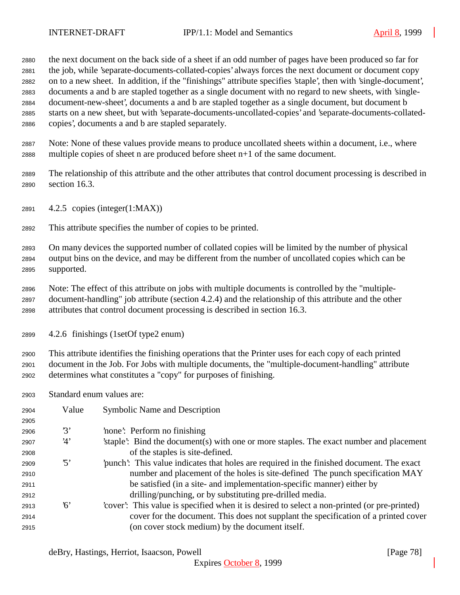the next document on the back side of a sheet if an odd number of pages have been produced so far for the job, while 'separate-documents-collated-copies' always forces the next document or document copy on to a new sheet. In addition, if the "finishings" attribute specifies 'staple', then with 'single-document', documents a and b are stapled together as a single document with no regard to new sheets, with 'single- document-new-sheet', documents a and b are stapled together as a single document, but document b starts on a new sheet, but with 'separate-documents-uncollated-copies' and 'separate-documents-collated-copies', documents a and b are stapled separately.

- Note: None of these values provide means to produce uncollated sheets within a document, i.e., where multiple copies of sheet n are produced before sheet n+1 of the same document.
- The relationship of this attribute and the other attributes that control document processing is described in section 16.3.
- 4.2.5 copies (integer(1:MAX))
- This attribute specifies the number of copies to be printed.

 On many devices the supported number of collated copies will be limited by the number of physical output bins on the device, and may be different from the number of uncollated copies which can be supported.

- Note: The effect of this attribute on jobs with multiple documents is controlled by the "multiple- document-handling" job attribute (section 4.2.4) and the relationship of this attribute and the other attributes that control document processing is described in section 16.3.
- 4.2.6 finishings (1setOf type2 enum)

 This attribute identifies the finishing operations that the Printer uses for each copy of each printed document in the Job. For Jobs with multiple documents, the "multiple-document-handling" attribute determines what constitutes a "copy" for purposes of finishing.

Standard enum values are:

| 2904 | Value                   | Symbolic Name and Description                                                                |
|------|-------------------------|----------------------------------------------------------------------------------------------|
| 2905 |                         |                                                                                              |
| 2906 | 3'                      | 'none': Perform no finishing                                                                 |
| 2907 | 4'                      | staple. Bind the document (s) with one or more staples. The exact number and placement       |
| 2908 |                         | of the staples is site-defined.                                                              |
| 2909 | $\mathfrak{B}^{\prime}$ | punch. This value indicates that holes are required in the finished document. The exact      |
| 2910 |                         | number and placement of the holes is site-defined The punch specification MAY                |
| 2911 |                         | be satisfied (in a site- and implementation-specific manner) either by                       |
| 2912 |                         | drilling/punching, or by substituting pre-drilled media.                                     |
| 2913 | 6'                      | 'cover': This value is specified when it is desired to select a non-printed (or pre-printed) |
| 2914 |                         | cover for the document. This does not supplant the specification of a printed cover          |
| 2915 |                         | (on cover stock medium) by the document itself.                                              |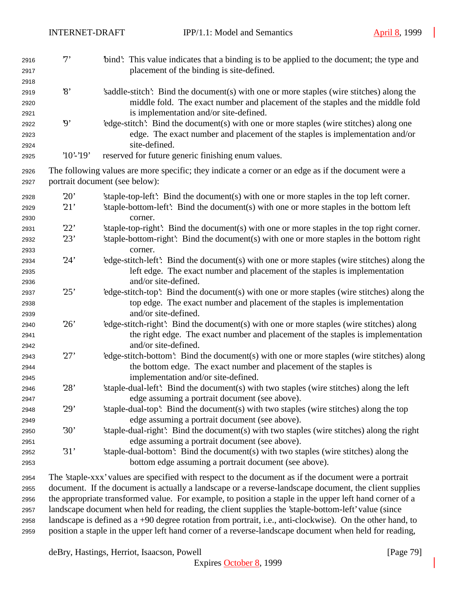| 2916<br>2917 | $7^,$                    | 'bind': This value indicates that a binding is to be applied to the document; the type and<br>placement of the binding is site-defined. |
|--------------|--------------------------|-----------------------------------------------------------------------------------------------------------------------------------------|
| 2918         |                          |                                                                                                                                         |
| 2919         | $\mathcal{S}$            | 's addle-stitch': Bind the document(s) with one or more staples (wire stitches) along the                                               |
| 2920         |                          | middle fold. The exact number and placement of the staples and the middle fold                                                          |
| 2921         |                          | is implementation and/or site-defined.                                                                                                  |
| 2922         | $\boldsymbol{\vartheta}$ | 'edge-stitch': Bind the document(s) with one or more staples (wire stitches) along one                                                  |
| 2923         |                          | edge. The exact number and placement of the staples is implementation and/or                                                            |
| 2924         |                          | site-defined.                                                                                                                           |
| 2925         | $'10'$ -'19'             | reserved for future generic finishing enum values.                                                                                      |
| 2926         |                          | The following values are more specific; they indicate a corner or an edge as if the document were a                                     |
| 2927         |                          | portrait document (see below):                                                                                                          |
| 2928         | 20'                      | 'staple-top-left': Bind the document(s) with one or more staples in the top left corner.                                                |
| 2929         | 21'                      | 'staple-bottom-left': Bind the document(s) with one or more staples in the bottom left                                                  |
| 2930         |                          | corner.                                                                                                                                 |
| 2931         | 22'                      | 'staple-top-right': Bind the document(s) with one or more staples in the top right corner.                                              |
| 2932         | 23'                      | 'staple-bottom-right': Bind the document(s) with one or more staples in the bottom right                                                |
| 2933         |                          | corner.                                                                                                                                 |
| 2934         | 24'                      | 'edge-stitch-left': Bind the document(s) with one or more staples (wire stitches) along the                                             |
| 2935         |                          | left edge. The exact number and placement of the staples is implementation                                                              |
| 2936         |                          | and/or site-defined.                                                                                                                    |
| 2937         | 25'                      | 'edge-stitch-top': Bind the document(s) with one or more staples (wire stitches) along the                                              |
| 2938         |                          | top edge. The exact number and placement of the staples is implementation                                                               |
| 2939         |                          | and/or site-defined.                                                                                                                    |
| 2940         | 26'                      | 'edge-stitch-right': Bind the document(s) with one or more staples (wire stitches) along                                                |
| 2941         |                          | the right edge. The exact number and placement of the staples is implementation                                                         |
| 2942         |                          | and/or site-defined.                                                                                                                    |
| 2943         | 27'                      | 'edge-stitch-bottom': Bind the document(s) with one or more staples (wire stitches) along                                               |
| 2944         |                          | the bottom edge. The exact number and placement of the staples is                                                                       |
| 2945         |                          | implementation and/or site-defined.                                                                                                     |
| 2946         | 28'                      | 'staple-dual-left': Bind the document(s) with two staples (wire stitches) along the left                                                |
| 2947         |                          | edge assuming a portrait document (see above).                                                                                          |
| 2948         | 29'                      | 'staple-dual-top': Bind the document(s) with two staples (wire stitches) along the top                                                  |
| 2949         |                          | edge assuming a portrait document (see above).                                                                                          |
| 2950         | 30'                      | 'staple-dual-right': Bind the document(s) with two staples (wire stitches) along the right                                              |
| 2951         |                          | edge assuming a portrait document (see above).                                                                                          |
| 2952         | 31'                      | 'staple-dual-bottom': Bind the document(s) with two staples (wire stitches) along the                                                   |
| 2953         |                          | bottom edge assuming a portrait document (see above).                                                                                   |
| 2954         |                          | The 'staple-xxx' values are specified with respect to the document as if the document were a portrait                                   |

 The 'staple-xxx' values are specified with respect to the document as if the document were a portrait document. If the document is actually a landscape or a reverse-landscape document, the client supplies the appropriate transformed value. For example, to position a staple in the upper left hand corner of a landscape document when held for reading, the client supplies the 'staple-bottom-left' value (since landscape is defined as a +90 degree rotation from portrait, i.e., anti-clockwise). On the other hand, to position a staple in the upper left hand corner of a reverse-landscape document when held for reading,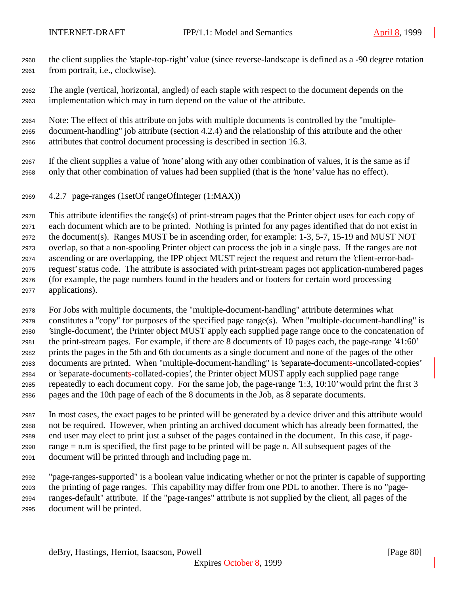- the client supplies the 'staple-top-right' value (since reverse-landscape is defined as a -90 degree rotation from portrait, i.e., clockwise).
- The angle (vertical, horizontal, angled) of each staple with respect to the document depends on the implementation which may in turn depend on the value of the attribute.

 Note: The effect of this attribute on jobs with multiple documents is controlled by the "multiple- document-handling" job attribute (section 4.2.4) and the relationship of this attribute and the other attributes that control document processing is described in section 16.3.

- If the client supplies a value of 'none' along with any other combination of values, it is the same as if only that other combination of values had been supplied (that is the 'none' value has no effect).
- 4.2.7 page-ranges (1setOf rangeOfInteger (1:MAX))

 This attribute identifies the range(s) of print-stream pages that the Printer object uses for each copy of each document which are to be printed. Nothing is printed for any pages identified that do not exist in the document(s). Ranges MUST be in ascending order, for example: 1-3, 5-7, 15-19 and MUST NOT overlap, so that a non-spooling Printer object can process the job in a single pass. If the ranges are not ascending or are overlapping, the IPP object MUST reject the request and return the 'client-error-bad- request' status code. The attribute is associated with print-stream pages not application-numbered pages (for example, the page numbers found in the headers and or footers for certain word processing applications).

 For Jobs with multiple documents, the "multiple-document-handling" attribute determines what constitutes a "copy" for purposes of the specified page range(s). When "multiple-document-handling" is 'single-document', the Printer object MUST apply each supplied page range once to the concatenation of the print-stream pages. For example, if there are 8 documents of 10 pages each, the page-range '41:60' prints the pages in the 5th and 6th documents as a single document and none of the pages of the other documents are printed. When "multiple-document-handling" is 'separate-documents-uncollated-copies' or 'separate-documents-collated-copies', the Printer object MUST apply each supplied page range repeatedly to each document copy. For the same job, the page-range '1:3, 10:10' would print the first 3 pages and the 10th page of each of the 8 documents in the Job, as 8 separate documents.

 In most cases, the exact pages to be printed will be generated by a device driver and this attribute would not be required. However, when printing an archived document which has already been formatted, the end user may elect to print just a subset of the pages contained in the document. In this case, if page- range = n.m is specified, the first page to be printed will be page n. All subsequent pages of the document will be printed through and including page m.

 "page-ranges-supported" is a boolean value indicating whether or not the printer is capable of supporting the printing of page ranges. This capability may differ from one PDL to another. There is no "page- ranges-default" attribute. If the "page-ranges" attribute is not supplied by the client, all pages of the document will be printed.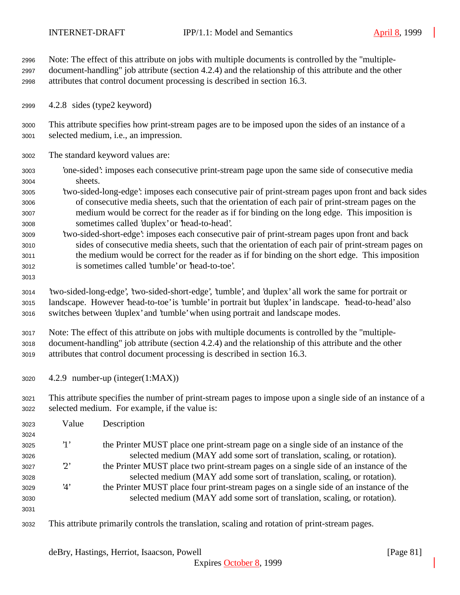Note: The effect of this attribute on jobs with multiple documents is controlled by the "multiple- document-handling" job attribute (section 4.2.4) and the relationship of this attribute and the other attributes that control document processing is described in section 16.3.

4.2.8 sides (type2 keyword)

 This attribute specifies how print-stream pages are to be imposed upon the sides of an instance of a selected medium, i.e., an impression.

- The standard keyword values are:
- 'one-sided': imposes each consecutive print-stream page upon the same side of consecutive media sheets.
- 'two-sided-long-edge': imposes each consecutive pair of print-stream pages upon front and back sides of consecutive media sheets, such that the orientation of each pair of print-stream pages on the medium would be correct for the reader as if for binding on the long edge. This imposition is sometimes called 'duplex' or 'head-to-head'.
- 'two-sided-short-edge': imposes each consecutive pair of print-stream pages upon front and back sides of consecutive media sheets, such that the orientation of each pair of print-stream pages on the medium would be correct for the reader as if for binding on the short edge. This imposition is sometimes called 'tumble' or 'head-to-toe'.
- 

 'two-sided-long-edge', 'two-sided-short-edge', 'tumble', and 'duplex' all work the same for portrait or landscape. However 'head-to-toe' is 'tumble' in portrait but 'duplex' in landscape. 'head-to-head' also switches between 'duplex' and 'tumble' when using portrait and landscape modes.

 Note: The effect of this attribute on jobs with multiple documents is controlled by the "multiple- document-handling" job attribute (section 4.2.4) and the relationship of this attribute and the other attributes that control document processing is described in section 16.3.

4.2.9 number-up (integer(1:MAX))

 This attribute specifies the number of print-stream pages to impose upon a single side of an instance of a selected medium. For example, if the value is:

| 3023 | Value       | Description                                                                                    |
|------|-------------|------------------------------------------------------------------------------------------------|
| 3024 |             |                                                                                                |
| 3025 | $\cdot_1$ , | the Printer MUST place one print-stream page on a single side of an instance of the            |
| 3026 |             | selected medium (MAY add some sort of translation, scaling, or rotation).                      |
| 3027 | $2^{\circ}$ | the Printer MUST place two print-stream pages on a single side of an instance of the           |
| 3028 |             | selected medium (MAY add some sort of translation, scaling, or rotation).                      |
| 3029 | 4'          | the Printer MUST place four print-stream pages on a single side of an instance of the          |
| 3030 |             | selected medium (MAY add some sort of translation, scaling, or rotation).                      |
| 3031 |             |                                                                                                |
| 3032 |             | This attribute primarily controls the translation, scaling and rotation of print-stream pages. |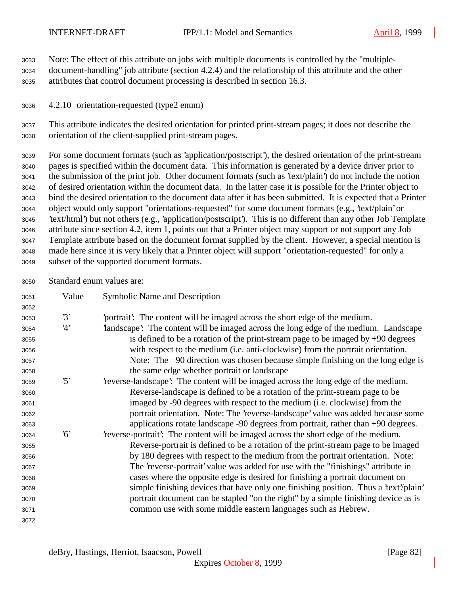Note: The effect of this attribute on jobs with multiple documents is controlled by the "multiple-

 document-handling" job attribute (section 4.2.4) and the relationship of this attribute and the other attributes that control document processing is described in section 16.3.

4.2.10 orientation-requested (type2 enum)

 This attribute indicates the desired orientation for printed print-stream pages; it does not describe the orientation of the client-supplied print-stream pages.

 For some document formats (such as 'application/postscript'), the desired orientation of the print-stream pages is specified within the document data. This information is generated by a device driver prior to the submission of the print job. Other document formats (such as 'text/plain') do not include the notion of desired orientation within the document data. In the latter case it is possible for the Printer object to bind the desired orientation to the document data after it has been submitted. It is expected that a Printer object would only support "orientations-requested" for some document formats (e.g., 'text/plain' or 'text/html') but not others (e.g., 'application/postscript'). This is no different than any other Job Template attribute since section 4.2, item 1, points out that a Printer object may support or not support any Job Template attribute based on the document format supplied by the client. However, a special mention is made here since it is very likely that a Printer object will support "orientation-requested" for only a subset of the supported document formats.

Standard enum values are:

| 3051 | Value      | Symbolic Name and Description                                                           |
|------|------------|-----------------------------------------------------------------------------------------|
| 3052 |            |                                                                                         |
| 3053 | 3'         | portrait: The content will be imaged across the short edge of the medium.               |
| 3054 | 4'         | landscape': The content will be imaged across the long edge of the medium. Landscape    |
| 3055 |            | is defined to be a rotation of the print-stream page to be imaged by $+90$ degrees      |
| 3056 |            | with respect to the medium ( <i>i.e.</i> anti-clockwise) from the portrait orientation. |
| 3057 |            | Note: The +90 direction was chosen because simple finishing on the long edge is         |
| 3058 |            | the same edge whether portrait or landscape                                             |
| 3059 | $\cdot$ 5' | 'reverse-landscape': The content will be imaged across the long edge of the medium.     |
| 3060 |            | Reverse-landscape is defined to be a rotation of the print-stream page to be            |
| 3061 |            | imaged by -90 degrees with respect to the medium (i.e. clockwise) from the              |
| 3062 |            | portrait orientation. Note: The 'reverse-landscape' value was added because some        |
| 3063 |            | applications rotate landscape -90 degrees from portrait, rather than +90 degrees.       |
| 3064 | $\kappa$   | 'reverse-portrait': The content will be imaged across the short edge of the medium.     |
| 3065 |            | Reverse-portrait is defined to be a rotation of the print-stream page to be imaged      |
| 3066 |            | by 180 degrees with respect to the medium from the portrait orientation. Note:          |
| 3067 |            | The 'reverse-portrait' value was added for use with the "finishings" attribute in       |
| 3068 |            | cases where the opposite edge is desired for finishing a portrait document on           |
| 3069 |            | simple finishing devices that have only one finishing position. Thus a 'text'/plain'    |
| 3070 |            | portrait document can be stapled "on the right" by a simple finishing device as is      |
| 3071 |            | common use with some middle eastern languages such as Hebrew.                           |
| 3072 |            |                                                                                         |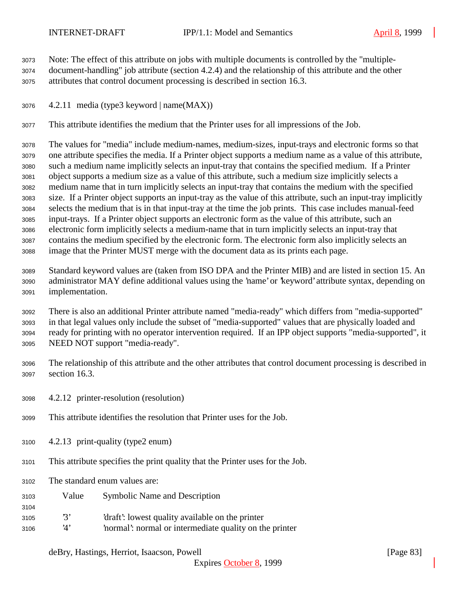Note: The effect of this attribute on jobs with multiple documents is controlled by the "multiple-

- document-handling" job attribute (section 4.2.4) and the relationship of this attribute and the other attributes that control document processing is described in section 16.3.
- 4.2.11 media (type3 keyword | name(MAX))

This attribute identifies the medium that the Printer uses for all impressions of the Job.

 The values for "media" include medium-names, medium-sizes, input-trays and electronic forms so that one attribute specifies the media. If a Printer object supports a medium name as a value of this attribute, such a medium name implicitly selects an input-tray that contains the specified medium. If a Printer object supports a medium size as a value of this attribute, such a medium size implicitly selects a medium name that in turn implicitly selects an input-tray that contains the medium with the specified size. If a Printer object supports an input-tray as the value of this attribute, such an input-tray implicitly selects the medium that is in that input-tray at the time the job prints. This case includes manual-feed input-trays. If a Printer object supports an electronic form as the value of this attribute, such an electronic form implicitly selects a medium-name that in turn implicitly selects an input-tray that contains the medium specified by the electronic form. The electronic form also implicitly selects an image that the Printer MUST merge with the document data as its prints each page.

 Standard keyword values are (taken from ISO DPA and the Printer MIB) and are listed in section 15. An administrator MAY define additional values using the 'name' or 'keyword' attribute syntax, depending on implementation.

 There is also an additional Printer attribute named "media-ready" which differs from "media-supported" in that legal values only include the subset of "media-supported" values that are physically loaded and ready for printing with no operator intervention required. If an IPP object supports "media-supported", it NEED NOT support "media-ready".

- The relationship of this attribute and the other attributes that control document processing is described in section 16.3.
- 4.2.12 printer-resolution (resolution)
- This attribute identifies the resolution that Printer uses for the Job.
- 4.2.13 print-quality (type2 enum)
- This attribute specifies the print quality that the Printer uses for the Job.
- The standard enum values are:

- Value Symbolic Name and Description
- '3' 'draft': lowest quality available on the printer
- '4' 'normal': normal or intermediate quality on the printer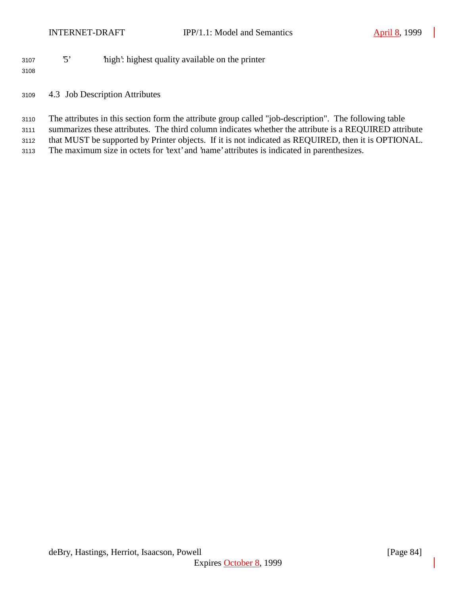'5' 'high': highest quality available on the printer

- 4.3 Job Description Attributes
- The attributes in this section form the attribute group called "job-description". The following table
- summarizes these attributes. The third column indicates whether the attribute is a REQUIRED attribute
- that MUST be supported by Printer objects. If it is not indicated as REQUIRED, then it is OPTIONAL.
- The maximum size in octets for 'text' and 'name' attributes is indicated in parenthesizes.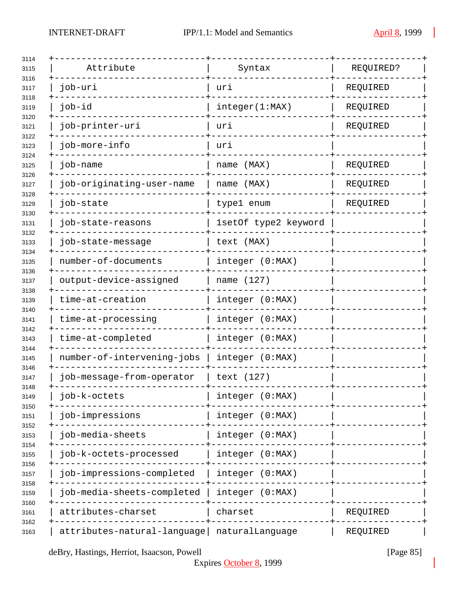| Attribute                   | Syntax               | REQUIRED? |
|-----------------------------|----------------------|-----------|
| job-uri                     | uri                  | REQUIRED  |
| job-id                      | integer(1:MAX)       | REQUIRED  |
| job-printer-uri             | uri                  | REQUIRED  |
| job-more-info               | uri                  |           |
| job-name                    | name (MAX)           | REQUIRED  |
| job-originating-user-name   | name (MAX)           | REQUIRED  |
| job-state                   | type1 enum           | REQUIRED  |
| job-state-reasons           | 1setOf type2 keyword |           |
| job-state-message           | text (MAX)           |           |
| number-of-documents         | integer (0:MAX)      |           |
| output-device-assigned      | name (127)           |           |
| time-at-creation            | integer (0:MAX)      |           |
| time-at-processing          | integer (0:MAX)      |           |
| time-at-completed           | integer (0:MAX)      |           |
| number-of-intervening-jobs  | integer (0:MAX)      |           |
| job-message-from-operator   | text (127)           |           |
| job-k-octets                | integer (0:MAX)      |           |
| job-impressions             | integer (0:MAX)      |           |
| job-media-sheets            | integer (0:MAX)      |           |
| job-k-octets-processed      | integer (0:MAX)      |           |
| job-impressions-completed   | integer (0:MAX)      |           |
| job-media-sheets-completed  | integer (0:MAX)      |           |
| attributes-charset          | charset              | REQUIRED  |
| attributes-natural-language | naturalLanguage      | REQUIRED  |

deBry, Hastings, Herriot, Isaacson, Powell [Page 85]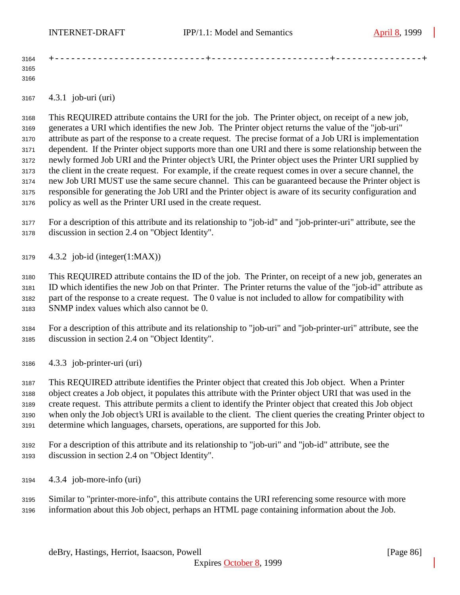| 3164 |  | . _ _ _ _ <del>_</del> _ _ _ _ _ |
|------|--|----------------------------------|
| 3165 |  |                                  |
| 3166 |  |                                  |

4.3.1 job-uri (uri)

 This REQUIRED attribute contains the URI for the job. The Printer object, on receipt of a new job, generates a URI which identifies the new Job. The Printer object returns the value of the "job-uri" attribute as part of the response to a create request. The precise format of a Job URI is implementation dependent. If the Printer object supports more than one URI and there is some relationship between the newly formed Job URI and the Printer object's URI, the Printer object uses the Printer URI supplied by the client in the create request. For example, if the create request comes in over a secure channel, the new Job URI MUST use the same secure channel. This can be guaranteed because the Printer object is responsible for generating the Job URI and the Printer object is aware of its security configuration and policy as well as the Printer URI used in the create request.

 For a description of this attribute and its relationship to "job-id" and "job-printer-uri" attribute, see the discussion in section 2.4 on "Object Identity".

4.3.2 job-id (integer(1:MAX))

 This REQUIRED attribute contains the ID of the job. The Printer, on receipt of a new job, generates an ID which identifies the new Job on that Printer. The Printer returns the value of the "job-id" attribute as part of the response to a create request. The 0 value is not included to allow for compatibility with SNMP index values which also cannot be 0.

- For a description of this attribute and its relationship to "job-uri" and "job-printer-uri" attribute, see the discussion in section 2.4 on "Object Identity".
- 4.3.3 job-printer-uri (uri)

 This REQUIRED attribute identifies the Printer object that created this Job object. When a Printer object creates a Job object, it populates this attribute with the Printer object URI that was used in the create request. This attribute permits a client to identify the Printer object that created this Job object when only the Job object's URI is available to the client. The client queries the creating Printer object to determine which languages, charsets, operations, are supported for this Job.

- For a description of this attribute and its relationship to "job-uri" and "job-id" attribute, see the discussion in section 2.4 on "Object Identity".
- 4.3.4 job-more-info (uri)
- Similar to "printer-more-info", this attribute contains the URI referencing some resource with more information about this Job object, perhaps an HTML page containing information about the Job.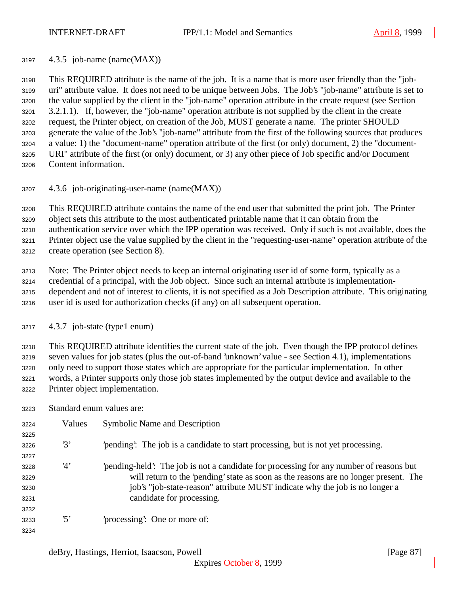4.3.5 job-name (name(MAX))

 This REQUIRED attribute is the name of the job. It is a name that is more user friendly than the "job- uri" attribute value. It does not need to be unique between Jobs. The Job's "job-name" attribute is set to the value supplied by the client in the "job-name" operation attribute in the create request (see Section 3.2.1.1). If, however, the "job-name" operation attribute is not supplied by the client in the create request, the Printer object, on creation of the Job, MUST generate a name. The printer SHOULD generate the value of the Job's "job-name" attribute from the first of the following sources that produces a value: 1) the "document-name" operation attribute of the first (or only) document, 2) the "document- URI" attribute of the first (or only) document, or 3) any other piece of Job specific and/or Document Content information.

4.3.6 job-originating-user-name (name(MAX))

This REQUIRED attribute contains the name of the end user that submitted the print job. The Printer

object sets this attribute to the most authenticated printable name that it can obtain from the

authentication service over which the IPP operation was received. Only if such is not available, does the

Printer object use the value supplied by the client in the "requesting-user-name" operation attribute of the

create operation (see Section 8).

Note: The Printer object needs to keep an internal originating user id of some form, typically as a

 credential of a principal, with the Job object. Since such an internal attribute is implementation- dependent and not of interest to clients, it is not specified as a Job Description attribute. This originating user id is used for authorization checks (if any) on all subsequent operation.

4.3.7 job-state (type1 enum)

 This REQUIRED attribute identifies the current state of the job. Even though the IPP protocol defines seven values for job states (plus the out-of-band 'unknown' value - see Section 4.1), implementations only need to support those states which are appropriate for the particular implementation. In other words, a Printer supports only those job states implemented by the output device and available to the Printer object implementation.

Standard enum values are:

| 3224 | Values          | <b>Symbolic Name and Description</b>                                                   |
|------|-----------------|----------------------------------------------------------------------------------------|
| 3225 |                 |                                                                                        |
| 3226 | 3'              | 'pending': The job is a candidate to start processing, but is not yet processing.      |
| 3227 |                 |                                                                                        |
| 3228 | 4'              | pending-held': The job is not a candidate for processing for any number of reasons but |
| 3229 |                 | will return to the 'pending' state as soon as the reasons are no longer present. The   |
| 3230 |                 | job's "job-state-reason" attribute MUST indicate why the job is no longer a            |
| 3231 |                 | candidate for processing.                                                              |
| 3232 |                 |                                                                                        |
| 3233 | $\mathfrak{B}'$ | processing: One or more of:                                                            |
| 3234 |                 |                                                                                        |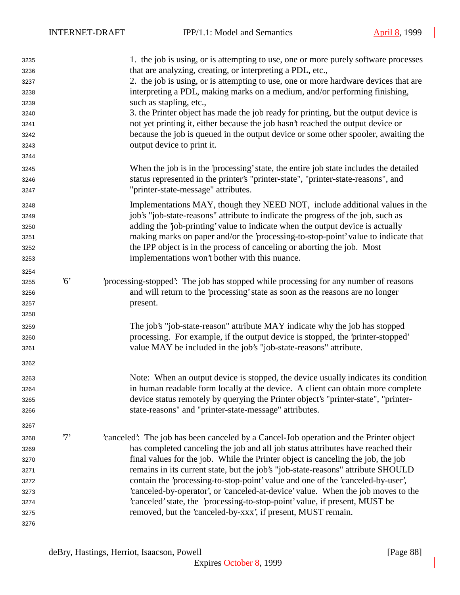| 3235 |             | 1. the job is using, or is attempting to use, one or more purely software processes    |
|------|-------------|----------------------------------------------------------------------------------------|
| 3236 |             | that are analyzing, creating, or interpreting a PDL, etc.,                             |
| 3237 |             | 2. the job is using, or is attempting to use, one or more hardware devices that are    |
| 3238 |             | interpreting a PDL, making marks on a medium, and/or performing finishing,             |
| 3239 |             | such as stapling, etc.,                                                                |
| 3240 |             | 3. the Printer object has made the job ready for printing, but the output device is    |
| 3241 |             | not yet printing it, either because the job hasn't reached the output device or        |
| 3242 |             | because the job is queued in the output device or some other spooler, awaiting the     |
| 3243 |             | output device to print it.                                                             |
| 3244 |             |                                                                                        |
| 3245 |             | When the job is in the 'processing' state, the entire job state includes the detailed  |
| 3246 |             | status represented in the printer's "printer-state", "printer-state-reasons", and      |
| 3247 |             | "printer-state-message" attributes.                                                    |
| 3248 |             | Implementations MAY, though they NEED NOT, include additional values in the            |
| 3249 |             | job's "job-state-reasons" attribute to indicate the progress of the job, such as       |
| 3250 |             | adding the 'job-printing' value to indicate when the output device is actually         |
| 3251 |             | making marks on paper and/or the 'processing-to-stop-point' value to indicate that     |
| 3252 |             | the IPP object is in the process of canceling or aborting the job. Most                |
| 3253 |             | implementations won't bother with this nuance.                                         |
| 3254 |             |                                                                                        |
| 3255 | $6^{\circ}$ | processing-stopped: The job has stopped while processing for any number of reasons     |
| 3256 |             | and will return to the 'processing' state as soon as the reasons are no longer         |
| 3257 |             | present.                                                                               |
| 3258 |             |                                                                                        |
| 3259 |             | The job's "job-state-reason" attribute MAY indicate why the job has stopped            |
| 3260 |             | processing. For example, if the output device is stopped, the 'printer-stopped'        |
| 3261 |             | value MAY be included in the job's "job-state-reasons" attribute.                      |
| 3262 |             |                                                                                        |
| 3263 |             | Note: When an output device is stopped, the device usually indicates its condition     |
| 3264 |             | in human readable form locally at the device. A client can obtain more complete        |
| 3265 |             | device status remotely by querying the Printer object's "printer-state", "printer-     |
| 3266 |             | state-reasons" and "printer-state-message" attributes.                                 |
| 3267 |             |                                                                                        |
| 3268 | $7^,$       | 'canceled': The job has been canceled by a Cancel-Job operation and the Printer object |
| 3269 |             | has completed canceling the job and all job status attributes have reached their       |
| 3270 |             | final values for the job. While the Printer object is canceling the job, the job       |
| 3271 |             | remains in its current state, but the job's "job-state-reasons" attribute SHOULD       |
| 3272 |             | contain the 'processing-to-stop-point' value and one of the 'canceled-by-user',        |
| 3273 |             | 'canceled-by-operator', or 'canceled-at-device' value. When the job moves to the       |
| 3274 |             | 'canceled' state, the 'processing-to-stop-point' value, if present, MUST be            |
| 3275 |             | removed, but the 'canceled-by-xxx', if present, MUST remain.                           |
| 3276 |             |                                                                                        |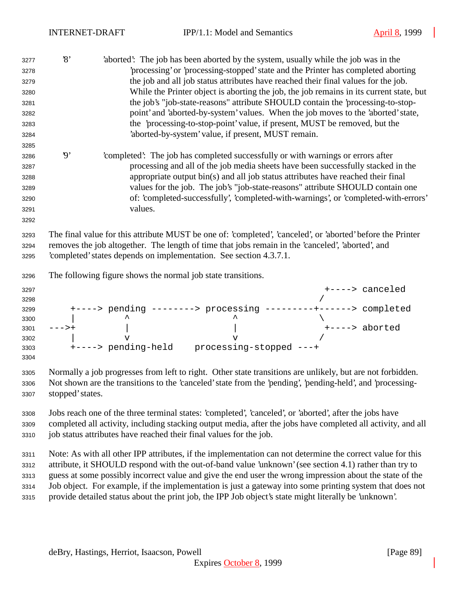| 3277<br>3278<br>3279<br>3280<br>3281<br>3282<br>3283<br>3284<br>3285 | $\mathcal{S}$            | 'aborted': The job has been aborted by the system, usually while the job was in the<br>processing' or 'processing-stopped' state and the Printer has completed aborting<br>the job and all job status attributes have reached their final values for the job.<br>While the Printer object is aborting the job, the job remains in its current state, but<br>the job's "job-state-reasons" attribute SHOULD contain the 'processing-to-stop-<br>point' and 'aborted-by-system' values. When the job moves to the 'aborted' state,<br>the 'processing-to-stop-point' value, if present, MUST be removed, but the<br>'aborted-by-system' value, if present, MUST remain. |
|----------------------------------------------------------------------|--------------------------|-----------------------------------------------------------------------------------------------------------------------------------------------------------------------------------------------------------------------------------------------------------------------------------------------------------------------------------------------------------------------------------------------------------------------------------------------------------------------------------------------------------------------------------------------------------------------------------------------------------------------------------------------------------------------|
| 3286<br>3287<br>3288<br>3289<br>3290<br>3291<br>3292                 | $\boldsymbol{\vartheta}$ | 'completed': The job has completed successfully or with warnings or errors after<br>processing and all of the job media sheets have been successfully stacked in the<br>appropriate output bin(s) and all job status attributes have reached their final<br>values for the job. The job's "job-state-reasons" attribute SHOULD contain one<br>of: 'completed-successfully', 'completed-with-warnings', or 'completed-with-errors'<br>values.                                                                                                                                                                                                                          |
| 3293<br>3294<br>3295                                                 |                          | The final value for this attribute MUST be one of: 'completed', 'canceled', or 'aborted' before the Printer<br>removes the job altogether. The length of time that jobs remain in the 'canceled', 'aborted', and<br>completed' states depends on implementation. See section 4.3.7.1.                                                                                                                                                                                                                                                                                                                                                                                 |
| 3296                                                                 |                          | The following figure shows the normal job state transitions.                                                                                                                                                                                                                                                                                                                                                                                                                                                                                                                                                                                                          |
| 3297<br>3298<br>3299<br>3300<br>3301<br>3302<br>3303<br>3304         |                          | +----> canceled                                                                                                                                                                                                                                                                                                                                                                                                                                                                                                                                                                                                                                                       |
| 3305<br>3306<br>3307                                                 | stopped' states.         | Normally a job progresses from left to right. Other state transitions are unlikely, but are not forbidden.<br>Not shown are the transitions to the 'canceled' state from the 'pending', 'pending-held', and 'processing-                                                                                                                                                                                                                                                                                                                                                                                                                                              |
| 3308<br>3309<br>3310                                                 |                          | Jobs reach one of the three terminal states: 'completed', 'canceled', or 'aborted', after the jobs have<br>completed all activity, including stacking output media, after the jobs have completed all activity, and all<br>job status attributes have reached their final values for the job.                                                                                                                                                                                                                                                                                                                                                                         |
| 3311<br>3312<br>3313                                                 |                          | Note: As with all other IPP attributes, if the implementation can not determine the correct value for this<br>attribute, it SHOULD respond with the out-of-band value 'unknown' (see section 4.1) rather than try to<br>guess at some possibly incorrect value and give the end user the wrong impression about the state of the                                                                                                                                                                                                                                                                                                                                      |

 Job object. For example, if the implementation is just a gateway into some printing system that does not provide detailed status about the print job, the IPP Job object's state might literally be 'unknown'.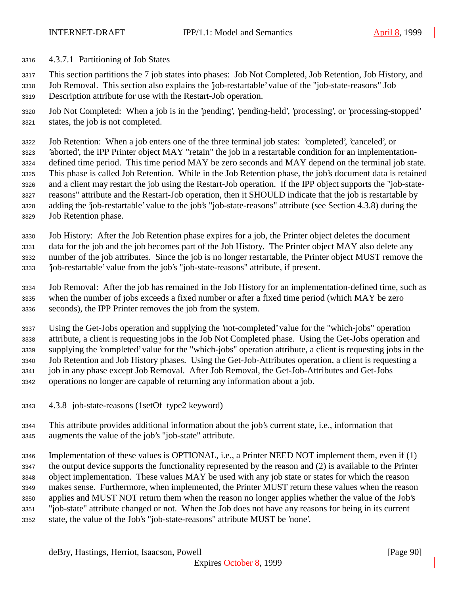- 4.3.7.1 Partitioning of Job States
- This section partitions the 7 job states into phases: Job Not Completed, Job Retention, Job History, and
- Job Removal. This section also explains the 'job-restartable' value of the "job-state-reasons" Job Description attribute for use with the Restart-Job operation.
- Job Not Completed: When a job is in the 'pending', 'pending-held', 'processing', or 'processing-stopped' states, the job is not completed.
- Job Retention: When a job enters one of the three terminal job states: 'completed', 'canceled', or 'aborted', the IPP Printer object MAY "retain" the job in a restartable condition for an implementation- defined time period. This time period MAY be zero seconds and MAY depend on the terminal job state. This phase is called Job Retention. While in the Job Retention phase, the job's document data is retained and a client may restart the job using the Restart-Job operation. If the IPP object supports the "job-state- reasons" attribute and the Restart-Job operation, then it SHOULD indicate that the job is restartable by adding the 'job-restartable' value to the job's "job-state-reasons" attribute (see Section 4.3.8) during the Job Retention phase.
- Job History: After the Job Retention phase expires for a job, the Printer object deletes the document data for the job and the job becomes part of the Job History. The Printer object MAY also delete any number of the job attributes. Since the job is no longer restartable, the Printer object MUST remove the 'job-restartable' value from the job's "job-state-reasons" attribute, if present.
- Job Removal: After the job has remained in the Job History for an implementation-defined time, such as when the number of jobs exceeds a fixed number or after a fixed time period (which MAY be zero seconds), the IPP Printer removes the job from the system.
- Using the Get-Jobs operation and supplying the 'not-completed' value for the "which-jobs" operation attribute, a client is requesting jobs in the Job Not Completed phase. Using the Get-Jobs operation and supplying the 'completed' value for the "which-jobs" operation attribute, a client is requesting jobs in the Job Retention and Job History phases. Using the Get-Job-Attributes operation, a client is requesting a job in any phase except Job Removal. After Job Removal, the Get-Job-Attributes and Get-Jobs operations no longer are capable of returning any information about a job.
- 4.3.8 job-state-reasons (1setOf type2 keyword)
- This attribute provides additional information about the job's current state, i.e., information that augments the value of the job's "job-state" attribute.
- Implementation of these values is OPTIONAL, i.e., a Printer NEED NOT implement them, even if (1) the output device supports the functionality represented by the reason and (2) is available to the Printer object implementation. These values MAY be used with any job state or states for which the reason makes sense. Furthermore, when implemented, the Printer MUST return these values when the reason applies and MUST NOT return them when the reason no longer applies whether the value of the Job's "job-state" attribute changed or not. When the Job does not have any reasons for being in its current state, the value of the Job's "job-state-reasons" attribute MUST be 'none'.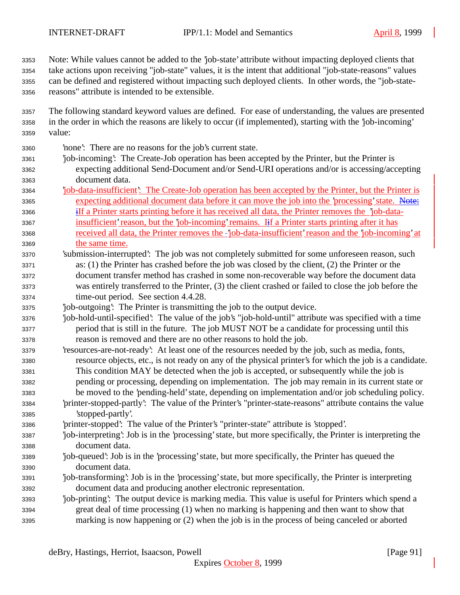Note: While values cannot be added to the 'job-state' attribute without impacting deployed clients that take actions upon receiving "job-state" values, it is the intent that additional "job-state-reasons" values can be defined and registered without impacting such deployed clients. In other words, the "job-state-reasons" attribute is intended to be extensible.

- The following standard keyword values are defined. For ease of understanding, the values are presented in the order in which the reasons are likely to occur (if implemented), starting with the 'job-incoming' value:
- 'none': There are no reasons for the job's current state.
- 'job-incoming': The Create-Job operation has been accepted by the Printer, but the Printer is expecting additional Send-Document and/or Send-URI operations and/or is accessing/accepting document data.
- 'job-data-insufficient': The Create-Job operation has been accepted by the Printer, but the Printer is expecting additional document data before it can move the job into the 'processing' state. Note:
- iIf a Printer starts printing before it has received all data, the Printer removes the 'job-data-3367 insufficient' reason, but the 'job-incoming' remains. If a Printer starts printing after it has received all data, the Printer removes the 'job-data-insufficient' reason and the 'job-incoming' at the same time.
- 'submission-interrupted': The job was not completely submitted for some unforeseen reason, such as: (1) the Printer has crashed before the job was closed by the client, (2) the Printer or the document transfer method has crashed in some non-recoverable way before the document data was entirely transferred to the Printer, (3) the client crashed or failed to close the job before the time-out period. See section 4.4.28.
- 'job-outgoing': The Printer is transmitting the job to the output device.
- 'job-hold-until-specified': The value of the job's "job-hold-until" attribute was specified with a time period that is still in the future. The job MUST NOT be a candidate for processing until this reason is removed and there are no other reasons to hold the job.
- 'resources-are-not-ready': At least one of the resources needed by the job, such as media, fonts, resource objects, etc., is not ready on any of the physical printer's for which the job is a candidate. This condition MAY be detected when the job is accepted, or subsequently while the job is pending or processing, depending on implementation. The job may remain in its current state or be moved to the 'pending-held' state, depending on implementation and/or job scheduling policy.
- 'printer-stopped-partly': The value of the Printer's "printer-state-reasons" attribute contains the value 'stopped-partly'.
- 'printer-stopped': The value of the Printer's "printer-state" attribute is 'stopped'.
- 'job-interpreting': Job is in the 'processing' state, but more specifically, the Printer is interpreting the document data.
- 'job-queued': Job is in the 'processing' state, but more specifically, the Printer has queued the document data.
- 'job-transforming': Job is in the 'processing' state, but more specifically, the Printer is interpreting document data and producing another electronic representation.
- 'job-printing': The output device is marking media. This value is useful for Printers which spend a great deal of time processing (1) when no marking is happening and then want to show that marking is now happening or (2) when the job is in the process of being canceled or aborted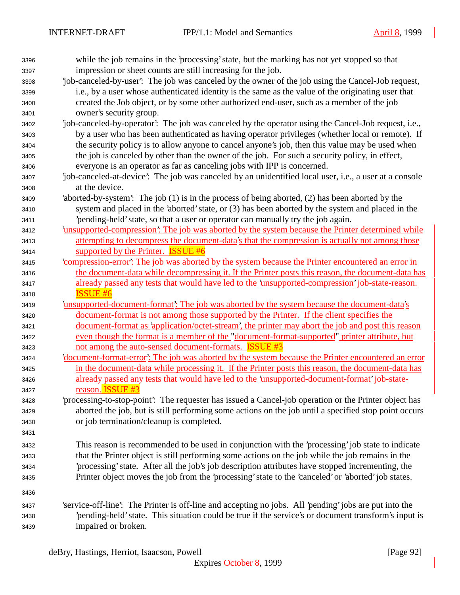| 3396 | while the job remains in the 'processing' state, but the marking has not yet stopped so that           |
|------|--------------------------------------------------------------------------------------------------------|
| 3397 | impression or sheet counts are still increasing for the job.                                           |
| 3398 | 'job-canceled-by-user': The job was canceled by the owner of the job using the Cancel-Job request,     |
| 3399 | i.e., by a user whose authenticated identity is the same as the value of the originating user that     |
| 3400 | created the Job object, or by some other authorized end-user, such as a member of the job              |
| 3401 | owner's security group.                                                                                |
| 3402 | job-canceled-by-operator. The job was canceled by the operator using the Cancel-Job request, i.e.,     |
| 3403 | by a user who has been authenticated as having operator privileges (whether local or remote). If       |
| 3404 | the security policy is to allow anyone to cancel anyone's job, then this value may be used when        |
| 3405 | the job is canceled by other than the owner of the job. For such a security policy, in effect,         |
| 3406 | everyone is an operator as far as canceling jobs with IPP is concerned.                                |
| 3407 | job-canceled-at-device': The job was canceled by an unidentified local user, i.e., a user at a console |
| 3408 | at the device.                                                                                         |
| 3409 | 'aborted-by-system': The job (1) is in the process of being aborted, (2) has been aborted by the       |
| 3410 | system and placed in the 'aborted' state, or (3) has been aborted by the system and placed in the      |
| 3411 | 'pending-held' state, so that a user or operator can manually try the job again.                       |
| 3412 | insupported-compression: The job was aborted by the system because the Printer determined while        |
| 3413 | attempting to decompress the document-data's that the compression is actually not among those          |
| 3414 | supported by the Printer. <b>ISSUE #6</b>                                                              |
| 3415 | compression-error? The job was aborted by the system because the Printer encountered an error in       |
| 3416 | the document-data while decompressing it. If the Printer posts this reason, the document-data has      |
| 3417 | already passed any tests that would have led to the 'unsupported-compression' job-state-reason.        |
| 3418 | <b>ISSUE #6</b>                                                                                        |
| 3419 | <u>insupported-document-format: The job was aborted by the system because the document-data's</u>      |
| 3420 | document-format is not among those supported by the Printer. If the client specifies the               |
| 3421 | document-format as 'application/octet-stream', the printer may abort the job and post this reason      |
| 3422 | even though the format is a member of the "document-format-supported" printer attribute, but           |
| 3423 | not among the auto-sensed document-formats. <b>ISSUE #3</b>                                            |
| 3424 | document-format-error': The job was aborted by the system because the Printer encountered an error     |
| 3425 | in the document-data while processing it. If the Printer posts this reason, the document-data has      |
| 3426 | already passed any tests that would have led to the 'unsupported-document-format' job-state-           |
| 3427 | reason. ISSUE #3                                                                                       |
| 3428 | processing-to-stop-point. The requester has issued a Cancel-job operation or the Printer object has    |
| 3429 | aborted the job, but is still performing some actions on the job until a specified stop point occurs   |
| 3430 | or job termination/cleanup is completed.                                                               |
| 3431 |                                                                                                        |
| 3432 | This reason is recommended to be used in conjunction with the 'processing' job state to indicate       |
| 3433 | that the Printer object is still performing some actions on the job while the job remains in the       |
| 3434 | processing' state. After all the job's job description attributes have stopped incrementing, the       |
| 3435 | Printer object moves the job from the 'processing' state to the 'canceled' or 'aborted' job states.    |
|      |                                                                                                        |
| 3436 |                                                                                                        |
| 3437 | 'service-off-line': The Printer is off-line and accepting no jobs. All 'pending' jobs are put into the |
| 3438 | pending-held' state. This situation could be true if the service's or document transform's input is    |
| 3439 | impaired or broken.                                                                                    |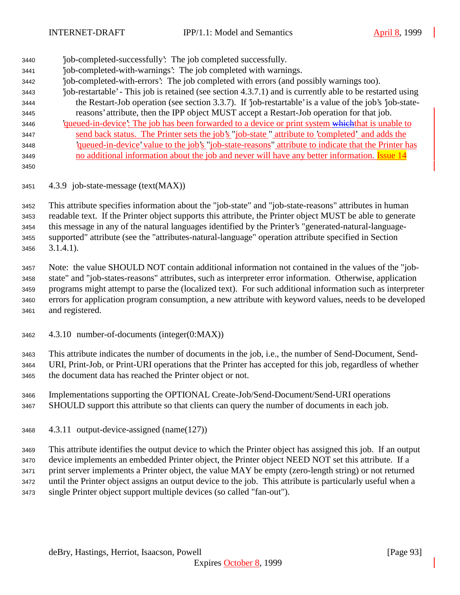- 'job-completed-successfully': The job completed successfully. 'job-completed-with-warnings': The job completed with warnings. 'job-completed-with-errors': The job completed with errors (and possibly warnings too). 'job-restartable' - This job is retained (see section 4.3.7.1) and is currently able to be restarted using the Restart-Job operation (see section 3.3.7). If 'job-restartable' is a value of the job's 'job-state- reasons' attribute, then the IPP object MUST accept a Restart-Job operation for that job. 3446 'queued-in-device': The job has been forwarded to a device or print system which that is unable to send back status. The Printer sets the job's "job-state " attribute to 'completed' and adds the 'queued-in-device'value to the job's "job-state-reasons" attribute to indicate that the Printer has 3449 no additional information about the job and never will have any better information. Issue 14
- 

4.3.9 job-state-message (text(MAX))

 This attribute specifies information about the "job-state" and "job-state-reasons" attributes in human readable text. If the Printer object supports this attribute, the Printer object MUST be able to generate this message in any of the natural languages identified by the Printer's "generated-natural-language- supported" attribute (see the "attributes-natural-language" operation attribute specified in Section 3.1.4.1).

 Note: the value SHOULD NOT contain additional information not contained in the values of the "job- state" and "job-states-reasons" attributes, such as interpreter error information. Otherwise, application programs might attempt to parse the (localized text). For such additional information such as interpreter errors for application program consumption, a new attribute with keyword values, needs to be developed and registered.

4.3.10 number-of-documents (integer(0:MAX))

 This attribute indicates the number of documents in the job, i.e., the number of Send-Document, Send- URI, Print-Job, or Print-URI operations that the Printer has accepted for this job, regardless of whether the document data has reached the Printer object or not.

- Implementations supporting the OPTIONAL Create-Job/Send-Document/Send-URI operations SHOULD support this attribute so that clients can query the number of documents in each job.
- 4.3.11 output-device-assigned (name(127))

 This attribute identifies the output device to which the Printer object has assigned this job. If an output device implements an embedded Printer object, the Printer object NEED NOT set this attribute. If a print server implements a Printer object, the value MAY be empty (zero-length string) or not returned until the Printer object assigns an output device to the job. This attribute is particularly useful when a single Printer object support multiple devices (so called "fan-out").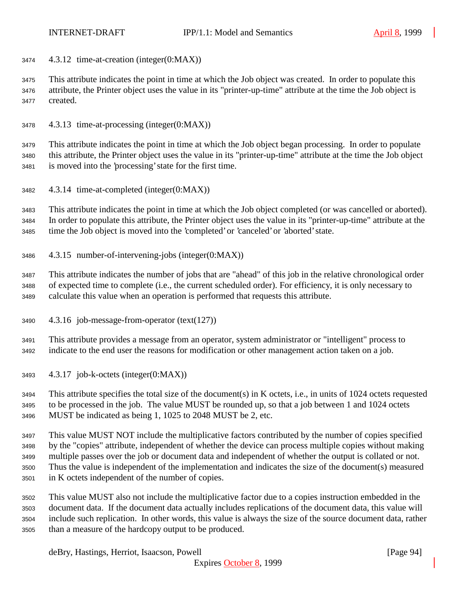4.3.12 time-at-creation (integer(0:MAX))

 This attribute indicates the point in time at which the Job object was created. In order to populate this attribute, the Printer object uses the value in its "printer-up-time" attribute at the time the Job object is created.

4.3.13 time-at-processing (integer(0:MAX))

 This attribute indicates the point in time at which the Job object began processing. In order to populate this attribute, the Printer object uses the value in its "printer-up-time" attribute at the time the Job object is moved into the 'processing' state for the first time.

4.3.14 time-at-completed (integer(0:MAX))

 This attribute indicates the point in time at which the Job object completed (or was cancelled or aborted). In order to populate this attribute, the Printer object uses the value in its "printer-up-time" attribute at the time the Job object is moved into the 'completed' or 'canceled' or 'aborted' state.

4.3.15 number-of-intervening-jobs (integer(0:MAX))

 This attribute indicates the number of jobs that are "ahead" of this job in the relative chronological order of expected time to complete (i.e., the current scheduled order). For efficiency, it is only necessary to calculate this value when an operation is performed that requests this attribute.

4.3.16 job-message-from-operator (text(127))

 This attribute provides a message from an operator, system administrator or "intelligent" process to indicate to the end user the reasons for modification or other management action taken on a job.

4.3.17 job-k-octets (integer(0:MAX))

 This attribute specifies the total size of the document(s) in K octets, i.e., in units of 1024 octets requested to be processed in the job. The value MUST be rounded up, so that a job between 1 and 1024 octets MUST be indicated as being 1, 1025 to 2048 MUST be 2, etc.

 This value MUST NOT include the multiplicative factors contributed by the number of copies specified by the "copies" attribute, independent of whether the device can process multiple copies without making multiple passes over the job or document data and independent of whether the output is collated or not. Thus the value is independent of the implementation and indicates the size of the document(s) measured in K octets independent of the number of copies.

 This value MUST also not include the multiplicative factor due to a copies instruction embedded in the document data. If the document data actually includes replications of the document data, this value will include such replication. In other words, this value is always the size of the source document data, rather than a measure of the hardcopy output to be produced.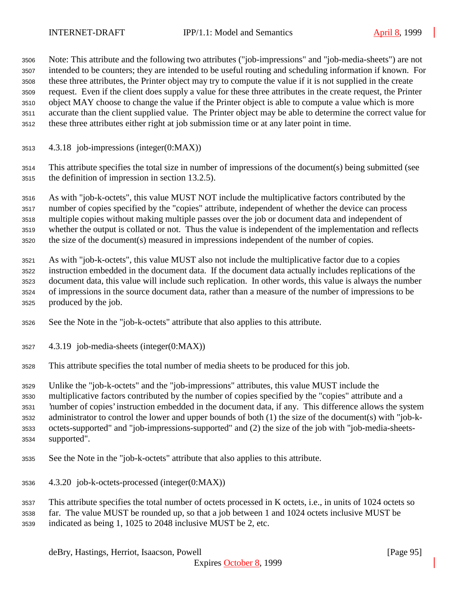Note: This attribute and the following two attributes ("job-impressions" and "job-media-sheets") are not intended to be counters; they are intended to be useful routing and scheduling information if known. For these three attributes, the Printer object may try to compute the value if it is not supplied in the create request. Even if the client does supply a value for these three attributes in the create request, the Printer object MAY choose to change the value if the Printer object is able to compute a value which is more accurate than the client supplied value. The Printer object may be able to determine the correct value for these three attributes either right at job submission time or at any later point in time.

- 4.3.18 job-impressions (integer(0:MAX))
- This attribute specifies the total size in number of impressions of the document(s) being submitted (see the definition of impression in section 13.2.5).

 As with "job-k-octets", this value MUST NOT include the multiplicative factors contributed by the number of copies specified by the "copies" attribute, independent of whether the device can process multiple copies without making multiple passes over the job or document data and independent of whether the output is collated or not. Thus the value is independent of the implementation and reflects the size of the document(s) measured in impressions independent of the number of copies.

- As with "job-k-octets", this value MUST also not include the multiplicative factor due to a copies instruction embedded in the document data. If the document data actually includes replications of the document data, this value will include such replication. In other words, this value is always the number of impressions in the source document data, rather than a measure of the number of impressions to be produced by the job.
- See the Note in the "job-k-octets" attribute that also applies to this attribute.
- 4.3.19 job-media-sheets (integer(0:MAX))
- This attribute specifies the total number of media sheets to be produced for this job.

Unlike the "job-k-octets" and the "job-impressions" attributes, this value MUST include the

multiplicative factors contributed by the number of copies specified by the "copies" attribute and a

'number of copies' instruction embedded in the document data, if any. This difference allows the system

- administrator to control the lower and upper bounds of both (1) the size of the document(s) with "job-k-octets-supported" and "job-impressions-supported" and (2) the size of the job with "job-media-sheets-
- supported".
- See the Note in the "job-k-octets" attribute that also applies to this attribute.
- 4.3.20 job-k-octets-processed (integer(0:MAX))
- This attribute specifies the total number of octets processed in K octets, i.e., in units of 1024 octets so
- far. The value MUST be rounded up, so that a job between 1 and 1024 octets inclusive MUST be
- indicated as being 1, 1025 to 2048 inclusive MUST be 2, etc.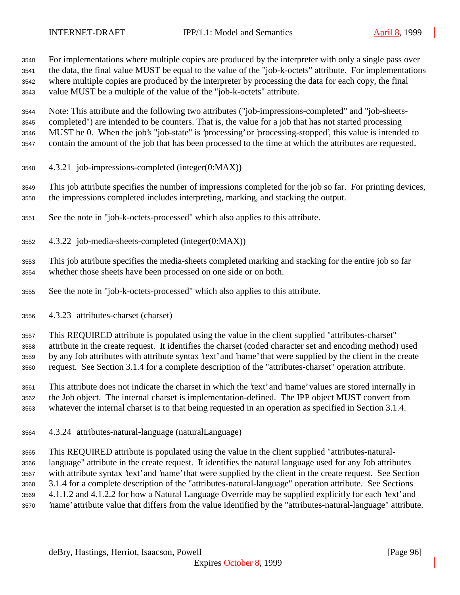For implementations where multiple copies are produced by the interpreter with only a single pass over the data, the final value MUST be equal to the value of the "job-k-octets" attribute. For implementations where multiple copies are produced by the interpreter by processing the data for each copy, the final value MUST be a multiple of the value of the "job-k-octets" attribute.

Note: This attribute and the following two attributes ("job-impressions-completed" and "job-sheets-

completed") are intended to be counters. That is, the value for a job that has not started processing

MUST be 0. When the job's "job-state" is 'processing' or 'processing-stopped', this value is intended to

contain the amount of the job that has been processed to the time at which the attributes are requested.

4.3.21 job-impressions-completed (integer(0:MAX))

 This job attribute specifies the number of impressions completed for the job so far. For printing devices, the impressions completed includes interpreting, marking, and stacking the output.

See the note in "job-k-octets-processed" which also applies to this attribute.

4.3.22 job-media-sheets-completed (integer(0:MAX))

 This job attribute specifies the media-sheets completed marking and stacking for the entire job so far whether those sheets have been processed on one side or on both.

See the note in "job-k-octets-processed" which also applies to this attribute.

4.3.23 attributes-charset (charset)

This REQUIRED attribute is populated using the value in the client supplied "attributes-charset"

attribute in the create request. It identifies the charset (coded character set and encoding method) used

 by any Job attributes with attribute syntax 'text' and 'name' that were supplied by the client in the create request. See Section 3.1.4 for a complete description of the "attributes-charset" operation attribute.

 This attribute does not indicate the charset in which the 'text' and 'name' values are stored internally in the Job object. The internal charset is implementation-defined. The IPP object MUST convert from whatever the internal charset is to that being requested in an operation as specified in Section 3.1.4.

4.3.24 attributes-natural-language (naturalLanguage)

 This REQUIRED attribute is populated using the value in the client supplied "attributes-natural- language" attribute in the create request. It identifies the natural language used for any Job attributes with attribute syntax 'text' and 'name' that were supplied by the client in the create request. See Section 3.1.4 for a complete description of the "attributes-natural-language" operation attribute. See Sections 4.1.1.2 and 4.1.2.2 for how a Natural Language Override may be supplied explicitly for each 'text' and 'name' attribute value that differs from the value identified by the "attributes-natural-language" attribute.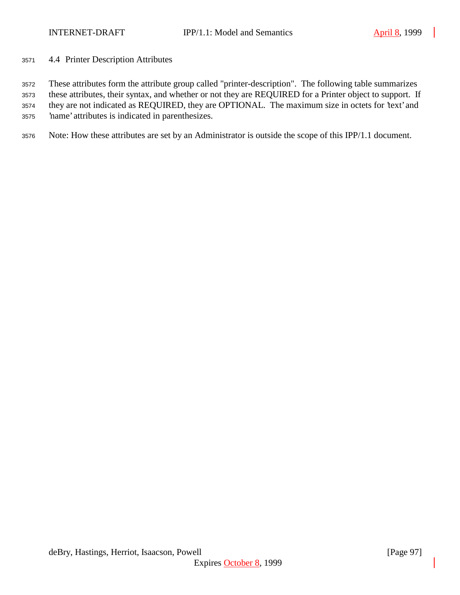4.4 Printer Description Attributes

These attributes form the attribute group called "printer-description". The following table summarizes

these attributes, their syntax, and whether or not they are REQUIRED for a Printer object to support. If

they are not indicated as REQUIRED, they are OPTIONAL. The maximum size in octets for 'text' and

'name' attributes is indicated in parenthesizes.

Note: How these attributes are set by an Administrator is outside the scope of this IPP/1.1 document.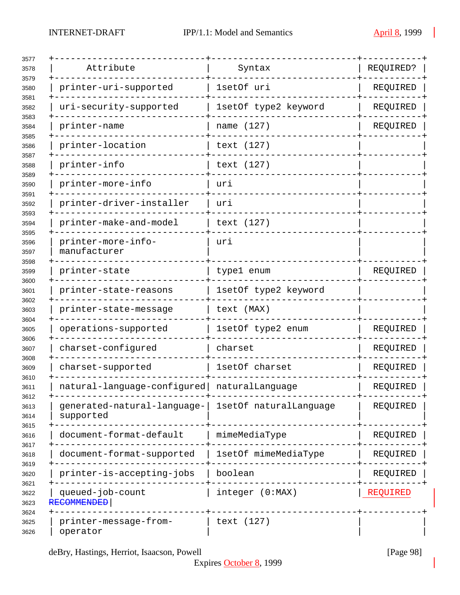| Attribute                                | Syntax                 | REQUIRED? |
|------------------------------------------|------------------------|-----------|
| printer-uri-supported                    | 1setOf uri             | REQUIRED  |
| uri-security-supported                   | 1setOf type2 keyword   | REQUIRED  |
| printer-name                             | name (127)             | REQUIRED  |
| printer-location                         | text (127)             |           |
| printer-info                             | text (127)             |           |
| printer-more-info                        | uri                    |           |
| printer-driver-installer                 | urı                    |           |
| printer-make-and-model                   | text (127)             |           |
| printer-more-info-<br>manufacturer       | uri                    |           |
| printer-state                            | type1 enum             | REQUIRED  |
| printer-state-reasons                    | 1setOf type2 keyword   |           |
| printer-state-message                    | text (MAX)             |           |
| operations-supported                     | 1setOf type2 enum      | REQUIRED  |
| charset-configured                       | charset                | REQUIRED  |
| charset-supported                        | 1setOf charset         | REQUIRED  |
| natural-language-configured              | naturalLanguage        | REQUIRED  |
| generated-natural-language-<br>supported | 1setOf naturalLanquage | REQUIRED  |
| document-format-default                  | mimeMediaType          | REQUIRED  |
| document-format-supported                | 1setOf mimeMediaType   | REQUIRED  |
| printer-is-accepting-jobs                | boolean                | REQUIRED  |
| queued-job-count<br><b>RECOMMENDED</b>   | integer (0:MAX)        | REQUIRED  |
| printer-message-from-<br>operator        | text (127)             |           |

deBry, Hastings, Herriot, Isaacson, Powell [Page 98]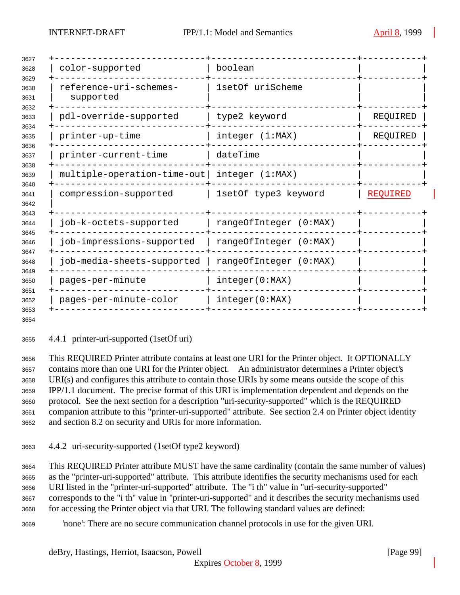| color-supported                     | boolean                |                 |
|-------------------------------------|------------------------|-----------------|
| reference-uri-schemes-<br>supported | 1setOf uriScheme       |                 |
| pdl-override-supported              | type2 keyword          | REQUIRED        |
| printer-up-time                     | integer (1:MAX)        | REQUIRED        |
| printer-current-time                | dateTime               |                 |
| multiple-operation-time-out         | integer (1:MAX)        |                 |
| compression-supported               | 1setOf type3 keyword   | <b>REQUIRED</b> |
| job-k-octets-supported              | rangeOfInteger (0:MAX) |                 |
| job-impressions-supported           | rangeOfInteger (0:MAX) |                 |
| job-media-sheets-supported          | rangeOfInteger (0:MAX) |                 |
| pages-per-minute                    | integer(0:MAX)         |                 |
| pages-per-minute-color              | integer(0:MAX)         |                 |

4.4.1 printer-uri-supported (1setOf uri)

 This REQUIRED Printer attribute contains at least one URI for the Printer object. It OPTIONALLY contains more than one URI for the Printer object. An administrator determines a Printer object's URI(s) and configures this attribute to contain those URIs by some means outside the scope of this IPP/1.1 document. The precise format of this URI is implementation dependent and depends on the protocol. See the next section for a description "uri-security-supported" which is the REQUIRED companion attribute to this "printer-uri-supported" attribute. See section 2.4 on Printer object identity and section 8.2 on security and URIs for more information.

4.4.2 uri-security-supported (1setOf type2 keyword)

 This REQUIRED Printer attribute MUST have the same cardinality (contain the same number of values) as the "printer-uri-supported" attribute. This attribute identifies the security mechanisms used for each URI listed in the "printer-uri-supported" attribute. The "i th" value in "uri-security-supported" corresponds to the "i th" value in "printer-uri-supported" and it describes the security mechanisms used for accessing the Printer object via that URI. The following standard values are defined:

'none': There are no secure communication channel protocols in use for the given URI.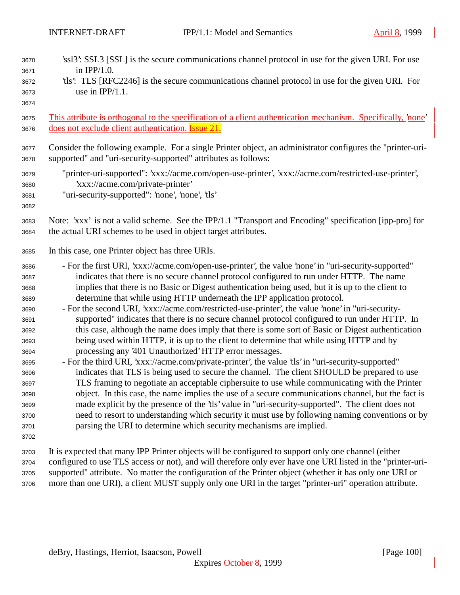| 3670<br>3671<br>3672<br>3673<br>3674                                                                                                 | 'ssl3': SSL3 [SSL] is the secure communications channel protocol in use for the given URI. For use<br>in $IPP/1.0$ .<br>the this. TLS [RFC2246] is the secure communications channel protocol in use for the given URI. For<br>use in $IPP/1.1$ .                                                                                                                                                                                                                                                                                                                                                                                                                                                                                                                                                                                                                                                                                                                                                                                                                                                                                                                                                                                                                                                                                                                                                                                                                                                                                                  |
|--------------------------------------------------------------------------------------------------------------------------------------|----------------------------------------------------------------------------------------------------------------------------------------------------------------------------------------------------------------------------------------------------------------------------------------------------------------------------------------------------------------------------------------------------------------------------------------------------------------------------------------------------------------------------------------------------------------------------------------------------------------------------------------------------------------------------------------------------------------------------------------------------------------------------------------------------------------------------------------------------------------------------------------------------------------------------------------------------------------------------------------------------------------------------------------------------------------------------------------------------------------------------------------------------------------------------------------------------------------------------------------------------------------------------------------------------------------------------------------------------------------------------------------------------------------------------------------------------------------------------------------------------------------------------------------------------|
| 3675                                                                                                                                 | This attribute is orthogonal to the specification of a client authentication mechanism. Specifically, none'                                                                                                                                                                                                                                                                                                                                                                                                                                                                                                                                                                                                                                                                                                                                                                                                                                                                                                                                                                                                                                                                                                                                                                                                                                                                                                                                                                                                                                        |
| 3676                                                                                                                                 | does not exclude client authentication. <b>Issue 21</b> .                                                                                                                                                                                                                                                                                                                                                                                                                                                                                                                                                                                                                                                                                                                                                                                                                                                                                                                                                                                                                                                                                                                                                                                                                                                                                                                                                                                                                                                                                          |
| 3677                                                                                                                                 | Consider the following example. For a single Printer object, an administrator configures the "printer-uri-                                                                                                                                                                                                                                                                                                                                                                                                                                                                                                                                                                                                                                                                                                                                                                                                                                                                                                                                                                                                                                                                                                                                                                                                                                                                                                                                                                                                                                         |
| 3678                                                                                                                                 | supported" and "uri-security-supported" attributes as follows:                                                                                                                                                                                                                                                                                                                                                                                                                                                                                                                                                                                                                                                                                                                                                                                                                                                                                                                                                                                                                                                                                                                                                                                                                                                                                                                                                                                                                                                                                     |
| 3679<br>3680<br>3681<br>3682                                                                                                         | "printer-uri-supported": 'xxx://acme.com/open-use-printer', 'xxx://acme.com/restricted-use-printer',<br>'xxx://acme.com/private-printer'<br>"uri-security-supported": 'none', 'none', 'tls'                                                                                                                                                                                                                                                                                                                                                                                                                                                                                                                                                                                                                                                                                                                                                                                                                                                                                                                                                                                                                                                                                                                                                                                                                                                                                                                                                        |
| 3683                                                                                                                                 | Note: 'xxx' is not a valid scheme. See the IPP/1.1 "Transport and Encoding" specification [ipp-pro] for                                                                                                                                                                                                                                                                                                                                                                                                                                                                                                                                                                                                                                                                                                                                                                                                                                                                                                                                                                                                                                                                                                                                                                                                                                                                                                                                                                                                                                            |
| 3684                                                                                                                                 | the actual URI schemes to be used in object target attributes.                                                                                                                                                                                                                                                                                                                                                                                                                                                                                                                                                                                                                                                                                                                                                                                                                                                                                                                                                                                                                                                                                                                                                                                                                                                                                                                                                                                                                                                                                     |
| 3685                                                                                                                                 | In this case, one Printer object has three URIs.                                                                                                                                                                                                                                                                                                                                                                                                                                                                                                                                                                                                                                                                                                                                                                                                                                                                                                                                                                                                                                                                                                                                                                                                                                                                                                                                                                                                                                                                                                   |
| 3686<br>3687<br>3688<br>3689<br>3690<br>3691<br>3692<br>3693<br>3694<br>3695<br>3696<br>3697<br>3698<br>3699<br>3700<br>3701<br>3702 | - For the first URI, 'xxx://acme.com/open-use-printer', the value 'none' in "uri-security-supported"<br>indicates that there is no secure channel protocol configured to run under HTTP. The name<br>implies that there is no Basic or Digest authentication being used, but it is up to the client to<br>determine that while using HTTP underneath the IPP application protocol.<br>- For the second URI, 'xxx://acme.com/restricted-use-printer', the value 'none' in "uri-security-<br>supported" indicates that there is no secure channel protocol configured to run under HTTP. In<br>this case, although the name does imply that there is some sort of Basic or Digest authentication<br>being used within HTTP, it is up to the client to determine that while using HTTP and by<br>processing any '401 Unauthorized' HTTP error messages.<br>- For the third URI, 'xxx://acme.com/private-printer', the value 'tls' in "uri-security-supported"<br>indicates that TLS is being used to secure the channel. The client SHOULD be prepared to use<br>TLS framing to negotiate an acceptable ciphersuite to use while communicating with the Printer<br>object. In this case, the name implies the use of a secure communications channel, but the fact is<br>made explicit by the presence of the 'tls' value in "uri-security-supported". The client does not<br>need to resort to understanding which security it must use by following naming conventions or by<br>parsing the URI to determine which security mechanisms are implied. |
| 3703                                                                                                                                 | It is expected that many IPP Printer objects will be configured to support only one channel (either                                                                                                                                                                                                                                                                                                                                                                                                                                                                                                                                                                                                                                                                                                                                                                                                                                                                                                                                                                                                                                                                                                                                                                                                                                                                                                                                                                                                                                                |
| 3704                                                                                                                                 | configured to use TLS access or not), and will therefore only ever have one URI listed in the "printer-uri-                                                                                                                                                                                                                                                                                                                                                                                                                                                                                                                                                                                                                                                                                                                                                                                                                                                                                                                                                                                                                                                                                                                                                                                                                                                                                                                                                                                                                                        |
| 3705                                                                                                                                 | supported" attribute. No matter the configuration of the Printer object (whether it has only one URI or                                                                                                                                                                                                                                                                                                                                                                                                                                                                                                                                                                                                                                                                                                                                                                                                                                                                                                                                                                                                                                                                                                                                                                                                                                                                                                                                                                                                                                            |
| 3706                                                                                                                                 | more than one URI), a client MUST supply only one URI in the target "printer-uri" operation attribute.                                                                                                                                                                                                                                                                                                                                                                                                                                                                                                                                                                                                                                                                                                                                                                                                                                                                                                                                                                                                                                                                                                                                                                                                                                                                                                                                                                                                                                             |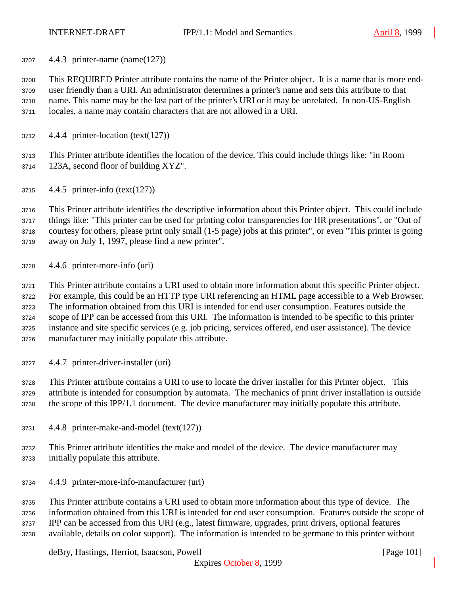4.4.3 printer-name (name(127))

 This REQUIRED Printer attribute contains the name of the Printer object. It is a name that is more end- user friendly than a URI. An administrator determines a printer's name and sets this attribute to that name. This name may be the last part of the printer's URI or it may be unrelated. In non-US-English locales, a name may contain characters that are not allowed in a URI.

4.4.4 printer-location (text(127))

 This Printer attribute identifies the location of the device. This could include things like: "in Room 123A, second floor of building XYZ".

4.4.5 printer-info (text(127))

 This Printer attribute identifies the descriptive information about this Printer object. This could include things like: "This printer can be used for printing color transparencies for HR presentations", or "Out of courtesy for others, please print only small (1-5 page) jobs at this printer", or even "This printer is going away on July 1, 1997, please find a new printer".

4.4.6 printer-more-info (uri)

 This Printer attribute contains a URI used to obtain more information about this specific Printer object. For example, this could be an HTTP type URI referencing an HTML page accessible to a Web Browser. The information obtained from this URI is intended for end user consumption. Features outside the scope of IPP can be accessed from this URI. The information is intended to be specific to this printer instance and site specific services (e.g. job pricing, services offered, end user assistance). The device manufacturer may initially populate this attribute.

4.4.7 printer-driver-installer (uri)

 This Printer attribute contains a URI to use to locate the driver installer for this Printer object. This attribute is intended for consumption by automata. The mechanics of print driver installation is outside the scope of this IPP/1.1 document. The device manufacturer may initially populate this attribute.

- 4.4.8 printer-make-and-model (text(127))
- This Printer attribute identifies the make and model of the device. The device manufacturer may initially populate this attribute.
- 4.4.9 printer-more-info-manufacturer (uri)

 This Printer attribute contains a URI used to obtain more information about this type of device. The information obtained from this URI is intended for end user consumption. Features outside the scope of IPP can be accessed from this URI (e.g., latest firmware, upgrades, print drivers, optional features available, details on color support). The information is intended to be germane to this printer without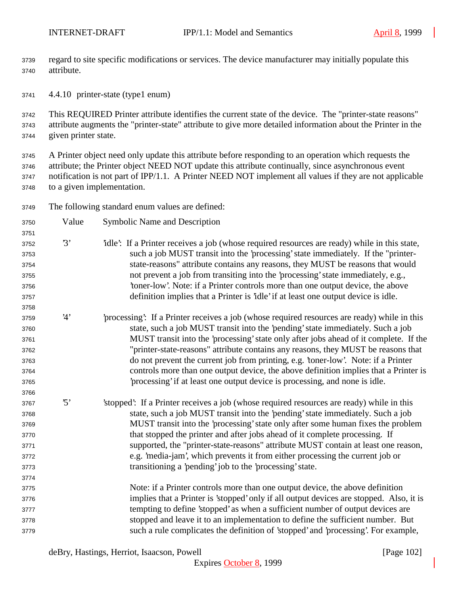regard to site specific modifications or services. The device manufacturer may initially populate this attribute.

4.4.10 printer-state (type1 enum)

 This REQUIRED Printer attribute identifies the current state of the device. The "printer-state reasons" attribute augments the "printer-state" attribute to give more detailed information about the Printer in the given printer state.

 A Printer object need only update this attribute before responding to an operation which requests the attribute; the Printer object NEED NOT update this attribute continually, since asynchronous event notification is not part of IPP/1.1. A Printer NEED NOT implement all values if they are not applicable to a given implementation.

The following standard enum values are defined:

| 3750 | Value                   | <b>Symbolic Name and Description</b>                                                        |
|------|-------------------------|---------------------------------------------------------------------------------------------|
| 3751 |                         |                                                                                             |
| 3752 | 3'                      | idle: If a Printer receives a job (whose required resources are ready) while in this state, |
| 3753 |                         | such a job MUST transit into the 'processing' state immediately. If the "printer-           |
| 3754 |                         | state-reasons" attribute contains any reasons, they MUST be reasons that would              |
| 3755 |                         | not prevent a job from transiting into the 'processing' state immediately, e.g.,            |
| 3756 |                         | 'toner-low'. Note: if a Printer controls more than one output device, the above             |
| 3757 |                         | definition implies that a Printer is 'idle' if at least one output device is idle.          |
| 3758 |                         |                                                                                             |
| 3759 | 4'                      | processing: If a Printer receives a job (whose required resources are ready) while in this  |
| 3760 |                         | state, such a job MUST transit into the 'pending' state immediately. Such a job             |
| 3761 |                         | MUST transit into the 'processing' state only after jobs ahead of it complete. If the       |
| 3762 |                         | "printer-state-reasons" attribute contains any reasons, they MUST be reasons that           |
| 3763 |                         | do not prevent the current job from printing, e.g. 'toner-low'. Note: if a Printer          |
| 3764 |                         | controls more than one output device, the above definition implies that a Printer is        |
| 3765 |                         | processing' if at least one output device is processing, and none is idle.                  |
| 3766 |                         |                                                                                             |
| 3767 | $\mathfrak{B}^{\prime}$ | 'stopped': If a Printer receives a job (whose required resources are ready) while in this   |
| 3768 |                         | state, such a job MUST transit into the 'pending' state immediately. Such a job             |
| 3769 |                         | MUST transit into the 'processing' state only after some human fixes the problem            |
| 3770 |                         | that stopped the printer and after jobs ahead of it complete processing. If                 |
| 3771 |                         | supported, the "printer-state-reasons" attribute MUST contain at least one reason,          |
| 3772 |                         | e.g. 'media-jam', which prevents it from either processing the current job or               |
| 3773 |                         | transitioning a 'pending' job to the 'processing' state.                                    |
| 3774 |                         |                                                                                             |
| 3775 |                         | Note: if a Printer controls more than one output device, the above definition               |
| 3776 |                         | implies that a Printer is 'stopped' only if all output devices are stopped. Also, it is     |
| 3777 |                         | tempting to define 'stopped' as when a sufficient number of output devices are              |
| 3778 |                         | stopped and leave it to an implementation to define the sufficient number. But              |
| 3779 |                         | such a rule complicates the definition of 'stopped' and 'processing'. For example,          |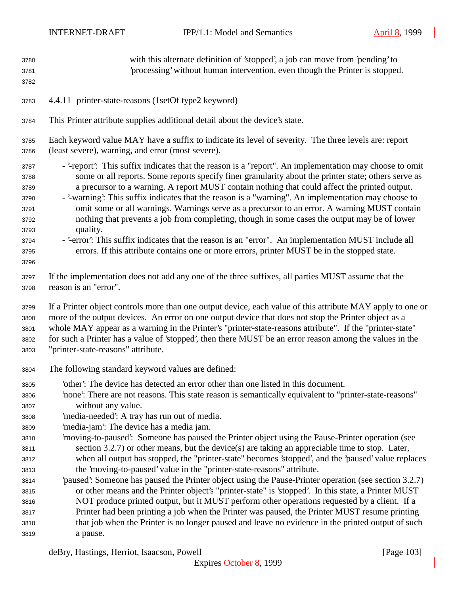| 3780                                                                         | with this alternate definition of 'stopped', a job can move from 'pending' to                                                                                                                                                                                                                                                                                                                                                                                                                                                                                                                                                                                                                                                                                                                                                             |
|------------------------------------------------------------------------------|-------------------------------------------------------------------------------------------------------------------------------------------------------------------------------------------------------------------------------------------------------------------------------------------------------------------------------------------------------------------------------------------------------------------------------------------------------------------------------------------------------------------------------------------------------------------------------------------------------------------------------------------------------------------------------------------------------------------------------------------------------------------------------------------------------------------------------------------|
| 3781                                                                         | processing' without human intervention, even though the Printer is stopped.                                                                                                                                                                                                                                                                                                                                                                                                                                                                                                                                                                                                                                                                                                                                                               |
| 3782                                                                         |                                                                                                                                                                                                                                                                                                                                                                                                                                                                                                                                                                                                                                                                                                                                                                                                                                           |
| 3783                                                                         | 4.4.11 printer-state-reasons (1setOf type2 keyword)                                                                                                                                                                                                                                                                                                                                                                                                                                                                                                                                                                                                                                                                                                                                                                                       |
| 3784                                                                         | This Printer attribute supplies additional detail about the device's state.                                                                                                                                                                                                                                                                                                                                                                                                                                                                                                                                                                                                                                                                                                                                                               |
| 3785                                                                         | Each keyword value MAY have a suffix to indicate its level of severity. The three levels are: report                                                                                                                                                                                                                                                                                                                                                                                                                                                                                                                                                                                                                                                                                                                                      |
| 3786                                                                         | (least severe), warning, and error (most severe).                                                                                                                                                                                                                                                                                                                                                                                                                                                                                                                                                                                                                                                                                                                                                                                         |
| 3787<br>3788<br>3789<br>3790<br>3791<br>3792<br>3793<br>3794<br>3795<br>3796 | - '-report': This suffix indicates that the reason is a "report". An implementation may choose to omit<br>some or all reports. Some reports specify finer granularity about the printer state; others serve as<br>a precursor to a warning. A report MUST contain nothing that could affect the printed output.<br>- '-warning': This suffix indicates that the reason is a "warning". An implementation may choose to<br>omit some or all warnings. Warnings serve as a precursor to an error. A warning MUST contain<br>nothing that prevents a job from completing, though in some cases the output may be of lower<br>quality.<br>- '-error': This suffix indicates that the reason is an "error". An implementation MUST include all<br>errors. If this attribute contains one or more errors, printer MUST be in the stopped state. |
| 3797                                                                         | If the implementation does not add any one of the three suffixes, all parties MUST assume that the                                                                                                                                                                                                                                                                                                                                                                                                                                                                                                                                                                                                                                                                                                                                        |
| 3798                                                                         | reason is an "error".                                                                                                                                                                                                                                                                                                                                                                                                                                                                                                                                                                                                                                                                                                                                                                                                                     |
| 3799                                                                         | If a Printer object controls more than one output device, each value of this attribute MAY apply to one or                                                                                                                                                                                                                                                                                                                                                                                                                                                                                                                                                                                                                                                                                                                                |
| 3800                                                                         | more of the output devices. An error on one output device that does not stop the Printer object as a                                                                                                                                                                                                                                                                                                                                                                                                                                                                                                                                                                                                                                                                                                                                      |
| 3801                                                                         | whole MAY appear as a warning in the Printer's "printer-state-reasons attribute". If the "printer-state"                                                                                                                                                                                                                                                                                                                                                                                                                                                                                                                                                                                                                                                                                                                                  |
| 3802                                                                         | for such a Printer has a value of 'stopped', then there MUST be an error reason among the values in the                                                                                                                                                                                                                                                                                                                                                                                                                                                                                                                                                                                                                                                                                                                                   |
| 3803                                                                         | "printer-state-reasons" attribute.                                                                                                                                                                                                                                                                                                                                                                                                                                                                                                                                                                                                                                                                                                                                                                                                        |
| 3804                                                                         | The following standard keyword values are defined:                                                                                                                                                                                                                                                                                                                                                                                                                                                                                                                                                                                                                                                                                                                                                                                        |
| 3805                                                                         | 'other': The device has detected an error other than one listed in this document.                                                                                                                                                                                                                                                                                                                                                                                                                                                                                                                                                                                                                                                                                                                                                         |
| 3806                                                                         | 'none': There are not reasons. This state reason is semantically equivalent to "printer-state-reasons"                                                                                                                                                                                                                                                                                                                                                                                                                                                                                                                                                                                                                                                                                                                                    |
| 3807                                                                         | without any value.                                                                                                                                                                                                                                                                                                                                                                                                                                                                                                                                                                                                                                                                                                                                                                                                                        |
| 3808                                                                         | 'media-needed': A tray has run out of media.                                                                                                                                                                                                                                                                                                                                                                                                                                                                                                                                                                                                                                                                                                                                                                                              |
| 3809                                                                         | 'media-jam': The device has a media jam.                                                                                                                                                                                                                                                                                                                                                                                                                                                                                                                                                                                                                                                                                                                                                                                                  |
| 3810                                                                         | 'moving-to-paused': Someone has paused the Printer object using the Pause-Printer operation (see                                                                                                                                                                                                                                                                                                                                                                                                                                                                                                                                                                                                                                                                                                                                          |
| 3811                                                                         | section 3.2.7) or other means, but the device(s) are taking an appreciable time to stop. Later,                                                                                                                                                                                                                                                                                                                                                                                                                                                                                                                                                                                                                                                                                                                                           |
| 3812                                                                         | when all output has stopped, the "printer-state" becomes 'stopped', and the 'paused' value replaces                                                                                                                                                                                                                                                                                                                                                                                                                                                                                                                                                                                                                                                                                                                                       |
| 3813                                                                         | the 'moving-to-paused' value in the "printer-state-reasons" attribute.                                                                                                                                                                                                                                                                                                                                                                                                                                                                                                                                                                                                                                                                                                                                                                    |
| 3814                                                                         | paused: Someone has paused the Printer object using the Pause-Printer operation (see section 3.2.7)                                                                                                                                                                                                                                                                                                                                                                                                                                                                                                                                                                                                                                                                                                                                       |
| 3815                                                                         | or other means and the Printer object's "printer-state" is 'stopped'. In this state, a Printer MUST                                                                                                                                                                                                                                                                                                                                                                                                                                                                                                                                                                                                                                                                                                                                       |
| 3816                                                                         | NOT produce printed output, but it MUST perform other operations requested by a client. If a                                                                                                                                                                                                                                                                                                                                                                                                                                                                                                                                                                                                                                                                                                                                              |
| 3817                                                                         | Printer had been printing a job when the Printer was paused, the Printer MUST resume printing                                                                                                                                                                                                                                                                                                                                                                                                                                                                                                                                                                                                                                                                                                                                             |
| 3818                                                                         | that job when the Printer is no longer paused and leave no evidence in the printed output of such                                                                                                                                                                                                                                                                                                                                                                                                                                                                                                                                                                                                                                                                                                                                         |
| 3819                                                                         | a pause.                                                                                                                                                                                                                                                                                                                                                                                                                                                                                                                                                                                                                                                                                                                                                                                                                                  |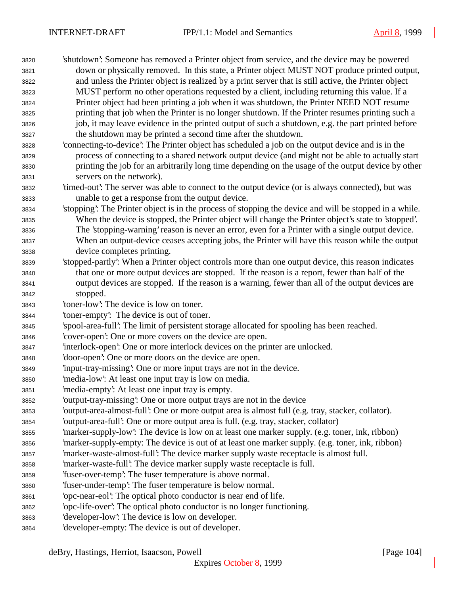'shutdown': Someone has removed a Printer object from service, and the device may be powered down or physically removed. In this state, a Printer object MUST NOT produce printed output, and unless the Printer object is realized by a print server that is still active, the Printer object MUST perform no other operations requested by a client, including returning this value. If a Printer object had been printing a job when it was shutdown, the Printer NEED NOT resume printing that job when the Printer is no longer shutdown. If the Printer resumes printing such a job, it may leave evidence in the printed output of such a shutdown, e.g. the part printed before the shutdown may be printed a second time after the shutdown. 'connecting-to-device': The Printer object has scheduled a job on the output device and is in the process of connecting to a shared network output device (and might not be able to actually start printing the job for an arbitrarily long time depending on the usage of the output device by other servers on the network). 'timed-out': The server was able to connect to the output device (or is always connected), but was unable to get a response from the output device. 'stopping': The Printer object is in the process of stopping the device and will be stopped in a while. When the device is stopped, the Printer object will change the Printer object's state to 'stopped'. The 'stopping-warning' reason is never an error, even for a Printer with a single output device. When an output-device ceases accepting jobs, the Printer will have this reason while the output device completes printing. 'stopped-partly': When a Printer object controls more than one output device, this reason indicates that one or more output devices are stopped. If the reason is a report, fewer than half of the output devices are stopped. If the reason is a warning, fewer than all of the output devices are stopped. 'toner-low': The device is low on toner. 'toner-empty': The device is out of toner. 'spool-area-full': The limit of persistent storage allocated for spooling has been reached. 'cover-open': One or more covers on the device are open. 'interlock-open': One or more interlock devices on the printer are unlocked. 'door-open': One or more doors on the device are open. 'input-tray-missing': One or more input trays are not in the device. 'media-low': At least one input tray is low on media. 'media-empty': At least one input tray is empty. 'output-tray-missing': One or more output trays are not in the device 'output-area-almost-full': One or more output area is almost full (e.g. tray, stacker, collator). 'output-area-full': One or more output area is full. (e.g. tray, stacker, collator) 'marker-supply-low': The device is low on at least one marker supply. (e.g. toner, ink, ribbon) 'marker-supply-empty: The device is out of at least one marker supply. (e.g. toner, ink, ribbon) 'marker-waste-almost-full': The device marker supply waste receptacle is almost full. 'marker-waste-full': The device marker supply waste receptacle is full. 'fuser-over-temp': The fuser temperature is above normal. 'fuser-under-temp': The fuser temperature is below normal. 'opc-near-eol': The optical photo conductor is near end of life. 'opc-life-over': The optical photo conductor is no longer functioning. 'developer-low': The device is low on developer. 'developer-empty: The device is out of developer.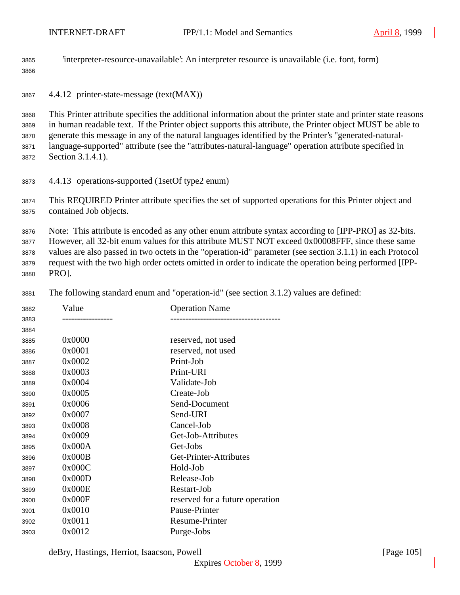'interpreter-resource-unavailable': An interpreter resource is unavailable (i.e. font, form)

| 3866                                 |                                                                                                                                                                                                                                                                                                                                                                                                                                                                   |                                                                                                                                                                                                                                                                                                                                                                                                                                  |  |
|--------------------------------------|-------------------------------------------------------------------------------------------------------------------------------------------------------------------------------------------------------------------------------------------------------------------------------------------------------------------------------------------------------------------------------------------------------------------------------------------------------------------|----------------------------------------------------------------------------------------------------------------------------------------------------------------------------------------------------------------------------------------------------------------------------------------------------------------------------------------------------------------------------------------------------------------------------------|--|
| 3867                                 | 4.4.12 printer-state-message (text(MAX))                                                                                                                                                                                                                                                                                                                                                                                                                          |                                                                                                                                                                                                                                                                                                                                                                                                                                  |  |
| 3868<br>3869<br>3870<br>3871<br>3872 | This Printer attribute specifies the additional information about the printer state and printer state reasons<br>in human readable text. If the Printer object supports this attribute, the Printer object MUST be able to<br>generate this message in any of the natural languages identified by the Printer's "generated-natural-<br>language-supported" attribute (see the "attributes-natural-language" operation attribute specified in<br>Section 3.1.4.1). |                                                                                                                                                                                                                                                                                                                                                                                                                                  |  |
| 3873                                 | 4.4.13 operations-supported (1setOf type2 enum)                                                                                                                                                                                                                                                                                                                                                                                                                   |                                                                                                                                                                                                                                                                                                                                                                                                                                  |  |
| 3874<br>3875                         | This REQUIRED Printer attribute specifies the set of supported operations for this Printer object and<br>contained Job objects.                                                                                                                                                                                                                                                                                                                                   |                                                                                                                                                                                                                                                                                                                                                                                                                                  |  |
| 3876<br>3877<br>3878<br>3879<br>3880 | PRO].                                                                                                                                                                                                                                                                                                                                                                                                                                                             | Note: This attribute is encoded as any other enum attribute syntax according to [IPP-PRO] as 32-bits.<br>However, all 32-bit enum values for this attribute MUST NOT exceed 0x00008FFF, since these same<br>values are also passed in two octets in the "operation-id" parameter (see section 3.1.1) in each Protocol<br>request with the two high order octets omitted in order to indicate the operation being performed [IPP- |  |
| 3881                                 |                                                                                                                                                                                                                                                                                                                                                                                                                                                                   | The following standard enum and "operation-id" (see section 3.1.2) values are defined:                                                                                                                                                                                                                                                                                                                                           |  |
| 3882<br>3883                         | Value<br>--------------                                                                                                                                                                                                                                                                                                                                                                                                                                           | <b>Operation Name</b><br>----------------------------                                                                                                                                                                                                                                                                                                                                                                            |  |
| 3884<br>3885                         | 0x0000                                                                                                                                                                                                                                                                                                                                                                                                                                                            | reserved, not used                                                                                                                                                                                                                                                                                                                                                                                                               |  |
| 3886                                 | 0x0001                                                                                                                                                                                                                                                                                                                                                                                                                                                            | reserved, not used                                                                                                                                                                                                                                                                                                                                                                                                               |  |
| 3887                                 | 0x0002                                                                                                                                                                                                                                                                                                                                                                                                                                                            | Print-Job                                                                                                                                                                                                                                                                                                                                                                                                                        |  |
| 3888                                 | 0x0003                                                                                                                                                                                                                                                                                                                                                                                                                                                            | Print-URI                                                                                                                                                                                                                                                                                                                                                                                                                        |  |
| 3889                                 | 0x0004                                                                                                                                                                                                                                                                                                                                                                                                                                                            | Validate-Job                                                                                                                                                                                                                                                                                                                                                                                                                     |  |
| 3890                                 | 0x0005                                                                                                                                                                                                                                                                                                                                                                                                                                                            | Create-Job                                                                                                                                                                                                                                                                                                                                                                                                                       |  |
| 3891                                 | 0x0006                                                                                                                                                                                                                                                                                                                                                                                                                                                            | Send-Document                                                                                                                                                                                                                                                                                                                                                                                                                    |  |
| 3892                                 | 0x0007                                                                                                                                                                                                                                                                                                                                                                                                                                                            | Send-URI                                                                                                                                                                                                                                                                                                                                                                                                                         |  |
| 3893                                 | 0x0008                                                                                                                                                                                                                                                                                                                                                                                                                                                            | Cancel-Job                                                                                                                                                                                                                                                                                                                                                                                                                       |  |
| 3894                                 | 0x0009                                                                                                                                                                                                                                                                                                                                                                                                                                                            | Get-Job-Attributes                                                                                                                                                                                                                                                                                                                                                                                                               |  |
| 3895                                 | 0x000A                                                                                                                                                                                                                                                                                                                                                                                                                                                            | Get-Jobs                                                                                                                                                                                                                                                                                                                                                                                                                         |  |
| 3896                                 | 0x000B                                                                                                                                                                                                                                                                                                                                                                                                                                                            | Get-Printer-Attributes                                                                                                                                                                                                                                                                                                                                                                                                           |  |
| 3897                                 | 0x000C                                                                                                                                                                                                                                                                                                                                                                                                                                                            | Hold-Job                                                                                                                                                                                                                                                                                                                                                                                                                         |  |
| 3898                                 | 0x000D                                                                                                                                                                                                                                                                                                                                                                                                                                                            | Release-Job                                                                                                                                                                                                                                                                                                                                                                                                                      |  |
| 3899                                 | 0x000E                                                                                                                                                                                                                                                                                                                                                                                                                                                            | Restart-Job                                                                                                                                                                                                                                                                                                                                                                                                                      |  |

3900 0x000F reserved for a future operation 0x0010 Pause-Printer

0x0011 Resume-Printer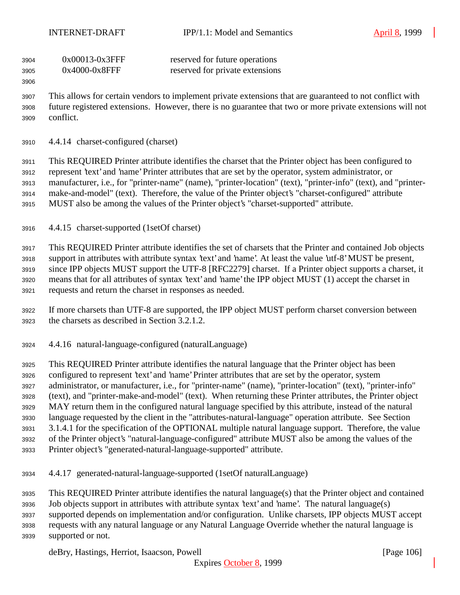| 3904 | $0x00013-0x3$ FFF | reserved for future operations  |
|------|-------------------|---------------------------------|
| 3905 | $0x4000-0x8$ FFF  | reserved for private extensions |

 This allows for certain vendors to implement private extensions that are guaranteed to not conflict with future registered extensions. However, there is no guarantee that two or more private extensions will not conflict.

4.4.14 charset-configured (charset)

 This REQUIRED Printer attribute identifies the charset that the Printer object has been configured to represent 'text' and 'name' Printer attributes that are set by the operator, system administrator, or manufacturer, i.e., for "printer-name" (name), "printer-location" (text), "printer-info" (text), and "printer- make-and-model" (text). Therefore, the value of the Printer object's "charset-configured" attribute MUST also be among the values of the Printer object's "charset-supported" attribute.

4.4.15 charset-supported (1setOf charset)

 This REQUIRED Printer attribute identifies the set of charsets that the Printer and contained Job objects support in attributes with attribute syntax 'text' and 'name'. At least the value 'utf-8' MUST be present, since IPP objects MUST support the UTF-8 [RFC2279] charset. If a Printer object supports a charset, it means that for all attributes of syntax 'text' and 'name' the IPP object MUST (1) accept the charset in requests and return the charset in responses as needed.

 If more charsets than UTF-8 are supported, the IPP object MUST perform charset conversion between the charsets as described in Section 3.2.1.2.

4.4.16 natural-language-configured (naturalLanguage)

 This REQUIRED Printer attribute identifies the natural language that the Printer object has been configured to represent 'text' and 'name' Printer attributes that are set by the operator, system administrator, or manufacturer, i.e., for "printer-name" (name), "printer-location" (text), "printer-info" (text), and "printer-make-and-model" (text). When returning these Printer attributes, the Printer object MAY return them in the configured natural language specified by this attribute, instead of the natural language requested by the client in the "attributes-natural-language" operation attribute. See Section 3.1.4.1 for the specification of the OPTIONAL multiple natural language support. Therefore, the value of the Printer object's "natural-language-configured" attribute MUST also be among the values of the Printer object's "generated-natural-language-supported" attribute.

4.4.17 generated-natural-language-supported (1setOf naturalLanguage)

This REQUIRED Printer attribute identifies the natural language(s) that the Printer object and contained

- Job objects support in attributes with attribute syntax 'text' and 'name'. The natural language(s) supported depends on implementation and/or configuration. Unlike charsets, IPP objects MUST accept
- requests with any natural language or any Natural Language Override whether the natural language is supported or not.

deBry, Hastings, Herriot, Isaacson, Powell **company** and the same of the same of the same of the same of the same of the same of the same of the same of the same of the same of the same of the same of the same of the same

Expires October 8, 1999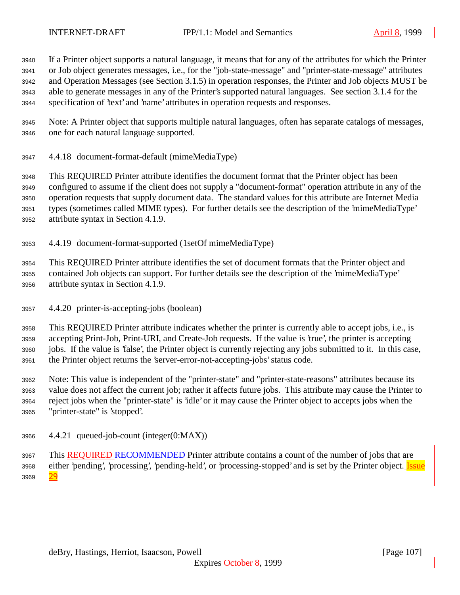If a Printer object supports a natural language, it means that for any of the attributes for which the Printer or Job object generates messages, i.e., for the "job-state-message" and "printer-state-message" attributes and Operation Messages (see Section 3.1.5) in operation responses, the Printer and Job objects MUST be able to generate messages in any of the Printer's supported natural languages. See section 3.1.4 for the specification of 'text' and 'name' attributes in operation requests and responses.

 Note: A Printer object that supports multiple natural languages, often has separate catalogs of messages, one for each natural language supported.

4.4.18 document-format-default (mimeMediaType)

 This REQUIRED Printer attribute identifies the document format that the Printer object has been configured to assume if the client does not supply a "document-format" operation attribute in any of the operation requests that supply document data. The standard values for this attribute are Internet Media types (sometimes called MIME types). For further details see the description of the 'mimeMediaType' attribute syntax in Section 4.1.9.

4.4.19 document-format-supported (1setOf mimeMediaType)

 This REQUIRED Printer attribute identifies the set of document formats that the Printer object and contained Job objects can support. For further details see the description of the 'mimeMediaType' attribute syntax in Section 4.1.9.

4.4.20 printer-is-accepting-jobs (boolean)

 This REQUIRED Printer attribute indicates whether the printer is currently able to accept jobs, i.e., is accepting Print-Job, Print-URI, and Create-Job requests. If the value is 'true', the printer is accepting jobs. If the value is 'false', the Printer object is currently rejecting any jobs submitted to it. In this case, the Printer object returns the 'server-error-not-accepting-jobs' status code.

 Note: This value is independent of the "printer-state" and "printer-state-reasons" attributes because its value does not affect the current job; rather it affects future jobs. This attribute may cause the Printer to reject jobs when the "printer-state" is 'idle' or it may cause the Printer object to accepts jobs when the "printer-state" is 'stopped'.

4.4.21 queued-job-count (integer(0:MAX))

3967 This REQUIRED RECOMMENDED Printer attribute contains a count of the number of jobs that are 3968 either 'pending', 'processing', 'pending-held', or 'processing-stopped' and is set by the Printer object. Issue 3969 29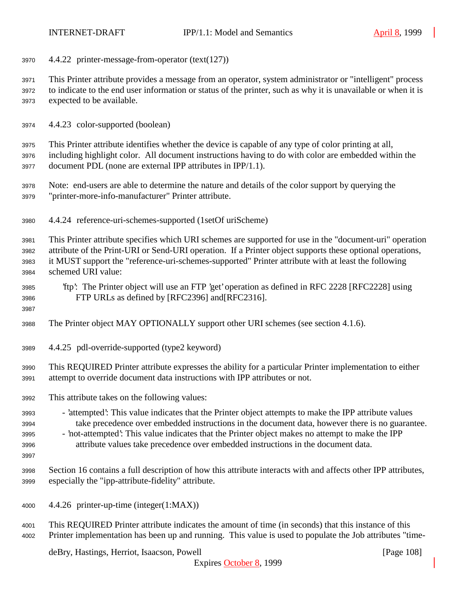4.4.22 printer-message-from-operator (text(127))

 This Printer attribute provides a message from an operator, system administrator or "intelligent" process to indicate to the end user information or status of the printer, such as why it is unavailable or when it is expected to be available.

4.4.23 color-supported (boolean)

 This Printer attribute identifies whether the device is capable of any type of color printing at all, including highlight color. All document instructions having to do with color are embedded within the document PDL (none are external IPP attributes in IPP/1.1).

- Note: end-users are able to determine the nature and details of the color support by querying the "printer-more-info-manufacturer" Printer attribute.
- 4.4.24 reference-uri-schemes-supported (1setOf uriScheme)

 This Printer attribute specifies which URI schemes are supported for use in the "document-uri" operation attribute of the Print-URI or Send-URI operation. If a Printer object supports these optional operations, it MUST support the "reference-uri-schemes-supported" Printer attribute with at least the following schemed URI value:

 'ftp': The Printer object will use an FTP 'get' operation as defined in RFC 2228 [RFC2228] using FTP URLs as defined by [RFC2396] and[RFC2316].

- The Printer object MAY OPTIONALLY support other URI schemes (see section 4.1.6).
- 4.4.25 pdl-override-supported (type2 keyword)

 This REQUIRED Printer attribute expresses the ability for a particular Printer implementation to either attempt to override document data instructions with IPP attributes or not.

- This attribute takes on the following values:
- 'attempted': This value indicates that the Printer object attempts to make the IPP attribute values take precedence over embedded instructions in the document data, however there is no guarantee. - 'not-attempted': This value indicates that the Printer object makes no attempt to make the IPP
- attribute values take precedence over embedded instructions in the document data.
- 

 Section 16 contains a full description of how this attribute interacts with and affects other IPP attributes, especially the "ipp-attribute-fidelity" attribute.

- 4.4.26 printer-up-time (integer(1:MAX))
- This REQUIRED Printer attribute indicates the amount of time (in seconds) that this instance of this Printer implementation has been up and running. This value is used to populate the Job attributes "time-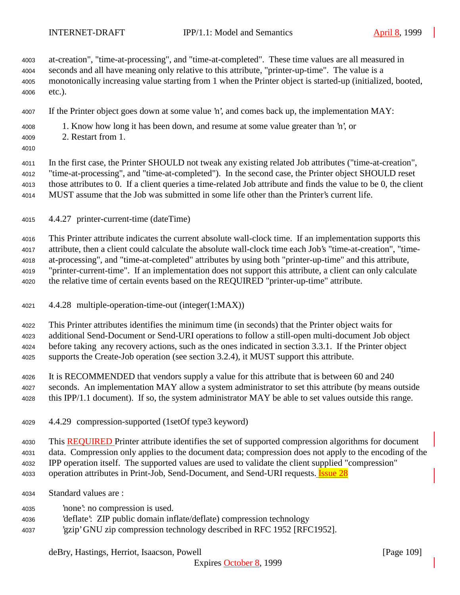at-creation", "time-at-processing", and "time-at-completed". These time values are all measured in seconds and all have meaning only relative to this attribute, "printer-up-time". The value is a monotonically increasing value starting from 1 when the Printer object is started-up (initialized, booted, etc.).

- If the Printer object goes down at some value 'n', and comes back up, the implementation MAY:
- 1. Know how long it has been down, and resume at some value greater than 'n', or
- 2. Restart from 1.
- 

 In the first case, the Printer SHOULD not tweak any existing related Job attributes ("time-at-creation", "time-at-processing", and "time-at-completed"). In the second case, the Printer object SHOULD reset those attributes to 0. If a client queries a time-related Job attribute and finds the value to be 0, the client MUST assume that the Job was submitted in some life other than the Printer's current life.

4.4.27 printer-current-time (dateTime)

 This Printer attribute indicates the current absolute wall-clock time. If an implementation supports this attribute, then a client could calculate the absolute wall-clock time each Job's "time-at-creation", "time- at-processing", and "time-at-completed" attributes by using both "printer-up-time" and this attribute, "printer-current-time". If an implementation does not support this attribute, a client can only calculate the relative time of certain events based on the REQUIRED "printer-up-time" attribute.

4.4.28 multiple-operation-time-out (integer(1:MAX))

 This Printer attributes identifies the minimum time (in seconds) that the Printer object waits for additional Send-Document or Send-URI operations to follow a still-open multi-document Job object before taking any recovery actions, such as the ones indicated in section 3.3.1. If the Printer object supports the Create-Job operation (see section 3.2.4), it MUST support this attribute.

- It is RECOMMENDED that vendors supply a value for this attribute that is between 60 and 240 seconds. An implementation MAY allow a system administrator to set this attribute (by means outside this IPP/1.1 document). If so, the system administrator MAY be able to set values outside this range.
- 4.4.29 compression-supported (1setOf type3 keyword)

4030 This **REQUIRED** Printer attribute identifies the set of supported compression algorithms for document data. Compression only applies to the document data; compression does not apply to the encoding of the

IPP operation itself. The supported values are used to validate the client supplied "compression"

4033 operation attributes in Print-Job, Send-Document, and Send-URI requests. **Issue 28** 

- Standard values are :
- 'none': no compression is used.
- 'deflate': ZIP public domain inflate/deflate) compression technology
- 'gzip' GNU zip compression technology described in RFC 1952 [RFC1952].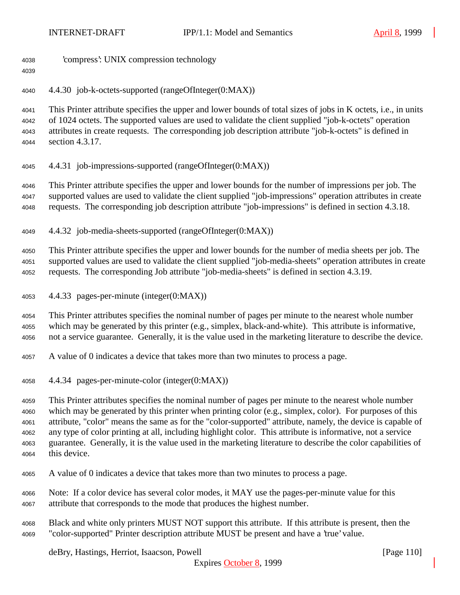'compress': UNIX compression technology

4.4.30 job-k-octets-supported (rangeOfInteger(0:MAX))

 This Printer attribute specifies the upper and lower bounds of total sizes of jobs in K octets, i.e., in units of 1024 octets. The supported values are used to validate the client supplied "job-k-octets" operation attributes in create requests. The corresponding job description attribute "job-k-octets" is defined in section 4.3.17.

4.4.31 job-impressions-supported (rangeOfInteger(0:MAX))

 This Printer attribute specifies the upper and lower bounds for the number of impressions per job. The supported values are used to validate the client supplied "job-impressions" operation attributes in create requests. The corresponding job description attribute "job-impressions" is defined in section 4.3.18.

4.4.32 job-media-sheets-supported (rangeOfInteger(0:MAX))

 This Printer attribute specifies the upper and lower bounds for the number of media sheets per job. The supported values are used to validate the client supplied "job-media-sheets" operation attributes in create requests. The corresponding Job attribute "job-media-sheets" is defined in section 4.3.19.

4.4.33 pages-per-minute (integer(0:MAX))

 This Printer attributes specifies the nominal number of pages per minute to the nearest whole number which may be generated by this printer (e.g., simplex, black-and-white). This attribute is informative, not a service guarantee. Generally, it is the value used in the marketing literature to describe the device.

- A value of 0 indicates a device that takes more than two minutes to process a page.
- 4.4.34 pages-per-minute-color (integer(0:MAX))

 This Printer attributes specifies the nominal number of pages per minute to the nearest whole number which may be generated by this printer when printing color (e.g., simplex, color). For purposes of this attribute, "color" means the same as for the "color-supported" attribute, namely, the device is capable of any type of color printing at all, including highlight color. This attribute is informative, not a service guarantee. Generally, it is the value used in the marketing literature to describe the color capabilities of this device.

- A value of 0 indicates a device that takes more than two minutes to process a page.
- Note: If a color device has several color modes, it MAY use the pages-per-minute value for this attribute that corresponds to the mode that produces the highest number.
- Black and white only printers MUST NOT support this attribute. If this attribute is present, then the "color-supported" Printer description attribute MUST be present and have a 'true' value.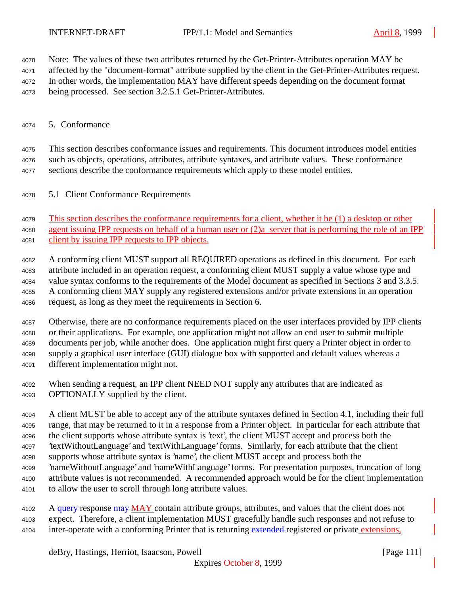Note: The values of these two attributes returned by the Get-Printer-Attributes operation MAY be

affected by the "document-format" attribute supplied by the client in the Get-Printer-Attributes request.

In other words, the implementation MAY have different speeds depending on the document format

being processed. See section 3.2.5.1 Get-Printer-Attributes.

## 5. Conformance

 This section describes conformance issues and requirements. This document introduces model entities such as objects, operations, attributes, attribute syntaxes, and attribute values. These conformance sections describe the conformance requirements which apply to these model entities.

5.1 Client Conformance Requirements

 This section describes the conformance requirements for a client, whether it be (1) a desktop or other agent issuing IPP requests on behalf of a human user or (2)a server that is performing the role of an IPP client by issuing IPP requests to IPP objects.

 A conforming client MUST support all REQUIRED operations as defined in this document. For each attribute included in an operation request, a conforming client MUST supply a value whose type and value syntax conforms to the requirements of the Model document as specified in Sections 3 and 3.3.5. A conforming client MAY supply any registered extensions and/or private extensions in an operation request, as long as they meet the requirements in Section 6.

 Otherwise, there are no conformance requirements placed on the user interfaces provided by IPP clients or their applications. For example, one application might not allow an end user to submit multiple documents per job, while another does. One application might first query a Printer object in order to supply a graphical user interface (GUI) dialogue box with supported and default values whereas a different implementation might not.

 When sending a request, an IPP client NEED NOT supply any attributes that are indicated as OPTIONALLY supplied by the client.

 A client MUST be able to accept any of the attribute syntaxes defined in Section 4.1, including their full range, that may be returned to it in a response from a Printer object. In particular for each attribute that the client supports whose attribute syntax is 'text', the client MUST accept and process both the 'textWithoutLanguage' and 'textWithLanguage' forms. Similarly, for each attribute that the client supports whose attribute syntax is 'name', the client MUST accept and process both the 'nameWithoutLanguage' and 'nameWithLanguage' forms. For presentation purposes, truncation of long attribute values is not recommended. A recommended approach would be for the client implementation to allow the user to scroll through long attribute values.

4102 A query response may MAY contain attribute groups, attributes, and values that the client does not expect. Therefore, a client implementation MUST gracefully handle such responses and not refuse to 4104 inter-operate with a conforming Printer that is returning extended registered or private extensions,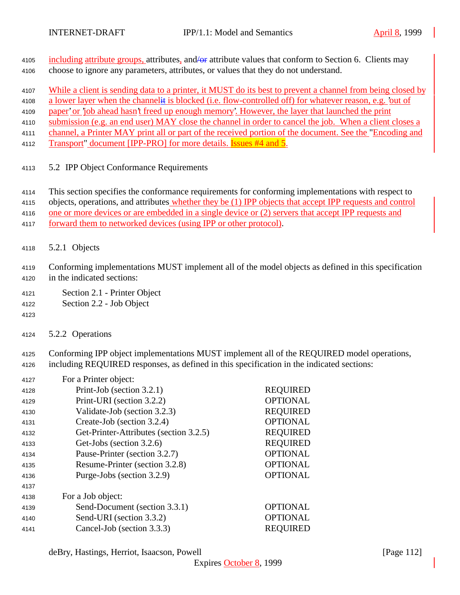- 4105 including attribute groups, attributes, and  $\theta$  attribute values that conform to Section 6. Clients may choose to ignore any parameters, attributes, or values that they do not understand.
- While a client is sending data to a printer, it MUST do its best to prevent a channel from being closed by
- a lower layer when the channelit is blocked (i.e. flow-controlled off) for whatever reason, e.g. 'out of
- 4109 paper' or 'job ahead hasn't freed up enough memory'. However, the layer that launched the print
- submission (e.g. an end user) MAY close the channel in order to cancel the job. When a client closes a
- channel, a Printer MAY print all or part of the received portion of the document. See the "Encoding and
- 4112 Transport" document [IPP-PRO] for more details. **Issues #4 and 5.**
- 5.2 IPP Object Conformance Requirements
- This section specifies the conformance requirements for conforming implementations with respect to
- objects, operations, and attributes whether they be (1) IPP objects that accept IPP requests and control
- one or more devices or are embedded in a single device or (2) servers that accept IPP requests and
- forward them to networked devices (using IPP or other protocol).
- 5.2.1 Objects
- Conforming implementations MUST implement all of the model objects as defined in this specification in the indicated sections:
- Section 2.1 Printer Object
- Section 2.2 Job Object
- 

5.2.2 Operations

 Conforming IPP object implementations MUST implement all of the REQUIRED model operations, including REQUIRED responses, as defined in this specification in the indicated sections:

| 4127 | For a Printer object:                  |                 |
|------|----------------------------------------|-----------------|
| 4128 | Print-Job (section 3.2.1)              | <b>REQUIRED</b> |
| 4129 | Print-URI (section 3.2.2)              | <b>OPTIONAL</b> |
| 4130 | Validate-Job (section 3.2.3)           | <b>REQUIRED</b> |
| 4131 | Create-Job (section 3.2.4)             | <b>OPTIONAL</b> |
| 4132 | Get-Printer-Attributes (section 3.2.5) | <b>REQUIRED</b> |
| 4133 | Get-Jobs (section 3.2.6)               | <b>REQUIRED</b> |
| 4134 | Pause-Printer (section 3.2.7)          | <b>OPTIONAL</b> |
| 4135 | Resume-Printer (section 3.2.8)         | <b>OPTIONAL</b> |
| 4136 | Purge-Jobs (section 3.2.9)             | <b>OPTIONAL</b> |
| 4137 |                                        |                 |
| 4138 | For a Job object:                      |                 |
| 4139 | Send-Document (section 3.3.1)          | <b>OPTIONAL</b> |
| 4140 | Send-URI (section 3.3.2)               | <b>OPTIONAL</b> |
| 4141 | Cancel-Job (section 3.3.3)             | <b>REOUIRED</b> |
|      |                                        |                 |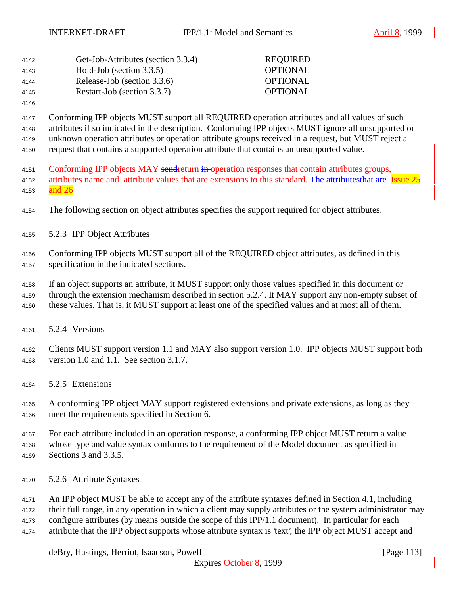| 4142 | Get-Job-Attributes (section 3.3.4) | <b>REQUIRED</b> |
|------|------------------------------------|-----------------|
| 4143 | Hold-Job (section $3.3.5$ )        | <b>OPTIONAL</b> |
| 4144 | Release-Job (section 3.3.6)        | <b>OPTIONAL</b> |
| 4145 | Restart-Job (section 3.3.7)        | <b>OPTIONAL</b> |
|      |                                    |                 |

 Conforming IPP objects MUST support all REQUIRED operation attributes and all values of such attributes if so indicated in the description. Conforming IPP objects MUST ignore all unsupported or unknown operation attributes or operation attribute groups received in a request, but MUST reject a request that contains a supported operation attribute that contains an unsupported value.

- 4151 Conforming IPP objects MAY sendreturn in operation responses that contain attributes groups, 4152 attributes name and -attribute values that are extensions to this standard. The attributesthat are Issue 25 4153 and 26
- The following section on object attributes specifies the support required for object attributes.
- 5.2.3 IPP Object Attributes
- Conforming IPP objects MUST support all of the REQUIRED object attributes, as defined in this specification in the indicated sections.
- If an object supports an attribute, it MUST support only those values specified in this document or
- through the extension mechanism described in section 5.2.4. It MAY support any non-empty subset of
- these values. That is, it MUST support at least one of the specified values and at most all of them.
- 5.2.4 Versions
- Clients MUST support version 1.1 and MAY also support version 1.0. IPP objects MUST support both version 1.0 and 1.1. See section 3.1.7.
- 5.2.5 Extensions

 A conforming IPP object MAY support registered extensions and private extensions, as long as they meet the requirements specified in Section 6.

For each attribute included in an operation response, a conforming IPP object MUST return a value

whose type and value syntax conforms to the requirement of the Model document as specified in

- Sections 3 and 3.3.5.
- 5.2.6 Attribute Syntaxes
- An IPP object MUST be able to accept any of the attribute syntaxes defined in Section 4.1, including
- their full range, in any operation in which a client may supply attributes or the system administrator may
- configure attributes (by means outside the scope of this IPP/1.1 document). In particular for each
- attribute that the IPP object supports whose attribute syntax is 'text', the IPP object MUST accept and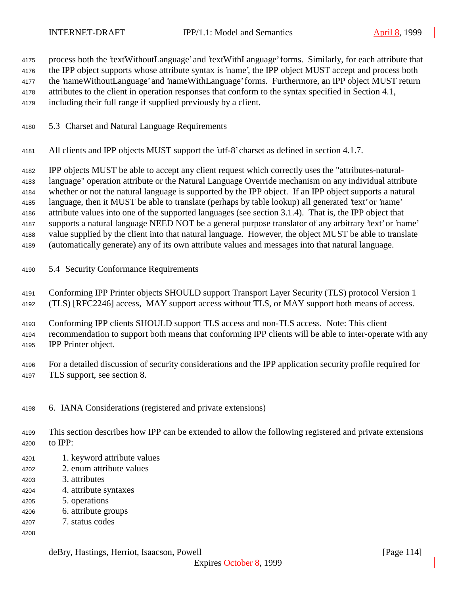process both the 'textWithoutLanguage' and 'textWithLanguage' forms. Similarly, for each attribute that

the IPP object supports whose attribute syntax is 'name', the IPP object MUST accept and process both

the 'nameWithoutLanguage' and 'nameWithLanguage' forms. Furthermore, an IPP object MUST return

attributes to the client in operation responses that conform to the syntax specified in Section 4.1,

including their full range if supplied previously by a client.

- 5.3 Charset and Natural Language Requirements
- All clients and IPP objects MUST support the 'utf-8' charset as defined in section 4.1.7.

IPP objects MUST be able to accept any client request which correctly uses the "attributes-natural-

language" operation attribute or the Natural Language Override mechanism on any individual attribute

whether or not the natural language is supported by the IPP object. If an IPP object supports a natural

language, then it MUST be able to translate (perhaps by table lookup) all generated 'text' or 'name'

attribute values into one of the supported languages (see section 3.1.4). That is, the IPP object that

supports a natural language NEED NOT be a general purpose translator of any arbitrary 'text' or 'name'

value supplied by the client into that natural language. However, the object MUST be able to translate

- (automatically generate) any of its own attribute values and messages into that natural language.
- 5.4 Security Conformance Requirements

 Conforming IPP Printer objects SHOULD support Transport Layer Security (TLS) protocol Version 1 (TLS) [RFC2246] access, MAY support access without TLS, or MAY support both means of access.

Conforming IPP clients SHOULD support TLS access and non-TLS access. Note: This client

recommendation to support both means that conforming IPP clients will be able to inter-operate with any

IPP Printer object.

 For a detailed discussion of security considerations and the IPP application security profile required for TLS support, see section 8.

6. IANA Considerations (registered and private extensions)

 This section describes how IPP can be extended to allow the following registered and private extensions to IPP:

- 1. keyword attribute values
- 2. enum attribute values
- 3. attributes
- 4. attribute syntaxes
- 5. operations
- 6. attribute groups
- 7. status codes
-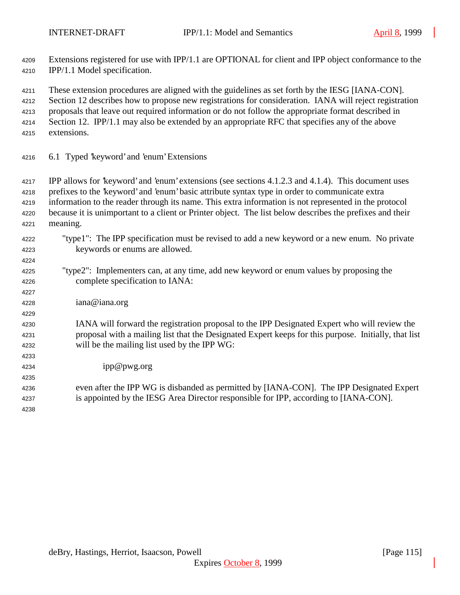Extensions registered for use with IPP/1.1 are OPTIONAL for client and IPP object conformance to the IPP/1.1 Model specification.

These extension procedures are aligned with the guidelines as set forth by the IESG [IANA-CON].

Section 12 describes how to propose new registrations for consideration. IANA will reject registration

proposals that leave out required information or do not follow the appropriate format described in

- 4214 Section 12. IPP/1.1 may also be extended by an appropriate RFC that specifies any of the above
- extensions.

6.1 Typed 'keyword' and 'enum' Extensions

 IPP allows for 'keyword' and 'enum' extensions (see sections 4.1.2.3 and 4.1.4). This document uses prefixes to the 'keyword' and 'enum' basic attribute syntax type in order to communicate extra information to the reader through its name. This extra information is not represented in the protocol because it is unimportant to a client or Printer object. The list below describes the prefixes and their meaning.

- "type1": The IPP specification must be revised to add a new keyword or a new enum. No private keywords or enums are allowed.
- "type2": Implementers can, at any time, add new keyword or enum values by proposing the complete specification to IANA:
- iana@iana.org

## IANA will forward the registration proposal to the IPP Designated Expert who will review the proposal with a mailing list that the Designated Expert keeps for this purpose. Initially, that list will be the mailing list used by the IPP WG:

- ipp@pwg.org
- even after the IPP WG is disbanded as permitted by [IANA-CON]. The IPP Designated Expert is appointed by the IESG Area Director responsible for IPP, according to [IANA-CON].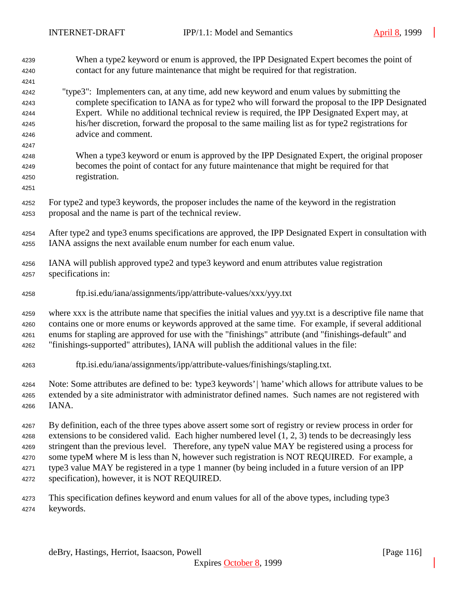When a type2 keyword or enum is approved, the IPP Designated Expert becomes the point of contact for any future maintenance that might be required for that registration. "type3": Implementers can, at any time, add new keyword and enum values by submitting the complete specification to IANA as for type2 who will forward the proposal to the IPP Designated Expert. While no additional technical review is required, the IPP Designated Expert may, at his/her discretion, forward the proposal to the same mailing list as for type2 registrations for advice and comment. When a type3 keyword or enum is approved by the IPP Designated Expert, the original proposer becomes the point of contact for any future maintenance that might be required for that registration. For type2 and type3 keywords, the proposer includes the name of the keyword in the registration proposal and the name is part of the technical review. After type2 and type3 enums specifications are approved, the IPP Designated Expert in consultation with IANA assigns the next available enum number for each enum value. IANA will publish approved type2 and type3 keyword and enum attributes value registration specifications in: ftp.isi.edu/iana/assignments/ipp/attribute-values/xxx/yyy.txt where xxx is the attribute name that specifies the initial values and yyy.txt is a descriptive file name that contains one or more enums or keywords approved at the same time. For example, if several additional enums for stapling are approved for use with the "finishings" attribute (and "finishings-default" and "finishings-supported" attributes), IANA will publish the additional values in the file: ftp.isi.edu/iana/assignments/ipp/attribute-values/finishings/stapling.txt. Note: Some attributes are defined to be: 'type3 keywords' | 'name' which allows for attribute values to be extended by a site administrator with administrator defined names. Such names are not registered with IANA. By definition, each of the three types above assert some sort of registry or review process in order for extensions to be considered valid. Each higher numbered level (1, 2, 3) tends to be decreasingly less stringent than the previous level. Therefore, any typeN value MAY be registered using a process for some typeM where M is less than N, however such registration is NOT REQUIRED. For example, a type3 value MAY be registered in a type 1 manner (by being included in a future version of an IPP specification), however, it is NOT REQUIRED. This specification defines keyword and enum values for all of the above types, including type3 keywords.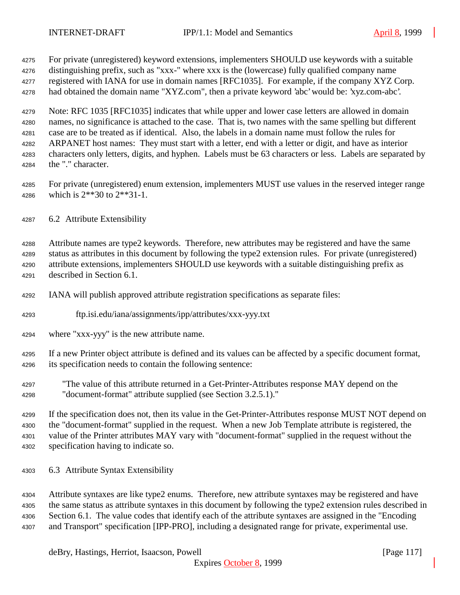For private (unregistered) keyword extensions, implementers SHOULD use keywords with a suitable

distinguishing prefix, such as "xxx-" where xxx is the (lowercase) fully qualified company name

registered with IANA for use in domain names [RFC1035]. For example, if the company XYZ Corp.

had obtained the domain name "XYZ.com", then a private keyword 'abc' would be: 'xyz.com-abc'.

 Note: RFC 1035 [RFC1035] indicates that while upper and lower case letters are allowed in domain names, no significance is attached to the case. That is, two names with the same spelling but different case are to be treated as if identical. Also, the labels in a domain name must follow the rules for ARPANET host names: They must start with a letter, end with a letter or digit, and have as interior characters only letters, digits, and hyphen. Labels must be 63 characters or less. Labels are separated by the "." character.

- For private (unregistered) enum extension, implementers MUST use values in the reserved integer range which is 2\*\*30 to 2\*\*31-1.
- 6.2 Attribute Extensibility

 Attribute names are type2 keywords. Therefore, new attributes may be registered and have the same status as attributes in this document by following the type2 extension rules. For private (unregistered) attribute extensions, implementers SHOULD use keywords with a suitable distinguishing prefix as described in Section 6.1.

- IANA will publish approved attribute registration specifications as separate files:
- ftp.isi.edu/iana/assignments/ipp/attributes/xxx-yyy.txt
- where "xxx-yyy" is the new attribute name.
- If a new Printer object attribute is defined and its values can be affected by a specific document format, its specification needs to contain the following sentence:
- "The value of this attribute returned in a Get-Printer-Attributes response MAY depend on the "document-format" attribute supplied (see Section 3.2.5.1)."

 If the specification does not, then its value in the Get-Printer-Attributes response MUST NOT depend on the "document-format" supplied in the request. When a new Job Template attribute is registered, the value of the Printer attributes MAY vary with "document-format" supplied in the request without the specification having to indicate so.

6.3 Attribute Syntax Extensibility

 Attribute syntaxes are like type2 enums. Therefore, new attribute syntaxes may be registered and have the same status as attribute syntaxes in this document by following the type2 extension rules described in Section 6.1. The value codes that identify each of the attribute syntaxes are assigned in the "Encoding and Transport" specification [IPP-PRO], including a designated range for private, experimental use.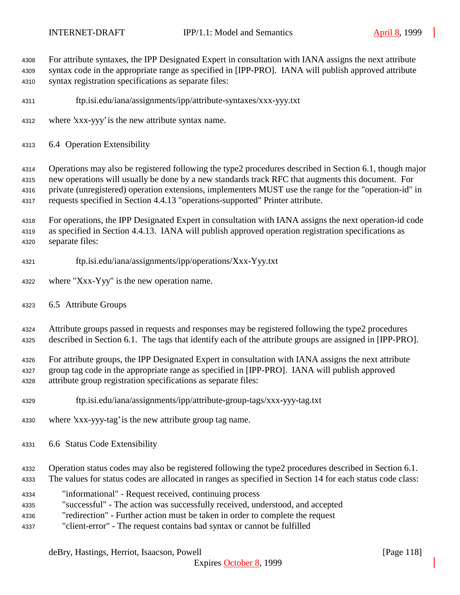For attribute syntaxes, the IPP Designated Expert in consultation with IANA assigns the next attribute syntax code in the appropriate range as specified in [IPP-PRO]. IANA will publish approved attribute

syntax registration specifications as separate files:

- ftp.isi.edu/iana/assignments/ipp/attribute-syntaxes/xxx-yyy.txt
- where 'xxx-yyy' is the new attribute syntax name.
- 6.4 Operation Extensibility

 Operations may also be registered following the type2 procedures described in Section 6.1, though major new operations will usually be done by a new standards track RFC that augments this document. For private (unregistered) operation extensions, implementers MUST use the range for the "operation-id" in requests specified in Section 4.4.13 "operations-supported" Printer attribute.

 For operations, the IPP Designated Expert in consultation with IANA assigns the next operation-id code as specified in Section 4.4.13. IANA will publish approved operation registration specifications as separate files:

- ftp.isi.edu/iana/assignments/ipp/operations/Xxx-Yyy.txt
- where "Xxx-Yyy" is the new operation name.
- 6.5 Attribute Groups

 Attribute groups passed in requests and responses may be registered following the type2 procedures described in Section 6.1. The tags that identify each of the attribute groups are assigned in [IPP-PRO].

 For attribute groups, the IPP Designated Expert in consultation with IANA assigns the next attribute group tag code in the appropriate range as specified in [IPP-PRO]. IANA will publish approved attribute group registration specifications as separate files:

- ftp.isi.edu/iana/assignments/ipp/attribute-group-tags/xxx-yyy-tag.txt
- where 'xxx-yyy-tag' is the new attribute group tag name.
- 6.6 Status Code Extensibility
- Operation status codes may also be registered following the type2 procedures described in Section 6.1.
- The values for status codes are allocated in ranges as specified in Section 14 for each status code class:
- "informational" Request received, continuing process
- "successful" The action was successfully received, understood, and accepted
- "redirection" Further action must be taken in order to complete the request
- "client-error" The request contains bad syntax or cannot be fulfilled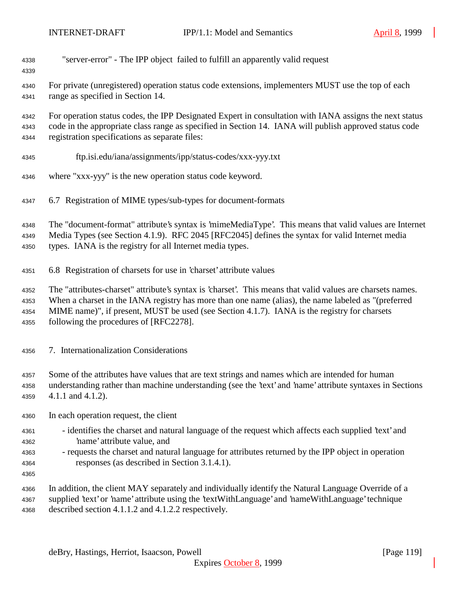| 4338<br>4339                         | "server-error" - The IPP object failed to fulfill an apparently valid request                                                                                                                                                                                                                                                                               |
|--------------------------------------|-------------------------------------------------------------------------------------------------------------------------------------------------------------------------------------------------------------------------------------------------------------------------------------------------------------------------------------------------------------|
| 4340<br>4341                         | For private (unregistered) operation status code extensions, implementers MUST use the top of each<br>range as specified in Section 14.                                                                                                                                                                                                                     |
| 4342<br>4343<br>4344                 | For operation status codes, the IPP Designated Expert in consultation with IANA assigns the next status<br>code in the appropriate class range as specified in Section 14. IANA will publish approved status code<br>registration specifications as separate files:                                                                                         |
| 4345                                 | ftp.isi.edu/iana/assignments/ipp/status-codes/xxx-yyy.txt                                                                                                                                                                                                                                                                                                   |
| 4346                                 | where "xxx-yyy" is the new operation status code keyword.                                                                                                                                                                                                                                                                                                   |
| 4347                                 | 6.7 Registration of MIME types/sub-types for document-formats                                                                                                                                                                                                                                                                                               |
| 4348<br>4349<br>4350                 | The "document-format" attribute's syntax is 'mimeMediaType'. This means that valid values are Internet<br>Media Types (see Section 4.1.9). RFC 2045 [RFC2045] defines the syntax for valid Internet media<br>types. IANA is the registry for all Internet media types.                                                                                      |
| 4351                                 | 6.8 Registration of charsets for use in 'charset' attribute values                                                                                                                                                                                                                                                                                          |
| 4352<br>4353<br>4354<br>4355         | The "attributes-charset" attribute's syntax is 'charset'. This means that valid values are charsets names.<br>When a charset in the IANA registry has more than one name (alias), the name labeled as "(preferred<br>MIME name)", if present, MUST be used (see Section 4.1.7). IANA is the registry for charsets<br>following the procedures of [RFC2278]. |
| 4356                                 | 7. Internationalization Considerations                                                                                                                                                                                                                                                                                                                      |
| 4357<br>4358<br>4359                 | Some of the attributes have values that are text strings and names which are intended for human<br>understanding rather than machine understanding (see the 'text' and 'name' attribute syntaxes in Sections<br>$4.1.1$ and $4.1.2$ ).                                                                                                                      |
| 4360                                 | In each operation request, the client                                                                                                                                                                                                                                                                                                                       |
| 4361<br>4362<br>4363<br>4364<br>4365 | - identifies the charset and natural language of the request which affects each supplied 'text' and<br>'name' attribute value, and<br>- requests the charset and natural language for attributes returned by the IPP object in operation<br>responses (as described in Section 3.1.4.1).                                                                    |
| 4366<br>4367<br>4368                 | In addition, the client MAY separately and individually identify the Natural Language Override of a<br>supplied 'text' or 'name' attribute using the 'textWithLanguage' and 'nameWithLanguage' technique<br>described section 4.1.1.2 and 4.1.2.2 respectively.                                                                                             |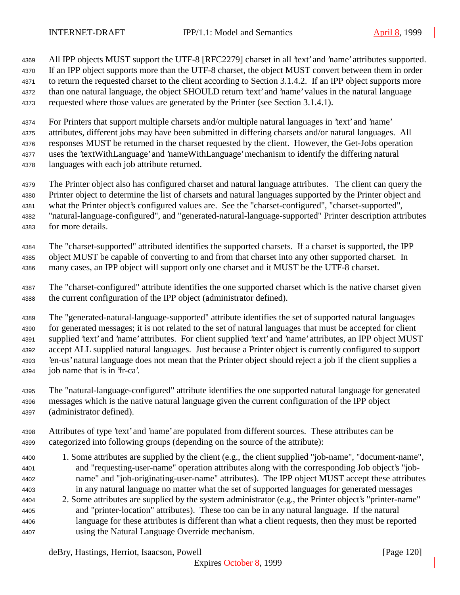All IPP objects MUST support the UTF-8 [RFC2279] charset in all 'text' and 'name' attributes supported. If an IPP object supports more than the UTF-8 charset, the object MUST convert between them in order to return the requested charset to the client according to Section 3.1.4.2. If an IPP object supports more than one natural language, the object SHOULD return 'text' and 'name' values in the natural language requested where those values are generated by the Printer (see Section 3.1.4.1).

 For Printers that support multiple charsets and/or multiple natural languages in 'text' and 'name' attributes, different jobs may have been submitted in differing charsets and/or natural languages. All responses MUST be returned in the charset requested by the client. However, the Get-Jobs operation uses the 'textWithLanguage' and 'nameWithLanguage' mechanism to identify the differing natural

- languages with each job attribute returned.
- The Printer object also has configured charset and natural language attributes. The client can query the
- Printer object to determine the list of charsets and natural languages supported by the Printer object and
- what the Printer object's configured values are. See the "charset-configured", "charset-supported",
- "natural-language-configured", and "generated-natural-language-supported" Printer description attributes for more details.
- The "charset-supported" attributed identifies the supported charsets. If a charset is supported, the IPP object MUST be capable of converting to and from that charset into any other supported charset. In many cases, an IPP object will support only one charset and it MUST be the UTF-8 charset.
- The "charset-configured" attribute identifies the one supported charset which is the native charset given the current configuration of the IPP object (administrator defined).

 The "generated-natural-language-supported" attribute identifies the set of supported natural languages for generated messages; it is not related to the set of natural languages that must be accepted for client supplied 'text' and 'name' attributes. For client supplied 'text' and 'name' attributes, an IPP object MUST accept ALL supplied natural languages. Just because a Printer object is currently configured to support 'en-us' natural language does not mean that the Printer object should reject a job if the client supplies a job name that is in 'fr-ca'.

- The "natural-language-configured" attribute identifies the one supported natural language for generated messages which is the native natural language given the current configuration of the IPP object (administrator defined).
- Attributes of type 'text' and 'name' are populated from different sources. These attributes can be categorized into following groups (depending on the source of the attribute):
- 1. Some attributes are supplied by the client (e.g., the client supplied "job-name", "document-name", and "requesting-user-name" operation attributes along with the corresponding Job object's "job- name" and "job-originating-user-name" attributes). The IPP object MUST accept these attributes in any natural language no matter what the set of supported languages for generated messages
- 2. Some attributes are supplied by the system administrator (e.g., the Printer object's "printer-name" and "printer-location" attributes). These too can be in any natural language. If the natural language for these attributes is different than what a client requests, then they must be reported using the Natural Language Override mechanism.

deBry, Hastings, Herriot, Isaacson, Powell **company** and the company of the company in the company of the company of the company of the company of the company of the company of the company of the company of the company of

Expires October 8, 1999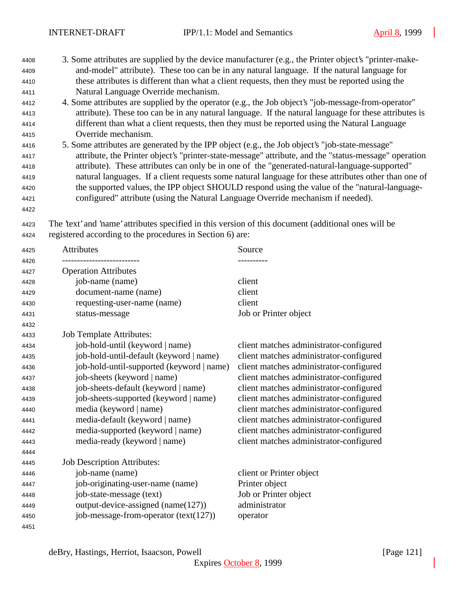- 3. Some attributes are supplied by the device manufacturer (e.g., the Printer object's "printer-make- and-model" attribute). These too can be in any natural language. If the natural language for these attributes is different than what a client requests, then they must be reported using the Natural Language Override mechanism.
- 4. Some attributes are supplied by the operator (e.g., the Job object's "job-message-from-operator" attribute). These too can be in any natural language. If the natural language for these attributes is different than what a client requests, then they must be reported using the Natural Language Override mechanism.
- 5. Some attributes are generated by the IPP object (e.g., the Job object's "job-state-message" attribute, the Printer object's "printer-state-message" attribute, and the "status-message" operation attribute). These attributes can only be in one of the "generated-natural-language-supported" natural languages. If a client requests some natural language for these attributes other than one of the supported values, the IPP object SHOULD respond using the value of the "natural-language-configured" attribute (using the Natural Language Override mechanism if needed).
- 

 The 'text' and 'name' attributes specified in this version of this document (additional ones will be registered according to the procedures in Section 6) are:

| 4425         | <b>Attributes</b>                         | Source                                  |
|--------------|-------------------------------------------|-----------------------------------------|
| 4426<br>4427 | <b>Operation Attributes</b>               |                                         |
| 4428         | job-name (name)                           | client                                  |
| 4429         | document-name (name)                      | client                                  |
| 4430         | requesting-user-name (name)               | client                                  |
| 4431         | status-message                            | Job or Printer object                   |
| 4432         |                                           |                                         |
| 4433         | <b>Job Template Attributes:</b>           |                                         |
| 4434         | job-hold-until (keyword   name)           | client matches administrator-configured |
| 4435         | job-hold-until-default (keyword   name)   | client matches administrator-configured |
| 4436         | job-hold-until-supported (keyword   name) | client matches administrator-configured |
| 4437         | job-sheets (keyword   name)               | client matches administrator-configured |
| 4438         | job-sheets-default (keyword   name)       | client matches administrator-configured |
| 4439         | job-sheets-supported (keyword   name)     | client matches administrator-configured |
| 4440         | media (keyword   name)                    | client matches administrator-configured |
| 4441         | media-default (keyword   name)            | client matches administrator-configured |
| 4442         | media-supported (keyword   name)          | client matches administrator-configured |
| 4443         | media-ready (keyword   name)              | client matches administrator-configured |
| 4444         |                                           |                                         |
| 4445         | <b>Job Description Attributes:</b>        |                                         |
| 4446         | job-name (name)                           | client or Printer object                |
| 4447         | job-originating-user-name (name)          | Printer object                          |
| 4448         | job-state-message (text)                  | Job or Printer object                   |
| 4449         | output-device-assigned (name(127))        | administrator                           |
| 4450         | job-message-from-operator (text(127))     | operator                                |
| 4451         |                                           |                                         |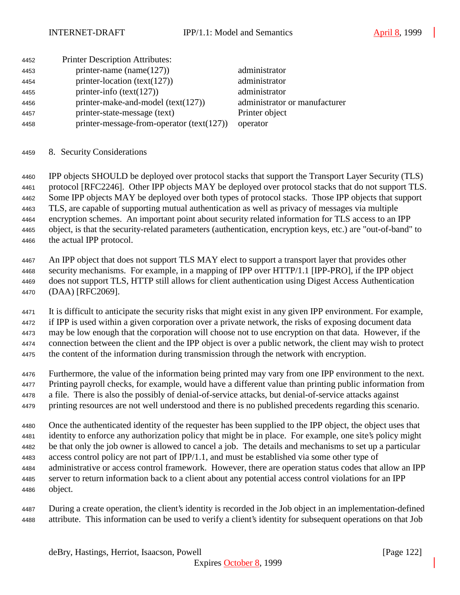| <b>Printer Description Attributes:</b><br>4452                  |                               |
|-----------------------------------------------------------------|-------------------------------|
| printer-name (name $(127)$ )<br>administrator<br>4453           |                               |
| printer-location (text(127))<br>administrator<br>4454           |                               |
| printer-info $(text(127))$<br>administrator<br>4455             |                               |
| printer-make-and-model $(text(127))$<br>4456                    | administrator or manufacturer |
| printer-state-message (text)<br>Printer object<br>4457          |                               |
| printer-message-from-operator $(text(127))$<br>operator<br>4458 |                               |

8. Security Considerations

 IPP objects SHOULD be deployed over protocol stacks that support the Transport Layer Security (TLS) protocol [RFC2246]. Other IPP objects MAY be deployed over protocol stacks that do not support TLS. Some IPP objects MAY be deployed over both types of protocol stacks. Those IPP objects that support TLS, are capable of supporting mutual authentication as well as privacy of messages via multiple encryption schemes. An important point about security related information for TLS access to an IPP object, is that the security-related parameters (authentication, encryption keys, etc.) are "out-of-band" to the actual IPP protocol.

 An IPP object that does not support TLS MAY elect to support a transport layer that provides other security mechanisms. For example, in a mapping of IPP over HTTP/1.1 [IPP-PRO], if the IPP object does not support TLS, HTTP still allows for client authentication using Digest Access Authentication (DAA) [RFC2069].

 It is difficult to anticipate the security risks that might exist in any given IPP environment. For example, if IPP is used within a given corporation over a private network, the risks of exposing document data may be low enough that the corporation will choose not to use encryption on that data. However, if the connection between the client and the IPP object is over a public network, the client may wish to protect the content of the information during transmission through the network with encryption.

 Furthermore, the value of the information being printed may vary from one IPP environment to the next. Printing payroll checks, for example, would have a different value than printing public information from a file. There is also the possibly of denial-of-service attacks, but denial-of-service attacks against

printing resources are not well understood and there is no published precedents regarding this scenario.

 Once the authenticated identity of the requester has been supplied to the IPP object, the object uses that identity to enforce any authorization policy that might be in place. For example, one site's policy might be that only the job owner is allowed to cancel a job. The details and mechanisms to set up a particular access control policy are not part of IPP/1.1, and must be established via some other type of administrative or access control framework. However, there are operation status codes that allow an IPP server to return information back to a client about any potential access control violations for an IPP object.

 During a create operation, the client's identity is recorded in the Job object in an implementation-defined attribute. This information can be used to verify a client's identity for subsequent operations on that Job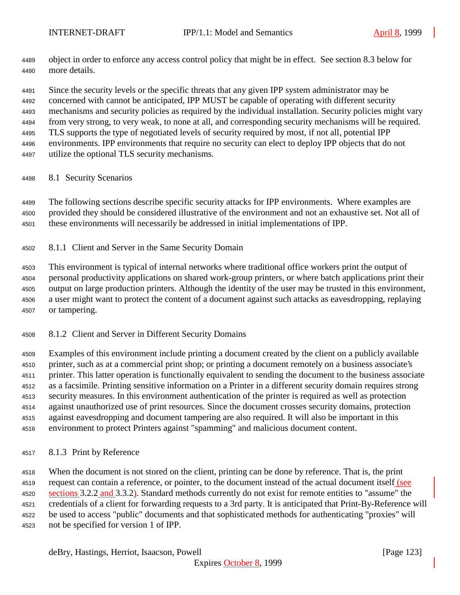object in order to enforce any access control policy that might be in effect. See section 8.3 below for more details.

 Since the security levels or the specific threats that any given IPP system administrator may be concerned with cannot be anticipated, IPP MUST be capable of operating with different security mechanisms and security policies as required by the individual installation. Security policies might vary from very strong, to very weak, to none at all, and corresponding security mechanisms will be required. TLS supports the type of negotiated levels of security required by most, if not all, potential IPP environments. IPP environments that require no security can elect to deploy IPP objects that do not utilize the optional TLS security mechanisms.

8.1 Security Scenarios

 The following sections describe specific security attacks for IPP environments. Where examples are provided they should be considered illustrative of the environment and not an exhaustive set. Not all of these environments will necessarily be addressed in initial implementations of IPP.

8.1.1 Client and Server in the Same Security Domain

 This environment is typical of internal networks where traditional office workers print the output of personal productivity applications on shared work-group printers, or where batch applications print their output on large production printers. Although the identity of the user may be trusted in this environment, a user might want to protect the content of a document against such attacks as eavesdropping, replaying or tampering.

8.1.2 Client and Server in Different Security Domains

 Examples of this environment include printing a document created by the client on a publicly available printer, such as at a commercial print shop; or printing a document remotely on a business associate's printer. This latter operation is functionally equivalent to sending the document to the business associate as a facsimile. Printing sensitive information on a Printer in a different security domain requires strong security measures. In this environment authentication of the printer is required as well as protection against unauthorized use of print resources. Since the document crosses security domains, protection against eavesdropping and document tampering are also required. It will also be important in this environment to protect Printers against "spamming" and malicious document content.

8.1.3 Print by Reference

 When the document is not stored on the client, printing can be done by reference. That is, the print request can contain a reference, or pointer, to the document instead of the actual document itself (see 4520 sections 3.2.2 and 3.3.2). Standard methods currently do not exist for remote entities to "assume" the credentials of a client for forwarding requests to a 3rd party. It is anticipated that Print-By-Reference will be used to access "public" documents and that sophisticated methods for authenticating "proxies" will not be specified for version 1 of IPP.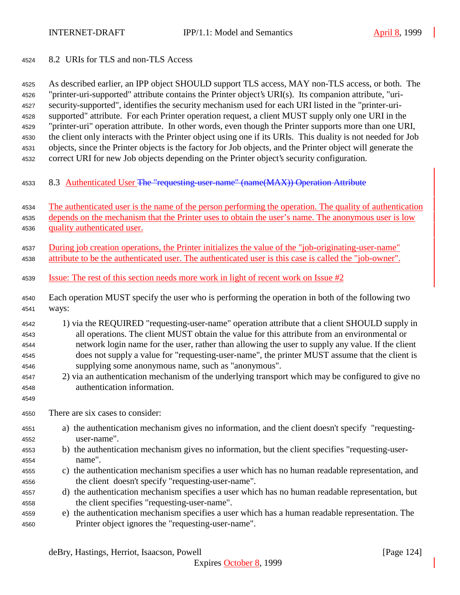8.2 URIs for TLS and non-TLS Access

 As described earlier, an IPP object SHOULD support TLS access, MAY non-TLS access, or both. The "printer-uri-supported" attribute contains the Printer object's URI(s). Its companion attribute, "uri- security-supported", identifies the security mechanism used for each URI listed in the "printer-uri- supported" attribute. For each Printer operation request, a client MUST supply only one URI in the "printer-uri" operation attribute. In other words, even though the Printer supports more than one URI, the client only interacts with the Printer object using one if its URIs. This duality is not needed for Job objects, since the Printer objects is the factory for Job objects, and the Printer object will generate the correct URI for new Job objects depending on the Printer object's security configuration.

4533 8.3 Authenticated User The "requesting-user-name" (name(MAX)) Operation Attribute

The authenticated user is the name of the person performing the operation. The quality of authentication

- depends on the mechanism that the Printer uses to obtain the user's name. The anonymous user is low quality authenticated user.
- During job creation operations, the Printer initializes the value of the "job-originating-user-name" attribute to be the authenticated user. The authenticated user is this case is called the "job-owner".
- Issue: The rest of this section needs more work in light of recent work on Issue #2
- Each operation MUST specify the user who is performing the operation in both of the following two ways:
- 1) via the REQUIRED "requesting-user-name" operation attribute that a client SHOULD supply in all operations. The client MUST obtain the value for this attribute from an environmental or network login name for the user, rather than allowing the user to supply any value. If the client does not supply a value for "requesting-user-name", the printer MUST assume that the client is supplying some anonymous name, such as "anonymous".
- 2) via an authentication mechanism of the underlying transport which may be configured to give no authentication information.
- There are six cases to consider:

- a) the authentication mechanism gives no information, and the client doesn't specify "requesting-user-name".
- b) the authentication mechanism gives no information, but the client specifies "requesting-user-name".
- c) the authentication mechanism specifies a user which has no human readable representation, and the client doesn't specify "requesting-user-name".
- d) the authentication mechanism specifies a user which has no human readable representation, but the client specifies "requesting-user-name".
- e) the authentication mechanism specifies a user which has a human readable representation. The Printer object ignores the "requesting-user-name".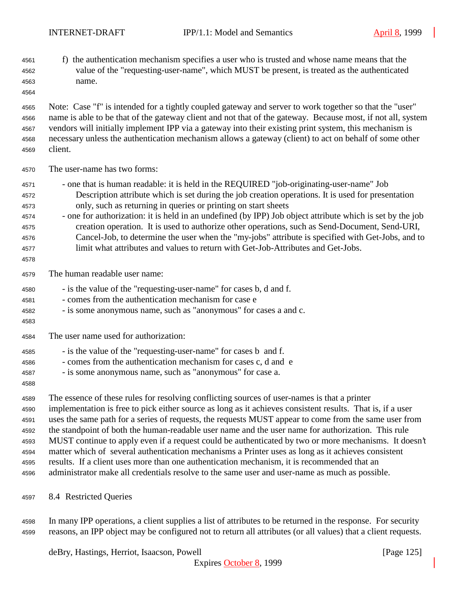- f) the authentication mechanism specifies a user who is trusted and whose name means that the value of the "requesting-user-name", which MUST be present, is treated as the authenticated name.
- 

 Note: Case "f" is intended for a tightly coupled gateway and server to work together so that the "user" name is able to be that of the gateway client and not that of the gateway. Because most, if not all, system vendors will initially implement IPP via a gateway into their existing print system, this mechanism is necessary unless the authentication mechanism allows a gateway (client) to act on behalf of some other client.

- The user-name has two forms:
- one that is human readable: it is held in the REQUIRED "job-originating-user-name" Job Description attribute which is set during the job creation operations. It is used for presentation only, such as returning in queries or printing on start sheets
- one for authorization: it is held in an undefined (by IPP) Job object attribute which is set by the job creation operation. It is used to authorize other operations, such as Send-Document, Send-URI, Cancel-Job, to determine the user when the "my-jobs" attribute is specified with Get-Jobs, and to limit what attributes and values to return with Get-Job-Attributes and Get-Jobs.
- The human readable user name:
- is the value of the "requesting-user-name" for cases b, d and f.
- comes from the authentication mechanism for case e
- is some anonymous name, such as "anonymous" for cases a and c.
- 

The user name used for authorization:

- is the value of the "requesting-user-name" for cases b and f.
- comes from the authentication mechanism for cases c, d and e
- is some anonymous name, such as "anonymous" for case a.
- 

 The essence of these rules for resolving conflicting sources of user-names is that a printer implementation is free to pick either source as long as it achieves consistent results. That is, if a user uses the same path for a series of requests, the requests MUST appear to come from the same user from the standpoint of both the human-readable user name and the user name for authorization. This rule MUST continue to apply even if a request could be authenticated by two or more mechanisms. It doesn't matter which of several authentication mechanisms a Printer uses as long as it achieves consistent results. If a client uses more than one authentication mechanism, it is recommended that an administrator make all credentials resolve to the same user and user-name as much as possible.

8.4 Restricted Queries

 In many IPP operations, a client supplies a list of attributes to be returned in the response. For security reasons, an IPP object may be configured not to return all attributes (or all values) that a client requests.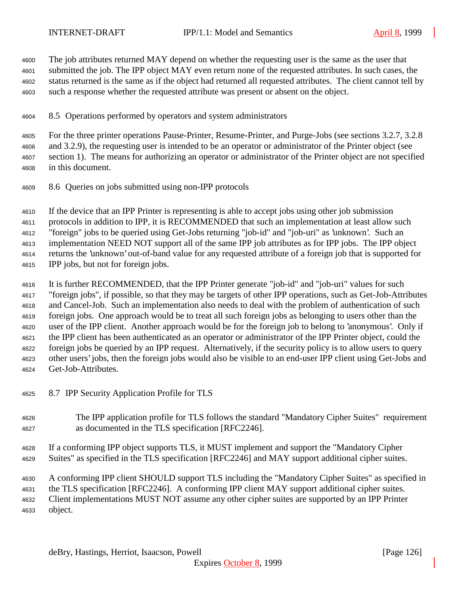The job attributes returned MAY depend on whether the requesting user is the same as the user that submitted the job. The IPP object MAY even return none of the requested attributes. In such cases, the status returned is the same as if the object had returned all requested attributes. The client cannot tell by such a response whether the requested attribute was present or absent on the object.

8.5 Operations performed by operators and system administrators

 For the three printer operations Pause-Printer, Resume-Printer, and Purge-Jobs (see sections 3.2.7, 3.2.8 and 3.2.9), the requesting user is intended to be an operator or administrator of the Printer object (see section 1). The means for authorizing an operator or administrator of the Printer object are not specified in this document.

8.6 Queries on jobs submitted using non-IPP protocols

 If the device that an IPP Printer is representing is able to accept jobs using other job submission protocols in addition to IPP, it is RECOMMENDED that such an implementation at least allow such "foreign" jobs to be queried using Get-Jobs returning "job-id" and "job-uri" as 'unknown'. Such an implementation NEED NOT support all of the same IPP job attributes as for IPP jobs. The IPP object returns the 'unknown' out-of-band value for any requested attribute of a foreign job that is supported for IPP jobs, but not for foreign jobs.

 It is further RECOMMENDED, that the IPP Printer generate "job-id" and "job-uri" values for such "foreign jobs", if possible, so that they may be targets of other IPP operations, such as Get-Job-Attributes and Cancel-Job. Such an implementation also needs to deal with the problem of authentication of such foreign jobs. One approach would be to treat all such foreign jobs as belonging to users other than the user of the IPP client. Another approach would be for the foreign job to belong to 'anonymous'. Only if the IPP client has been authenticated as an operator or administrator of the IPP Printer object, could the foreign jobs be queried by an IPP request. Alternatively, if the security policy is to allow users to query other users' jobs, then the foreign jobs would also be visible to an end-user IPP client using Get-Jobs and Get-Job-Attributes.

- 8.7 IPP Security Application Profile for TLS
- The IPP application profile for TLS follows the standard "Mandatory Cipher Suites" requirement as documented in the TLS specification [RFC2246].
- If a conforming IPP object supports TLS, it MUST implement and support the "Mandatory Cipher Suites" as specified in the TLS specification [RFC2246] and MAY support additional cipher suites.

A conforming IPP client SHOULD support TLS including the "Mandatory Cipher Suites" as specified in

the TLS specification [RFC2246]. A conforming IPP client MAY support additional cipher suites.

Client implementations MUST NOT assume any other cipher suites are supported by an IPP Printer

object.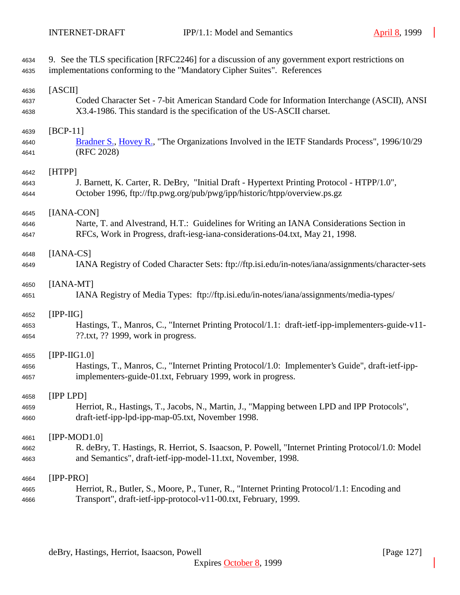| 4634 | 9. See the TLS specification [RFC2246] for a discussion of any government export restrictions on  |
|------|---------------------------------------------------------------------------------------------------|
| 4635 | implementations conforming to the "Mandatory Cipher Suites". References                           |
| 4636 | [ASCII]                                                                                           |
| 4637 | Coded Character Set - 7-bit American Standard Code for Information Interchange (ASCII), ANSI      |
| 4638 | X3.4-1986. This standard is the specification of the US-ASCII charset.                            |
| 4639 | $[BCP-11]$                                                                                        |
| 4640 | Bradner S., Hovey R., "The Organizations Involved in the IETF Standards Process", 1996/10/29      |
| 4641 | (RFC 2028)                                                                                        |
| 4642 | [HTPP]                                                                                            |
| 4643 | J. Barnett, K. Carter, R. DeBry, "Initial Draft - Hypertext Printing Protocol - HTPP/1.0",        |
| 4644 | October 1996, ftp://ftp.pwg.org/pub/pwg/ipp/historic/htpp/overview.ps.gz                          |
| 4645 | [IANA-CON]                                                                                        |
| 4646 | Narte, T. and Alvestrand, H.T.: Guidelines for Writing an IANA Considerations Section in          |
| 4647 | RFCs, Work in Progress, draft-iesg-iana-considerations-04.txt, May 21, 1998.                      |
| 4648 | $[IANA-CS]$                                                                                       |
| 4649 | IANA Registry of Coded Character Sets: ftp://ftp.isi.edu/in-notes/iana/assignments/character-sets |
| 4650 | $[IANA-MT]$                                                                                       |
| 4651 | IANA Registry of Media Types: ftp://ftp.isi.edu/in-notes/iana/assignments/media-types/            |
| 4652 | $[IPP-HG]$                                                                                        |
| 4653 | Hastings, T., Manros, C., "Internet Printing Protocol/1.1: draft-ietf-ipp-implementers-guide-v11- |
| 4654 | $??$ .txt, $??$ 1999, work in progress.                                                           |
| 4655 | $[IPP-HG1.0]$                                                                                     |
| 4656 | Hastings, T., Manros, C., "Internet Printing Protocol/1.0: Implementer's Guide", draft-ietf-ipp-  |
| 4657 | implementers-guide-01.txt, February 1999, work in progress.                                       |
| 4658 | [IPP LPD]                                                                                         |
| 4659 | Herriot, R., Hastings, T., Jacobs, N., Martin, J., "Mapping between LPD and IPP Protocols",       |
| 4660 | draft-ietf-ipp-lpd-ipp-map-05.txt, November 1998.                                                 |
| 4661 | [IPP-MOD1.0]                                                                                      |
| 4662 | R. deBry, T. Hastings, R. Herriot, S. Isaacson, P. Powell, "Internet Printing Protocol/1.0: Model |
| 4663 | and Semantics", draft-ietf-ipp-model-11.txt, November, 1998.                                      |
| 4664 | $[IPP-PRO]$                                                                                       |
| 4665 | Herriot, R., Butler, S., Moore, P., Tuner, R., "Internet Printing Protocol/1.1: Encoding and      |
| 4666 | Transport", draft-ietf-ipp-protocol-v11-00.txt, February, 1999.                                   |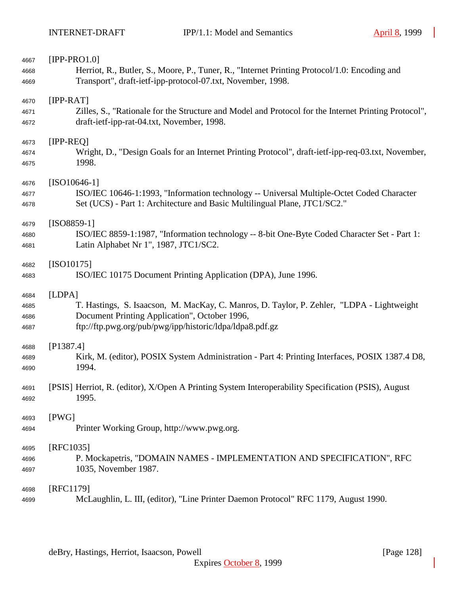| 4667 | $[IPP-PRO1.0]$                                                                                       |
|------|------------------------------------------------------------------------------------------------------|
| 4668 | Herriot, R., Butler, S., Moore, P., Tuner, R., "Internet Printing Protocol/1.0: Encoding and         |
| 4669 | Transport", draft-ietf-ipp-protocol-07.txt, November, 1998.                                          |
| 4670 | $[IPP-RAT]$                                                                                          |
| 4671 | Zilles, S., "Rationale for the Structure and Model and Protocol for the Internet Printing Protocol", |
| 4672 | draft-ietf-ipp-rat-04.txt, November, 1998.                                                           |
| 4673 | $[IPP-REQ]$                                                                                          |
| 4674 | Wright, D., "Design Goals for an Internet Printing Protocol", draft-ietf-ipp-req-03.txt, November,   |
| 4675 | 1998.                                                                                                |
| 4676 | $[ISO10646-1]$                                                                                       |
| 4677 | ISO/IEC 10646-1:1993, "Information technology -- Universal Multiple-Octet Coded Character            |
| 4678 | Set (UCS) - Part 1: Architecture and Basic Multilingual Plane, JTC1/SC2."                            |
| 4679 | $[ISO8859-1]$                                                                                        |
| 4680 | ISO/IEC 8859-1:1987, "Information technology -- 8-bit One-Byte Coded Character Set - Part 1:         |
| 4681 | Latin Alphabet Nr 1", 1987, JTC1/SC2.                                                                |
| 4682 | $[ISO10175]$                                                                                         |
| 4683 | ISO/IEC 10175 Document Printing Application (DPA), June 1996.                                        |
| 4684 | [LDPA]                                                                                               |
| 4685 | T. Hastings, S. Isaacson, M. MacKay, C. Manros, D. Taylor, P. Zehler, "LDPA - Lightweight            |
| 4686 | Document Printing Application", October 1996,                                                        |
| 4687 | ftp://ftp.pwg.org/pub/pwg/ipp/historic/ldpa/ldpa8.pdf.gz                                             |
| 4688 | [P1387.4]                                                                                            |
| 4689 | Kirk, M. (editor), POSIX System Administration - Part 4: Printing Interfaces, POSIX 1387.4 D8,       |
| 4690 | 1994.                                                                                                |
| 4691 | [PSIS] Herriot, R. (editor), X/Open A Printing System Interoperability Specification (PSIS), August  |
| 4692 | 1995.                                                                                                |
| 4693 | [PWG]                                                                                                |
| 4694 | Printer Working Group, http://www.pwg.org.                                                           |
| 4695 | [RFC1035]                                                                                            |
| 4696 | P. Mockapetris, "DOMAIN NAMES - IMPLEMENTATION AND SPECIFICATION", RFC                               |
| 4697 | 1035, November 1987.                                                                                 |
| 4698 | [RFC1179]                                                                                            |
| 4699 | McLaughlin, L. III, (editor), "Line Printer Daemon Protocol" RFC 1179, August 1990.                  |

deBry, Hastings, Herriot, Isaacson, Powell [Page 128]

Expires October 8, 1999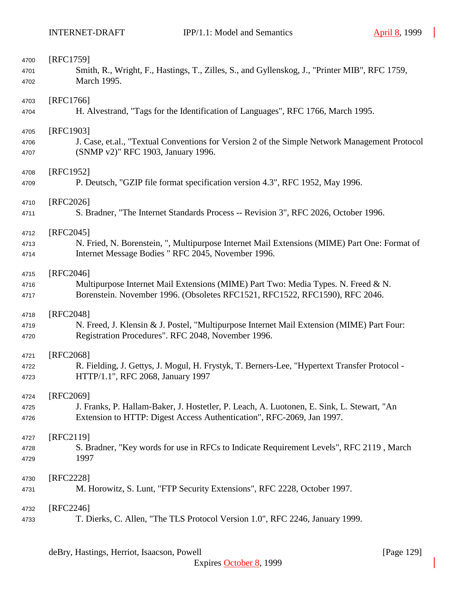| 4700 | [RFC1759]                                                                                     |
|------|-----------------------------------------------------------------------------------------------|
| 4701 | Smith, R., Wright, F., Hastings, T., Zilles, S., and Gyllenskog, J., "Printer MIB", RFC 1759, |
| 4702 | March 1995.                                                                                   |
|      |                                                                                               |
| 4703 | [RFC1766]                                                                                     |
| 4704 | H. Alvestrand, "Tags for the Identification of Languages", RFC 1766, March 1995.              |
|      |                                                                                               |
| 4705 | [RFC1903]                                                                                     |
| 4706 | J. Case, et.al., "Textual Conventions for Version 2 of the Simple Network Management Protocol |
| 4707 | (SNMP v2)" RFC 1903, January 1996.                                                            |
| 4708 | [RFC1952]                                                                                     |
|      |                                                                                               |
| 4709 | P. Deutsch, "GZIP file format specification version 4.3", RFC 1952, May 1996.                 |
| 4710 | [RFC2026]                                                                                     |
| 4711 | S. Bradner, "The Internet Standards Process -- Revision 3", RFC 2026, October 1996.           |
|      |                                                                                               |
| 4712 | $[RFC2045]$                                                                                   |
| 4713 | N. Fried, N. Borenstein, ", Multipurpose Internet Mail Extensions (MIME) Part One: Format of  |
| 4714 | Internet Message Bodies " RFC 2045, November 1996.                                            |
|      |                                                                                               |
| 4715 | [RFC2046]                                                                                     |
| 4716 | Multipurpose Internet Mail Extensions (MIME) Part Two: Media Types. N. Freed & N.             |
| 4717 | Borenstein. November 1996. (Obsoletes RFC1521, RFC1522, RFC1590), RFC 2046.                   |
| 4718 | [RFC2048]                                                                                     |
| 4719 | N. Freed, J. Klensin & J. Postel, "Multipurpose Internet Mail Extension (MIME) Part Four:     |
|      | Registration Procedures". RFC 2048, November 1996.                                            |
| 4720 |                                                                                               |
| 4721 | [RFC2068]                                                                                     |
| 4722 | R. Fielding, J. Gettys, J. Mogul, H. Frystyk, T. Berners-Lee, "Hypertext Transfer Protocol -  |
| 4723 | HTTP/1.1", RFC 2068, January 1997                                                             |
|      |                                                                                               |
| 4724 | [RFC2069]                                                                                     |
| 4725 | J. Franks, P. Hallam-Baker, J. Hostetler, P. Leach, A. Luotonen, E. Sink, L. Stewart, "An     |
| 4726 | Extension to HTTP: Digest Access Authentication", RFC-2069, Jan 1997.                         |
|      |                                                                                               |
| 4727 | $[RFC2119]$                                                                                   |
| 4728 | S. Bradner, "Key words for use in RFCs to Indicate Requirement Levels", RFC 2119, March       |
| 4729 | 1997                                                                                          |
| 4730 | [RFC2228]                                                                                     |
| 4731 | M. Horowitz, S. Lunt, "FTP Security Extensions", RFC 2228, October 1997.                      |
|      |                                                                                               |
| 4732 | $[RFC2246]$                                                                                   |
| 4733 | T. Dierks, C. Allen, "The TLS Protocol Version 1.0", RFC 2246, January 1999.                  |
|      |                                                                                               |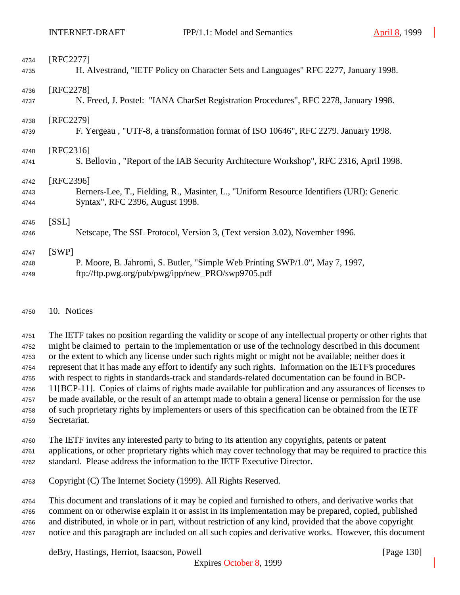| 4734 | [RFC2277]                                                                                 |
|------|-------------------------------------------------------------------------------------------|
| 4735 | H. Alvestrand, "IETF Policy on Character Sets and Languages" RFC 2277, January 1998.      |
| 4736 | [RFC2278]                                                                                 |
| 4737 | N. Freed, J. Postel: "IANA CharSet Registration Procedures", RFC 2278, January 1998.      |
| 4738 | [RFC2279]                                                                                 |
| 4739 | F. Yergeau, "UTF-8, a transformation format of ISO 10646", RFC 2279. January 1998.        |
| 4740 | [RFC2316]                                                                                 |
| 4741 | S. Bellovin, "Report of the IAB Security Architecture Workshop", RFC 2316, April 1998.    |
|      |                                                                                           |
| 4742 | [RFC2396]                                                                                 |
| 4743 | Berners-Lee, T., Fielding, R., Masinter, L., "Uniform Resource Identifiers (URI): Generic |
| 4744 | Syntax", RFC 2396, August 1998.                                                           |
| 4745 | [SSL]                                                                                     |
| 4746 | Netscape, The SSL Protocol, Version 3, (Text version 3.02), November 1996.                |
| 4747 | [SWP]                                                                                     |
| 4748 | P. Moore, B. Jahromi, S. Butler, "Simple Web Printing SWP/1.0", May 7, 1997,              |

## 10. Notices

 The IETF takes no position regarding the validity or scope of any intellectual property or other rights that might be claimed to pertain to the implementation or use of the technology described in this document or the extent to which any license under such rights might or might not be available; neither does it represent that it has made any effort to identify any such rights. Information on the IETF's procedures with respect to rights in standards-track and standards-related documentation can be found in BCP- 11[BCP-11]. Copies of claims of rights made available for publication and any assurances of licenses to be made available, or the result of an attempt made to obtain a general license or permission for the use of such proprietary rights by implementers or users of this specification can be obtained from the IETF Secretariat.

 The IETF invites any interested party to bring to its attention any copyrights, patents or patent applications, or other proprietary rights which may cover technology that may be required to practice this

standard. Please address the information to the IETF Executive Director.

Copyright (C) The Internet Society (1999). All Rights Reserved.

 This document and translations of it may be copied and furnished to others, and derivative works that comment on or otherwise explain it or assist in its implementation may be prepared, copied, published and distributed, in whole or in part, without restriction of any kind, provided that the above copyright notice and this paragraph are included on all such copies and derivative works. However, this document

deBry, Hastings, Herriot, Isaacson, Powell **company** and the company of the company in the company of the company of the company of the company of the company of the company of the company of the company of the company of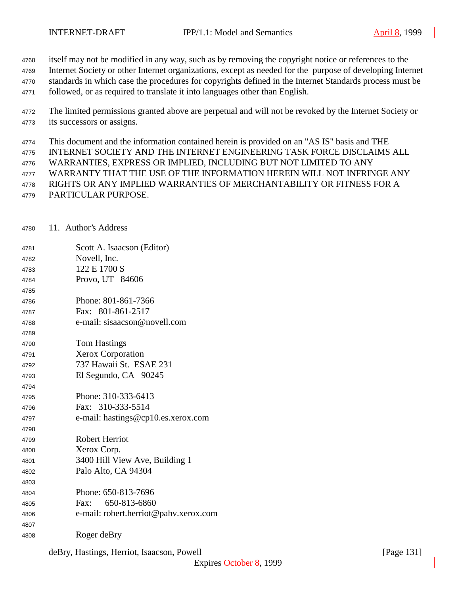- itself may not be modified in any way, such as by removing the copyright notice or references to the
- Internet Society or other Internet organizations, except as needed for the purpose of developing Internet
- standards in which case the procedures for copyrights defined in the Internet Standards process must be
- followed, or as required to translate it into languages other than English.
- The limited permissions granted above are perpetual and will not be revoked by the Internet Society or its successors or assigns.
- This document and the information contained herein is provided on an "AS IS" basis and THE
- INTERNET SOCIETY AND THE INTERNET ENGINEERING TASK FORCE DISCLAIMS ALL
- WARRANTIES, EXPRESS OR IMPLIED, INCLUDING BUT NOT LIMITED TO ANY
- WARRANTY THAT THE USE OF THE INFORMATION HEREIN WILL NOT INFRINGE ANY
- RIGHTS OR ANY IMPLIED WARRANTIES OF MERCHANTABILITY OR FITNESS FOR A
- PARTICULAR PURPOSE.
- 11. Author's Address
- Scott A. Isaacson (Editor) Novell, Inc. 122 E 1700 S Provo, UT 84606 Phone: 801-861-7366 Fax: 801-861-2517 e-mail: sisaacson@novell.com Tom Hastings Xerox Corporation 737 Hawaii St. ESAE 231
- El Segundo, CA 90245
- Phone: 310-333-6413 Fax: 310-333-5514
- e-mail: hastings@cp10.es.xerox.com
- Robert Herriot Xerox Corp.
- 3400 Hill View Ave, Building 1 Palo Alto, CA 94304
- 
- Phone: 650-813-7696 Fax: 650-813-6860
- e-mail: robert.herriot@pahv.xerox.com
- Roger deBry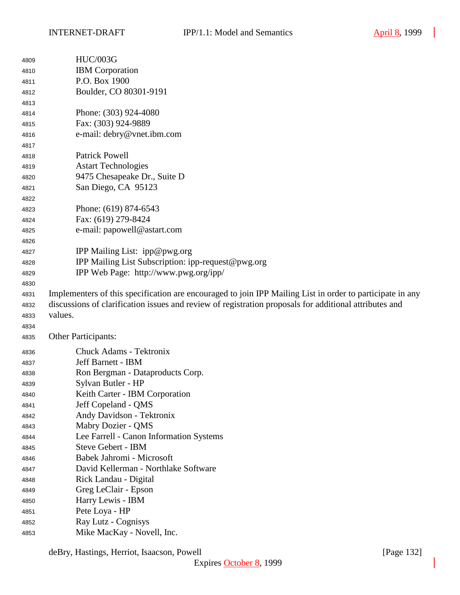| 4809 | <b>HUC/003G</b>                                                                                           |
|------|-----------------------------------------------------------------------------------------------------------|
| 4810 | <b>IBM</b> Corporation                                                                                    |
| 4811 | P.O. Box 1900                                                                                             |
| 4812 | Boulder, CO 80301-9191                                                                                    |
| 4813 |                                                                                                           |
| 4814 | Phone: (303) 924-4080                                                                                     |
| 4815 | Fax: (303) 924-9889                                                                                       |
| 4816 | e-mail: debry@vnet.ibm.com                                                                                |
| 4817 |                                                                                                           |
| 4818 | <b>Patrick Powell</b>                                                                                     |
| 4819 | <b>Astart Technologies</b>                                                                                |
| 4820 | 9475 Chesapeake Dr., Suite D                                                                              |
| 4821 | San Diego, CA 95123                                                                                       |
| 4822 |                                                                                                           |
| 4823 | Phone: (619) 874-6543                                                                                     |
| 4824 | Fax: (619) 279-8424                                                                                       |
| 4825 | e-mail: papowell@astart.com                                                                               |
| 4826 |                                                                                                           |
| 4827 | IPP Mailing List: ipp@pwg.org                                                                             |
| 4828 | IPP Mailing List Subscription: ipp-request@pwg.org                                                        |
| 4829 | IPP Web Page: http://www.pwg.org/ipp/                                                                     |
| 4830 |                                                                                                           |
| 4831 | Implementers of this specification are encouraged to join IPP Mailing List in order to participate in any |
| 4832 | discussions of clarification issues and review of registration proposals for additional attributes and    |
| 4833 | values.                                                                                                   |
| 4834 |                                                                                                           |
| 4835 | <b>Other Participants:</b>                                                                                |
| 4836 | <b>Chuck Adams - Tektronix</b>                                                                            |
| 4837 | Jeff Barnett - IBM                                                                                        |
| 4838 | Ron Bergman - Dataproducts Corp.                                                                          |
| 4839 | Sylvan Butler - HP                                                                                        |
| 4840 | Keith Carter - IBM Corporation                                                                            |
| 4841 | Jeff Copeland - QMS                                                                                       |
| 4842 | Andy Davidson - Tektronix                                                                                 |
| 4843 | Mabry Dozier - QMS                                                                                        |
| 4844 | Lee Farrell - Canon Information Systems                                                                   |
| 4845 | <b>Steve Gebert - IBM</b>                                                                                 |
| 4846 | Babek Jahromi - Microsoft                                                                                 |
| 4847 | David Kellerman - Northlake Software                                                                      |
| 4848 | Rick Landau - Digital                                                                                     |
| 4849 | Greg LeClair - Epson                                                                                      |
| 4850 | Harry Lewis - IBM                                                                                         |
| 4851 | Pete Loya - HP                                                                                            |
| 4852 | Ray Lutz - Cognisys                                                                                       |
| 4853 | Mike MacKay - Novell, Inc.                                                                                |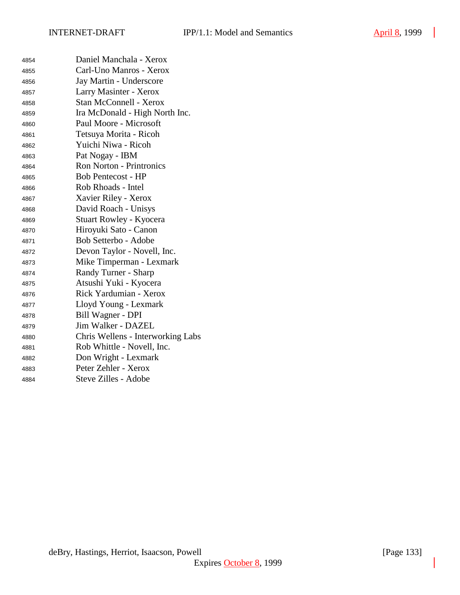| 4854 | Daniel Manchala - Xerox           |
|------|-----------------------------------|
| 4855 | Carl-Uno Manros - Xerox           |
| 4856 | Jay Martin - Underscore           |
| 4857 | Larry Masinter - Xerox            |
| 4858 | <b>Stan McConnell - Xerox</b>     |
| 4859 | Ira McDonald - High North Inc.    |
| 4860 | Paul Moore - Microsoft            |
| 4861 | Tetsuya Morita - Ricoh            |
| 4862 | Yuichi Niwa - Ricoh               |
| 4863 | Pat Nogay - IBM                   |
| 4864 | <b>Ron Norton - Printronics</b>   |
| 4865 | <b>Bob Pentecost - HP</b>         |
| 4866 | Rob Rhoads - Intel                |
| 4867 | Xavier Riley - Xerox              |
| 4868 | David Roach - Unisys              |
| 4869 | <b>Stuart Rowley - Kyocera</b>    |
| 4870 | Hiroyuki Sato - Canon             |
| 4871 | Bob Setterbo - Adobe              |
| 4872 | Devon Taylor - Novell, Inc.       |
| 4873 | Mike Timperman - Lexmark          |
| 4874 | Randy Turner - Sharp              |
| 4875 | Atsushi Yuki - Kyocera            |
| 4876 | Rick Yardumian - Xerox            |
| 4877 | Lloyd Young - Lexmark             |
| 4878 | Bill Wagner - DPI                 |
| 4879 | Jim Walker - DAZEL                |
| 4880 | Chris Wellens - Interworking Labs |
| 4881 | Rob Whittle - Novell, Inc.        |
| 4882 | Don Wright - Lexmark              |
| 4883 | Peter Zehler - Xerox              |
| 4884 | Steve Zilles - Adobe              |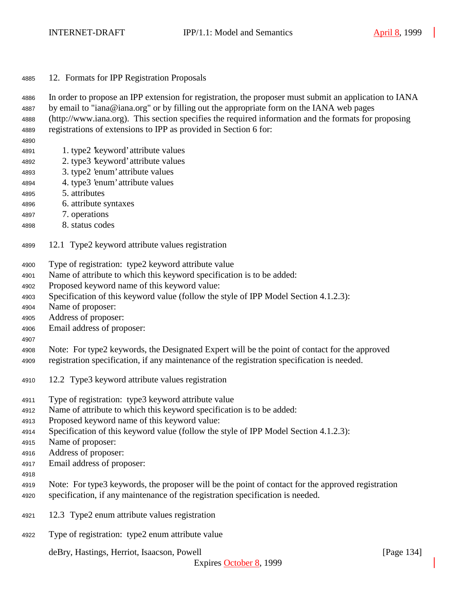12. Formats for IPP Registration Proposals

In order to propose an IPP extension for registration, the proposer must submit an application to IANA

- by email to "iana@iana.org" or by filling out the appropriate form on the IANA web pages
- (http://www.iana.org). This section specifies the required information and the formats for proposing registrations of extensions to IPP as provided in Section 6 for:
- 
- 1. type2 'keyword' attribute values
- 2. type3 'keyword' attribute values
- 3. type2 'enum' attribute values
- 4. type3 'enum' attribute values
- 5. attributes
- 6. attribute syntaxes
- 7. operations
- 8. status codes
- 12.1 Type2 keyword attribute values registration
- Type of registration: type2 keyword attribute value
- Name of attribute to which this keyword specification is to be added:
- Proposed keyword name of this keyword value:
- Specification of this keyword value (follow the style of IPP Model Section 4.1.2.3):
- Name of proposer:
- Address of proposer:
- Email address of proposer:
- 

 Note: For type2 keywords, the Designated Expert will be the point of contact for the approved registration specification, if any maintenance of the registration specification is needed.

- 12.2 Type3 keyword attribute values registration
- Type of registration: type3 keyword attribute value
- Name of attribute to which this keyword specification is to be added:
- Proposed keyword name of this keyword value:
- Specification of this keyword value (follow the style of IPP Model Section 4.1.2.3):
- Name of proposer:
- Address of proposer:
- Email address of proposer:
- 
- Note: For type3 keywords, the proposer will be the point of contact for the approved registration specification, if any maintenance of the registration specification is needed.
- 12.3 Type2 enum attribute values registration
- Type of registration: type2 enum attribute value

deBry, Hastings, Herriot, Isaacson, Powell [Page 134]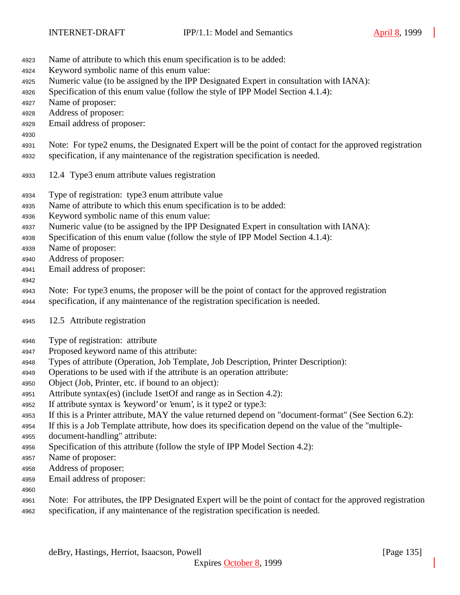- Name of attribute to which this enum specification is to be added:
- Keyword symbolic name of this enum value:
- Numeric value (to be assigned by the IPP Designated Expert in consultation with IANA):
- Specification of this enum value (follow the style of IPP Model Section 4.1.4):
- Name of proposer:
- Address of proposer:
- Email address of proposer:
- Note: For type2 enums, the Designated Expert will be the point of contact for the approved registration
- specification, if any maintenance of the registration specification is needed.
- 12.4 Type3 enum attribute values registration
- Type of registration: type3 enum attribute value
- Name of attribute to which this enum specification is to be added:
- Keyword symbolic name of this enum value:
- Numeric value (to be assigned by the IPP Designated Expert in consultation with IANA):
- Specification of this enum value (follow the style of IPP Model Section 4.1.4):
- Name of proposer:
- Address of proposer:
- Email address of proposer:

## 

- Note: For type3 enums, the proposer will be the point of contact for the approved registration
- specification, if any maintenance of the registration specification is needed.
- 12.5 Attribute registration
- Type of registration: attribute
- Proposed keyword name of this attribute:
- Types of attribute (Operation, Job Template, Job Description, Printer Description):
- Operations to be used with if the attribute is an operation attribute:
- Object (Job, Printer, etc. if bound to an object):
- Attribute syntax(es) (include 1setOf and range as in Section 4.2):
- If attribute syntax is 'keyword' or 'enum', is it type2 or type3:
- If this is a Printer attribute, MAY the value returned depend on "document-format" (See Section 6.2):
- If this is a Job Template attribute, how does its specification depend on the value of the "multiple-
- document-handling" attribute:
- Specification of this attribute (follow the style of IPP Model Section 4.2):
- Name of proposer:
- Address of proposer:
- Email address of proposer:
- 
- Note: For attributes, the IPP Designated Expert will be the point of contact for the approved registration specification, if any maintenance of the registration specification is needed.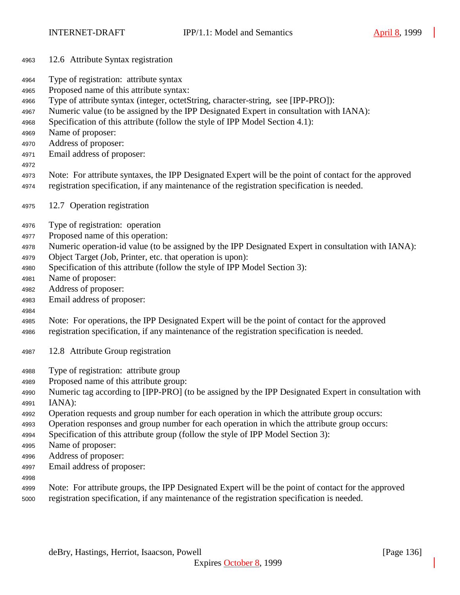- 12.6 Attribute Syntax registration
- Type of registration: attribute syntax
- Proposed name of this attribute syntax:
- Type of attribute syntax (integer, octetString, character-string, see [IPP-PRO]):
- Numeric value (to be assigned by the IPP Designated Expert in consultation with IANA):
- Specification of this attribute (follow the style of IPP Model Section 4.1):
- Name of proposer:
- Address of proposer:
- Email address of proposer:
- 
- Note: For attribute syntaxes, the IPP Designated Expert will be the point of contact for the approved registration specification, if any maintenance of the registration specification is needed.
- 12.7 Operation registration
- Type of registration: operation
- Proposed name of this operation:
- Numeric operation-id value (to be assigned by the IPP Designated Expert in consultation with IANA):
- Object Target (Job, Printer, etc. that operation is upon):
- Specification of this attribute (follow the style of IPP Model Section 3):
- Name of proposer:
- Address of proposer:
- Email address of proposer:
- 
- Note: For operations, the IPP Designated Expert will be the point of contact for the approved registration specification, if any maintenance of the registration specification is needed.
- 12.8 Attribute Group registration
- Type of registration: attribute group
- Proposed name of this attribute group:
- Numeric tag according to [IPP-PRO] (to be assigned by the IPP Designated Expert in consultation with IANA):
- Operation requests and group number for each operation in which the attribute group occurs:
- Operation responses and group number for each operation in which the attribute group occurs:
- Specification of this attribute group (follow the style of IPP Model Section 3):
- Name of proposer:
- Address of proposer:
- Email address of proposer:
- 
- Note: For attribute groups, the IPP Designated Expert will be the point of contact for the approved
- registration specification, if any maintenance of the registration specification is needed.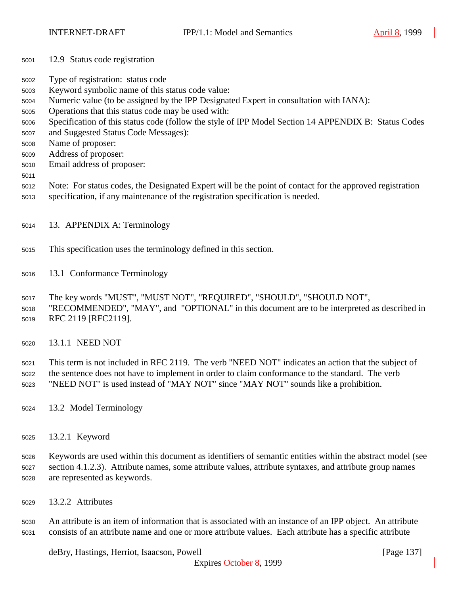- 12.9 Status code registration
- Type of registration: status code
- Keyword symbolic name of this status code value:
- Numeric value (to be assigned by the IPP Designated Expert in consultation with IANA):
- Operations that this status code may be used with:
- Specification of this status code (follow the style of IPP Model Section 14 APPENDIX B: Status Codes
- and Suggested Status Code Messages):
- Name of proposer:
- Address of proposer:
- Email address of proposer:
- 
- Note: For status codes, the Designated Expert will be the point of contact for the approved registration
- specification, if any maintenance of the registration specification is needed.
- 13. APPENDIX A: Terminology
- This specification uses the terminology defined in this section.
- 13.1 Conformance Terminology
- The key words "MUST", "MUST NOT", "REQUIRED", "SHOULD", "SHOULD NOT",
- "RECOMMENDED", "MAY", and "OPTIONAL" in this document are to be interpreted as described in RFC 2119 [RFC2119].
- 13.1.1 NEED NOT
- This term is not included in RFC 2119. The verb "NEED NOT" indicates an action that the subject of the sentence does not have to implement in order to claim conformance to the standard. The verb "NEED NOT" is used instead of "MAY NOT" since "MAY NOT" sounds like a prohibition.
- 13.2 Model Terminology
- 13.2.1 Keyword
- Keywords are used within this document as identifiers of semantic entities within the abstract model (see section 4.1.2.3). Attribute names, some attribute values, attribute syntaxes, and attribute group names are represented as keywords.
- 13.2.2 Attributes

 An attribute is an item of information that is associated with an instance of an IPP object. An attribute consists of an attribute name and one or more attribute values. Each attribute has a specific attribute

deBry, Hastings, Herriot, Isaacson, Powell **company** and the same of the same of the same of the same of the same of the same of the same of the same of the same of the same of the same of the same of the same of the same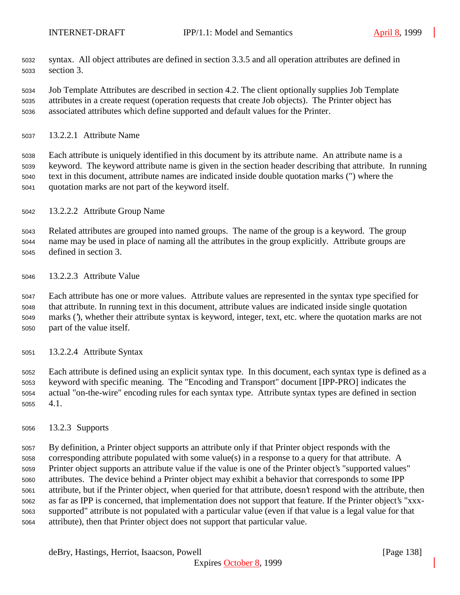- syntax. All object attributes are defined in section 3.3.5 and all operation attributes are defined in section 3.
- Job Template Attributes are described in section 4.2. The client optionally supplies Job Template attributes in a create request (operation requests that create Job objects). The Printer object has associated attributes which define supported and default values for the Printer.
- 13.2.2.1 Attribute Name

 Each attribute is uniquely identified in this document by its attribute name. An attribute name is a keyword. The keyword attribute name is given in the section header describing that attribute. In running text in this document, attribute names are indicated inside double quotation marks (") where the quotation marks are not part of the keyword itself.

13.2.2.2 Attribute Group Name

 Related attributes are grouped into named groups. The name of the group is a keyword. The group name may be used in place of naming all the attributes in the group explicitly. Attribute groups are defined in section 3.

13.2.2.3 Attribute Value

 Each attribute has one or more values. Attribute values are represented in the syntax type specified for that attribute. In running text in this document, attribute values are indicated inside single quotation marks ('), whether their attribute syntax is keyword, integer, text, etc. where the quotation marks are not part of the value itself.

13.2.2.4 Attribute Syntax

 Each attribute is defined using an explicit syntax type. In this document, each syntax type is defined as a keyword with specific meaning. The "Encoding and Transport" document [IPP-PRO] indicates the actual "on-the-wire" encoding rules for each syntax type. Attribute syntax types are defined in section 4.1.

13.2.3 Supports

 By definition, a Printer object supports an attribute only if that Printer object responds with the corresponding attribute populated with some value(s) in a response to a query for that attribute. A Printer object supports an attribute value if the value is one of the Printer object's "supported values" attributes. The device behind a Printer object may exhibit a behavior that corresponds to some IPP attribute, but if the Printer object, when queried for that attribute, doesn't respond with the attribute, then as far as IPP is concerned, that implementation does not support that feature. If the Printer object's "xxx- supported" attribute is not populated with a particular value (even if that value is a legal value for that attribute), then that Printer object does not support that particular value.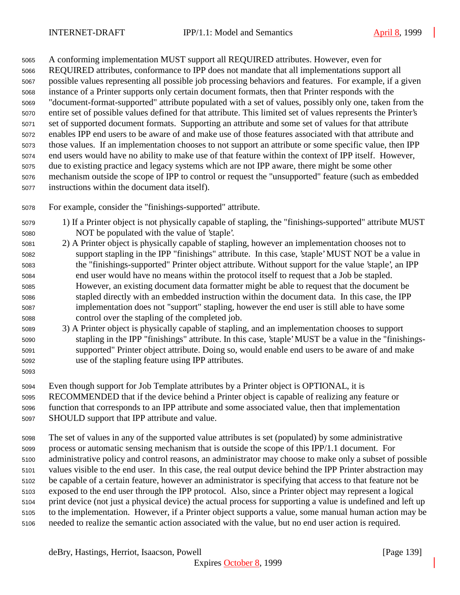A conforming implementation MUST support all REQUIRED attributes. However, even for REQUIRED attributes, conformance to IPP does not mandate that all implementations support all possible values representing all possible job processing behaviors and features. For example, if a given instance of a Printer supports only certain document formats, then that Printer responds with the "document-format-supported" attribute populated with a set of values, possibly only one, taken from the entire set of possible values defined for that attribute. This limited set of values represents the Printer's set of supported document formats. Supporting an attribute and some set of values for that attribute enables IPP end users to be aware of and make use of those features associated with that attribute and those values. If an implementation chooses to not support an attribute or some specific value, then IPP end users would have no ability to make use of that feature within the context of IPP itself. However, due to existing practice and legacy systems which are not IPP aware, there might be some other mechanism outside the scope of IPP to control or request the "unsupported" feature (such as embedded instructions within the document data itself).

- For example, consider the "finishings-supported" attribute.
- 1) If a Printer object is not physically capable of stapling, the "finishings-supported" attribute MUST NOT be populated with the value of 'staple'.
- 2) A Printer object is physically capable of stapling, however an implementation chooses not to support stapling in the IPP "finishings" attribute. In this case, 'staple' MUST NOT be a value in the "finishings-supported" Printer object attribute. Without support for the value 'staple', an IPP end user would have no means within the protocol itself to request that a Job be stapled. However, an existing document data formatter might be able to request that the document be stapled directly with an embedded instruction within the document data. In this case, the IPP implementation does not "support" stapling, however the end user is still able to have some control over the stapling of the completed job.
- 3) A Printer object is physically capable of stapling, and an implementation chooses to support stapling in the IPP "finishings" attribute. In this case, 'staple' MUST be a value in the "finishings- supported" Printer object attribute. Doing so, would enable end users to be aware of and make use of the stapling feature using IPP attributes.
- 

Even though support for Job Template attributes by a Printer object is OPTIONAL, it is

RECOMMENDED that if the device behind a Printer object is capable of realizing any feature or

 function that corresponds to an IPP attribute and some associated value, then that implementation SHOULD support that IPP attribute and value.

 The set of values in any of the supported value attributes is set (populated) by some administrative process or automatic sensing mechanism that is outside the scope of this IPP/1.1 document. For administrative policy and control reasons, an administrator may choose to make only a subset of possible values visible to the end user. In this case, the real output device behind the IPP Printer abstraction may be capable of a certain feature, however an administrator is specifying that access to that feature not be exposed to the end user through the IPP protocol. Also, since a Printer object may represent a logical print device (not just a physical device) the actual process for supporting a value is undefined and left up to the implementation. However, if a Printer object supports a value, some manual human action may be needed to realize the semantic action associated with the value, but no end user action is required.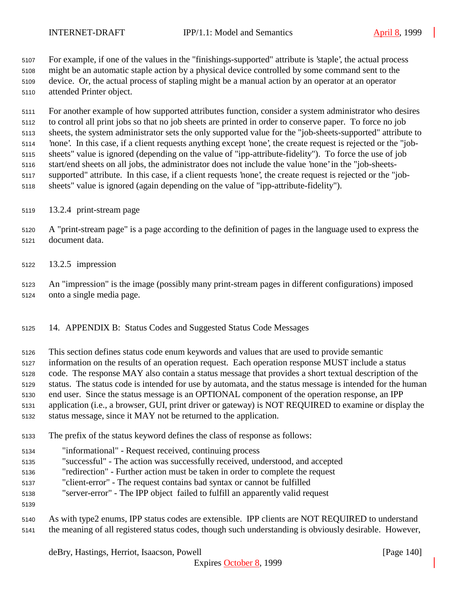For example, if one of the values in the "finishings-supported" attribute is 'staple', the actual process might be an automatic staple action by a physical device controlled by some command sent to the device. Or, the actual process of stapling might be a manual action by an operator at an operator attended Printer object.

 For another example of how supported attributes function, consider a system administrator who desires to control all print jobs so that no job sheets are printed in order to conserve paper. To force no job sheets, the system administrator sets the only supported value for the "job-sheets-supported" attribute to 'none'. In this case, if a client requests anything except 'none', the create request is rejected or the "job- sheets" value is ignored (depending on the value of "ipp-attribute-fidelity"). To force the use of job start/end sheets on all jobs, the administrator does not include the value 'none' in the "job-sheets- supported" attribute. In this case, if a client requests 'none', the create request is rejected or the "job-sheets" value is ignored (again depending on the value of "ipp-attribute-fidelity").

- 13.2.4 print-stream page
- A "print-stream page" is a page according to the definition of pages in the language used to express the document data.
- 13.2.5 impression
- An "impression" is the image (possibly many print-stream pages in different configurations) imposed onto a single media page.
- 14. APPENDIX B: Status Codes and Suggested Status Code Messages
- This section defines status code enum keywords and values that are used to provide semantic
- information on the results of an operation request. Each operation response MUST include a status
- code. The response MAY also contain a status message that provides a short textual description of the
- status. The status code is intended for use by automata, and the status message is intended for the human
- end user. Since the status message is an OPTIONAL component of the operation response, an IPP
- application (i.e., a browser, GUI, print driver or gateway) is NOT REQUIRED to examine or display the
- status message, since it MAY not be returned to the application.
- The prefix of the status keyword defines the class of response as follows:
- "informational" Request received, continuing process
- "successful" The action was successfully received, understood, and accepted
- "redirection" Further action must be taken in order to complete the request
- "client-error" The request contains bad syntax or cannot be fulfilled
- "server-error" The IPP object failed to fulfill an apparently valid request
- 
- As with type2 enums, IPP status codes are extensible. IPP clients are NOT REQUIRED to understand the meaning of all registered status codes, though such understanding is obviously desirable. However,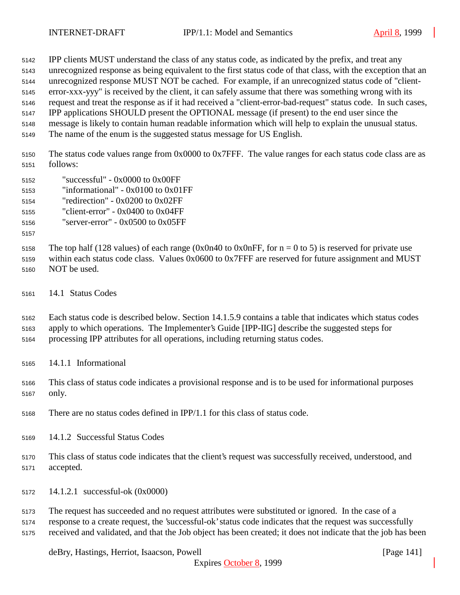IPP clients MUST understand the class of any status code, as indicated by the prefix, and treat any

- unrecognized response as being equivalent to the first status code of that class, with the exception that an
- unrecognized response MUST NOT be cached. For example, if an unrecognized status code of "client-

 error-xxx-yyy" is received by the client, it can safely assume that there was something wrong with its request and treat the response as if it had received a "client-error-bad-request" status code. In such cases,

IPP applications SHOULD present the OPTIONAL message (if present) to the end user since the

- message is likely to contain human readable information which will help to explain the unusual status.
- The name of the enum is the suggested status message for US English.

 The status code values range from 0x0000 to 0x7FFF. The value ranges for each status code class are as follows:

- "successful" 0x0000 to 0x00FF
- "informational" 0x0100 to 0x01FF
- "redirection" 0x0200 to 0x02FF
- "client-error" 0x0400 to 0x04FF

"server-error" - 0x0500 to 0x05FF

5158 The top half (128 values) of each range (0x0n40 to 0x0nFF, for  $n = 0$  to 5) is reserved for private use within each status code class. Values 0x0600 to 0x7FFF are reserved for future assignment and MUST

- NOT be used.
- 14.1 Status Codes

 Each status code is described below. Section 14.1.5.9 contains a table that indicates which status codes apply to which operations. The Implementer's Guide [IPP-IIG] describe the suggested steps for

- processing IPP attributes for all operations, including returning status codes.
- 14.1.1 Informational
- This class of status code indicates a provisional response and is to be used for informational purposes only.
- There are no status codes defined in IPP/1.1 for this class of status code.
- 14.1.2 Successful Status Codes
- This class of status code indicates that the client's request was successfully received, understood, and accepted.
- 14.1.2.1 successful-ok (0x0000)

 The request has succeeded and no request attributes were substituted or ignored. In the case of a response to a create request, the 'successful-ok' status code indicates that the request was successfully received and validated, and that the Job object has been created; it does not indicate that the job has been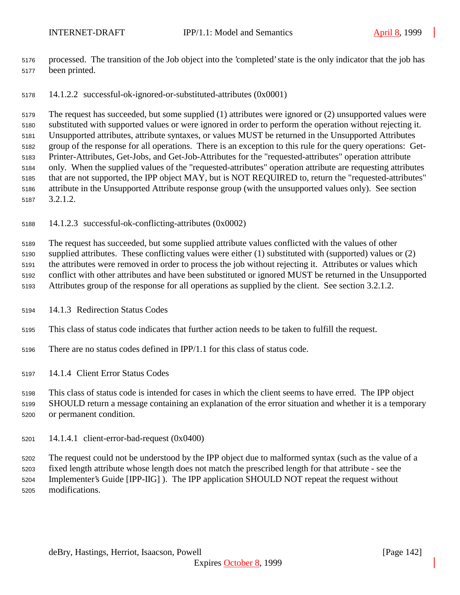- processed. The transition of the Job object into the 'completed' state is the only indicator that the job has been printed.
- 14.1.2.2 successful-ok-ignored-or-substituted-attributes (0x0001)

 The request has succeeded, but some supplied (1) attributes were ignored or (2) unsupported values were substituted with supported values or were ignored in order to perform the operation without rejecting it. Unsupported attributes, attribute syntaxes, or values MUST be returned in the Unsupported Attributes group of the response for all operations. There is an exception to this rule for the query operations: Get- Printer-Attributes, Get-Jobs, and Get-Job-Attributes for the "requested-attributes" operation attribute only. When the supplied values of the "requested-attributes" operation attribute are requesting attributes that are not supported, the IPP object MAY, but is NOT REQUIRED to, return the "requested-attributes" attribute in the Unsupported Attribute response group (with the unsupported values only). See section 3.2.1.2.

14.1.2.3 successful-ok-conflicting-attributes (0x0002)

 The request has succeeded, but some supplied attribute values conflicted with the values of other supplied attributes. These conflicting values were either (1) substituted with (supported) values or (2) the attributes were removed in order to process the job without rejecting it. Attributes or values which conflict with other attributes and have been substituted or ignored MUST be returned in the Unsupported Attributes group of the response for all operations as supplied by the client. See section 3.2.1.2.

- 14.1.3 Redirection Status Codes
- This class of status code indicates that further action needs to be taken to fulfill the request.
- There are no status codes defined in IPP/1.1 for this class of status code.

14.1.4 Client Error Status Codes

This class of status code is intended for cases in which the client seems to have erred. The IPP object

 SHOULD return a message containing an explanation of the error situation and whether it is a temporary or permanent condition.

14.1.4.1 client-error-bad-request (0x0400)

 The request could not be understood by the IPP object due to malformed syntax (such as the value of a fixed length attribute whose length does not match the prescribed length for that attribute - see the Implementer's Guide [IPP-IIG] ). The IPP application SHOULD NOT repeat the request without modifications.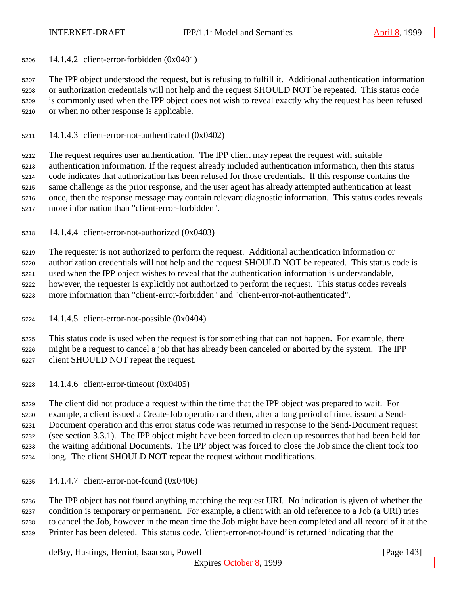14.1.4.2 client-error-forbidden (0x0401)

 The IPP object understood the request, but is refusing to fulfill it. Additional authentication information or authorization credentials will not help and the request SHOULD NOT be repeated. This status code is commonly used when the IPP object does not wish to reveal exactly why the request has been refused or when no other response is applicable.

14.1.4.3 client-error-not-authenticated (0x0402)

 The request requires user authentication. The IPP client may repeat the request with suitable authentication information. If the request already included authentication information, then this status code indicates that authorization has been refused for those credentials. If this response contains the same challenge as the prior response, and the user agent has already attempted authentication at least once, then the response message may contain relevant diagnostic information. This status codes reveals more information than "client-error-forbidden".

14.1.4.4 client-error-not-authorized (0x0403)

 The requester is not authorized to perform the request. Additional authentication information or authorization credentials will not help and the request SHOULD NOT be repeated. This status code is used when the IPP object wishes to reveal that the authentication information is understandable, however, the requester is explicitly not authorized to perform the request. This status codes reveals more information than "client-error-forbidden" and "client-error-not-authenticated".

14.1.4.5 client-error-not-possible (0x0404)

 This status code is used when the request is for something that can not happen. For example, there might be a request to cancel a job that has already been canceled or aborted by the system. The IPP client SHOULD NOT repeat the request.

14.1.4.6 client-error-timeout (0x0405)

 The client did not produce a request within the time that the IPP object was prepared to wait. For example, a client issued a Create-Job operation and then, after a long period of time, issued a Send- Document operation and this error status code was returned in response to the Send-Document request (see section 3.3.1). The IPP object might have been forced to clean up resources that had been held for the waiting additional Documents. The IPP object was forced to close the Job since the client took too long. The client SHOULD NOT repeat the request without modifications.

14.1.4.7 client-error-not-found (0x0406)

 The IPP object has not found anything matching the request URI. No indication is given of whether the condition is temporary or permanent. For example, a client with an old reference to a Job (a URI) tries to cancel the Job, however in the mean time the Job might have been completed and all record of it at the Printer has been deleted. This status code, 'client-error-not-found' is returned indicating that the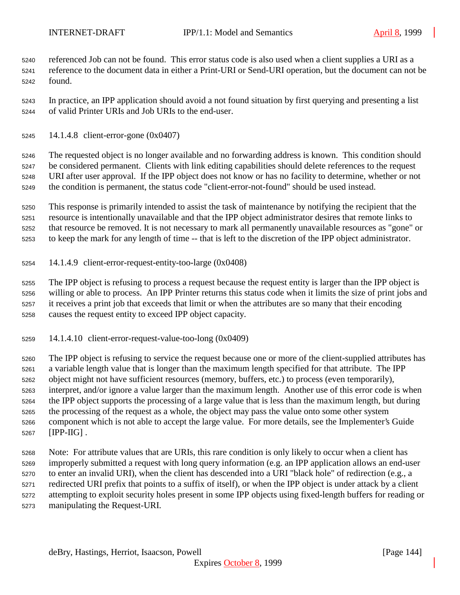referenced Job can not be found. This error status code is also used when a client supplies a URI as a reference to the document data in either a Print-URI or Send-URI operation, but the document can not be found.

 In practice, an IPP application should avoid a not found situation by first querying and presenting a list of valid Printer URIs and Job URIs to the end-user.

14.1.4.8 client-error-gone (0x0407)

 The requested object is no longer available and no forwarding address is known. This condition should be considered permanent. Clients with link editing capabilities should delete references to the request URI after user approval. If the IPP object does not know or has no facility to determine, whether or not the condition is permanent, the status code "client-error-not-found" should be used instead.

 This response is primarily intended to assist the task of maintenance by notifying the recipient that the resource is intentionally unavailable and that the IPP object administrator desires that remote links to that resource be removed. It is not necessary to mark all permanently unavailable resources as "gone" or to keep the mark for any length of time -- that is left to the discretion of the IPP object administrator.

14.1.4.9 client-error-request-entity-too-large (0x0408)

 The IPP object is refusing to process a request because the request entity is larger than the IPP object is willing or able to process. An IPP Printer returns this status code when it limits the size of print jobs and it receives a print job that exceeds that limit or when the attributes are so many that their encoding causes the request entity to exceed IPP object capacity.

14.1.4.10 client-error-request-value-too-long (0x0409)

 The IPP object is refusing to service the request because one or more of the client-supplied attributes has a variable length value that is longer than the maximum length specified for that attribute. The IPP object might not have sufficient resources (memory, buffers, etc.) to process (even temporarily), interpret, and/or ignore a value larger than the maximum length. Another use of this error code is when the IPP object supports the processing of a large value that is less than the maximum length, but during the processing of the request as a whole, the object may pass the value onto some other system component which is not able to accept the large value. For more details, see the Implementer's Guide [IPP-IIG] .

 Note: For attribute values that are URIs, this rare condition is only likely to occur when a client has improperly submitted a request with long query information (e.g. an IPP application allows an end-user to enter an invalid URI), when the client has descended into a URI "black hole" of redirection (e.g., a redirected URI prefix that points to a suffix of itself), or when the IPP object is under attack by a client attempting to exploit security holes present in some IPP objects using fixed-length buffers for reading or manipulating the Request-URI.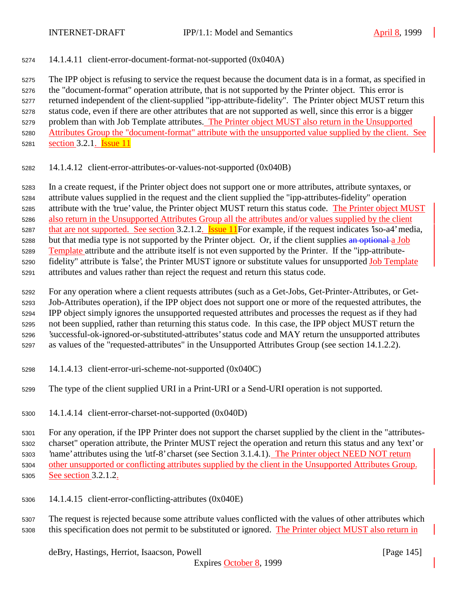14.1.4.11 client-error-document-format-not-supported (0x040A)

 The IPP object is refusing to service the request because the document data is in a format, as specified in the "document-format" operation attribute, that is not supported by the Printer object. This error is returned independent of the client-supplied "ipp-attribute-fidelity". The Printer object MUST return this status code, even if there are other attributes that are not supported as well, since this error is a bigger problem than with Job Template attributes. The Printer object MUST also return in the Unsupported Attributes Group the "document-format" attribute with the unsupported value supplied by the client. See 5281 section 3.2.1.  $\overline{\text{Issue}}$  11

14.1.4.12 client-error-attributes-or-values-not-supported (0x040B)

 In a create request, if the Printer object does not support one or more attributes, attribute syntaxes, or attribute values supplied in the request and the client supplied the "ipp-attributes-fidelity" operation attribute with the 'true' value, the Printer object MUST return this status code. The Printer object MUST 5286 also return in the Unsupported Attributes Group all the attributes and/or values supplied by the client 5287 that are not supported. See section 3.2.1.2. Issue 11For example, if the request indicates 'iso-a4' media, 5288 but that media type is not supported by the Printer object. Or, if the client supplies an optional a Job Template attribute and the attribute itself is not even supported by the Printer. If the "ipp-attribute- fidelity" attribute is 'false', the Printer MUST ignore or substitute values for unsupported Job Template attributes and values rather than reject the request and return this status code.

 For any operation where a client requests attributes (such as a Get-Jobs, Get-Printer-Attributes, or Get- Job-Attributes operation), if the IPP object does not support one or more of the requested attributes, the IPP object simply ignores the unsupported requested attributes and processes the request as if they had not been supplied, rather than returning this status code. In this case, the IPP object MUST return the 'successful-ok-ignored-or-substituted-attributes' status code and MAY return the unsupported attributes as values of the "requested-attributes" in the Unsupported Attributes Group (see section 14.1.2.2).

- 14.1.4.13 client-error-uri-scheme-not-supported (0x040C)
- The type of the client supplied URI in a Print-URI or a Send-URI operation is not supported.
- 14.1.4.14 client-error-charset-not-supported (0x040D)

 For any operation, if the IPP Printer does not support the charset supplied by the client in the "attributes- charset" operation attribute, the Printer MUST reject the operation and return this status and any 'text' or 'name' attributes using the 'utf-8' charset (see Section 3.1.4.1). The Printer object NEED NOT return other unsupported or conflicting attributes supplied by the client in the Unsupported Attributes Group. See section 3.2.1.2.

14.1.4.15 client-error-conflicting-attributes (0x040E)

 The request is rejected because some attribute values conflicted with the values of other attributes which this specification does not permit to be substituted or ignored. The Printer object MUST also return in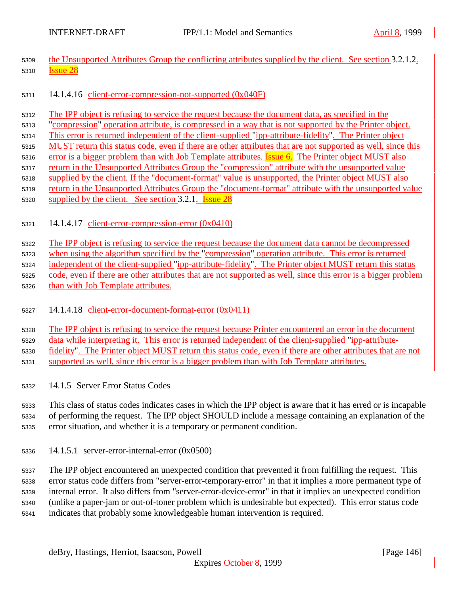- 5309 the Unsupported Attributes Group the conflicting attributes supplied by the client. See section 3.2.1.2. **Issue 28**
- 14.1.4.16 client-error-compression-not-supported (0x040F)
- The IPP object is refusing to service the request because the document data, as specified in the
- "compression" operation attribute, is compressed in a way that is not supported by the Printer object.
- This error is returned independent of the client-supplied "ipp-attribute-fidelity". The Printer object
- MUST return this status code, even if there are other attributes that are not supported as well, since this
- 5316 error is a bigger problem than with Job Template attributes. **Issue 6.** The Printer object MUST also
- 5317 return in the Unsupported Attributes Group the "compression" attribute with the unsupported value supplied by the client. If the "document-format" value is unsupported, the Printer object MUST also
- 5319 return in the Unsupported Attributes Group the "document-format" attribute with the unsupported value
- 5320 supplied by the client. -See section 3.2.1. **Issue 28**
- 14.1.4.17 client-error-compression-error (0x0410)

The IPP object is refusing to service the request because the document data cannot be decompressed

5323 when using the algorithm specified by the "compression" operation attribute. This error is returned

- independent of the client-supplied "ipp-attribute-fidelity". The Printer object MUST return this status
- code, even if there are other attributes that are not supported as well, since this error is a bigger problem
- than with Job Template attributes.
- 14.1.4.18 client-error-document-format-error (0x0411)
- 5328 The IPP object is refusing to service the request because Printer encountered an error in the document
- data while interpreting it. This error is returned independent of the client-supplied "ipp-attribute-
- fidelity". The Printer object MUST return this status code, even if there are other attributes that are not
- supported as well, since this error is a bigger problem than with Job Template attributes.
- 14.1.5 Server Error Status Codes

 This class of status codes indicates cases in which the IPP object is aware that it has erred or is incapable of performing the request. The IPP object SHOULD include a message containing an explanation of the error situation, and whether it is a temporary or permanent condition.

14.1.5.1 server-error-internal-error (0x0500)

 The IPP object encountered an unexpected condition that prevented it from fulfilling the request. This error status code differs from "server-error-temporary-error" in that it implies a more permanent type of internal error. It also differs from "server-error-device-error" in that it implies an unexpected condition (unlike a paper-jam or out-of-toner problem which is undesirable but expected). This error status code indicates that probably some knowledgeable human intervention is required.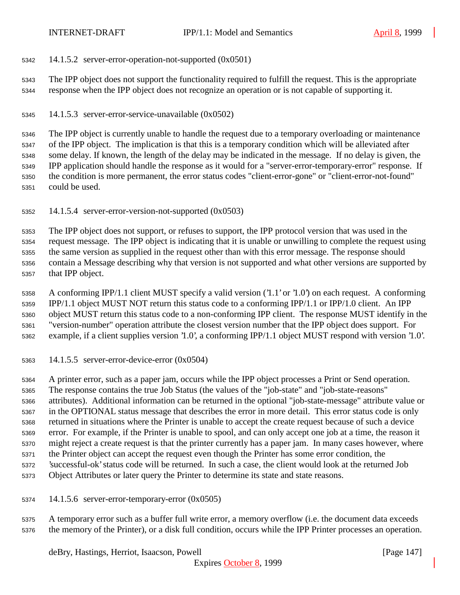14.1.5.2 server-error-operation-not-supported (0x0501)

 The IPP object does not support the functionality required to fulfill the request. This is the appropriate response when the IPP object does not recognize an operation or is not capable of supporting it.

14.1.5.3 server-error-service-unavailable (0x0502)

 The IPP object is currently unable to handle the request due to a temporary overloading or maintenance of the IPP object. The implication is that this is a temporary condition which will be alleviated after some delay. If known, the length of the delay may be indicated in the message. If no delay is given, the IPP application should handle the response as it would for a "server-error-temporary-error" response. If the condition is more permanent, the error status codes "client-error-gone" or "client-error-not-found" could be used.

14.1.5.4 server-error-version-not-supported (0x0503)

 The IPP object does not support, or refuses to support, the IPP protocol version that was used in the request message. The IPP object is indicating that it is unable or unwilling to complete the request using the same version as supplied in the request other than with this error message. The response should contain a Message describing why that version is not supported and what other versions are supported by that IPP object.

 A conforming IPP/1.1 client MUST specify a valid version ('1.1' or '1.0') on each request. A conforming IPP/1.1 object MUST NOT return this status code to a conforming IPP/1.1 or IPP/1.0 client. An IPP object MUST return this status code to a non-conforming IPP client. The response MUST identify in the "version-number" operation attribute the closest version number that the IPP object does support. For example, if a client supplies version '1.0', a conforming IPP/1.1 object MUST respond with version '1.0'.

14.1.5.5 server-error-device-error (0x0504)

 A printer error, such as a paper jam, occurs while the IPP object processes a Print or Send operation. The response contains the true Job Status (the values of the "job-state" and "job-state-reasons" attributes). Additional information can be returned in the optional "job-state-message" attribute value or in the OPTIONAL status message that describes the error in more detail. This error status code is only returned in situations where the Printer is unable to accept the create request because of such a device error. For example, if the Printer is unable to spool, and can only accept one job at a time, the reason it might reject a create request is that the printer currently has a paper jam. In many cases however, where the Printer object can accept the request even though the Printer has some error condition, the 'successful-ok' status code will be returned. In such a case, the client would look at the returned Job Object Attributes or later query the Printer to determine its state and state reasons.

14.1.5.6 server-error-temporary-error (0x0505)

 A temporary error such as a buffer full write error, a memory overflow (i.e. the document data exceeds the memory of the Printer), or a disk full condition, occurs while the IPP Printer processes an operation.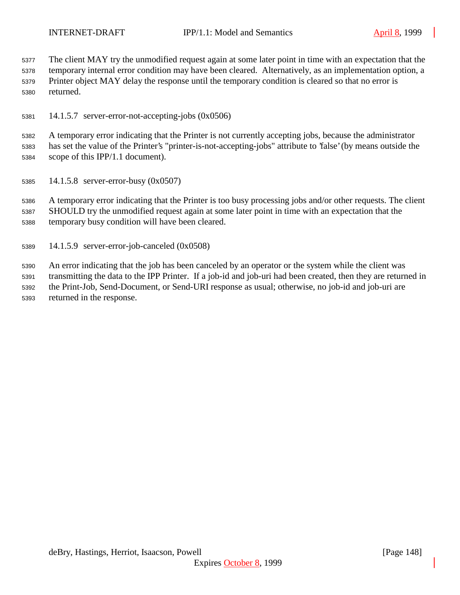The client MAY try the unmodified request again at some later point in time with an expectation that the temporary internal error condition may have been cleared. Alternatively, as an implementation option, a Printer object MAY delay the response until the temporary condition is cleared so that no error is returned.

14.1.5.7 server-error-not-accepting-jobs (0x0506)

 A temporary error indicating that the Printer is not currently accepting jobs, because the administrator has set the value of the Printer's "printer-is-not-accepting-jobs" attribute to 'false' (by means outside the scope of this IPP/1.1 document).

14.1.5.8 server-error-busy (0x0507)

 A temporary error indicating that the Printer is too busy processing jobs and/or other requests. The client SHOULD try the unmodified request again at some later point in time with an expectation that the temporary busy condition will have been cleared.

14.1.5.9 server-error-job-canceled (0x0508)

 An error indicating that the job has been canceled by an operator or the system while the client was transmitting the data to the IPP Printer. If a job-id and job-uri had been created, then they are returned in the Print-Job, Send-Document, or Send-URI response as usual; otherwise, no job-id and job-uri are returned in the response.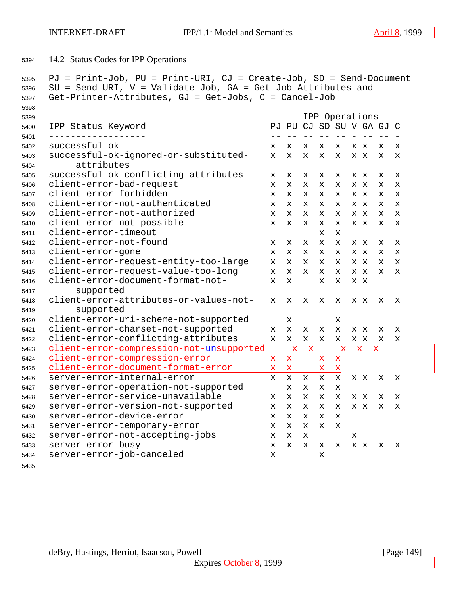14.2 Status Codes for IPP Operations

```
5395 PJ = Print-Job, PU = Print-URI, CJ = Create-Job, SD = Send-Document
5396 SU = Send-URI, V = Validate-Job, GA = Get-Job-Attributes and
5397 Get-Printer-Attributes, GJ = Get-Jobs, C = Cancel-Job
5398
5399 IPP Operations
5400 IPP Status Keyword PJ PU CJ SD SU V GA GJ C
5401 ------------------ -- -- -- -- -- - -- -- -
5402 successful-ok x x x x x x x x x
5403 successful-ok-ignored-or-substituted- x x x x x x x x x
5404 attributes
5405 successful-ok-conflicting-attributes x x x x x x x x x
5406 client-error-bad-request x x x x x x x x x
5407 client-error-forbidden x x x x x x x x x
5408 client-error-not-authenticated x x x x x x x x x
5409 client-error-not-authorized x x x x x x x x x
5410 client-error-not-possible x x x x x x x x x
5411 client-error-timeout x x
5412 client-error-not-found x x x x x x x x x
5413 client-error-gone x x x x x x x x x
5414 client-error-request-entity-too-large x x x x x x x x x
5415 client-error-request-value-too-long x x x x x x x x x
5416 client-error-document-format-not- x x x x x x
5417 supported
5418 client-error-attributes-or-values-not- x x x x x x x x x
5419 supported
5420 client-error-uri-scheme-not-supported x x
5421 client-error-charset-not-supported x x x x x x x x x
5422 client-error-conflicting-attributes x x x x x x x x x
5423 client-error-compression-not-<del>un</del>supported - x x x x
5424 client-error-compression-error x x x x
5425 client-error-document-format-error x x x x
5426 server-error-internal-error x x x x x x x x x
5427 server-error-operation-not-supported x x x x
5428 server-error-service-unavailable x x x x x x x x x
5429 server-error-version-not-supported x x x x x x x x x
5430 server-error-device-error x x x x x
5431 server-error-temporary-error x x x x x
5432 server-error-not-accepting-jobs x x x x
5433 server-error-busy x x x x x x x x x
5434 server-error-job-canceled x x
```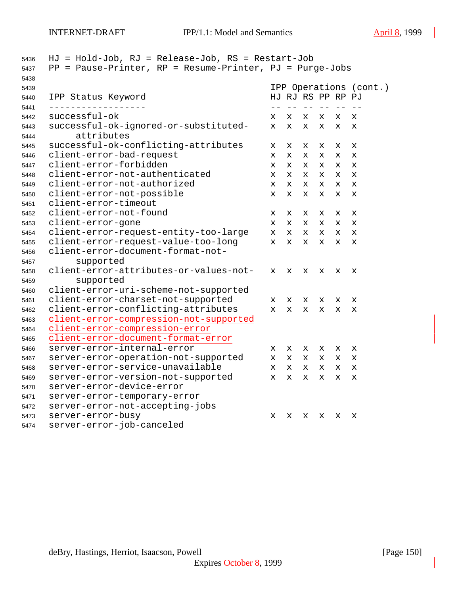| 5436 | $HJ = Hold-Job$ , $RJ = Release-Job$ , $RS = Restart-Job$                |             |              |    |             |                   |                        |
|------|--------------------------------------------------------------------------|-------------|--------------|----|-------------|-------------------|------------------------|
| 5437 | PP = Pause-Printer, RP = Resume-Printer, PJ = Purge-Jobs                 |             |              |    |             |                   |                        |
| 5438 |                                                                          |             |              |    |             |                   |                        |
| 5439 |                                                                          |             |              |    |             |                   | IPP Operations (cont.) |
| 5440 | IPP Status Keyword                                                       |             |              |    |             | HJ RJ RS PP RP PJ |                        |
| 5441 | successful-ok                                                            |             |              | -- | $-\ -$      | $ -$              |                        |
| 5442 |                                                                          | х           | x            | X  | x           | X                 | X                      |
| 5443 | successful-ok-ignored-or-substituted-<br>attributes                      | $\mathbf x$ | X            | X. | x           | x                 | X                      |
| 5444 |                                                                          |             |              |    |             |                   |                        |
| 5445 | successful-ok-conflicting-attributes                                     | х           | X            | x  | x           | х                 | X                      |
| 5446 | client-error-bad-request<br>client-error-forbidden                       | X           | X            | x  | x           | x                 | X                      |
| 5447 |                                                                          | X           | X.           | x  | x           | x                 | X                      |
| 5448 | client-error-not-authenticated<br>client-error-not-authorized            | X           | $\mathbf x$  | X. | X           | x                 | X                      |
| 5449 |                                                                          | X           | $\mathbf x$  | x  | $\mathbf x$ | x                 | $\mathbf x$            |
| 5450 | client-error-not-possible<br>client-error-timeout                        | X           | x            | X  | X           | X                 | X                      |
| 5451 | client-error-not-found                                                   |             |              |    |             |                   |                        |
| 5452 |                                                                          | х           | х            | х  | х           | х                 | х                      |
| 5453 | client-error-gone                                                        | X.          | x            | x  | x           | x                 | X                      |
| 5454 | client-error-request-entity-too-large                                    | X.          | $\mathbf x$  | X  | x           | X                 | X                      |
| 5455 | client-error-request-value-too-long<br>client-error-document-format-not- | X           | X            | X  | X           | x                 | X                      |
| 5456 |                                                                          |             |              |    |             |                   |                        |
| 5457 | supported                                                                |             |              |    |             |                   |                        |
| 5458 | client-error-attributes-or-values-not-                                   | X           | X            | X  | x           | x                 | x                      |
| 5459 | supported                                                                |             |              |    |             |                   |                        |
| 5460 | client-error-uri-scheme-not-supported                                    |             |              |    |             |                   |                        |
| 5461 | client-error-charset-not-supported                                       | $\mathbf x$ | X            | x  | x           | x                 | X                      |
| 5462 | client-error-conflicting-attributes                                      | $\mathbf x$ | $\mathbf{x}$ | X  | $\mathbf x$ | $\mathbf x$       | X                      |
| 5463 | client-error-compression-not-supported                                   |             |              |    |             |                   |                        |
| 5464 | client-error-compression-error                                           |             |              |    |             |                   |                        |
| 5465 | client-error-document-format-error                                       |             |              |    |             |                   |                        |
| 5466 | server-error-internal-error                                              | х           | x            | x  | х           | x                 | х                      |
| 5467 | server-error-operation-not-supported                                     | X.          | X            | X. | X           | x                 | x                      |
| 5468 | server-error-service-unavailable                                         | x           | x            | x  | X           | x                 | X                      |
| 5469 | server-error-version-not-supported                                       | X.          | X            | X  | x           | х                 | X                      |
| 5470 | server-error-device-error                                                |             |              |    |             |                   |                        |
| 5471 | server-error-temporary-error                                             |             |              |    |             |                   |                        |
| 5472 | server-error-not-accepting-jobs                                          |             |              |    |             |                   |                        |
| 5473 | server-error-busy                                                        | X           | X            | x  | x           | x                 | X                      |
| 5474 | server-error-job-canceled                                                |             |              |    |             |                   |                        |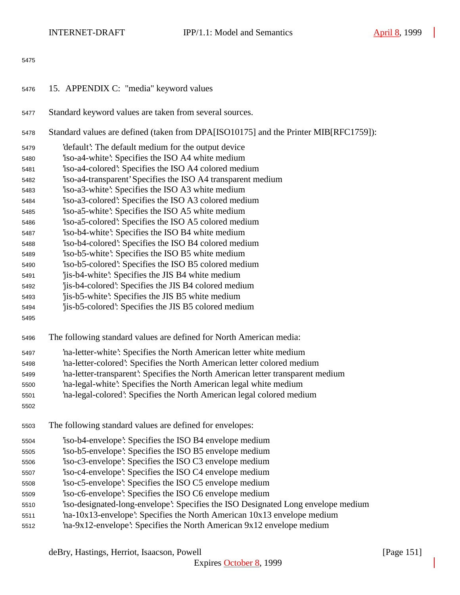- 15. APPENDIX C: "media" keyword values
- Standard keyword values are taken from several sources.
- Standard values are defined (taken from DPA[ISO10175] and the Printer MIB[RFC1759]):
- 'default': The default medium for the output device
- 'iso-a4-white': Specifies the ISO A4 white medium
- 'iso-a4-colored': Specifies the ISO A4 colored medium
- 'iso-a4-transparent' Specifies the ISO A4 transparent medium
- 'iso-a3-white': Specifies the ISO A3 white medium
- 'iso-a3-colored': Specifies the ISO A3 colored medium
- 'iso-a5-white': Specifies the ISO A5 white medium
- 'iso-a5-colored': Specifies the ISO A5 colored medium
- 'iso-b4-white': Specifies the ISO B4 white medium
- 'iso-b4-colored': Specifies the ISO B4 colored medium
- 'iso-b5-white': Specifies the ISO B5 white medium
- 'iso-b5-colored': Specifies the ISO B5 colored medium
- 'jis-b4-white': Specifies the JIS B4 white medium
- 'jis-b4-colored': Specifies the JIS B4 colored medium
- 'jis-b5-white': Specifies the JIS B5 white medium
- 'jis-b5-colored': Specifies the JIS B5 colored medium
- 
- The following standard values are defined for North American media:
- 'na-letter-white': Specifies the North American letter white medium
- 'na-letter-colored': Specifies the North American letter colored medium
- 'na-letter-transparent': Specifies the North American letter transparent medium
- 'na-legal-white': Specifies the North American legal white medium
- 'na-legal-colored': Specifies the North American legal colored medium
- 
- The following standard values are defined for envelopes:
- 'iso-b4-envelope': Specifies the ISO B4 envelope medium
- 'iso-b5-envelope': Specifies the ISO B5 envelope medium
- 'iso-c3-envelope': Specifies the ISO C3 envelope medium
- 'iso-c4-envelope': Specifies the ISO C4 envelope medium
- 'iso-c5-envelope': Specifies the ISO C5 envelope medium
- 'iso-c6-envelope': Specifies the ISO C6 envelope medium
- 'iso-designated-long-envelope': Specifies the ISO Designated Long envelope medium
- 'na-10x13-envelope': Specifies the North American 10x13 envelope medium
- 'na-9x12-envelope': Specifies the North American 9x12 envelope medium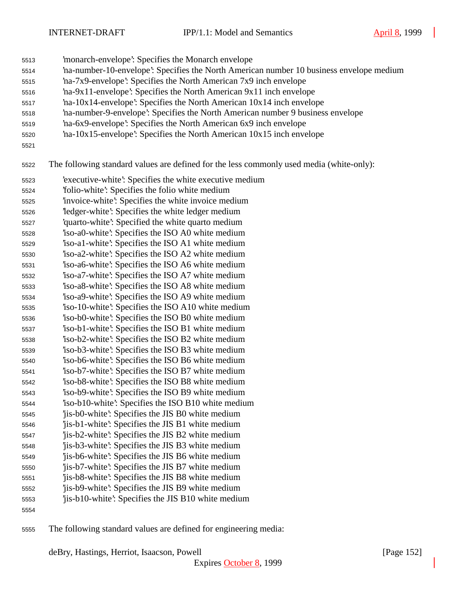- 'monarch-envelope': Specifies the Monarch envelope
- 'na-number-10-envelope': Specifies the North American number 10 business envelope medium
- 'na-7x9-envelope': Specifies the North American 7x9 inch envelope
- 'na-9x11-envelope': Specifies the North American 9x11 inch envelope
- 'na-10x14-envelope': Specifies the North American 10x14 inch envelope
- 'na-number-9-envelope': Specifies the North American number 9 business envelope
- 'na-6x9-envelope': Specifies the North American 6x9 inch envelope
- 'na-10x15-envelope': Specifies the North American 10x15 inch envelope
- 

The following standard values are defined for the less commonly used media (white-only):

- 'executive-white': Specifies the white executive medium
- 'folio-white': Specifies the folio white medium
- 'invoice-white': Specifies the white invoice medium
- 'ledger-white': Specifies the white ledger medium
- 'quarto-white': Specified the white quarto medium
- 'iso-a0-white': Specifies the ISO A0 white medium
- 'iso-a1-white': Specifies the ISO A1 white medium
- 'iso-a2-white': Specifies the ISO A2 white medium 'iso-a6-white': Specifies the ISO A6 white medium
- 'iso-a7-white': Specifies the ISO A7 white medium
- 'iso-a8-white': Specifies the ISO A8 white medium
- 'iso-a9-white': Specifies the ISO A9 white medium
- 'iso-10-white': Specifies the ISO A10 white medium
- 'iso-b0-white': Specifies the ISO B0 white medium
- 'iso-b1-white': Specifies the ISO B1 white medium
- 'iso-b2-white': Specifies the ISO B2 white medium 'iso-b3-white': Specifies the ISO B3 white medium
- 'iso-b6-white': Specifies the ISO B6 white medium
- 'iso-b7-white': Specifies the ISO B7 white medium
- 'iso-b8-white': Specifies the ISO B8 white medium
- 'iso-b9-white': Specifies the ISO B9 white medium
- 'iso-b10-white': Specifies the ISO B10 white medium
- 'jis-b0-white': Specifies the JIS B0 white medium
- 'jis-b1-white': Specifies the JIS B1 white medium
- 'jis-b2-white': Specifies the JIS B2 white medium
- 'jis-b3-white': Specifies the JIS B3 white medium 'jis-b6-white': Specifies the JIS B6 white medium
- 'jis-b7-white': Specifies the JIS B7 white medium
- 'jis-b8-white': Specifies the JIS B8 white medium
- 'jis-b9-white': Specifies the JIS B9 white medium
- 'jis-b10-white': Specifies the JIS B10 white medium
- 
- The following standard values are defined for engineering media: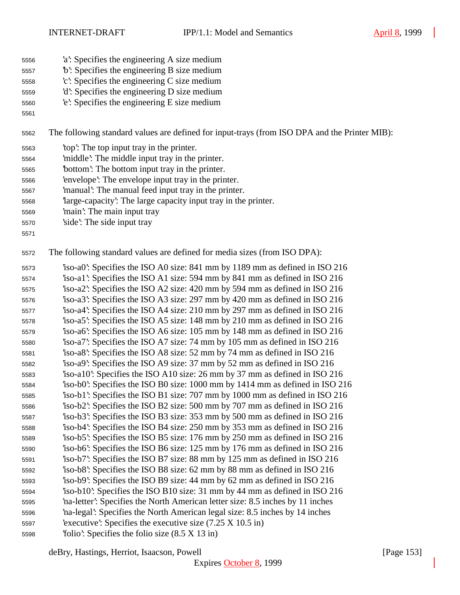- 'a': Specifies the engineering A size medium
- 'b': Specifies the engineering B size medium
- 'c': Specifies the engineering C size medium
- 'd': Specifies the engineering D size medium
- 'e': Specifies the engineering E size medium
- 

The following standard values are defined for input-trays (from ISO DPA and the Printer MIB):

- 'top': The top input tray in the printer.
- 'middle': The middle input tray in the printer.
- 'bottom': The bottom input tray in the printer.
- 'envelope': The envelope input tray in the printer.
- 'manual': The manual feed input tray in the printer.
- 'large-capacity': The large capacity input tray in the printer.
- 'main': The main input tray
- 'side': The side input tray
- 

The following standard values are defined for media sizes (from ISO DPA):

 'iso-a0': Specifies the ISO A0 size: 841 mm by 1189 mm as defined in ISO 216 'iso-a1': Specifies the ISO A1 size: 594 mm by 841 mm as defined in ISO 216 'iso-a2': Specifies the ISO A2 size: 420 mm by 594 mm as defined in ISO 216 'iso-a3': Specifies the ISO A3 size: 297 mm by 420 mm as defined in ISO 216 'iso-a4': Specifies the ISO A4 size: 210 mm by 297 mm as defined in ISO 216 'iso-a5': Specifies the ISO A5 size: 148 mm by 210 mm as defined in ISO 216 'iso-a6': Specifies the ISO A6 size: 105 mm by 148 mm as defined in ISO 216 'iso-a7': Specifies the ISO A7 size: 74 mm by 105 mm as defined in ISO 216 'iso-a8': Specifies the ISO A8 size: 52 mm by 74 mm as defined in ISO 216 'iso-a9': Specifies the ISO A9 size: 37 mm by 52 mm as defined in ISO 216 'iso-a10': Specifies the ISO A10 size: 26 mm by 37 mm as defined in ISO 216 'iso-b0': Specifies the ISO B0 size: 1000 mm by 1414 mm as defined in ISO 216 'iso-b1': Specifies the ISO B1 size: 707 mm by 1000 mm as defined in ISO 216 'iso-b2': Specifies the ISO B2 size: 500 mm by 707 mm as defined in ISO 216 'iso-b3': Specifies the ISO B3 size: 353 mm by 500 mm as defined in ISO 216 'iso-b4': Specifies the ISO B4 size: 250 mm by 353 mm as defined in ISO 216 'iso-b5': Specifies the ISO B5 size: 176 mm by 250 mm as defined in ISO 216 'iso-b6': Specifies the ISO B6 size: 125 mm by 176 mm as defined in ISO 216 'iso-b7': Specifies the ISO B7 size: 88 mm by 125 mm as defined in ISO 216 'iso-b8': Specifies the ISO B8 size: 62 mm by 88 mm as defined in ISO 216 'iso-b9': Specifies the ISO B9 size: 44 mm by 62 mm as defined in ISO 216 'iso-b10': Specifies the ISO B10 size: 31 mm by 44 mm as defined in ISO 216 'na-letter': Specifies the North American letter size: 8.5 inches by 11 inches 'na-legal': Specifies the North American legal size: 8.5 inches by 14 inches 'executive': Specifies the executive size (7.25 X 10.5 in) 'folio': Specifies the folio size (8.5 X 13 in)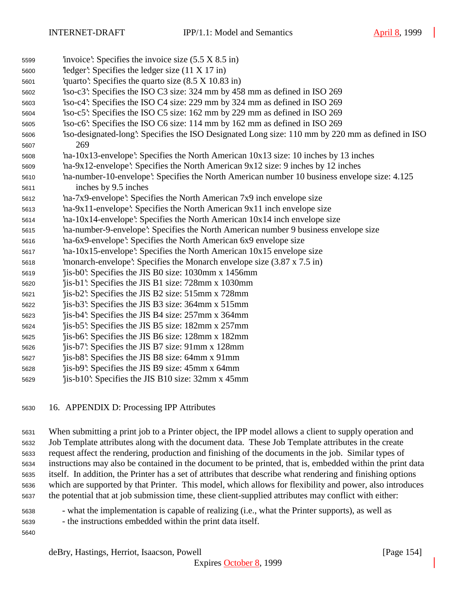- 'invoice': Specifies the invoice size (5.5 X 8.5 in) 'ledger': Specifies the ledger size (11 X 17 in) 'quarto': Specifies the quarto size (8.5 X 10.83 in) 'iso-c3': Specifies the ISO C3 size: 324 mm by 458 mm as defined in ISO 269 'iso-c4': Specifies the ISO C4 size: 229 mm by 324 mm as defined in ISO 269 'iso-c5': Specifies the ISO C5 size: 162 mm by 229 mm as defined in ISO 269 'iso-c6': Specifies the ISO C6 size: 114 mm by 162 mm as defined in ISO 269 'iso-designated-long': Specifies the ISO Designated Long size: 110 mm by 220 mm as defined in ISO 269 'na-10x13-envelope': Specifies the North American 10x13 size: 10 inches by 13 inches 'na-9x12-envelope': Specifies the North American 9x12 size: 9 inches by 12 inches 'na-number-10-envelope': Specifies the North American number 10 business envelope size: 4.125 inches by 9.5 inches 'na-7x9-envelope': Specifies the North American 7x9 inch envelope size 'na-9x11-envelope': Specifies the North American 9x11 inch envelope size 'na-10x14-envelope': Specifies the North American 10x14 inch envelope size 'na-number-9-envelope': Specifies the North American number 9 business envelope size 'na-6x9-envelope': Specifies the North American 6x9 envelope size 'na-10x15-envelope': Specifies the North American 10x15 envelope size 'monarch-envelope': Specifies the Monarch envelope size (3.87 x 7.5 in) 'jis-b0': Specifies the JIS B0 size: 1030mm x 1456mm 'jis-b1': Specifies the JIS B1 size: 728mm x 1030mm 'jis-b2': Specifies the JIS B2 size: 515mm x 728mm 'jis-b3': Specifies the JIS B3 size: 364mm x 515mm 'jis-b4': Specifies the JIS B4 size: 257mm x 364mm 'jis-b5': Specifies the JIS B5 size: 182mm x 257mm 'jis-b6': Specifies the JIS B6 size: 128mm x 182mm 'jis-b7': Specifies the JIS B7 size: 91mm x 128mm 'jis-b8': Specifies the JIS B8 size: 64mm x 91mm 'jis-b9': Specifies the JIS B9 size: 45mm x 64mm 'jis-b10': Specifies the JIS B10 size: 32mm x 45mm
- 16. APPENDIX D: Processing IPP Attributes

 When submitting a print job to a Printer object, the IPP model allows a client to supply operation and Job Template attributes along with the document data. These Job Template attributes in the create request affect the rendering, production and finishing of the documents in the job. Similar types of instructions may also be contained in the document to be printed, that is, embedded within the print data itself. In addition, the Printer has a set of attributes that describe what rendering and finishing options which are supported by that Printer. This model, which allows for flexibility and power, also introduces the potential that at job submission time, these client-supplied attributes may conflict with either:

- what the implementation is capable of realizing (i.e., what the Printer supports), as well as
- the instructions embedded within the print data itself.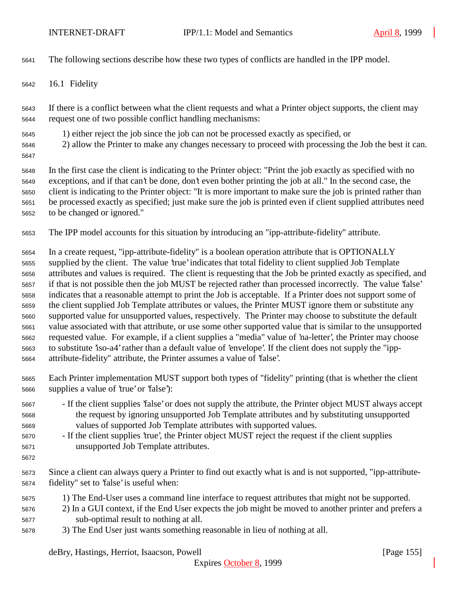The following sections describe how these two types of conflicts are handled in the IPP model.

16.1 Fidelity

 If there is a conflict between what the client requests and what a Printer object supports, the client may request one of two possible conflict handling mechanisms:

- 1) either reject the job since the job can not be processed exactly as specified, or
- 2) allow the Printer to make any changes necessary to proceed with processing the Job the best it can.
- 

 In the first case the client is indicating to the Printer object: "Print the job exactly as specified with no exceptions, and if that can't be done, don't even bother printing the job at all." In the second case, the client is indicating to the Printer object: "It is more important to make sure the job is printed rather than be processed exactly as specified; just make sure the job is printed even if client supplied attributes need to be changed or ignored."

The IPP model accounts for this situation by introducing an "ipp-attribute-fidelity" attribute.

 In a create request, "ipp-attribute-fidelity" is a boolean operation attribute that is OPTIONALLY supplied by the client. The value 'true' indicates that total fidelity to client supplied Job Template attributes and values is required. The client is requesting that the Job be printed exactly as specified, and if that is not possible then the job MUST be rejected rather than processed incorrectly. The value 'false' indicates that a reasonable attempt to print the Job is acceptable. If a Printer does not support some of the client supplied Job Template attributes or values, the Printer MUST ignore them or substitute any supported value for unsupported values, respectively. The Printer may choose to substitute the default value associated with that attribute, or use some other supported value that is similar to the unsupported requested value. For example, if a client supplies a "media" value of 'na-letter', the Printer may choose to substitute 'iso-a4' rather than a default value of 'envelope'. If the client does not supply the "ipp-attribute-fidelity" attribute, the Printer assumes a value of 'false'.

- Each Printer implementation MUST support both types of "fidelity" printing (that is whether the client supplies a value of 'true' or 'false'):
- If the client supplies 'false' or does not supply the attribute, the Printer object MUST always accept the request by ignoring unsupported Job Template attributes and by substituting unsupported values of supported Job Template attributes with supported values.
- If the client supplies 'true', the Printer object MUST reject the request if the client supplies unsupported Job Template attributes.
- 

 Since a client can always query a Printer to find out exactly what is and is not supported, "ipp-attribute-fidelity" set to 'false' is useful when:

- 1) The End-User uses a command line interface to request attributes that might not be supported.
- 2) In a GUI context, if the End User expects the job might be moved to another printer and prefers a sub-optimal result to nothing at all.
- 3) The End User just wants something reasonable in lieu of nothing at all.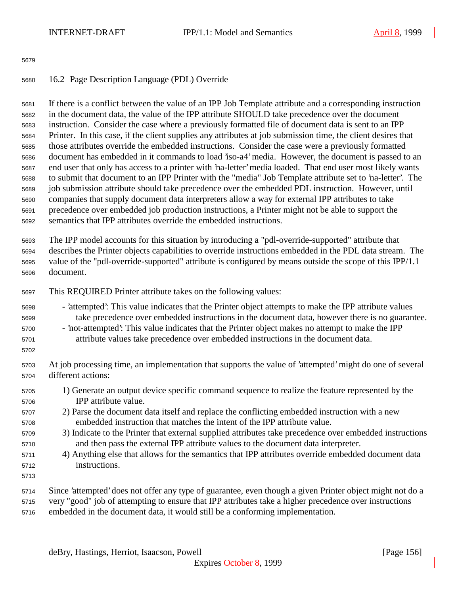## 16.2 Page Description Language (PDL) Override

 If there is a conflict between the value of an IPP Job Template attribute and a corresponding instruction in the document data, the value of the IPP attribute SHOULD take precedence over the document instruction. Consider the case where a previously formatted file of document data is sent to an IPP Printer. In this case, if the client supplies any attributes at job submission time, the client desires that those attributes override the embedded instructions. Consider the case were a previously formatted document has embedded in it commands to load 'iso-a4' media. However, the document is passed to an end user that only has access to a printer with 'na-letter' media loaded. That end user most likely wants to submit that document to an IPP Printer with the "media" Job Template attribute set to 'na-letter'. The job submission attribute should take precedence over the embedded PDL instruction. However, until companies that supply document data interpreters allow a way for external IPP attributes to take precedence over embedded job production instructions, a Printer might not be able to support the semantics that IPP attributes override the embedded instructions.

 The IPP model accounts for this situation by introducing a "pdl-override-supported" attribute that describes the Printer objects capabilities to override instructions embedded in the PDL data stream. The value of the "pdl-override-supported" attribute is configured by means outside the scope of this IPP/1.1 document.

- This REQUIRED Printer attribute takes on the following values:
- 'attempted': This value indicates that the Printer object attempts to make the IPP attribute values take precedence over embedded instructions in the document data, however there is no guarantee.
- 'not-attempted': This value indicates that the Printer object makes no attempt to make the IPP attribute values take precedence over embedded instructions in the document data.
- 

 At job processing time, an implementation that supports the value of 'attempted' might do one of several different actions:

- 1) Generate an output device specific command sequence to realize the feature represented by the IPP attribute value.
- 2) Parse the document data itself and replace the conflicting embedded instruction with a new embedded instruction that matches the intent of the IPP attribute value.
- 3) Indicate to the Printer that external supplied attributes take precedence over embedded instructions and then pass the external IPP attribute values to the document data interpreter.
- 4) Anything else that allows for the semantics that IPP attributes override embedded document data instructions.
- 
- Since 'attempted' does not offer any type of guarantee, even though a given Printer object might not do a
- very "good" job of attempting to ensure that IPP attributes take a higher precedence over instructions
- embedded in the document data, it would still be a conforming implementation.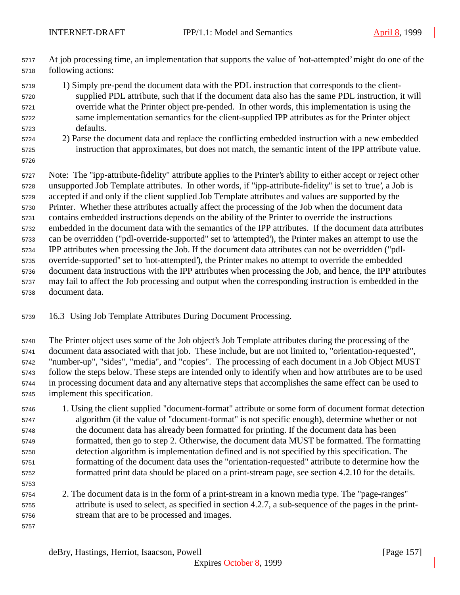- At job processing time, an implementation that supports the value of 'not-attempted' might do one of the following actions:
- 1) Simply pre-pend the document data with the PDL instruction that corresponds to the client- supplied PDL attribute, such that if the document data also has the same PDL instruction, it will override what the Printer object pre-pended. In other words, this implementation is using the same implementation semantics for the client-supplied IPP attributes as for the Printer object defaults.
- 2) Parse the document data and replace the conflicting embedded instruction with a new embedded instruction that approximates, but does not match, the semantic intent of the IPP attribute value.
- 

 Note: The "ipp-attribute-fidelity" attribute applies to the Printer's ability to either accept or reject other unsupported Job Template attributes. In other words, if "ipp-attribute-fidelity" is set to 'true', a Job is accepted if and only if the client supplied Job Template attributes and values are supported by the Printer. Whether these attributes actually affect the processing of the Job when the document data contains embedded instructions depends on the ability of the Printer to override the instructions embedded in the document data with the semantics of the IPP attributes. If the document data attributes can be overridden ("pdl-override-supported" set to 'attempted'), the Printer makes an attempt to use the IPP attributes when processing the Job. If the document data attributes can not be overridden ("pdl- override-supported" set to 'not-attempted'), the Printer makes no attempt to override the embedded document data instructions with the IPP attributes when processing the Job, and hence, the IPP attributes may fail to affect the Job processing and output when the corresponding instruction is embedded in the document data.

16.3 Using Job Template Attributes During Document Processing.

 The Printer object uses some of the Job object's Job Template attributes during the processing of the document data associated with that job. These include, but are not limited to, "orientation-requested", "number-up", "sides", "media", and "copies". The processing of each document in a Job Object MUST follow the steps below. These steps are intended only to identify when and how attributes are to be used in processing document data and any alternative steps that accomplishes the same effect can be used to implement this specification.

- 1. Using the client supplied "document-format" attribute or some form of document format detection algorithm (if the value of "document-format" is not specific enough), determine whether or not the document data has already been formatted for printing. If the document data has been formatted, then go to step 2. Otherwise, the document data MUST be formatted. The formatting detection algorithm is implementation defined and is not specified by this specification. The formatting of the document data uses the "orientation-requested" attribute to determine how the formatted print data should be placed on a print-stream page, see section 4.2.10 for the details.
- 2. The document data is in the form of a print-stream in a known media type. The "page-ranges" attribute is used to select, as specified in section 4.2.7, a sub-sequence of the pages in the print-stream that are to be processed and images.
-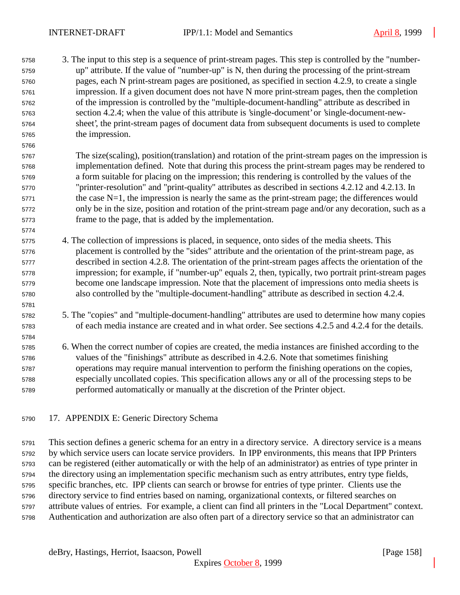3. The input to this step is a sequence of print-stream pages. This step is controlled by the "number- up" attribute. If the value of "number-up" is N, then during the processing of the print-stream pages, each N print-stream pages are positioned, as specified in section 4.2.9, to create a single impression. If a given document does not have N more print-stream pages, then the completion of the impression is controlled by the "multiple-document-handling" attribute as described in section 4.2.4; when the value of this attribute is 'single-document' or 'single-document-new- sheet', the print-stream pages of document data from subsequent documents is used to complete the impression.

 The size(scaling), position(translation) and rotation of the print-stream pages on the impression is implementation defined. Note that during this process the print-stream pages may be rendered to a form suitable for placing on the impression; this rendering is controlled by the values of the "printer-resolution" and "print-quality" attributes as described in sections 4.2.12 and 4.2.13. In the case N=1, the impression is nearly the same as the print-stream page; the differences would only be in the size, position and rotation of the print-stream page and/or any decoration, such as a frame to the page, that is added by the implementation.

- 4. The collection of impressions is placed, in sequence, onto sides of the media sheets. This placement is controlled by the "sides" attribute and the orientation of the print-stream page, as described in section 4.2.8. The orientation of the print-stream pages affects the orientation of the impression; for example, if "number-up" equals 2, then, typically, two portrait print-stream pages become one landscape impression. Note that the placement of impressions onto media sheets is also controlled by the "multiple-document-handling" attribute as described in section 4.2.4.
- 5. The "copies" and "multiple-document-handling" attributes are used to determine how many copies of each media instance are created and in what order. See sections 4.2.5 and 4.2.4 for the details.
- 

 6. When the correct number of copies are created, the media instances are finished according to the values of the "finishings" attribute as described in 4.2.6. Note that sometimes finishing operations may require manual intervention to perform the finishing operations on the copies,

- especially uncollated copies. This specification allows any or all of the processing steps to be performed automatically or manually at the discretion of the Printer object.
- 17. APPENDIX E: Generic Directory Schema

 This section defines a generic schema for an entry in a directory service. A directory service is a means by which service users can locate service providers. In IPP environments, this means that IPP Printers can be registered (either automatically or with the help of an administrator) as entries of type printer in the directory using an implementation specific mechanism such as entry attributes, entry type fields, specific branches, etc. IPP clients can search or browse for entries of type printer. Clients use the directory service to find entries based on naming, organizational contexts, or filtered searches on attribute values of entries. For example, a client can find all printers in the "Local Department" context. Authentication and authorization are also often part of a directory service so that an administrator can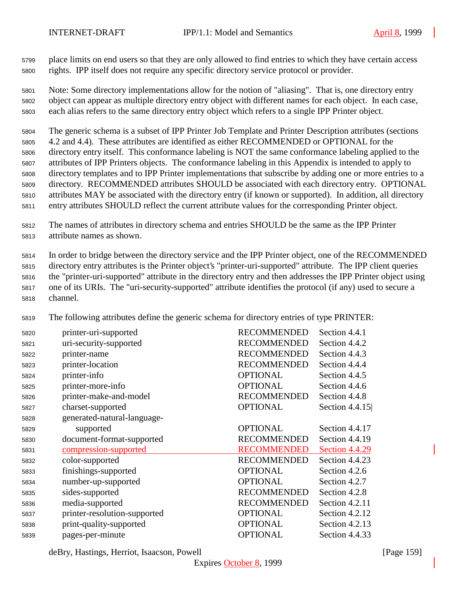place limits on end users so that they are only allowed to find entries to which they have certain access rights. IPP itself does not require any specific directory service protocol or provider.

 Note: Some directory implementations allow for the notion of "aliasing". That is, one directory entry object can appear as multiple directory entry object with different names for each object. In each case, each alias refers to the same directory entry object which refers to a single IPP Printer object.

 The generic schema is a subset of IPP Printer Job Template and Printer Description attributes (sections 4.2 and 4.4). These attributes are identified as either RECOMMENDED or OPTIONAL for the directory entry itself. This conformance labeling is NOT the same conformance labeling applied to the attributes of IPP Printers objects. The conformance labeling in this Appendix is intended to apply to directory templates and to IPP Printer implementations that subscribe by adding one or more entries to a directory. RECOMMENDED attributes SHOULD be associated with each directory entry. OPTIONAL attributes MAY be associated with the directory entry (if known or supported). In addition, all directory entry attributes SHOULD reflect the current attribute values for the corresponding Printer object.

 The names of attributes in directory schema and entries SHOULD be the same as the IPP Printer attribute names as shown.

 In order to bridge between the directory service and the IPP Printer object, one of the RECOMMENDED directory entry attributes is the Printer object's "printer-uri-supported" attribute. The IPP client queries the "printer-uri-supported" attribute in the directory entry and then addresses the IPP Printer object using one of its URIs. The "uri-security-supported" attribute identifies the protocol (if any) used to secure a channel.

The following attributes define the generic schema for directory entries of type PRINTER:

| 5820 | printer-uri-supported        | <b>RECOMMENDED</b> | Section 4.4.1    |
|------|------------------------------|--------------------|------------------|
| 5821 | uri-security-supported       | <b>RECOMMENDED</b> | Section 4.4.2    |
| 5822 | printer-name                 | <b>RECOMMENDED</b> | Section 4.4.3    |
| 5823 | printer-location             | <b>RECOMMENDED</b> | Section 4.4.4    |
| 5824 | printer-info                 | <b>OPTIONAL</b>    | Section 4.4.5    |
| 5825 | printer-more-info            | <b>OPTIONAL</b>    | Section 4.4.6    |
| 5826 | printer-make-and-model       | <b>RECOMMENDED</b> | Section 4.4.8    |
| 5827 | charset-supported            | <b>OPTIONAL</b>    | Section $4.4.15$ |
| 5828 | generated-natural-language-  |                    |                  |
| 5829 | supported                    | <b>OPTIONAL</b>    | Section 4.4.17   |
| 5830 | document-format-supported    | <b>RECOMMENDED</b> | Section 4.4.19   |
| 5831 | compression-supported        | <b>RECOMMENDED</b> | Section 4.4.29   |
| 5832 | color-supported              | <b>RECOMMENDED</b> | Section 4.4.23   |
| 5833 | finishings-supported         | <b>OPTIONAL</b>    | Section 4.2.6    |
| 5834 | number-up-supported          | <b>OPTIONAL</b>    | Section 4.2.7    |
| 5835 | sides-supported              | <b>RECOMMENDED</b> | Section 4.2.8    |
| 5836 | media-supported              | <b>RECOMMENDED</b> | Section 4.2.11   |
| 5837 | printer-resolution-supported | <b>OPTIONAL</b>    | Section 4.2.12   |
| 5838 | print-quality-supported      | <b>OPTIONAL</b>    | Section 4.2.13   |
| 5839 | pages-per-minute             | <b>OPTIONAL</b>    | Section 4.4.33   |

deBry, Hastings, Herriot, Isaacson, Powell [Page 159]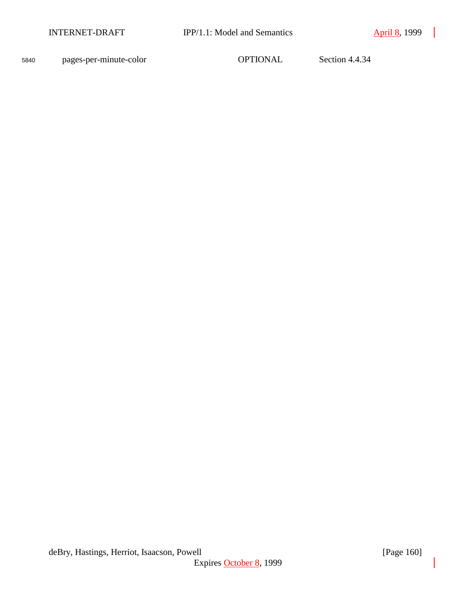<sup>5840</sup> pages-per-minute-color OPTIONAL Section 4.4.34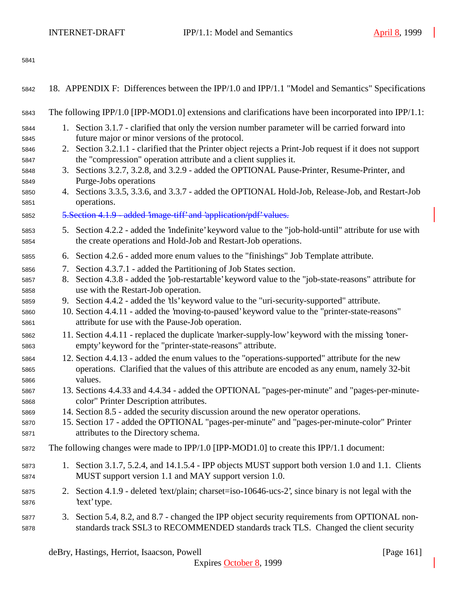| 5842         | 18. APPENDIX F: Differences between the IPP/1.0 and IPP/1.1 "Model and Semantics" Specifications                                                                                              |
|--------------|-----------------------------------------------------------------------------------------------------------------------------------------------------------------------------------------------|
| 5843         | The following IPP/1.0 [IPP-MOD1.0] extensions and clarifications have been incorporated into IPP/1.1:                                                                                         |
| 5844         | 1. Section 3.1.7 - clarified that only the version number parameter will be carried forward into                                                                                              |
| 5845<br>5846 | future major or minor versions of the protocol.<br>2. Section 3.2.1.1 - clarified that the Printer object rejects a Print-Job request if it does not support                                  |
| 5847         | the "compression" operation attribute and a client supplies it.                                                                                                                               |
| 5848         | 3. Sections 3.2.7, 3.2.8, and 3.2.9 - added the OPTIONAL Pause-Printer, Resume-Printer, and                                                                                                   |
| 5849         | Purge-Jobs operations                                                                                                                                                                         |
| 5850<br>5851 | 4. Sections 3.3.5, 3.3.6, and 3.3.7 - added the OPTIONAL Hold-Job, Release-Job, and Restart-Job<br>operations.                                                                                |
| 5852         | 5. Section 4.1.9 - added 'image-tiff' and 'application/pdf' values.                                                                                                                           |
|              |                                                                                                                                                                                               |
| 5853<br>5854 | 5. Section 4.2.2 - added the 'indefinite' keyword value to the "job-hold-until" attribute for use with<br>the create operations and Hold-Job and Restart-Job operations.                      |
| 5855         | 6. Section 4.2.6 - added more enum values to the "finishings" Job Template attribute.                                                                                                         |
| 5856         | Section 4.3.7.1 - added the Partitioning of Job States section.<br>7.                                                                                                                         |
| 5857         | Section 4.3.8 - added the 'job-restartable' keyword value to the "job-state-reasons" attribute for<br>8.                                                                                      |
| 5858         | use with the Restart-Job operation.                                                                                                                                                           |
| 5859<br>5860 | 9. Section 4.4.2 - added the 'tls' keyword value to the "uri-security-supported" attribute.<br>10. Section 4.4.11 - added the 'moving-to-paused' keyword value to the "printer-state-reasons" |
| 5861         | attribute for use with the Pause-Job operation.                                                                                                                                               |
| 5862         | 11. Section 4.4.11 - replaced the duplicate 'marker-supply-low' keyword with the missing 'toner-                                                                                              |
| 5863         | empty' keyword for the "printer-state-reasons" attribute.                                                                                                                                     |
| 5864         | 12. Section 4.4.13 - added the enum values to the "operations-supported" attribute for the new                                                                                                |
| 5865         | operations. Clarified that the values of this attribute are encoded as any enum, namely 32-bit                                                                                                |
| 5866         | values.<br>13. Sections 4.4.33 and 4.4.34 - added the OPTIONAL "pages-per-minute" and "pages-per-minute-                                                                                      |
| 5867<br>5868 | color" Printer Description attributes.                                                                                                                                                        |
| 5869         | 14. Section 8.5 - added the security discussion around the new operator operations.                                                                                                           |
| 5870         | 15. Section 17 - added the OPTIONAL "pages-per-minute" and "pages-per-minute-color" Printer                                                                                                   |
| 5871         | attributes to the Directory schema.                                                                                                                                                           |
| 5872         | The following changes were made to IPP/1.0 [IPP-MOD1.0] to create this IPP/1.1 document:                                                                                                      |
| 5873         | 1. Section 3.1.7, 5.2.4, and 14.1.5.4 - IPP objects MUST support both version 1.0 and 1.1. Clients                                                                                            |
| 5874         | MUST support version 1.1 and MAY support version 1.0.                                                                                                                                         |
| 5875         | 2. Section 4.1.9 - deleted 'text/plain; charget=iso-10646-ucs-2', since binary is not legal with the                                                                                          |
| 5876         | 'text' type.                                                                                                                                                                                  |
| 5877         | 3. Section 5.4, 8.2, and 8.7 - changed the IPP object security requirements from OPTIONAL non-                                                                                                |
| 5878         | standards track SSL3 to RECOMMENDED standards track TLS. Changed the client security                                                                                                          |